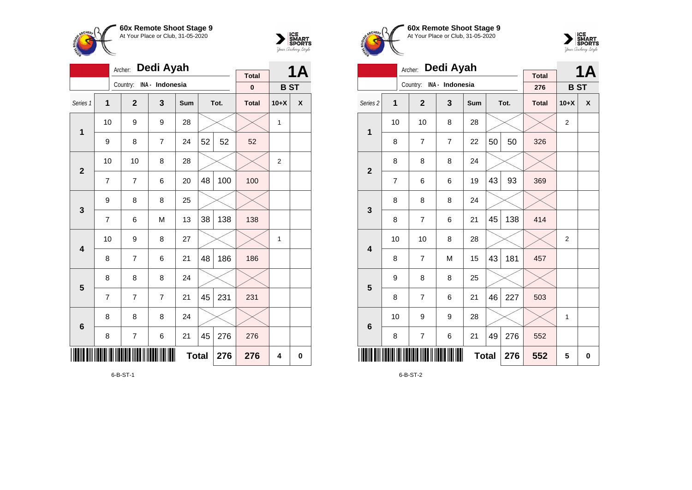



|                 |                         | Archer:      | Dedi Ayah       |              |    |      |              |                | <b>1A</b> |
|-----------------|-------------------------|--------------|-----------------|--------------|----|------|--------------|----------------|-----------|
|                 |                         | Country:     | INA - Indonesia |              |    |      | <b>Total</b> |                |           |
|                 |                         |              |                 |              |    |      | $\bf{0}$     | <b>BST</b>     |           |
| Series 1        | $\overline{\mathbf{1}}$ | $\mathbf{2}$ | 3               | Sum          |    | Tot. | <b>Total</b> | $10+X$         | X         |
| $\mathbf 1$     | 10                      | 9            | 9               | 28           |    |      |              | 1              |           |
|                 | 9                       | 8            | 7               | 24           | 52 | 52   | 52           |                |           |
| $\overline{2}$  | 10                      | 10           | 8               | 28           |    |      |              | $\overline{2}$ |           |
|                 | $\overline{7}$          | 7            | 6               | 20           | 48 | 100  | 100          |                |           |
| 3               | 9                       | 8            | 8               | 25           |    |      |              |                |           |
|                 | $\overline{7}$          | 6            | M               | 13           | 38 | 138  | 138          |                |           |
| 4               | 10                      | 9            | 8               | 27           |    |      |              | 1              |           |
|                 | 8                       | 7            | 6               | 21           | 48 | 186  | 186          |                |           |
| 5               | 8                       | 8            | 8               | 24           |    |      |              |                |           |
|                 | $\overline{7}$          | 7            | 7               | 21           | 45 | 231  | 231          |                |           |
| $6\phantom{1}6$ | 8                       | 8            | 8               | 24           |    |      |              |                |           |
|                 | 8                       | 7            | 6               | 21           | 45 | 276  | 276          |                |           |
|                 |                         |              |                 | <b>Total</b> |    | 276  | 276          | 4              | $\bf{0}$  |

6-B-ST-1





|                     | Archer:        |                |                 |              | <b>1A</b> |      |                     |                |   |
|---------------------|----------------|----------------|-----------------|--------------|-----------|------|---------------------|----------------|---|
|                     |                | Country:       | INA - Indonesia |              |           |      | <b>Total</b><br>276 | <b>BST</b>     |   |
| Series <sub>2</sub> | 1              | $\overline{2}$ | 3               | Sum          |           | Tot. | <b>Total</b>        | $10+X$         | X |
|                     | 10             | 10             | 8               | 28           |           |      |                     | 2              |   |
| 1                   | 8              | $\overline{7}$ | $\overline{7}$  | 22           | 50        | 50   | 326                 |                |   |
| $\mathbf{2}$        | 8              | 8              | 8               | 24           |           |      |                     |                |   |
|                     | $\overline{7}$ | 6              | 6               | 19           | 43        | 93   | 369                 |                |   |
| 3                   | 8              | 8              | 8               | 24           |           |      |                     |                |   |
|                     | 8              | $\overline{7}$ | 6               | 21           | 45        | 138  | 414                 |                |   |
| 4                   | 10             | 10             | 8               | 28           |           |      |                     | $\overline{2}$ |   |
|                     | 8              | $\overline{7}$ | M               | 15           | 43        | 181  | 457                 |                |   |
| 5                   | 9              | 8              | 8               | 25           |           |      |                     |                |   |
|                     | 8              | $\overline{7}$ | 6               | 21           | 46        | 227  | 503                 |                |   |
| $\bf 6$             | 10             | 9              | 9               | 28           |           |      |                     | 1              |   |
|                     | 8              | $\overline{7}$ | 6               | 21           | 49        | 276  | 552                 |                |   |
| ║║║                 |                |                |                 | <b>Total</b> |           | 276  | 552                 | 5              | 0 |

6-B-ST-2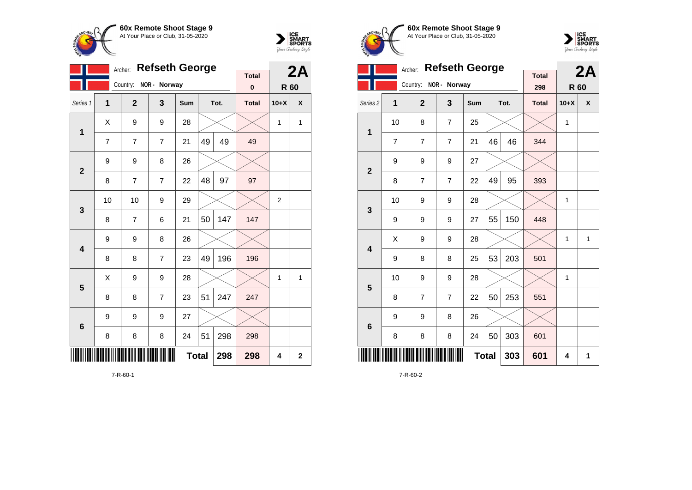

**1**

**2**

**3**

**4**

**5**

**6**

Country: **NOR - Norway**

9 9 8 26

9 8 26

9 9 9 27

Archer: **Refseth George**

Series 1 **1 2 3 Sum Tot. Total 10+X X**

7 | 7 | 7 | 21 |49 | 49 | 49

8 | 7 | 7 | 22 |48 | 97 | 97

 $8$  | 7 | 6 | 21 | 50 | 147 | 147

8 8 7 23 49 196 196

 $8 \mid 8 \mid 7 \mid 23 \mid 51 \mid 247 \mid 247$ 

8 8 8 34 51 298 298

 $\textsf{X} \hspace{0.2cm} \vert \hspace{0.2cm} 9 \hspace{0.2cm} \vert \hspace{0.2cm} 9 \hspace{0.2cm} \vert \hspace{0.2cm} 28 \hspace{0.2cm} \vert \hspace{0.2cm} \times \hspace{0.2cm} \vert \hspace{0.2cm} \times \hspace{0.2cm} \vert \hspace{0.2cm} 1 \hspace{0.2cm} \vert \hspace{0.2cm} 1 \hspace{0.2cm} \vert \hspace{0.2cm} 1$ 

**Total 298 298 4 2**

10 | 10 | 9 | 29 |  $\times$  |  $\times$  | 2

 $\textsf{X} \hspace{0.2cm} \vert \hspace{0.2cm} 9 \hspace{0.2cm} \vert \hspace{0.2cm} 9 \hspace{0.2cm} \vert \hspace{0.2cm} 28 \hspace{0.2cm} \vert \hspace{0.2cm} \times \hspace{0.2cm} \vert \hspace{0.2cm} \times \hspace{0.2cm} \vert \hspace{0.2cm} 1 \hspace{0.2cm} \vert \hspace{0.2cm} 1 \hspace{0.2cm} \vert \hspace{0.2cm} 1$ 



**2A**

**R 60**

**Total 0**





| <b>Refseth George</b><br>Archer:<br><b>Total</b> |    |                |                |              |    |      | 2A           |              |   |
|--------------------------------------------------|----|----------------|----------------|--------------|----|------|--------------|--------------|---|
|                                                  |    | Country:       | NOR - Norway   |              |    |      | 298          | <b>R</b> 60  |   |
| Series <sub>2</sub>                              | 1  | $\overline{2}$ | 3              | <b>Sum</b>   |    | Tot. | <b>Total</b> | $10+X$       | X |
| 1                                                | 10 | 8              | $\overline{7}$ | 25           |    |      |              | 1            |   |
|                                                  | 7  | 7              | 7              | 21           | 46 | 46   | 344          |              |   |
| $\overline{2}$                                   | 9  | 9              | 9              | 27           |    |      |              |              |   |
|                                                  | 8  | 7              | 7              | 22           | 49 | 95   | 393          |              |   |
| 3                                                | 10 | 9              | 9              | 28           |    |      |              | $\mathbf{1}$ |   |
|                                                  | 9  | 9              | 9              | 27           | 55 | 150  | 448          |              |   |
| 4                                                | X  | 9              | 9              | 28           |    |      |              | 1            | 1 |
|                                                  | 9  | 8              | 8              | 25           | 53 | 203  | 501          |              |   |
| 5                                                | 10 | 9              | 9              | 28           |    |      |              | 1            |   |
|                                                  | 8  | 7              | $\overline{7}$ | 22           | 50 | 253  | 551          |              |   |
| $6\phantom{1}6$                                  | 9  | 9              | 8              | 26           |    |      |              |              |   |
|                                                  | 8  | 8              | 8              | 24           | 50 | 303  | 601          |              |   |
|                                                  |    |                |                | <b>Total</b> |    | 303  | 601          | 4            | 1 |

7-R-60-2

7-R-60-1

\*7-R-60-1\*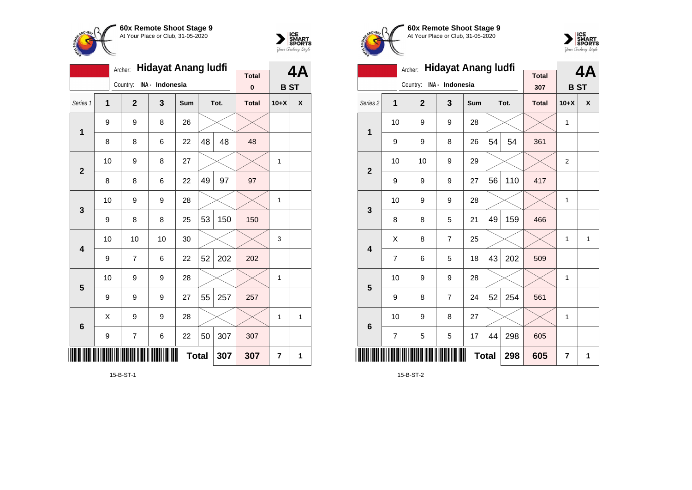



|                         |                     | Archer:          | <b>Hidayat Anang ludfi</b> |     |    | 4A   |                           |              |              |
|-------------------------|---------------------|------------------|----------------------------|-----|----|------|---------------------------|--------------|--------------|
|                         |                     | Country:         | INA - Indonesia            |     |    |      | <b>Total</b><br>$\pmb{0}$ | <b>BST</b>   |              |
| Series 1                | 1                   | $\overline{2}$   | 3                          | Sum |    | Tot. | <b>Total</b>              | $10+X$       | X            |
| 1                       | 9                   | 9                | 8                          | 26  |    |      |                           |              |              |
|                         | 8                   | 8                | 6                          | 22  | 48 | 48   | 48                        |              |              |
| $\overline{2}$          | 10                  | 9                | 8                          | 27  |    |      |                           | 1            |              |
|                         | 8                   | 8                | 6                          | 22  | 49 | 97   | 97                        |              |              |
| 3                       | 10                  | 9                | 9                          | 28  |    |      |                           | 1            |              |
|                         | 9                   | 8                | 8                          | 25  | 53 | 150  | 150                       |              |              |
| $\overline{\mathbf{4}}$ | 10                  | 10               | 10                         | 30  |    |      |                           | 3            |              |
|                         | 9                   | 7                | 6                          | 22  | 52 | 202  | 202                       |              |              |
| 5                       | 10                  | 9                | 9                          | 28  |    |      |                           | 1            |              |
|                         | 9                   | 9                | 9                          | 27  | 55 | 257  | 257                       |              |              |
| $6\phantom{1}6$         | X                   | 9                | 9                          | 28  |    |      |                           | $\mathbf{1}$ | $\mathbf{1}$ |
|                         | 9                   | $\boldsymbol{7}$ | 6                          | 22  | 50 | 307  | 307                       |              |              |
| ║║                      | <b>Total</b><br>307 |                  |                            |     |    |      | 307                       | 7            | 1            |

15-B-ST-1





|                     |                | Archer:        | <b>Hidayat Anang ludfi</b> |              |    |      |                     |                | 4A           |
|---------------------|----------------|----------------|----------------------------|--------------|----|------|---------------------|----------------|--------------|
|                     |                | Country:       | INA - Indonesia            |              |    |      | <b>Total</b><br>307 | <b>BST</b>     |              |
| Series <sub>2</sub> | 1              | $\overline{2}$ | 3                          | Sum          |    | Tot. | <b>Total</b>        | $10+X$         | X            |
|                     | 10             | 9              | 9                          | 28           |    |      |                     | 1              |              |
| 1                   | 9              | 9              | 8                          | 26           | 54 | 54   | 361                 |                |              |
|                     | 10             | 10             | 9                          | 29           |    |      |                     | $\overline{2}$ |              |
| $\overline{2}$      | 9              | 9              | 9                          | 27           | 56 | 110  | 417                 |                |              |
| 3                   | 10             | 9              | 9                          | 28           |    |      |                     | 1              |              |
|                     | 8              | 8              | 5                          | 21           | 49 | 159  | 466                 |                |              |
| 4                   | X              | 8              | $\overline{7}$             | 25           |    |      |                     | 1              | $\mathbf{1}$ |
|                     | $\overline{7}$ | 6              | 5                          | 18           | 43 | 202  | 509                 |                |              |
| 5                   | 10             | 9              | 9                          | 28           |    |      |                     | 1              |              |
|                     | 9              | 8              | $\overline{7}$             | 24           | 52 | 254  | 561                 |                |              |
| 6                   | 10             | 9              | 8                          | 27           |    |      |                     | 1              |              |
|                     | $\overline{7}$ | 5              | 5                          | 17           | 44 | 298  | 605                 |                |              |
|                     |                |                |                            | <b>Total</b> |    | 298  | 605                 | $\overline{7}$ | 1            |

15-B-ST-2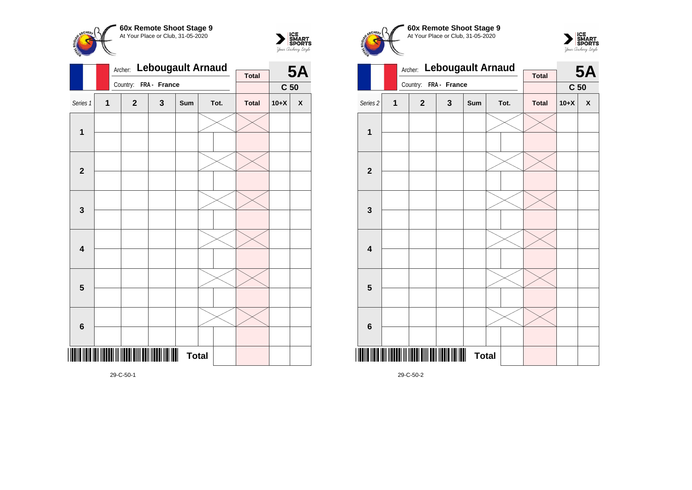



|                         |                         | Archer: |              | <b>Lebougault Arnaud</b> |              |  |      | <b>5A</b>    |                 |                    |
|-------------------------|-------------------------|---------|--------------|--------------------------|--------------|--|------|--------------|-----------------|--------------------|
|                         |                         |         | Country:     | FRA - France             |              |  |      | <b>Total</b> |                 |                    |
|                         |                         |         |              |                          |              |  |      |              | C <sub>50</sub> |                    |
| Series 1                | $\overline{\mathbf{1}}$ |         | $\mathbf{2}$ | 3                        | Sum          |  | Tot. | <b>Total</b> | $10+X$          | $\pmb{\mathsf{X}}$ |
|                         |                         |         |              |                          |              |  |      |              |                 |                    |
| $\mathbf 1$             |                         |         |              |                          |              |  |      |              |                 |                    |
|                         |                         |         |              |                          |              |  |      |              |                 |                    |
|                         |                         |         |              |                          |              |  |      |              |                 |                    |
| $\mathbf{2}$            |                         |         |              |                          |              |  |      |              |                 |                    |
|                         |                         |         |              |                          |              |  |      |              |                 |                    |
|                         |                         |         |              |                          |              |  |      |              |                 |                    |
| 3                       |                         |         |              |                          |              |  |      |              |                 |                    |
|                         |                         |         |              |                          |              |  |      |              |                 |                    |
|                         |                         |         |              |                          |              |  |      |              |                 |                    |
|                         |                         |         |              |                          |              |  |      |              |                 |                    |
| $\overline{\mathbf{4}}$ |                         |         |              |                          |              |  |      |              |                 |                    |
|                         |                         |         |              |                          |              |  |      |              |                 |                    |
|                         |                         |         |              |                          |              |  |      |              |                 |                    |
| $\overline{\mathbf{5}}$ |                         |         |              |                          |              |  |      |              |                 |                    |
|                         |                         |         |              |                          |              |  |      |              |                 |                    |
|                         |                         |         |              |                          |              |  |      |              |                 |                    |
| $\bf 6$                 |                         |         |              |                          |              |  |      |              |                 |                    |
|                         |                         |         |              |                          |              |  |      |              |                 |                    |
|                         |                         |         |              |                          | <b>Total</b> |  |      |              |                 |                    |
|                         |                         |         |              |                          |              |  |      |              |                 |                    |

Archer: **Lebougault Arnaud** Country: **FRA - France 5A C 50 Total** Series 2 **1 2 3 Sum Tot. Total 10+X X 1 2 3 4 5**

**Total** 

**60x Remote Shoot Stage 9** At Your Place or Club, 31-05-2020

 $\sum_{\text{MART}}\left|\underset{\text{SPORTS}}{\text{SINART}}\right|$ 

29-C-50-2

\*29-C-50-2\*

**6**

**CHEPL** 

29-C-50-1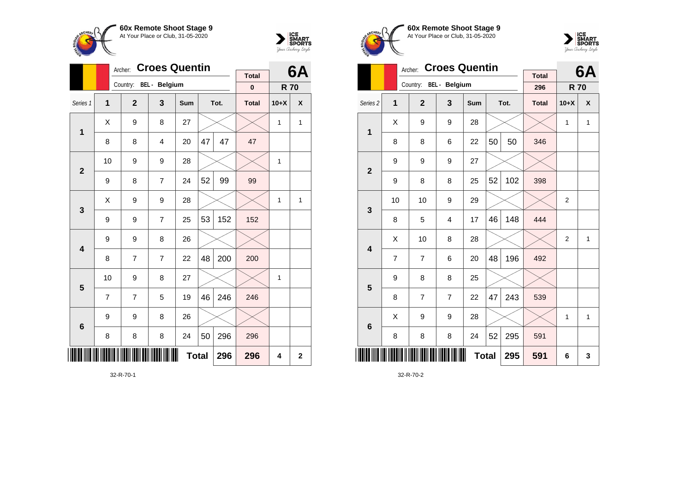



|                         |    | Archer:                | <b>Croes Quentin</b> |              |    |      |              |            | 6Α          |
|-------------------------|----|------------------------|----------------------|--------------|----|------|--------------|------------|-------------|
|                         |    | Country: BEL - Belgium |                      |              |    |      | <b>Total</b> |            |             |
|                         |    |                        |                      |              |    |      | $\pmb{0}$    | <b>R70</b> |             |
| Series 1                | 1  | $\overline{2}$         | 3                    | Sum          |    | Tot. | <b>Total</b> | $10+X$     | χ           |
| 1                       | X  | 9                      | 8                    | 27           |    |      |              | 1          | 1           |
|                         | 8  | 8                      | 4                    | 20           | 47 | 47   | 47           |            |             |
| $\overline{2}$          | 10 | 9                      | 9                    | 28           |    |      |              | 1          |             |
|                         | 9  | 8                      | 7                    | 24           | 52 | 99   | 99           |            |             |
| 3                       | X  | 9                      | 9                    | 28           |    |      |              | 1          | 1           |
|                         | 9  | 9                      | $\overline{7}$       | 25           | 53 | 152  | 152          |            |             |
| $\overline{\mathbf{4}}$ | 9  | 9                      | 8                    | 26           |    |      |              |            |             |
|                         | 8  | 7                      | $\overline{7}$       | 22           | 48 | 200  | 200          |            |             |
| 5                       | 10 | 9                      | 8                    | 27           |    |      |              | 1          |             |
|                         | 7  | 7                      | 5                    | 19           | 46 | 246  | 246          |            |             |
| $6\phantom{1}6$         | 9  | 9                      | 8                    | 26           |    |      |              |            |             |
|                         | 8  | 8                      | 8                    | 24           | 50 | 296  | 296          |            |             |
| ▏▏▎▎▎▎▌▌                |    |                        |                      | <b>Total</b> |    | 296  | 296          | 4          | $\mathbf 2$ |

32-R-70-1





|                         |    | Archer:                | <b>Croes Quentin</b> |     | <b>Total</b> |      | 6A           |                |              |
|-------------------------|----|------------------------|----------------------|-----|--------------|------|--------------|----------------|--------------|
|                         |    | Country: BEL - Belgium |                      |     |              |      | 296          | <b>R70</b>     |              |
| Series <sub>2</sub>     | 1  | $\overline{2}$         | 3                    | Sum |              | Tot. | <b>Total</b> | $10+X$         | X            |
| 1                       | X  | 9                      | 9                    | 28  |              |      |              | 1              | $\mathbf{1}$ |
|                         | 8  | 8                      | 6                    | 22  | 50           | 50   | 346          |                |              |
| $\overline{2}$          | 9  | 9                      | 9                    | 27  |              |      |              |                |              |
|                         | 9  | 8                      | 8                    | 25  | 52           | 102  | 398          |                |              |
| 3                       | 10 | 10                     | 9                    | 29  |              |      |              | $\overline{2}$ |              |
|                         | 8  | 5                      | 4                    | 17  | 46           | 148  | 444          |                |              |
| $\overline{\mathbf{4}}$ | Χ  | 10                     | 8                    | 28  |              |      |              | $\overline{2}$ | $\mathbf{1}$ |
|                         | 7  | 7                      | 6                    | 20  | 48           | 196  | 492          |                |              |
| 5                       | 9  | 8                      | 8                    | 25  |              |      |              |                |              |
|                         | 8  | $\overline{7}$         | $\overline{7}$       | 22  | 47           | 243  | 539          |                |              |
| $6\phantom{1}6$         | X  | 9                      | 9                    | 28  |              |      |              | 1              | 1            |
|                         | 8  | 8                      | 8                    | 24  | 52           | 295  | 591          |                |              |
| Ш                       |    |                        |                      |     | <b>Total</b> | 295  | 591          | 6              | 3            |

32-R-70-2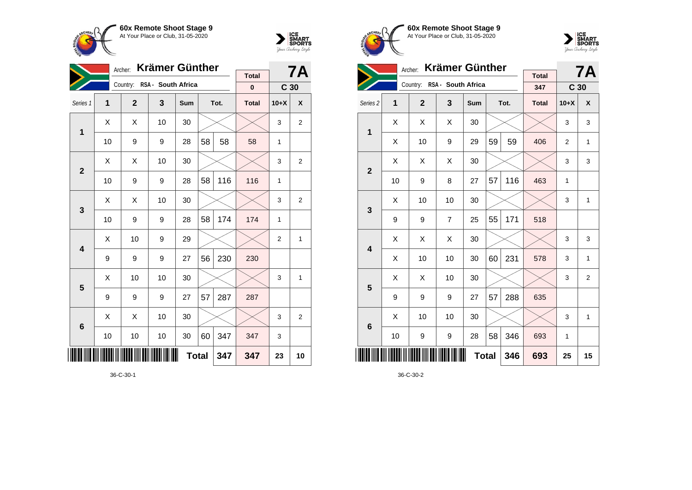



|                         | <b>Krämer Günther</b><br>Archer: |                |                    |     |    |      |              |                 | <b>7A</b>    |
|-------------------------|----------------------------------|----------------|--------------------|-----|----|------|--------------|-----------------|--------------|
|                         |                                  | Country:       | RSA - South Africa |     |    |      | <b>Total</b> |                 |              |
|                         |                                  |                |                    |     |    |      | 0            | C <sub>30</sub> |              |
| Series 1                | 1                                | $\overline{2}$ | 3                  | Sum |    | Tot. | <b>Total</b> | $10+X$          | X            |
| 1                       | X                                | X              | 10                 | 30  |    |      |              | 3               | $\mathbf{2}$ |
|                         | 10                               | 9              | 9                  | 28  | 58 | 58   | 58           | $\mathbf{1}$    |              |
| $\overline{2}$          | X                                | Χ              | 10                 | 30  |    |      |              | 3               | 2            |
|                         | 10                               | 9              | 9                  | 28  | 58 | 116  | 116          | $\mathbf{1}$    |              |
| 3                       | Χ                                | Χ              | 10                 | 30  |    |      |              | 3               | 2            |
|                         | 10                               | 9              | 9                  | 28  | 58 | 174  | 174          | $\mathbf{1}$    |              |
| $\overline{\mathbf{4}}$ | X                                | 10             | 9                  | 29  |    |      |              | 2               | 1            |
|                         | 9                                | 9              | 9                  | 27  | 56 | 230  | 230          |                 |              |
| 5                       | X                                | 10             | 10                 | 30  |    |      |              | 3               | 1            |
|                         | 9                                | 9              | 9                  | 27  | 57 | 287  | 287          |                 |              |
| 6                       | X                                | X              | 10                 | 30  |    |      |              | 3               | 2            |
|                         | 10                               | 10             | 10                 | 30  | 60 | 347  | 347          | 3               |              |
| <b>Total</b><br>347     |                                  |                |                    |     |    |      | 347          | 23              | 10           |

36-C-30-1





|                     |    | Archer:                     | <b>Krämer Günther</b> |              |    |      |                     |                 | <b>7A</b>      |
|---------------------|----|-----------------------------|-----------------------|--------------|----|------|---------------------|-----------------|----------------|
|                     |    | Country: RSA - South Africa |                       |              |    |      | <b>Total</b><br>347 | C <sub>30</sub> |                |
|                     |    |                             |                       |              |    |      |                     |                 |                |
| Series <sub>2</sub> | 1  | $\mathbf{2}$                | 3                     | Sum          |    | Tot. | <b>Total</b>        | $10+X$          | X              |
| 1                   | X  | X                           | X                     | 30           |    |      |                     | 3               | 3              |
|                     | Χ  | 10                          | 9                     | 29           | 59 | 59   | 406                 | 2               | $\mathbf{1}$   |
| $\overline{2}$      | Χ  | X                           | X                     | 30           |    |      |                     | 3               | 3              |
|                     | 10 | 9                           | 8                     | 27           | 57 | 116  | 463                 | 1               |                |
| 3                   | X  | 10                          | 10                    | 30           |    |      |                     | 3               | $\mathbf{1}$   |
|                     | 9  | 9                           | $\overline{7}$        | 25           | 55 | 171  | 518                 |                 |                |
| 4                   | Χ  | X                           | Χ                     | 30           |    |      |                     | 3               | 3              |
|                     | X  | 10                          | 10                    | 30           | 60 | 231  | 578                 | 3               | 1              |
| 5                   | X  | X                           | 10                    | 30           |    |      |                     | 3               | $\overline{2}$ |
|                     | 9  | 9                           | 9                     | 27           | 57 | 288  | 635                 |                 |                |
| $6\phantom{1}6$     | X  | 10                          | 10                    | 30           |    |      |                     | 3               | $\mathbf{1}$   |
|                     | 10 | 9                           | 9                     | 28           | 58 | 346  | 693                 | 1               |                |
|                     |    |                             |                       | <b>Total</b> |    | 346  | 693                 | 25              | 15             |

36-C-30-2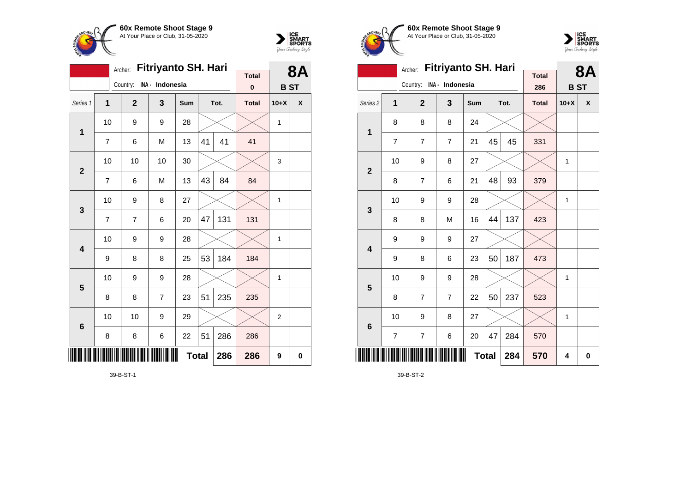

**1**

**2**

**3**

**4**

**5**

**6**

<u>\* 1999 - 1999 - 1999 - 1999 - 1999 - 1999 - 1999 - 1999 - 1999 - 1999 - 1999 - 1999 - 1999 - 1999 - 1999 - 19</u>

10  $\mid$  9  $\mid$  9  $\mid$  28  $\mid$   $\times$   $\mid$   $\times$   $\mid$  1

10 | 10 | 10 | 30 |  $\times$  |  $\times$  | 3

10 | 9 | 8 | 27 |  $\times$  |  $\times$  | 1

10 | 9 | 9 | 28 |  $\times$  |  $\times$  | 1

10 | 9 | 9 | 28 |  $\times$  |  $\times$  | 1

10 | 10 | 9 | 29 |  $\times$  |  $\times$  | 2

**Total 286 286 9 0**

7 | 6 | M | 13 |41 | 41 | 41

7 | 6 | M | 13 |43 | 84 <mark>|</mark> 84

7 | 7 | 6 | 20 |47 | 131 | 131

 $9 \mid 8 \mid 8 \mid 25 \mid 53 \mid 184 \mid 184$ 

8 8 7 23 51 235 235

8 8 6 22 51 286 286



| <b>MARINERY</b> | 300<br>At Your Place or Club, 31-05-2020 |   |     |      |              |            | ICE<br>SMART<br>SPORTS<br>Your Archerry Stryle | ARCHEA              |  |
|-----------------|------------------------------------------|---|-----|------|--------------|------------|------------------------------------------------|---------------------|--|
|                 | Archer: Fitriyanto SH. Hari              |   |     |      | <b>Total</b> |            | <b>8A</b>                                      |                     |  |
|                 | Country: INA - Indonesia                 |   |     |      | 0            | <b>BST</b> |                                                |                     |  |
| Series 1        |                                          | 3 | Sum | Tot. | <b>Total</b> | $10+X$     | X                                              | Series <sub>2</sub> |  |

**60x Remote Shoot Stage 9** At Your Place or Club, 31-05-2020  $\tilde{z}$ 



|                         | Archer:        | <b>Fitriyanto SH. Hari</b> |                 |     | <b>8A</b>    |      |                     |              |   |
|-------------------------|----------------|----------------------------|-----------------|-----|--------------|------|---------------------|--------------|---|
|                         |                | Country:                   | INA - Indonesia |     |              |      | <b>Total</b><br>286 | <b>BST</b>   |   |
| Series <sub>2</sub>     | $\mathbf{1}$   | $\overline{2}$             | 3               | Sum |              | Tot. | <b>Total</b>        | $10+X$       | X |
| $\mathbf 1$             | 8              | 8                          | 8               | 24  |              |      |                     |              |   |
|                         | $\overline{7}$ | $\overline{7}$             | $\overline{7}$  | 21  | 45           | 45   | 331                 |              |   |
| $\overline{2}$          | 10             | 9                          | 8               | 27  |              |      |                     | 1            |   |
|                         | 8              | 7                          | 6               | 21  | 48           | 93   | 379                 |              |   |
| 3                       | 10             | 9                          | 9               | 28  |              |      |                     | 1            |   |
|                         | 8              | 8                          | M               | 16  | 44           | 137  | 423                 |              |   |
| $\overline{\mathbf{4}}$ | 9              | 9                          | 9               | 27  |              |      |                     |              |   |
|                         | 9              | 8                          | 6               | 23  | 50           | 187  | 473                 |              |   |
| 5                       | 10             | 9                          | 9               | 28  |              |      |                     | $\mathbf{1}$ |   |
|                         | 8              | 7                          | $\overline{7}$  | 22  | 50           | 237  | 523                 |              |   |
| $6\phantom{1}6$         | 10             | 9                          | 8               | 27  |              |      |                     | 1            |   |
|                         | $\overline{7}$ | $\overline{7}$             | 6               | 20  | 47           | 284  | 570                 |              |   |
| ║║║                     |                |                            |                 |     | <b>Total</b> | 284  | 570                 | 4            | 0 |

39-B-ST-2

39-B-ST-1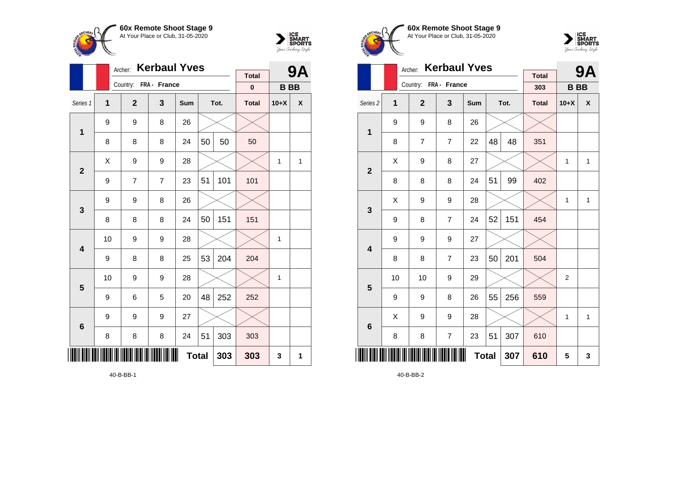



|                 |              | Archer:               | <b>Kerbaul Yves</b>     |     |     |      | 9            |           |                    |
|-----------------|--------------|-----------------------|-------------------------|-----|-----|------|--------------|-----------|--------------------|
|                 |              | Country: FRA - France |                         |     |     |      | <b>Total</b> |           |                    |
|                 |              |                       |                         |     |     |      | $\bf{0}$     | <b>BB</b> |                    |
| Series 1        | $\mathbf{1}$ | $\overline{2}$        | $\overline{\mathbf{3}}$ | Sum |     | Tot. | <b>Total</b> | $10+X$    | $\pmb{\mathsf{X}}$ |
| $\mathbf 1$     | 9            | 9                     | 8                       | 26  |     |      |              |           |                    |
|                 | 8            | 8                     | 8                       | 24  | 50  | 50   | 50           |           |                    |
| $\overline{2}$  | Χ            | 9                     | 9                       | 28  |     |      |              | 1         | 1                  |
|                 | 9            | $\overline{7}$        | $\overline{7}$          | 23  | 51  | 101  | 101          |           |                    |
| 3               | 9            | 9                     | 8                       | 26  |     |      |              |           |                    |
|                 | 8            | 8                     | 8                       | 24  | 50  | 151  | 151          |           |                    |
| 4               | 10           | 9                     | 9                       | 28  |     |      |              | 1         |                    |
|                 | 9            | 8                     | 8                       | 25  | 53  | 204  | 204          |           |                    |
| 5               | 10           | 9                     | 9                       | 28  |     |      |              | 1         |                    |
|                 | 9            | 6                     | 5                       | 20  | 48  | 252  | 252          |           |                    |
| $6\phantom{1}6$ | 9            | 9                     | 9                       | 27  |     |      |              |           |                    |
|                 | 8            | 8                     | 8                       | 24  | 51  | 303  | 303          |           |                    |
| ∭               |              |                       |                         | 303 | 303 | 3    | 1            |           |                    |







|                     |    | Archer:               | <b>Kerbaul Yves</b> |              |    |      | <b>9A</b>           |                |              |
|---------------------|----|-----------------------|---------------------|--------------|----|------|---------------------|----------------|--------------|
|                     |    | Country: FRA - France |                     |              |    |      | <b>Total</b><br>303 | <b>BB</b>      |              |
| Series <sub>2</sub> | 1  | $\overline{2}$        | 3                   | <b>Sum</b>   |    | Tot. | <b>Total</b>        | $10+X$         | X            |
| $\mathbf{1}$        | 9  | 9                     | 8                   | 26           |    |      |                     |                |              |
|                     | 8  | $\overline{7}$        | $\overline{7}$      | 22           | 48 | 48   | 351                 |                |              |
| $\overline{2}$      | X  | 9                     | 8                   | 27           |    |      |                     | $\mathbf{1}$   | $\mathbf{1}$ |
|                     | 8  | 8                     | 8                   | 24           | 51 | 99   | 402                 |                |              |
| 3                   | X  | 9                     | 9                   | 28           |    |      |                     | 1              | $\mathbf{1}$ |
|                     | 9  | 8                     | $\overline{7}$      | 24           | 52 | 151  | 454                 |                |              |
| 4                   | 9  | 9                     | 9                   | 27           |    |      |                     |                |              |
|                     | 8  | 8                     | $\overline{7}$      | 23           | 50 | 201  | 504                 |                |              |
| 5                   | 10 | 10                    | 9                   | 29           |    |      |                     | $\overline{2}$ |              |
|                     | 9  | 9                     | 8                   | 26           | 55 | 256  | 559                 |                |              |
| $6\phantom{1}6$     | Χ  | 9                     | 9                   | 28           |    |      |                     | $\mathbf{1}$   | $\mathbf{1}$ |
|                     | 8  | 8                     | 7                   | 23           | 51 | 307  | 610                 |                |              |
|                     |    |                       |                     | <b>Total</b> |    | 307  | 610                 | 5              | 3            |

40-B-BB-2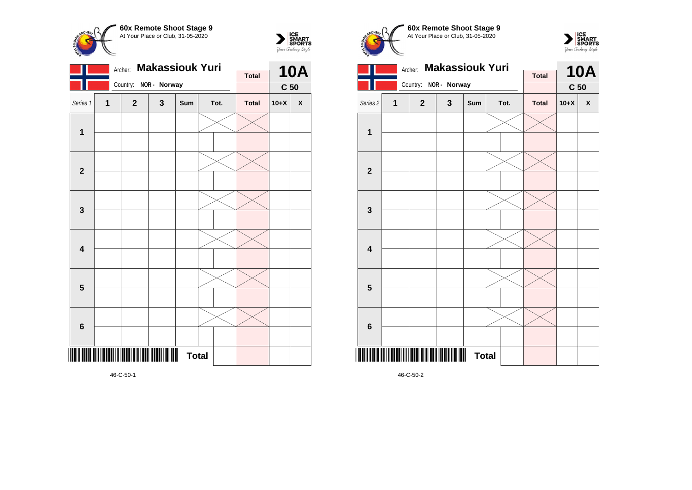



|                         |   | Archer:                                      | <b>Makassiouk Yuri</b> |              |      | <b>10A</b>   |                 |              |
|-------------------------|---|----------------------------------------------|------------------------|--------------|------|--------------|-----------------|--------------|
|                         |   |                                              |                        |              |      | <b>Total</b> |                 |              |
|                         |   | Country:                                     | NOR - Norway           |              |      |              | C <sub>50</sub> |              |
| Series 1                | 1 | $\mathbf{2}$                                 | 3                      | Sum          | Tot. | <b>Total</b> | $10+X$          | $\mathbf{x}$ |
| $\mathbf{1}$            |   |                                              |                        |              |      |              |                 |              |
| $\mathbf{2}$            |   |                                              |                        |              |      |              |                 |              |
| $\mathbf 3$             |   |                                              |                        |              |      |              |                 |              |
| $\overline{\mathbf{4}}$ |   |                                              |                        |              |      |              |                 |              |
| $\overline{\mathbf{5}}$ |   |                                              |                        |              |      |              |                 |              |
| $\bf 6$                 |   |                                              |                        |              |      |              |                 |              |
|                         |   | <u> Alii ilaada ili ilaad aliil aali ila</u> |                        | <b>Total</b> |      |              |                 |              |

**60x Remote Shoot Stage 9 CHEPL** At Your Place or Club, 31-05-2020





46-C-50-2

46-C-50-1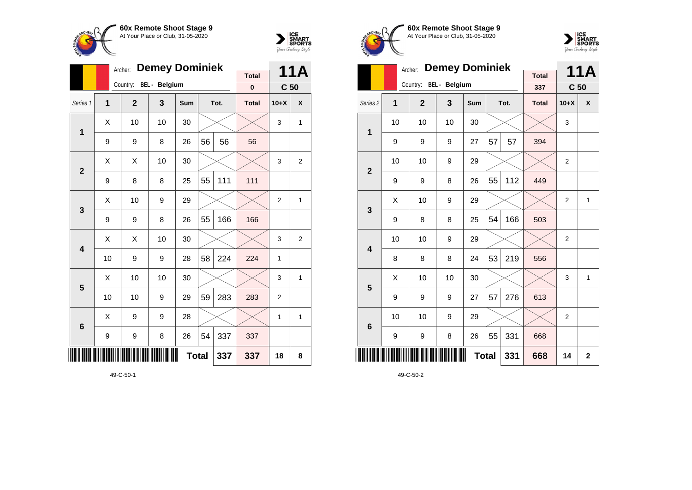



|                |    | <b>Demey Dominiek</b><br>Archer: |                        |              |    | 11A  |              |                 |                |
|----------------|----|----------------------------------|------------------------|--------------|----|------|--------------|-----------------|----------------|
|                |    |                                  | Country: BEL - Belgium |              |    |      | <b>Total</b> |                 |                |
|                |    |                                  |                        |              |    |      | $\mathbf 0$  | C <sub>50</sub> |                |
| Series 1       | 1  | $\overline{2}$                   | 3                      | Sum          |    | Tot. | <b>Total</b> | $10+X$          | X              |
| 1              | X  | 10                               | 10                     | 30           |    |      |              | 3               | 1              |
|                | 9  | 9                                | 8                      | 26           | 56 | 56   | 56           |                 |                |
| $\overline{2}$ | X  | X                                | 10                     | 30           |    |      |              | 3               | $\overline{2}$ |
|                | 9  | 8                                | 8                      | 25           | 55 | 111  | 111          |                 |                |
| 3              | Χ  | 10                               | 9                      | 29           |    |      |              | $\overline{2}$  | 1              |
|                | 9  | 9                                | 8                      | 26           | 55 | 166  | 166          |                 |                |
| 4              | X  | Χ                                | 10                     | 30           |    |      |              | 3               | 2              |
|                | 10 | 9                                | 9                      | 28           | 58 | 224  | 224          | 1               |                |
| 5              | X  | 10                               | 10                     | 30           |    |      |              | 3               | 1              |
|                | 10 | 10                               | 9                      | 29           | 59 | 283  | 283          | $\overline{2}$  |                |
| 6              | X  | 9                                | 9                      | 28           |    |      |              | 1               | 1              |
|                | 9  | 9                                | 8                      | 26           | 54 | 337  | 337          |                 |                |
|                |    |                                  |                        | <b>Total</b> |    | 337  | 337          | 18              | 8              |

49-C-50-1





|                     |    | Archer:                | <b>Demey Dominiek</b> |              |    |      | <b>11A</b>          |                 |                         |
|---------------------|----|------------------------|-----------------------|--------------|----|------|---------------------|-----------------|-------------------------|
|                     |    | Country: BEL - Belgium |                       |              |    |      | <b>Total</b><br>337 | C <sub>50</sub> |                         |
| Series <sub>2</sub> | 1  | $\mathbf{2}$           | 3                     | Sum          |    | Tot. | <b>Total</b>        | $10+X$          | X                       |
| 1                   | 10 | 10                     | 10                    | 30           |    |      |                     | 3               |                         |
|                     | 9  | 9                      | 9                     | 27           | 57 | 57   | 394                 |                 |                         |
| $\overline{2}$      | 10 | 10                     | 9                     | 29           |    |      |                     | $\overline{2}$  |                         |
|                     | 9  | 9                      | 8                     | 26           | 55 | 112  | 449                 |                 |                         |
| 3                   | X  | 10                     | 9                     | 29           |    |      |                     | $\overline{2}$  | $\mathbf{1}$            |
|                     | 9  | 8                      | 8                     | 25           | 54 | 166  | 503                 |                 |                         |
| 4                   | 10 | 10                     | 9                     | 29           |    |      |                     | $\overline{2}$  |                         |
|                     | 8  | 8                      | 8                     | 24           | 53 | 219  | 556                 |                 |                         |
| 5                   | Χ  | 10                     | 10                    | 30           |    |      |                     | 3               | $\mathbf{1}$            |
|                     | 9  | 9                      | 9                     | 27           | 57 | 276  | 613                 |                 |                         |
| $6\phantom{1}6$     | 10 | 10                     | 9                     | 29           |    |      |                     | $\overline{2}$  |                         |
|                     | 9  | 9                      | 8                     | 26           | 55 | 331  | 668                 |                 |                         |
| ║║║                 |    |                        |                       | <b>Total</b> |    | 331  | 668                 | 14              | $\overline{\mathbf{2}}$ |

49-C-50-2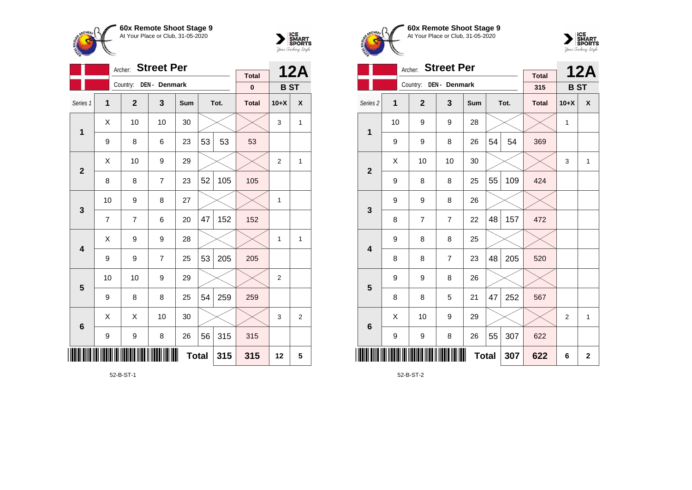



|                         |                | Archer:        | <b>Street Per</b> |     |              |      | <b>12A</b>   |                |              |
|-------------------------|----------------|----------------|-------------------|-----|--------------|------|--------------|----------------|--------------|
|                         |                |                |                   |     |              |      | <b>Total</b> |                |              |
|                         |                | Country:       | DEN - Denmark     |     |              |      | $\pmb{0}$    | <b>BST</b>     |              |
| Series 1                | $\mathbf{1}$   | $\mathbf{2}$   | 3                 | Sum |              | Tot. | <b>Total</b> | $10+X$         | χ            |
| 1                       | Χ              | 10             | 10                | 30  |              |      |              | 3              | $\mathbf{1}$ |
|                         | 9              | 8              | 6                 | 23  | 53           | 53   | 53           |                |              |
| $\overline{\mathbf{2}}$ | X              | 10             | 9                 | 29  |              |      |              | $\overline{2}$ | 1            |
|                         | 8              | 8              | $\overline{7}$    | 23  | 52           | 105  | 105          |                |              |
| 3                       | 10             | 9              | 8                 | 27  |              |      |              | 1              |              |
|                         | $\overline{7}$ | $\overline{7}$ | 6                 | 20  | 47           | 152  | 152          |                |              |
| 4                       | Χ              | 9              | 9                 | 28  |              |      |              | $\mathbf{1}$   | $\mathbf{1}$ |
|                         | 9              | 9              | $\overline{7}$    | 25  | 53           | 205  | 205          |                |              |
| $\overline{\mathbf{5}}$ | 10             | 10             | 9                 | 29  |              |      |              | $\overline{2}$ |              |
|                         | 9              | 8              | 8                 | 25  | 54           | 259  | 259          |                |              |
| $6\phantom{1}6$         | Χ              | Χ              | 10                | 30  |              |      |              | 3              | 2            |
|                         | 9              | 9              | 8                 | 26  | 56           | 315  | 315          |                |              |
|                         |                |                |                   |     | <b>Total</b> | 315  | 315          | 12             | 5            |

52-B-ST-1





|                         |    | <b>Street Per</b><br>Archer: |                |              |    | <b>12A</b> |                     |                |              |
|-------------------------|----|------------------------------|----------------|--------------|----|------------|---------------------|----------------|--------------|
|                         |    | Country:                     | DEN - Denmark  |              |    |            | <b>Total</b><br>315 | <b>BST</b>     |              |
|                         |    |                              |                |              |    |            |                     |                | X            |
| Series <sub>2</sub>     | 1  | $\mathbf{2}$                 | 3              | Sum          |    | Tot.       | <b>Total</b>        | $10+X$         |              |
| 1                       | 10 | 9                            | 9              | 28           |    |            |                     | 1              |              |
|                         | 9  | 9                            | 8              | 26           | 54 | 54         | 369                 |                |              |
| $\mathbf{2}$            | X  | 10                           | 10             | 30           |    |            |                     | 3              | $\mathbf{1}$ |
|                         | 9  | 8                            | 8              | 25           | 55 | 109        | 424                 |                |              |
| 3                       | 9  | 9                            | 8              | 26           |    |            |                     |                |              |
|                         | 8  | 7                            | $\overline{7}$ | 22           | 48 | 157        | 472                 |                |              |
| $\overline{\mathbf{4}}$ | 9  | 8                            | 8              | 25           |    |            |                     |                |              |
|                         | 8  | 8                            | $\overline{7}$ | 23           | 48 | 205        | 520                 |                |              |
| 5                       | 9  | 9                            | 8              | 26           |    |            |                     |                |              |
|                         | 8  | 8                            | 5              | 21           | 47 | 252        | 567                 |                |              |
| $6\phantom{1}6$         | X  | 10                           | 9              | 29           |    |            |                     | $\overline{2}$ | $\mathbf{1}$ |
|                         | 9  | 9                            | 8              | 26           | 55 | 307        | 622                 |                |              |
| IIII                    |    |                              |                | <b>Total</b> |    | 307        | 622                 | 6              | $\mathbf 2$  |

52-B-ST-2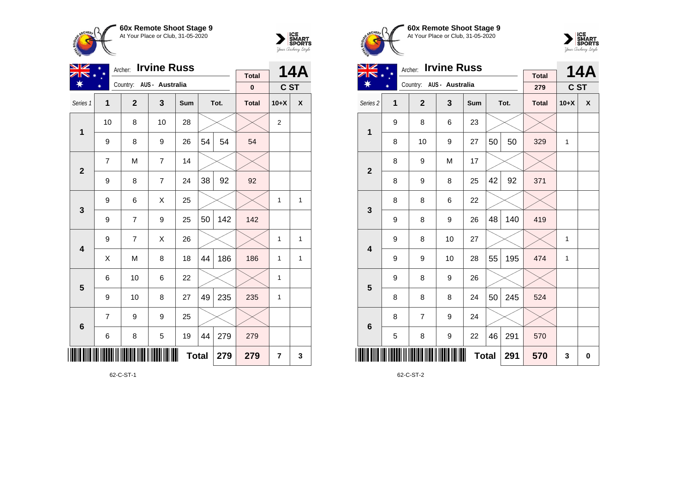



| NZ                      |                | Archer:        | <b>Irvine Russ</b>       |              |    |      | 14A          |                |              |
|-------------------------|----------------|----------------|--------------------------|--------------|----|------|--------------|----------------|--------------|
|                         |                |                | Country: AUS - Australia |              |    |      | <b>Total</b> |                |              |
|                         |                |                |                          |              |    |      | $\pmb{0}$    | C ST           |              |
| Series 1                | 1              | $\mathbf 2$    | 3                        | Sum          |    | Tot. | <b>Total</b> | $10+X$         | χ            |
| 1                       | 10             | 8              | 10                       | 28           |    |      |              | $\overline{2}$ |              |
|                         | 9              | 8              | 9                        | 26           | 54 | 54   | 54           |                |              |
| $\mathbf{2}$            | $\overline{7}$ | M              | $\overline{7}$           | 14           |    |      |              |                |              |
|                         | 9              | 8              | $\overline{7}$           | 24           | 38 | 92   | 92           |                |              |
| 3                       | 9              | 6              | X                        | 25           |    |      |              | $\mathbf{1}$   | $\mathbf{1}$ |
|                         | 9              | $\overline{7}$ | 9                        | 25           | 50 | 142  | 142          |                |              |
| $\overline{\mathbf{4}}$ | 9              | $\overline{7}$ | X                        | 26           |    |      |              | 1              | 1            |
|                         | Χ              | M              | 8                        | 18           | 44 | 186  | 186          | 1              | 1            |
| 5                       | 6              | 10             | 6                        | 22           |    |      |              | 1              |              |
|                         | 9              | 10             | 8                        | 27           | 49 | 235  | 235          | $\mathbf{1}$   |              |
| $6\phantom{a}$          | 7              | 9              | 9                        | 25           |    |      |              |                |              |
|                         | 6              | 8              | 5                        | 19           | 44 | 279  | 279          |                |              |
| ∭                       |                |                |                          | <b>Total</b> |    | 279  | 279          | $\overline{7}$ | 3            |

62-C-ST-1





| <b>Irvine Russ</b><br>VZ<br>Archer: |   |                          |                  |     |              |      |                     |        | <b>14A</b> |
|-------------------------------------|---|--------------------------|------------------|-----|--------------|------|---------------------|--------|------------|
|                                     |   | Country: AUS - Australia |                  |     |              |      | <b>Total</b><br>279 | C ST   |            |
| Series <sub>2</sub>                 | 1 | $\mathbf{2}$             | 3                | Sum |              | Tot. | <b>Total</b>        | $10+X$ | X          |
| 1                                   | 9 | 8                        | 6                | 23  |              |      |                     |        |            |
|                                     | 8 | 10                       | 9                | 27  | 50           | 50   | 329                 | 1      |            |
| $\mathbf{2}$                        | 8 | 9                        | M                | 17  |              |      |                     |        |            |
|                                     | 8 | 9                        | 8                | 25  | 42           | 92   | 371                 |        |            |
| 3                                   | 8 | 8                        | 6                | 22  |              |      |                     |        |            |
|                                     | 9 | 8                        | 9                | 26  | 48           | 140  | 419                 |        |            |
| $\overline{\mathbf{4}}$             | 9 | 8                        | 10               | 27  |              |      |                     | 1      |            |
|                                     | 9 | 9                        | 10               | 28  | 55           | 195  | 474                 | 1      |            |
| 5                                   | 9 | 8                        | 9                | 26  |              |      |                     |        |            |
|                                     | 8 | 8                        | 8                | 24  | 50           | 245  | 524                 |        |            |
| $6\phantom{1}6$                     | 8 | $\overline{7}$           | 9                | 24  |              |      |                     |        |            |
|                                     | 5 | 8                        | $\boldsymbol{9}$ | 22  | 46           | 291  | 570                 |        |            |
| <u>             </u>                |   |                          |                  |     | <b>Total</b> | 291  | 570                 | 3      | 0          |

62-C-ST-2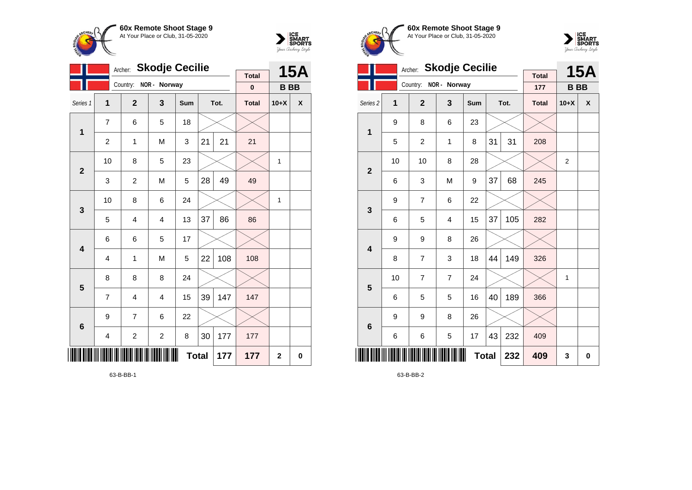



|                         |                | Archer:               | <b>Skodje Cecilie</b>   |              |    |      | <b>15A</b>   |             |          |
|-------------------------|----------------|-----------------------|-------------------------|--------------|----|------|--------------|-------------|----------|
|                         |                | Country: NOR - Norway |                         |              |    |      | <b>Total</b> |             |          |
|                         |                |                       |                         |              |    |      | $\bf{0}$     | <b>BB</b>   |          |
| Series 1                | 1              | $\overline{2}$        | 3                       | Sum          |    | Tot. | <b>Total</b> | $10+X$      | χ        |
| $\mathbf 1$             | $\overline{7}$ | 6                     | 5                       | 18           |    |      |              |             |          |
|                         | $\overline{c}$ | 1                     | M                       | 3            | 21 | 21   | 21           |             |          |
| $\overline{2}$          | 10             | 8                     | 5                       | 23           |    |      |              | 1           |          |
|                         | 3              | 2                     | M                       | 5            | 28 | 49   | 49           |             |          |
| $\mathbf{3}$            | 10             | 8                     | 6                       | 24           |    |      |              | 1           |          |
|                         | 5              | 4                     | 4                       | 13           | 37 | 86   | 86           |             |          |
| $\overline{\mathbf{4}}$ | 6              | 6                     | 5                       | 17           |    |      |              |             |          |
|                         | 4              | 1                     | M                       | 5            | 22 | 108  | 108          |             |          |
| $\overline{\mathbf{5}}$ | 8              | 8                     | 8                       | 24           |    |      |              |             |          |
|                         | 7              | 4                     | 4                       | 15           | 39 | 147  | 147          |             |          |
| $6\phantom{1}6$         | 9              | 7                     | 6                       | 22           |    |      |              |             |          |
|                         | 4              | 2                     | $\overline{\mathbf{c}}$ | 8            | 30 | 177  | 177          |             |          |
| Ш                       |                |                       |                         | <b>Total</b> |    | 177  | 177          | $\mathbf 2$ | $\bf{0}$ |

**60x Remote Shoot Stage 9**  $\overline{\phantom{a}}$ At Your Place or Club, 31-05-2020



|                         |    | <b>Skodje Cecilie</b><br>Archer: |                |            |              | <b>15A</b> |                     |                |   |
|-------------------------|----|----------------------------------|----------------|------------|--------------|------------|---------------------|----------------|---|
|                         |    | Country:                         | NOR - Norway   |            |              |            | <b>Total</b><br>177 | <b>BB</b>      |   |
| Series <sub>2</sub>     | 1  | $\overline{2}$                   | 3              | <b>Sum</b> |              | Tot.       | <b>Total</b>        | $10+X$         | X |
| $\mathbf{1}$            | 9  | 8                                | 6              | 23         |              |            |                     |                |   |
|                         | 5  | $\overline{c}$                   | 1              | 8          | 31           | 31         | 208                 |                |   |
| $\overline{2}$          | 10 | 10                               | 8              | 28         |              |            |                     | $\overline{2}$ |   |
|                         | 6  | 3                                | M              | 9          | 37           | 68         | 245                 |                |   |
| 3                       | 9  | 7                                | 6              | 22         |              |            |                     |                |   |
|                         | 6  | 5                                | 4              | 15         | 37           | 105        | 282                 |                |   |
| $\overline{\mathbf{4}}$ | 9  | 9                                | 8              | 26         |              |            |                     |                |   |
|                         | 8  | $\overline{7}$                   | 3              | 18         | 44           | 149        | 326                 |                |   |
| 5                       | 10 | 7                                | $\overline{7}$ | 24         |              |            |                     | 1              |   |
|                         | 6  | 5                                | 5              | 16         | 40           | 189        | 366                 |                |   |
| $6\phantom{1}6$         | 9  | 9                                | 8              | 26         |              |            |                     |                |   |
|                         | 6  | 6                                | 5              | 17         | 43           | 232        | 409                 |                |   |
|                         |    |                                  |                |            | <b>Total</b> | 232        | 409                 | 3              | 0 |

63-B-BB-2

63-B-BB-1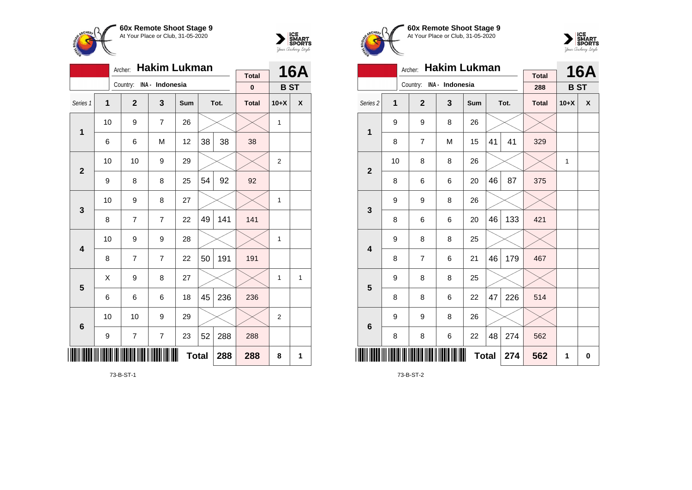

**1**

**2**

**3**

**4**

**5**

**6**

\*73-B-ST-1\*

Archer: **Hakim Lukman**

Series 1 **1 2 3 Sum Tot. Total 10+X X**

6 | 6 | M | 12 |38 | 38 | 38

9 | 8 | 8 | 25 | $54$  |  $92$  |  $92$ 

8 | 7 | 7 | 22 |49| 141 <mark>|</mark> 141

8 | 7 | 7 | 22 | $50$ | 191 | 191

6 6 6 18 45 236 236

 $9$  7 7 23 52 288 288

10 | 10 | 9 | 29 |  $\times$  |  $\times$  | 2

10  $\mid$  9  $\mid$  7  $\mid$  26  $\mid$   $\times$   $\mid$   $\times$   $\mid$  1

10 | 10 | 9 | 29 |  $\times$  |  $\times$  | 2

10 | 9 | 8 | 27 |  $\times$  |  $\times$  | 1

10 | 9 | 9 | 28 |  $\times$  |  $\times$  | 1

 $\textsf{X} \hspace{0.2cm} \vert \hspace{0.2cm} 9 \hspace{0.2cm} \vert \hspace{0.2cm} 8 \hspace{0.2cm} \vert \hspace{0.2cm} 27 \hspace{0.2cm} \vert \hspace{0.2cm} \times \hspace{0.2cm} \vert \hspace{0.2cm} \times \hspace{0.2cm} \vert \hspace{0.2cm} 1 \hspace{0.2cm} \vert \hspace{0.2cm} 1 \hspace{0.2cm} \vert \hspace{0.2cm} 1$ 

**Total 288 288 8 1**

Country: **INA - Indonesia**



**16A**

**B ST**

**Total 0**





|                     |    | Archer:                  | <b>Hakim Lukman</b> |              |    |      | <b>Total</b> |              | <b>16A</b> |
|---------------------|----|--------------------------|---------------------|--------------|----|------|--------------|--------------|------------|
|                     |    | Country: INA - Indonesia |                     |              |    |      | 288          | <b>BST</b>   |            |
| Series <sub>2</sub> | 1  | $\overline{2}$           | 3                   | Sum          |    | Tot. | <b>Total</b> | $10+X$       | X          |
| $\mathbf 1$         | 9  | 9                        | 8                   | 26           |    |      |              |              |            |
|                     | 8  | 7                        | M                   | 15           | 41 | 41   | 329          |              |            |
| $\overline{2}$      | 10 | 8                        | 8                   | 26           |    |      |              | $\mathbf{1}$ |            |
|                     | 8  | 6                        | 6                   | 20           | 46 | 87   | 375          |              |            |
| 3                   | 9  | 9                        | 8                   | 26           |    |      |              |              |            |
|                     | 8  | 6                        | 6                   | 20           | 46 | 133  | 421          |              |            |
| 4                   | 9  | 8                        | 8                   | 25           |    |      |              |              |            |
|                     | 8  | 7                        | 6                   | 21           | 46 | 179  | 467          |              |            |
| 5                   | 9  | 8                        | 8                   | 25           |    |      |              |              |            |
|                     | 8  | 8                        | 6                   | 22           | 47 | 226  | 514          |              |            |
| 6                   | 9  | 9                        | 8                   | 26           |    |      |              |              |            |
|                     | 8  | 8                        | 6                   | 22           | 48 | 274  | 562          |              |            |
| ║║║                 |    |                          |                     | <b>Total</b> |    | 274  | 562          | 1            | $\bf{0}$   |

73-B-ST-2

73-B-ST-1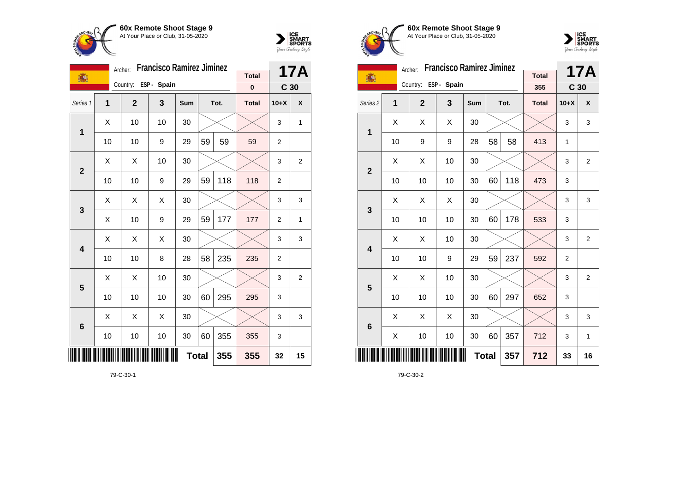



|                |    | Archer:        | <b>Francisco Ramirez Jiminez</b> |     |              |      | 17A          |                 |              |
|----------------|----|----------------|----------------------------------|-----|--------------|------|--------------|-----------------|--------------|
| 瀛              |    |                | ESP - Spain                      |     |              |      | <b>Total</b> |                 |              |
|                |    | Country:       |                                  |     |              |      | $\pmb{0}$    | C <sub>30</sub> |              |
| Series 1       | 1  | $\overline{2}$ | 3                                | Sum |              | Tot. | <b>Total</b> | $10+X$          | X            |
| 1              | X  | 10             | 10                               | 30  |              |      |              | 3               | $\mathbf{1}$ |
|                | 10 | 10             | 9                                | 29  | 59           | 59   | 59           | $\overline{2}$  |              |
| $\overline{2}$ | X  | Χ              | 10                               | 30  |              |      |              | 3               | 2            |
|                | 10 | 10             | 9                                | 29  | 59           | 118  | 118          | $\overline{2}$  |              |
| 3              | X  | X              | X                                | 30  |              |      |              | 3               | 3            |
|                | Χ  | 10             | 9                                | 29  | 59           | 177  | 177          | $\overline{2}$  | $\mathbf{1}$ |
| 4              | Χ  | Χ              | Χ                                | 30  |              |      |              | 3               | 3            |
|                | 10 | 10             | 8                                | 28  | 58           | 235  | 235          | $\overline{2}$  |              |
| 5              | Χ  | X              | 10                               | 30  |              |      |              | 3               | 2            |
|                | 10 | 10             | 10                               | 30  | 60           | 295  | 295          | 3               |              |
| $6\phantom{1}$ | X  | X              | X                                | 30  |              |      |              | 3               | 3            |
|                | 10 | 10             | 10                               | 30  | 60           | 355  | 355          | 3               |              |
|                |    |                |                                  |     | <b>Total</b> | 355  | 355          | 32              | 15           |

79-C-30-1





|                         |    | Archer:              | <b>Francisco Ramirez Jiminez</b> |     |    | <b>17A</b> |              |                 |                |
|-------------------------|----|----------------------|----------------------------------|-----|----|------------|--------------|-----------------|----------------|
| 1                       |    | Country: ESP - Spain |                                  |     |    |            | <b>Total</b> |                 |                |
|                         |    |                      |                                  |     |    |            | 355          | C <sub>30</sub> |                |
| Series <sub>2</sub>     | 1  | $\mathbf{2}$         | 3                                | Sum |    | Tot.       | <b>Total</b> | $10+X$          | X              |
| 1                       | Χ  | Χ                    | Χ                                | 30  |    |            |              | 3               | 3              |
|                         | 10 | 9                    | 9                                | 28  | 58 | 58         | 413          | 1               |                |
| $\mathbf{2}$            | X  | Χ                    | 10                               | 30  |    |            |              | 3               | $\overline{2}$ |
|                         | 10 | 10                   | 10                               | 30  | 60 | 118        | 473          | 3               |                |
| 3                       | X  | X                    | X                                | 30  |    |            |              | 3               | 3              |
|                         | 10 | 10                   | 10                               | 30  | 60 | 178        | 533          | 3               |                |
| $\overline{\mathbf{4}}$ | X  | X                    | 10                               | 30  |    |            |              | 3               | $\overline{2}$ |
|                         | 10 | 10                   | 9                                | 29  | 59 | 237        | 592          | $\overline{2}$  |                |
| 5                       | X  | X                    | 10                               | 30  |    |            |              | 3               | $\overline{2}$ |
|                         | 10 | 10                   | 10                               | 30  | 60 | 297        | 652          | 3               |                |
| $6\phantom{1}6$         | X  | X                    | X                                | 30  |    |            |              | 3               | 3              |
|                         | X  | 10                   | 10                               | 30  | 60 | 357        | 712          | 3               | $\mathbf{1}$   |
|                         |    |                      | 357                              | 712 | 33 | 16         |              |                 |                |

79-C-30-2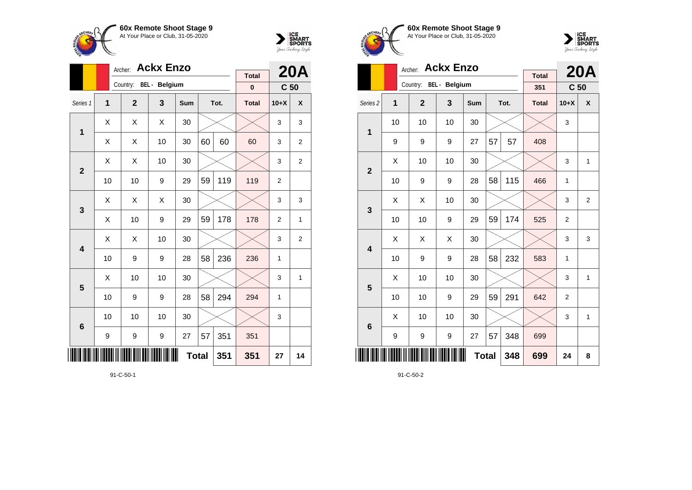



|                 |    | Archer:      | <b>Ackx Enzo</b>       |     |    |      | <b>20A</b>   |                 |                  |
|-----------------|----|--------------|------------------------|-----|----|------|--------------|-----------------|------------------|
|                 |    |              | Country: BEL - Belgium |     |    |      | <b>Total</b> |                 |                  |
|                 |    |              |                        |     |    |      | $\bf{0}$     | C <sub>50</sub> |                  |
| Series 1        | 1  | $\mathbf{2}$ | 3                      | Sum |    | Tot. | <b>Total</b> | $10+X$          | $\boldsymbol{x}$ |
| 1               | X  | Χ            | X                      | 30  |    |      |              | 3               | 3                |
|                 | Χ  | Χ            | 10                     | 30  | 60 | 60   | 60           | 3               | $\overline{2}$   |
| $\overline{2}$  | X  | Χ            | 10                     | 30  |    |      |              | 3               | $\overline{2}$   |
|                 | 10 | 10           | 9                      | 29  | 59 | 119  | 119          | $\overline{2}$  |                  |
| 3               | X  | Χ            | X                      | 30  |    |      |              | 3               | 3                |
|                 | X  | 10           | 9                      | 29  | 59 | 178  | 178          | $\overline{2}$  | 1                |
| 4               | X  | Χ            | 10                     | 30  |    |      |              | 3               | $\overline{2}$   |
|                 | 10 | 9            | 9                      | 28  | 58 | 236  | 236          | 1               |                  |
| 5               | X  | 10           | 10                     | 30  |    |      |              | 3               | 1                |
|                 | 10 | 9            | 9                      | 28  | 58 | 294  | 294          | 1               |                  |
| $6\phantom{1}6$ | 10 | 10           | 10                     | 30  |    |      |              | 3               |                  |
|                 | 9  | 9            | 9                      | 27  | 57 | 351  | 351          |                 |                  |
|                 |    |              | 351                    | 27  | 14 |      |              |                 |                  |

91-C-50-1





|                         | Archer: |                        |    |            | <b>20A</b>   |      |                     |                 |                |
|-------------------------|---------|------------------------|----|------------|--------------|------|---------------------|-----------------|----------------|
|                         |         | Country: BEL - Belgium |    |            |              |      | <b>Total</b><br>351 | C <sub>50</sub> |                |
| Series <sub>2</sub>     | 1       | $\overline{2}$         | 3  | <b>Sum</b> |              | Tot. | <b>Total</b>        | $10+X$          | X              |
| 1                       | 10      | 10                     | 10 | 30         |              |      |                     | 3               |                |
|                         | 9       | 9                      | 9  | 27         | 57           | 57   | 408                 |                 |                |
| $\overline{2}$          | X       | 10                     | 10 | 30         |              |      |                     | 3               | $\mathbf{1}$   |
|                         | 10      | 9                      | 9  | 28         | 58           | 115  | 466                 | 1               |                |
| 3                       | X       | X                      | 10 | 30         |              |      |                     | 3               | $\overline{2}$ |
|                         | 10      | 10                     | 9  | 29         | 59           | 174  | 525                 | $\overline{2}$  |                |
| $\overline{\mathbf{4}}$ | X       | X                      | X  | 30         |              |      |                     | 3               | 3              |
|                         | 10      | 9                      | 9  | 28         | 58           | 232  | 583                 | 1               |                |
| 5                       | X       | 10                     | 10 | 30         |              |      |                     | 3               | 1              |
|                         | 10      | 10                     | 9  | 29         | 59           | 291  | 642                 | $\overline{2}$  |                |
| $6\phantom{1}6$         | X       | 10                     | 10 | 30         |              |      |                     | 3               | $\mathbf{1}$   |
|                         | 9       | 9                      | 9  | 27         | 57           | 348  | 699                 |                 |                |
|                         |         |                        |    |            | <b>Total</b> | 348  | 699                 | 24              | 8              |

91-C-50-2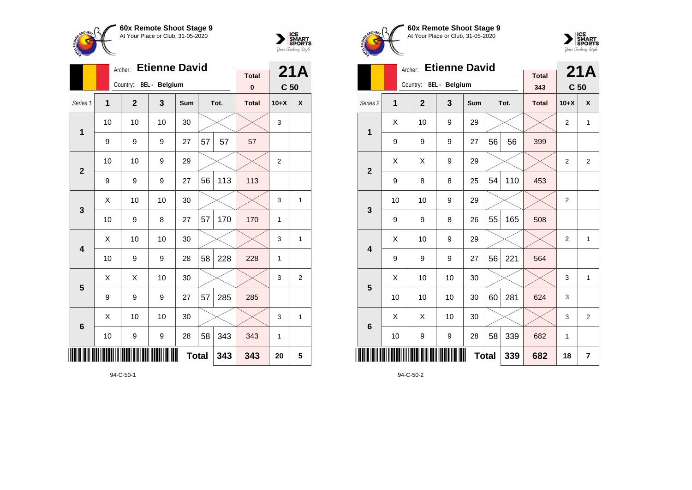



|                 |                | Archer:        | <b>Etienne David</b> |     |    |      | 21A          |                 |                |
|-----------------|----------------|----------------|----------------------|-----|----|------|--------------|-----------------|----------------|
|                 |                | Country:       | <b>BEL</b> - Belgium |     |    |      | <b>Total</b> |                 |                |
|                 |                |                |                      |     |    |      | 0            | C <sub>50</sub> |                |
| Series 1        | $\overline{1}$ | $\overline{2}$ | 3                    | Sum |    | Tot. | <b>Total</b> | $10+X$          | X              |
| 1               | 10             | 10             | 10                   | 30  |    |      |              | 3               |                |
|                 | 9              | 9              | 9                    | 27  | 57 | 57   | 57           |                 |                |
| $\overline{2}$  | 10             | 10             | 9                    | 29  |    |      |              | $\overline{2}$  |                |
|                 | 9              | 9              | 9                    | 27  | 56 | 113  | 113          |                 |                |
| 3               | Χ              | 10             | 10                   | 30  |    |      |              | 3               | 1              |
|                 | 10             | 9              | 8                    | 27  | 57 | 170  | 170          | 1               |                |
| 4               | X              | 10             | 10                   | 30  |    |      |              | 3               | 1              |
|                 | 10             | 9              | 9                    | 28  | 58 | 228  | 228          | $\mathbf{1}$    |                |
| 5               | X              | Χ              | 10                   | 30  |    |      |              | 3               | $\overline{2}$ |
|                 | 9              | 9              | 9                    | 27  | 57 | 285  | 285          |                 |                |
| $6\phantom{1}6$ | X              | 10             | 10                   | 30  |    |      |              | 3               | 1              |
|                 | 10             | 9              | 9                    | 28  | 58 | 343  | 343          | 1               |                |
| ║║║             |                |                | 343                  | 343 | 20 | 5    |              |                 |                |

94-C-50-1





|                     |    | Archer:                | <b>Etienne David</b> |     |              |      | 21A                 |                 |                |
|---------------------|----|------------------------|----------------------|-----|--------------|------|---------------------|-----------------|----------------|
|                     |    | Country: BEL - Belgium |                      |     |              |      | <b>Total</b><br>343 | C <sub>50</sub> |                |
| Series <sub>2</sub> | 1  | $\overline{2}$         | 3                    | Sum |              | Tot. | <b>Total</b>        | $10+X$          | X              |
| 1                   | X  | 10                     | 9                    | 29  |              |      |                     | $\overline{2}$  | $\mathbf{1}$   |
|                     | 9  | 9                      | 9                    | 27  | 56           | 56   | 399                 |                 |                |
| $\overline{2}$      | X  | X                      | 9                    | 29  |              |      |                     | $\overline{2}$  | $\overline{2}$ |
|                     | 9  | 8                      | 8                    | 25  | 54           | 110  | 453                 |                 |                |
| 3                   | 10 | 10                     | 9                    | 29  |              |      |                     | $\overline{2}$  |                |
|                     | 9  | 9                      | 8                    | 26  | 55           | 165  | 508                 |                 |                |
| 4                   | Χ  | 10                     | 9                    | 29  |              |      |                     | $\overline{2}$  | 1              |
|                     | 9  | 9                      | 9                    | 27  | 56           | 221  | 564                 |                 |                |
| 5                   | X  | 10                     | 10                   | 30  |              |      |                     | 3               | 1              |
|                     | 10 | 10                     | 10                   | 30  | 60           | 281  | 624                 | 3               |                |
| 6                   | X  | X                      | 10                   | 30  |              |      |                     | 3               | $\overline{2}$ |
|                     | 10 | 9                      | 9                    | 28  | 58           | 339  | 682                 | 1               |                |
| Ш                   |    |                        |                      |     | <b>Total</b> | 339  | 682                 | 18              | 7              |

94-C-50-2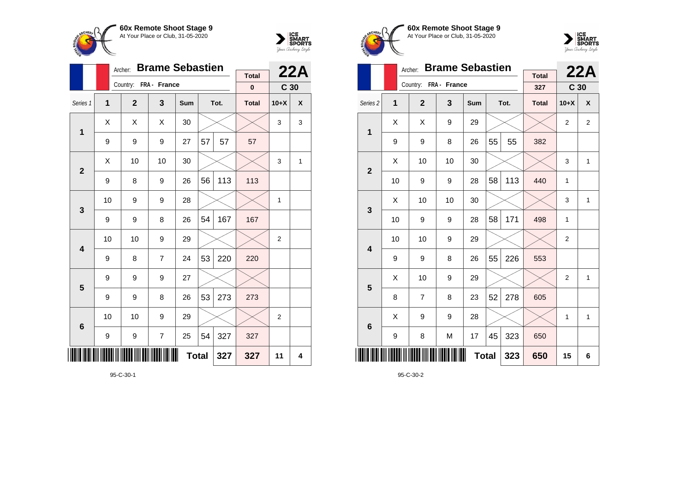



|                 |    | Archer:               | <b>Brame Sebastien</b> |     |    |      | 22A                       |                 |                    |
|-----------------|----|-----------------------|------------------------|-----|----|------|---------------------------|-----------------|--------------------|
|                 |    | Country: FRA - France |                        |     |    |      | <b>Total</b><br>$\pmb{0}$ |                 |                    |
|                 |    |                       |                        |     |    |      |                           | C <sub>30</sub> |                    |
| Series 1        | 1  | $\mathbf{2}$          | 3                      | Sum |    | Tot. | <b>Total</b>              | $10+X$          | $\pmb{\mathsf{X}}$ |
| 1               | Χ  | Χ                     | Χ                      | 30  |    |      |                           | 3               | 3                  |
|                 | 9  | 9                     | 9                      | 27  | 57 | 57   | 57                        |                 |                    |
| $\overline{2}$  | X  | 10                    | 10                     | 30  |    |      |                           | 3               | 1                  |
|                 | 9  | 8                     | 9                      | 26  | 56 | 113  | 113                       |                 |                    |
| 3               | 10 | 9                     | 9                      | 28  |    |      |                           | $\mathbf{1}$    |                    |
|                 | 9  | 9                     | 8                      | 26  | 54 | 167  | 167                       |                 |                    |
| 4               | 10 | 10                    | 9                      | 29  |    |      |                           | 2               |                    |
|                 | 9  | 8                     | $\overline{7}$         | 24  | 53 | 220  | 220                       |                 |                    |
| 5               | 9  | 9                     | 9                      | 27  |    |      |                           |                 |                    |
|                 | 9  | 9                     | 8                      | 26  | 53 | 273  | 273                       |                 |                    |
| $6\phantom{1}6$ | 10 | 10                    | 9                      | 29  |    |      |                           | $\overline{2}$  |                    |
|                 | 9  | 9                     | 7                      | 25  | 54 | 327  | 327                       |                 |                    |
| ║║║             |    |                       | 327                    | 327 | 11 | 4    |                           |                 |                    |

95-C-30-1





|                     |    | Archer:               | <b>Brame Sebastien</b> |            | <b>Total</b> |      | 22A          |                 |                |
|---------------------|----|-----------------------|------------------------|------------|--------------|------|--------------|-----------------|----------------|
|                     |    | Country: FRA - France |                        |            |              |      | 327          | C <sub>30</sub> |                |
| Series <sub>2</sub> | 1  | $\overline{2}$        | 3                      | <b>Sum</b> |              | Tot. | <b>Total</b> | $10+X$          | X              |
| 1                   | Χ  | X                     | 9                      | 29         |              |      |              | $\overline{2}$  | $\overline{2}$ |
|                     | 9  | 9                     | 8                      | 26         | 55           | 55   | 382          |                 |                |
| $\mathbf{2}$        | X  | 10                    | 10                     | 30         |              |      |              | 3               | $\mathbf{1}$   |
|                     | 10 | 9                     | 9                      | 28         | 58           | 113  | 440          | 1               |                |
| 3                   | X  | 10                    | 10                     | 30         |              |      |              | 3               | $\mathbf{1}$   |
|                     | 10 | 9                     | 9                      | 28         | 58           | 171  | 498          | 1               |                |
| 4                   | 10 | 10                    | 9                      | 29         |              |      |              | $\overline{c}$  |                |
|                     | 9  | 9                     | 8                      | 26         | 55           | 226  | 553          |                 |                |
| 5                   | X  | 10                    | 9                      | 29         |              |      |              | $\overline{2}$  | $\mathbf{1}$   |
|                     | 8  | 7                     | 8                      | 23         | 52           | 278  | 605          |                 |                |
| $6\phantom{1}6$     | X  | 9                     | 9                      | 28         |              |      |              | 1               | $\mathbf{1}$   |
|                     | 9  | 8                     | M                      | 17         | 45           | 323  | 650          |                 |                |
|                     |    |                       | 323                    | 650        | 15           | 6    |              |                 |                |

95-C-30-2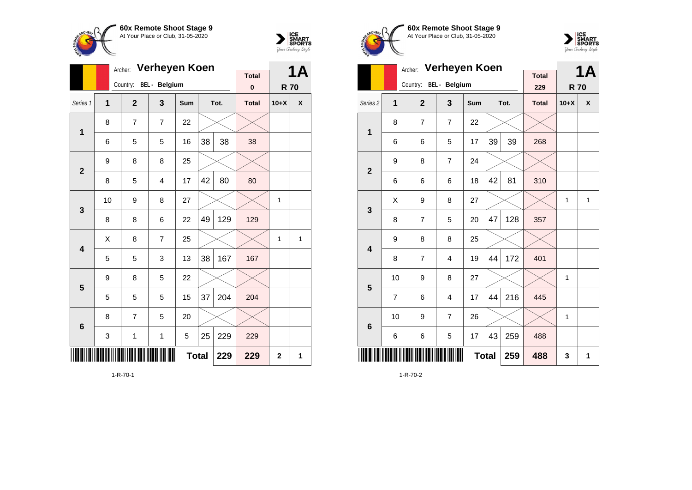

**1**

**2**

**3**

**4**

**5**

**6**

Archer: **Verheyen Koen**

Series 1 **1 2 3 Sum Tot. Total 10+X X**

6 | 5 | 5 | 16 |38 | 38 | 38

8 | 5 | 4 | 17 |42 | 80 | 80

 $8 \mid 8 \mid 6 \mid 22 \mid 49 \mid 129 \mid 129$ 

5 | 5 | 3 | 13 |38 | 167 | 167

5 5 5 15 37 204 204

3 | 1 | 1 | 5 |25 |229 | 229

10 | 9 | 8 | 27 |  $\times$  |  $\times$  | 1

 $\textsf{X} \hspace{0.2cm} \vert \hspace{0.2cm} 8 \hspace{0.2cm} \vert \hspace{0.2cm} 7 \hspace{0.2cm} \vert \hspace{0.2cm} 25 \hspace{0.2cm} \vert \hspace{0.2cm} \text{\large{\times}} \hspace{0.2cm} \vert \hspace{0.2cm} \text{\large{\times}} \hspace{0.2cm} \vert \hspace{0.2cm} 1 \hspace{0.2cm} \vert \hspace{0.2cm} 1$ 

Country: **BEL - Belgium**

8 7 7 22

 $9 \t 8 \t 8 \t 25$ 

 $9 \mid 8 \mid 5 \mid 22$ 

 $8$  | 7 | 5 | 20



**R 70**

**Total 0**

**Total 229 229 2 1**

**1A**





|                     |    | Archer:                | <b>Verheyen Koen</b> |     |     |      | <b>1A</b>           |              |              |
|---------------------|----|------------------------|----------------------|-----|-----|------|---------------------|--------------|--------------|
|                     |    | Country: BEL - Belgium |                      |     |     |      | <b>Total</b><br>229 | <b>R70</b>   |              |
| Series <sub>2</sub> | 1  | $\overline{2}$         | 3                    | Sum |     | Tot. | <b>Total</b>        | $10+X$       | X            |
| $\mathbf{1}$        | 8  | 7                      | 7                    | 22  |     |      |                     |              |              |
|                     | 6  | 6                      | 5                    | 17  | 39  | 39   | 268                 |              |              |
|                     | 9  | 8                      | $\overline{7}$       | 24  |     |      |                     |              |              |
| $\mathbf{2}$        | 6  | 6                      | 6                    | 18  | 42  | 81   | 310                 |              |              |
| 3                   | Χ  | 9                      | 8                    | 27  |     |      |                     | 1            | $\mathbf{1}$ |
|                     | 8  | 7                      | 5                    | 20  | 47  | 128  | 357                 |              |              |
| 4                   | 9  | 8                      | 8                    | 25  |     |      |                     |              |              |
|                     | 8  | 7                      | 4                    | 19  | 44  | 172  | 401                 |              |              |
| 5                   | 10 | 9                      | 8                    | 27  |     |      |                     | $\mathbf{1}$ |              |
|                     | 7  | 6                      | 4                    | 17  | 44  | 216  | 445                 |              |              |
| 6                   | 10 | 9                      | 7                    | 26  |     |      |                     | 1            |              |
|                     | 6  | 6                      | 5                    | 17  | 43  | 259  | 488                 |              |              |
|                     |    |                        |                      | 259 | 488 | 3    | 1                   |              |              |

1-R-70-2

1-R-70-1

<u>\*1-A-70-11-A-70-11-A-70-11-A-70-11-A-70-11-A-70-11-A-70-11-A-70-11-A-70-11-A-70-11-A-70-11-A-70-11-A-70-11-A-</u>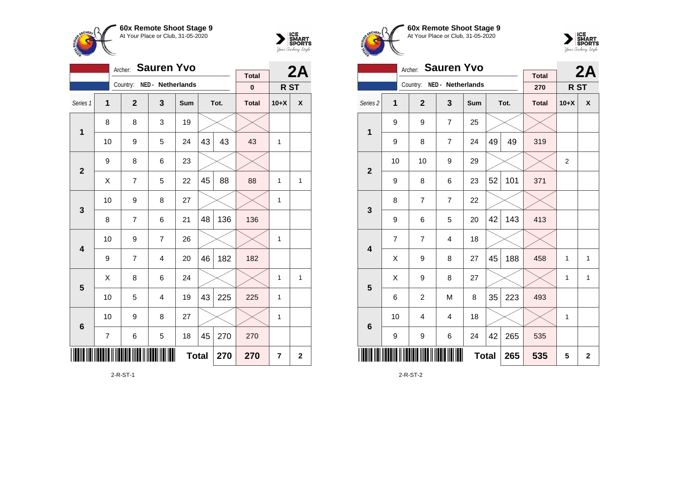



|                         |                                             |  | <b>Sauren Yvo</b><br>Archer: |                   |              |    | 2A   |              |                 |                |
|-------------------------|---------------------------------------------|--|------------------------------|-------------------|--------------|----|------|--------------|-----------------|----------------|
|                         |                                             |  |                              | NED - Netherlands |              |    |      | <b>Total</b> |                 |                |
|                         |                                             |  | Country:                     |                   |              |    |      | $\bf{0}$     | R <sub>ST</sub> |                |
| Series 1                | $\overline{1}$                              |  | $\overline{2}$               | 3                 | Sum          |    | Tot. | <b>Total</b> | $10+X$          | χ              |
| 1                       | 8                                           |  | 8                            | 3                 | 19           |    |      |              |                 |                |
|                         | 10                                          |  | 9                            | 5                 | 24           | 43 | 43   | 43           | $\mathbf{1}$    |                |
| $\overline{2}$          | 9                                           |  | 8                            | 6                 | 23           |    |      |              |                 |                |
|                         | 45<br>88<br>Χ<br>7<br>5<br>22               |  |                              |                   |              |    |      | 88           | 1               | $\mathbf{1}$   |
| 3                       | 10                                          |  | 9                            | 8                 | 27           |    |      |              | 1               |                |
|                         | 8                                           |  | 7                            | 6                 | 21           | 48 | 136  | 136          |                 |                |
| $\overline{\mathbf{4}}$ | 10                                          |  | 9                            | 7                 | 26           |    |      |              | 1               |                |
|                         | 9                                           |  | 7                            | $\overline{4}$    | 20           | 46 | 182  | 182          |                 |                |
| 5                       | X                                           |  | 8                            | 6                 | 24           |    |      |              | 1               | $\mathbf{1}$   |
|                         | 10                                          |  | 5                            | 4                 | 19           | 43 | 225  | 225          | 1               |                |
| $6\phantom{1}6$         | 10                                          |  | 9                            | 8                 | 27           |    |      |              | 1               |                |
|                         | 270<br>$\overline{7}$<br>5<br>45<br>6<br>18 |  |                              |                   |              |    |      | 270          |                 |                |
|                         |                                             |  |                              |                   | <b>Total</b> |    | 270  | 270          | 7               | $\overline{2}$ |

2-R-ST-1





|                         |                | Archer:                    | <b>Sauren Yvo</b> |     |     |             | 2A                  |        |              |
|-------------------------|----------------|----------------------------|-------------------|-----|-----|-------------|---------------------|--------|--------------|
|                         |                | Country: NED - Netherlands |                   |     |     |             | <b>Total</b><br>270 | R ST   |              |
| Series <sub>2</sub>     | 1              | $\mathbf{2}$               | 3                 | Sum |     | Tot.        | <b>Total</b>        | $10+X$ | X            |
| $\overline{\mathbf{1}}$ | 9              | 9                          | 7                 | 25  |     |             |                     |        |              |
|                         | 9              | 8                          | 7                 | 24  | 49  | 49          | 319                 |        |              |
| $\mathbf{2}$            | 10             | 10                         | 9                 |     |     | 2           |                     |        |              |
|                         | 9              | 8                          | 6                 | 101 | 371 |             |                     |        |              |
| $\mathbf{3}$            | 8              | $\overline{7}$             | 7                 | 22  |     |             |                     |        |              |
|                         | 9              | 6                          | 5                 | 20  | 42  | 143         | 413                 |        |              |
| $\overline{\mathbf{4}}$ | $\overline{7}$ | $\overline{7}$             | 4                 | 18  |     |             |                     |        |              |
|                         | Χ              | 9                          | 8                 | 27  | 45  | 188         | 458                 | 1      | $\mathbf{1}$ |
| $5\phantom{1}$          | X              | 9                          | 8                 | 27  |     |             |                     | 1      | 1            |
|                         | 6              | $\overline{c}$             | M                 | 8   | 35  | 223         | 493                 |        |              |
| $\bf 6$                 | 10             | $\overline{4}$             | 4                 | 18  |     |             |                     | 1      |              |
|                         | 9              | 9                          | 6                 | 24  | 42  | 265         | 535                 |        |              |
|                         |                |                            | 265               | 535 | 5   | $\mathbf 2$ |                     |        |              |

2-R-ST-2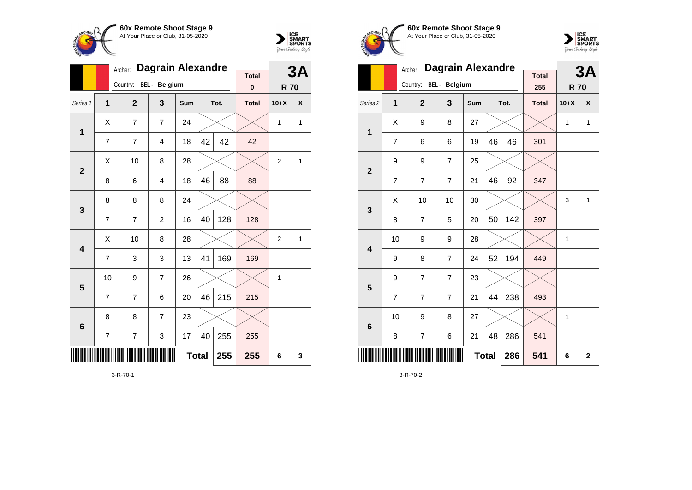



|                 |                         | Archer:        | <b>Dagrain Alexandre</b> |     |    |      | 3A           |                |   |
|-----------------|-------------------------|----------------|--------------------------|-----|----|------|--------------|----------------|---|
|                 |                         | Country:       | <b>BEL</b> - Belgium     |     |    |      | <b>Total</b> |                |   |
|                 |                         |                |                          |     |    |      | $\bf{0}$     | <b>R70</b>     |   |
| Series 1        | $\overline{\mathbf{1}}$ | $\overline{2}$ | 3                        | Sum |    | Tot. | <b>Total</b> | $10+X$         | X |
| $\mathbf 1$     | Χ                       | 7              | 7                        | 24  |    |      |              | 1              | 1 |
|                 | $\overline{7}$          | $\overline{7}$ | 4                        | 18  | 42 | 42   | 42           |                |   |
| $\overline{2}$  | X                       | 10             | 8                        | 28  |    |      |              | $\overline{2}$ | 1 |
|                 | 8                       | 6              | 4                        | 88  | 88 |      |              |                |   |
| 3               | 8                       | 8              | 8                        | 24  |    |      |              |                |   |
|                 | $\overline{7}$          | 7              | $\overline{2}$           | 16  | 40 | 128  | 128          |                |   |
| 4               | Χ                       | 10             | 8                        | 28  |    |      |              | $\overline{2}$ | 1 |
|                 | $\overline{7}$          | 3              | 3                        | 13  | 41 | 169  | 169          |                |   |
| 5               | 10                      | 9              | 7                        | 26  |    |      |              | 1              |   |
|                 | $\overline{7}$          | 7              | 6                        | 20  | 46 | 215  | 215          |                |   |
| $6\phantom{1}6$ | 8                       | 8              | 7                        | 23  |    |      |              |                |   |
|                 | 7                       | 7              | 255                      | 255 |    |      |              |                |   |
|                 |                         |                | 255                      | 255 | 6  | 3    |              |                |   |







|                         |                | Archer:        | <b>Dagrain Alexandre</b> |            |    |                | 3A                  |              |              |
|-------------------------|----------------|----------------|--------------------------|------------|----|----------------|---------------------|--------------|--------------|
|                         |                | Country:       | <b>BEL</b> - Belgium     |            |    |                | <b>Total</b><br>255 | <b>R70</b>   |              |
| Series <sub>2</sub>     | 1              | $\overline{2}$ | 3                        | <b>Sum</b> |    | Tot.           | <b>Total</b>        | $10+X$       | X            |
| 1                       | X              | 9              | 8                        | 27         |    |                |                     | $\mathbf{1}$ | $\mathbf{1}$ |
|                         | $\overline{7}$ | 6              | 6                        | 19         | 46 | 46             | 301                 |              |              |
| $\overline{2}$          | 9              | 9              | 7                        | 25         |    |                |                     |              |              |
|                         | 7              | $\overline{7}$ | 7                        | 21         | 46 | 92             | 347                 |              |              |
| 3                       | X              | 10             | 10                       | 30         |    |                |                     | 3            | $\mathbf{1}$ |
|                         | 8              | $\overline{7}$ | 5                        | 20         | 50 | 142            | 397                 |              |              |
| $\overline{\mathbf{4}}$ | 10             | 9              | 9                        | 28         |    |                |                     | $\mathbf{1}$ |              |
|                         | 9              | 8              | $\overline{7}$           | 24         | 52 | 194            | 449                 |              |              |
| 5                       | 9              | 7              | 7                        | 23         |    |                |                     |              |              |
|                         | $\overline{7}$ | $\overline{7}$ | 7                        | 21         | 44 | 238            | 493                 |              |              |
| $6\phantom{1}6$         | 10             | 9              | 8                        | 27         |    |                |                     | 1            |              |
|                         | 8              | $\overline{7}$ | 6                        | 21         | 48 | 286            | 541                 |              |              |
|                         | <b>Total</b>   |                | 286                      | 541        | 6  | $\overline{2}$ |                     |              |              |

3-R-70-2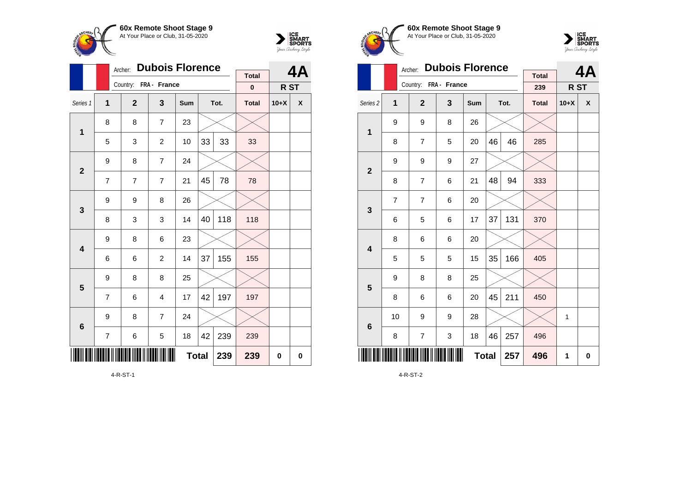

Country: **FRA - France**

8 8 7 23

9 8 7 24

9 8 26

 $9 \mid 8 \mid 6 \mid 23$ 

9 8 8 25

 $9 \mid 8 \mid 7 \mid 24$ 

**1**

**2**

**3**

**4**

**5**

**6**

Archer: **Dubois Florence**

Series 1 **1 2 3 Sum Tot. Total 10+X X**

5 | 3 | 2 | 10 | 33 | 33 | 33

7 | 7 | 7 | 21 | 45 | 78 | 78

8 3 3 14 40 118 118

 $6 \mid 6 \mid 2 \mid 14 \mid 37 \mid 155 \mid 155$ 

7 | 6 | 4 | 17 |42 |197 | 197

7 | 6 | 5 | 18 |42 | 239 | 239



**4A**

**R ST**

**Total 0**

**Total 239 239 0 0**

| 60x Remote Shoot Stage 9          |
|-----------------------------------|
| At Your Place or Club, 31-05-2020 |
|                                   |



|                         |                | Archer:                          | <b>Dubois Florence</b> |     |    |     | 4A                  |                 |   |
|-------------------------|----------------|----------------------------------|------------------------|-----|----|-----|---------------------|-----------------|---|
|                         |                | Country: FRA - France            |                        |     |    |     | <b>Total</b><br>239 | R <sub>ST</sub> |   |
| Series <sub>2</sub>     | $\overline{1}$ | $\mathbf{2}$<br>3<br>Tot.<br>Sum |                        |     |    |     | <b>Total</b>        | $10+X$          | X |
| $\overline{1}$          | 9              | 9                                | 8                      | 26  |    |     |                     |                 |   |
|                         | 8              | $\overline{7}$                   | 5                      | 20  | 46 | 46  | 285                 |                 |   |
| $\mathbf{2}$            | 9              | 9                                | 9                      | 27  |    |     |                     |                 |   |
|                         | 8              | $\overline{7}$                   | 6                      | 21  | 48 | 94  | 333                 |                 |   |
|                         | $\overline{7}$ | $\overline{7}$                   | 6                      | 20  |    |     |                     |                 |   |
| 3                       | 6              | 5                                | 6                      | 17  | 37 | 131 | 370                 |                 |   |
| $\overline{\mathbf{4}}$ | 8              | 6                                | 6                      | 20  |    |     |                     |                 |   |
|                         | 5              | 5                                | 5                      | 15  | 35 | 166 | 405                 |                 |   |
| $\overline{\mathbf{5}}$ | 9              | 8                                | 8                      | 25  |    |     |                     |                 |   |
|                         | 8              | 6                                | 6                      | 20  | 45 | 211 | 450                 |                 |   |
|                         | 10             | 9                                | 9                      | 28  |    |     |                     | 1               |   |
| $6\phantom{1}6$         | 8              | $\overline{7}$                   | 3                      | 18  | 46 | 257 | 496                 |                 |   |
| Ш                       | <b>Total</b>   |                                  | 257                    | 496 | 1  | 0   |                     |                 |   |

4-R-ST-2

4-R-ST-1

\*4-R-ST-1\*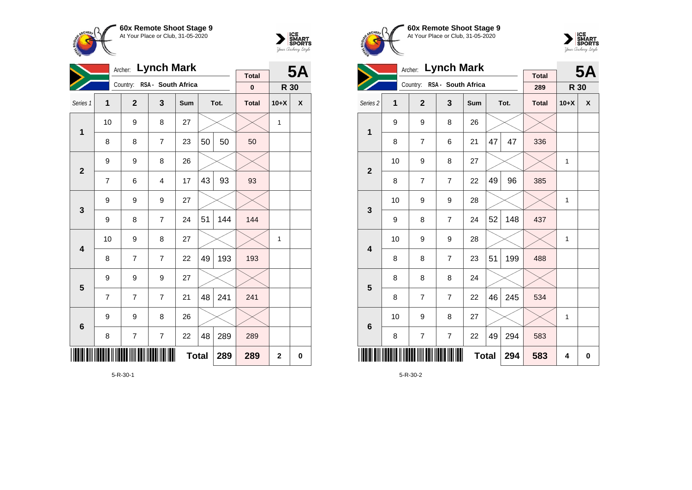

**1**

**2**

**3**

**4**

**5**

**6**

Archer: **Lynch Mark**

Country: **RSA - South Africa**

9 9 8 26

9 9 9 27

9 9 9 27

9 8 26

Series 1 **1 2 3 Sum Tot. Total 10+X X**

8 | 8 | 7 | 23 | $50$  |  $50$  |  $50$ 

7 | 6 | 4 | 17 |43 | 93 | 93

9 | 8 | 7 | 24 |51 |144 <mark>|</mark> 144

8 7 7 22 49 193 193

7 | 7 | 7 | 21 |48 | 241 | 241

8 | 7 | 7 | 22 |48 |289 | 289

10 | 9 | 8 | 27 |  $\times$  |  $\times$  | 1

10  $\mid$  9  $\mid$  8  $\mid$  27  $\mid$   $\times$   $\mid$   $\times$   $\mid$  1



**R 30**

**Total 0**

**Total 289 289 2 0**

**5A**





|                         |    | Archer: Lynch Mark |                             |              |    | <b>5A</b> |                     |              |   |
|-------------------------|----|--------------------|-----------------------------|--------------|----|-----------|---------------------|--------------|---|
|                         |    |                    | Country: RSA - South Africa |              |    |           | <b>Total</b><br>289 | R 30         |   |
| Series <sub>2</sub>     | 1  | $\overline{2}$     | 3                           | Sum          |    | Tot.      | <b>Total</b>        | $10+X$       | X |
| 1                       | 9  | 9                  | 8                           | 26           |    |           |                     |              |   |
|                         | 8  | $\overline{7}$     | 6                           | 21           | 47 | 47        | 336                 |              |   |
| $\overline{2}$          | 10 | 9                  | 8                           | 27           |    |           |                     | 1            |   |
|                         | 8  | 7                  | $\overline{7}$              | 22           | 49 | 96        | 385                 |              |   |
| 3                       | 10 | 9                  | 9                           | 28           |    |           |                     | 1            |   |
|                         | 9  | 8                  | $\overline{7}$              | 24           | 52 | 148       | 437                 |              |   |
| 4                       | 10 | 9                  | 9                           | 28           |    |           |                     | $\mathbf{1}$ |   |
|                         | 8  | 8                  | $\overline{7}$              | 23           | 51 | 199       | 488                 |              |   |
| $\overline{\mathbf{5}}$ | 8  | 8                  | 8                           | 24           |    |           |                     |              |   |
|                         | 8  | $\overline{7}$     | $\overline{7}$              | 22           | 46 | 245       | 534                 |              |   |
| $6\phantom{1}6$         | 10 | 9                  | 8                           | 27           |    |           |                     | 1            |   |
|                         | 8  | $\overline{7}$     | $\overline{7}$              | 22           | 49 | 294       | 583                 |              |   |
|                         |    |                    |                             | <b>Total</b> |    | 294       | 583                 | 4            | 0 |

5-R-30-2

5-R-30-1

<u>\* 1999 - Roman American American Andrew Andrew Andrew Andrew Andrew Andrew Andrew Andrew Andrew Andrew Andrew</u>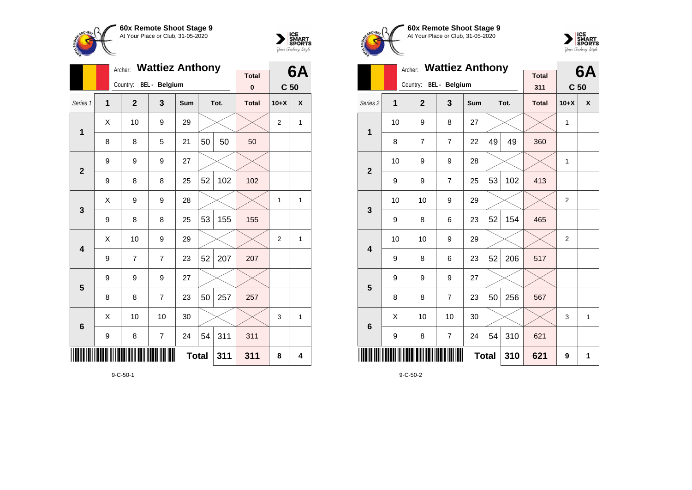



|                         |                     | Archer:        | <b>Wattiez Anthony</b> |     |    |      | 6Α           |                 |   |
|-------------------------|---------------------|----------------|------------------------|-----|----|------|--------------|-----------------|---|
|                         |                     |                | <b>BEL</b> - Belgium   |     |    |      | <b>Total</b> |                 |   |
|                         |                     | Country:       |                        |     |    |      | $\pmb{0}$    | C <sub>50</sub> |   |
| Series 1                | 1                   | $\mathbf{2}$   | 3                      | Sum |    | Tot. | <b>Total</b> | $10+X$          | X |
| $\mathbf{1}$            | X                   | 10             | 9                      | 29  |    |      |              | $\overline{2}$  | 1 |
|                         | 8                   | 8              | 5                      | 21  | 50 | 50   | 50           |                 |   |
| $\overline{2}$          | 9                   | 9              | 9                      | 27  |    |      |              |                 |   |
|                         | 9                   | 8              | 8                      | 25  | 52 | 102  | 102          |                 |   |
| 3                       | Χ                   | 9              | 9                      | 28  |    |      |              | 1               | 1 |
|                         | 9                   | 8              | 8                      | 25  | 53 | 155  | 155          |                 |   |
| $\overline{\mathbf{4}}$ | Χ                   | 10             | 9                      | 29  |    |      |              | $\overline{2}$  | 1 |
|                         | 9                   | $\overline{7}$ | $\overline{7}$         | 23  | 52 | 207  | 207          |                 |   |
| 5                       | 9                   | 9              | 9                      | 27  |    |      |              |                 |   |
|                         | 8                   | 8              | 7                      | 23  | 50 | 257  | 257          |                 |   |
| 6                       | Χ                   | 10             | 10                     | 30  |    |      |              | 3               | 1 |
|                         | 9                   | 8              | 7                      | 24  | 54 | 311  | 311          |                 |   |
|                         | <b>Total</b><br>311 |                |                        |     |    |      |              | 8               | 4 |







|                         |    | <b>Wattiez Anthony</b><br>Archer: |                        |              |    | 6A   |                     |                 |              |
|-------------------------|----|-----------------------------------|------------------------|--------------|----|------|---------------------|-----------------|--------------|
|                         |    |                                   | Country: BEL - Belgium |              |    |      | <b>Total</b><br>311 | C <sub>50</sub> |              |
| Series <sub>2</sub>     | 1  | $\overline{2}$                    | 3                      | Sum          |    | Tot. | <b>Total</b>        | $10+X$          | X            |
| 1                       | 10 | 9                                 | 8                      | 27           |    |      |                     | 1               |              |
|                         | 8  | $\overline{7}$                    | 7                      | 22           | 49 | 49   | 360                 |                 |              |
| $\overline{2}$          | 10 | 9                                 | 9                      | 28           |    |      |                     | 1               |              |
|                         | 9  | 9                                 | 7                      | 25           | 53 | 102  | 413                 |                 |              |
| 3                       | 10 | 10                                | 9                      | 29           |    |      |                     | $\overline{2}$  |              |
|                         | 9  | 8                                 | 6                      | 23           | 52 | 154  | 465                 |                 |              |
| $\overline{\mathbf{4}}$ | 10 | 10                                | 9                      | 29           |    |      |                     | $\overline{2}$  |              |
|                         | 9  | 8                                 | 6                      | 23           | 52 | 206  | 517                 |                 |              |
| 5                       | 9  | 9                                 | 9                      | 27           |    |      |                     |                 |              |
|                         | 8  | 8                                 | 7                      | 23           | 50 | 256  | 567                 |                 |              |
| $6\phantom{1}6$         | X  | 10                                | 10                     | 30           |    |      |                     | 3               | $\mathbf{1}$ |
|                         | 9  | 8                                 | $\overline{7}$         | 24           | 54 | 310  | 621                 |                 |              |
| ║                       |    |                                   |                        | <b>Total</b> |    | 310  | 621                 | 9               | 1            |

9-C-50-2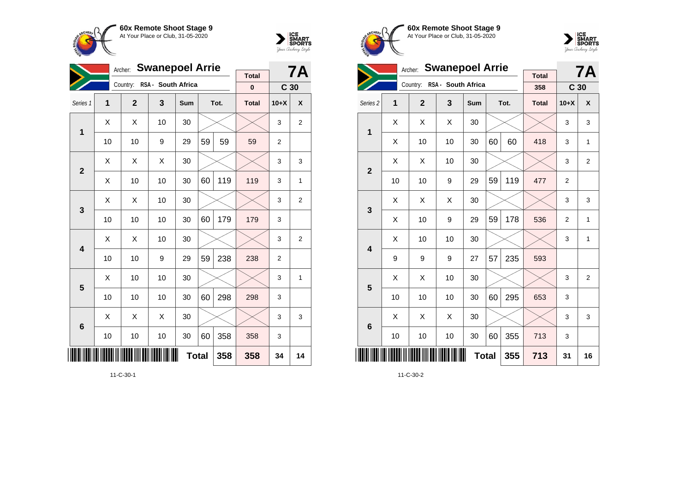



|                | <b>Swanepoel Arrie</b><br>Archer: |                |                    |     |              |      |              |                 |              |
|----------------|-----------------------------------|----------------|--------------------|-----|--------------|------|--------------|-----------------|--------------|
|                |                                   | Country:       | RSA - South Africa |     |              |      | <b>Total</b> |                 | 7Α           |
|                |                                   |                |                    |     |              |      | $\bf{0}$     | C <sub>30</sub> |              |
| Series 1       | 1                                 | $\overline{2}$ | 3                  | Sum |              | Tot. | <b>Total</b> | $10+X$          | X            |
| 1              | X                                 | X              | 10                 | 30  |              |      |              | 3               | 2            |
|                | 10                                | 10             | 9                  | 29  | 59           | 59   | 59           | 2               |              |
| $\overline{2}$ | X                                 | X              | X                  | 30  |              |      |              | 3               | 3            |
|                | Χ                                 | 10             | 10                 | 30  | 60           | 119  | 119          | 3               | 1            |
| $\mathbf{3}$   | Χ                                 | Χ              | 10                 | 30  |              |      |              | 3               | 2            |
|                | 10                                | 10             | 10                 | 30  | 60           | 179  | 179          | 3               |              |
| 4              | Χ                                 | X              | 10                 | 30  |              |      |              | 3               | 2            |
|                | 10                                | 10             | 9                  | 29  | 59           | 238  | 238          | $\overline{2}$  |              |
| 5              | X                                 | 10             | 10                 | 30  |              |      |              | 3               | $\mathbf{1}$ |
|                | 10                                | 10             | 10                 | 30  | 60           | 298  | 298          | 3               |              |
| 6              | X                                 | X              | X                  | 30  |              |      |              | 3               | 3            |
|                | 10                                | 10             | 10                 | 30  | 60           | 358  | 358          | 3               |              |
|                |                                   |                |                    |     | <b>Total</b> | 358  | 358          | 34              | 14           |

11-C-30-1





|                     | <b>Swanepoel Arrie</b><br>Archer: |                |                    |              |    |      |                     |                 | <b>7A</b>      |
|---------------------|-----------------------------------|----------------|--------------------|--------------|----|------|---------------------|-----------------|----------------|
|                     |                                   | Country:       | RSA - South Africa |              |    |      | <b>Total</b><br>358 | C <sub>30</sub> |                |
| Series <sub>2</sub> | 1                                 | $\overline{2}$ | 3                  | Sum          |    | Tot. | <b>Total</b>        | $10+X$          | X              |
| 1                   | X                                 | X              | Χ                  | 30           |    |      |                     | 3               | 3              |
|                     | Χ                                 | 10             | 10                 | 30           | 60 | 60   | 418                 | 3               | $\mathbf{1}$   |
| $\overline{2}$      | Χ                                 | Χ              | 10                 | 30           |    |      |                     | 3               | $\overline{2}$ |
|                     | 10                                | 10             | 9                  | 29           | 59 | 119  | 477                 | $\overline{2}$  |                |
| 3                   | X                                 | X              | X                  | 30           |    |      |                     | 3               | 3              |
|                     | X                                 | 10             | 9                  | 29           | 59 | 178  | 536                 | $\overline{2}$  | $\mathbf{1}$   |
| 4                   | X                                 | 10             | 10                 | 30           |    |      |                     | 3               | $\mathbf{1}$   |
|                     | 9                                 | 9              | 9                  | 27           | 57 | 235  | 593                 |                 |                |
| 5                   | Χ                                 | Χ              | 10                 | 30           |    |      |                     | 3               | $\overline{2}$ |
|                     | 10                                | 10             | 10                 | 30           | 60 | 295  | 653                 | 3               |                |
| $6\phantom{1}6$     | Χ                                 | Χ              | Χ                  | 30           |    |      |                     | 3               | 3              |
|                     | 10                                | 10             | 10                 | 30           | 60 | 355  | 713                 | 3               |                |
|                     |                                   |                |                    | <b>Total</b> |    | 355  | 713                 | 31              | 16             |

11-C-30-2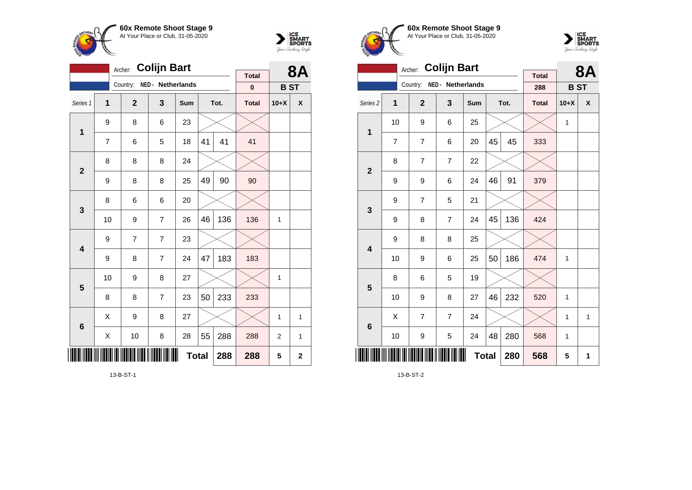



|                |    | Archer:      | <b>Colijn Bart</b> |              |    |      |              |            | 8Α                 |
|----------------|----|--------------|--------------------|--------------|----|------|--------------|------------|--------------------|
|                |    | Country:     | NED - Netherlands  |              |    |      | <b>Total</b> |            |                    |
|                |    |              |                    |              |    |      | $\mathbf 0$  | <b>BST</b> |                    |
| Series 1       | 1  | $\mathbf{2}$ | 3                  | Sum          |    | Tot. | <b>Total</b> | $10+X$     | $\pmb{\mathsf{X}}$ |
| $\mathbf 1$    | 9  | 8            | 6                  | 23           |    |      |              |            |                    |
|                | 7  | 6            | 5                  | 18           | 41 | 41   | 41           |            |                    |
| $\overline{2}$ | 8  | 8            | 8                  | 24           |    |      |              |            |                    |
|                | 9  | 8            | 8                  | 25           | 49 | 90   | 90           |            |                    |
| $\mathbf{3}$   | 8  | 6            | 6                  | 20           |    |      |              |            |                    |
|                | 10 | 9            | $\overline{7}$     | 26           | 46 | 136  | 136          | 1          |                    |
| 4              | 9  | 7            | 7                  | 23           |    |      |              |            |                    |
|                | 9  | 8            | $\overline{7}$     | 24           | 47 | 183  | 183          |            |                    |
| 5              | 10 | 9            | 8                  | 27           |    |      |              | 1          |                    |
|                | 8  | 8            | $\overline{7}$     | 23           | 50 | 233  | 233          |            |                    |
| $6\phantom{1}$ | Χ  | 9            | 8                  | 27           |    |      |              | 1          | 1                  |
|                | Χ  | 10           | 8                  | 28           | 55 | 288  | 288          | 2          | 1                  |
| ║║║            |    |              |                    | <b>Total</b> |    | 288  | 288          | 5          | $\mathbf 2$        |

13-B-ST-1





|                     |                | <b>Colijn Bart</b><br>Archer: |                   |     |              | <b>8A</b> |                     |            |              |
|---------------------|----------------|-------------------------------|-------------------|-----|--------------|-----------|---------------------|------------|--------------|
|                     |                | Country:                      | NED - Netherlands |     |              |           | <b>Total</b><br>288 | <b>BST</b> |              |
| Series <sub>2</sub> | 1              | $\overline{2}$                | 3                 | Sum |              | Tot.      | <b>Total</b>        | $10+X$     | X            |
|                     |                |                               |                   |     |              |           |                     |            |              |
| $\mathbf{1}$        | 10             | 9                             | 6                 | 25  |              |           |                     | 1          |              |
|                     | $\overline{7}$ | $\overline{7}$                | 6                 | 20  | 45           | 45        | 333                 |            |              |
| $\mathbf{2}$        | 8              | $\overline{7}$                | $\overline{7}$    | 22  |              |           |                     |            |              |
|                     | 9              | 9                             | 6                 | 24  | 46           | 91        | 379                 |            |              |
| 3                   | 9              | 7                             | 5                 | 21  |              |           |                     |            |              |
|                     | 9              | 8                             | $\overline{7}$    | 24  | 45           | 136       | 424                 |            |              |
| 4                   | 9              | 8                             | 8                 | 25  |              |           |                     |            |              |
|                     | 10             | 9                             | 6                 | 25  | 50           | 186       | 474                 | 1          |              |
| 5                   | 8              | 6                             | 5                 | 19  |              |           |                     |            |              |
|                     | 10             | 9                             | 8                 | 27  | 46           | 232       | 520                 | 1          |              |
| $6\phantom{1}6$     | Χ              | 7                             | $\overline{7}$    | 24  |              |           |                     | 1          | $\mathbf{1}$ |
|                     | 10             | 9                             | 5                 | 24  | 48           | 280       | 568                 | 1          |              |
|                     |                |                               |                   |     | <b>Total</b> | 280       | 568                 | 5          | 1            |

13-B-ST-2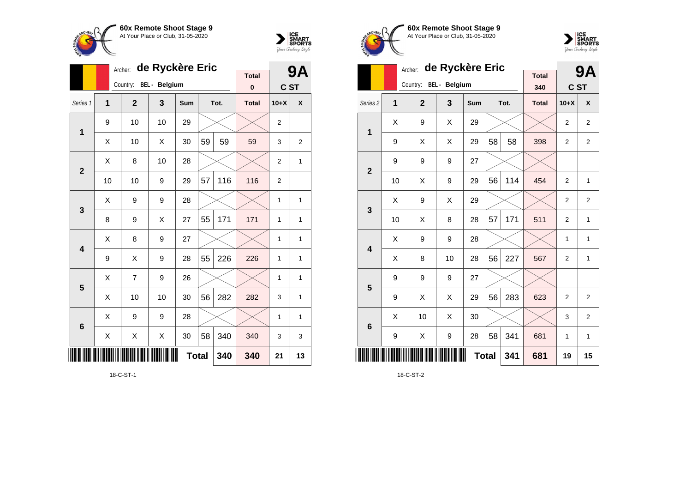



|                 |                | Archer:        | de Ryckère Eric |              |    |      | 9Α           |                |    |
|-----------------|----------------|----------------|-----------------|--------------|----|------|--------------|----------------|----|
|                 |                | Country:       | BEL - Belgium   |              |    |      | <b>Total</b> |                |    |
|                 |                |                |                 |              |    |      | 0            | C ST           |    |
| Series 1        | $\overline{1}$ | $\overline{2}$ | 3               | Sum          |    | Tot. | <b>Total</b> | $10+X$         | X  |
| 1               | 9              | 10             | 10              | 29           |    |      |              | $\overline{2}$ |    |
|                 | X              | 10             | X               | 30           | 59 | 59   | 59           | 3              | 2  |
| $\overline{2}$  | X              | 8              | 10              | 28           |    |      |              | $\overline{2}$ | 1  |
|                 | 10             | 10             | 9               | 29           | 57 | 116  | 116          | $\overline{2}$ |    |
| 3               | Χ              | 9              | 9               | 28           |    |      |              | 1              | 1  |
|                 | 8              | 9              | X               | 27           | 55 | 171  | 171          | 1              | 1  |
| 4               | X              | 8              | 9               | 27           |    |      |              | 1              | 1  |
|                 | 9              | Χ              | 9               | 28           | 55 | 226  | 226          | 1              | 1  |
| 5               | Χ              | 7              | 9               | 26           |    |      |              | 1              | 1  |
|                 | X              | 10             | 10              | 30           | 56 | 282  | 282          | 3              | 1  |
| $6\phantom{1}6$ | X              | 9              | 9               | 28           |    |      |              | 1              | 1  |
|                 | Χ              | Χ              | Χ               | 30           | 58 | 340  | 340          | 3              | 3  |
| ║║║             |                |                |                 | <b>Total</b> |    | 340  | 340          | 21             | 13 |

18-C-ST-1





|                         | de Ryckère Eric<br>Archer: |              |                      |              |    |     |                     |                | 9Α             |
|-------------------------|----------------------------|--------------|----------------------|--------------|----|-----|---------------------|----------------|----------------|
|                         |                            | Country:     | <b>BEL</b> - Belgium |              |    |     | <b>Total</b><br>340 | C ST           |                |
| Series <sub>2</sub>     | 1                          | <b>Total</b> | $10+X$               | X            |    |     |                     |                |                |
| 1                       | Χ                          | 9            | Χ                    | 29           |    |     |                     | $\overline{2}$ | $\overline{2}$ |
|                         | 9                          | X            | X                    | 29           | 58 | 58  | 398                 | $\overline{2}$ | $\overline{2}$ |
| $\overline{2}$          | 9                          | 9            | 9                    | 27           |    |     |                     |                |                |
|                         | 10                         | Χ            | 9                    | 29           | 56 | 114 | 454                 | $\overline{2}$ | 1              |
| 3                       | X                          | 9            | X                    | 29           |    |     |                     | $\overline{2}$ | $\overline{2}$ |
|                         | 10                         | Χ            | 8                    | 28           | 57 | 171 | 511                 | $\overline{2}$ | $\mathbf{1}$   |
| $\overline{\mathbf{4}}$ | X                          | 9            | 9                    | 28           |    |     |                     | 1              | $\mathbf{1}$   |
|                         | X                          | 8            | 10                   | 28           | 56 | 227 | 567                 | $\overline{2}$ | $\mathbf{1}$   |
| 5                       | 9                          | 9            | 9                    | 27           |    |     |                     |                |                |
|                         | 9                          | X            | X                    | 29           | 56 | 283 | 623                 | $\overline{2}$ | $\overline{2}$ |
| $6\phantom{1}6$         | X                          | 10           | X                    | 30           |    |     |                     | 3              | $\overline{2}$ |
|                         | 9                          | X            | 9                    | 28           | 58 | 341 | 681                 | 1              | $\mathbf{1}$   |
|                         |                            |              |                      | <b>Total</b> |    | 341 | 681                 | 19             | 15             |

18-C-ST-2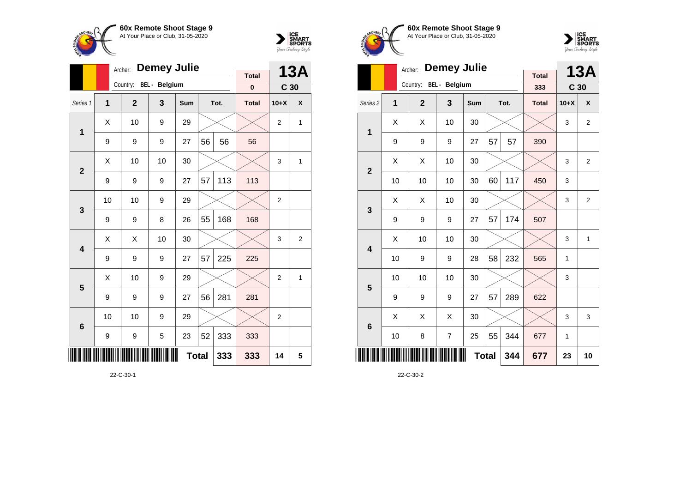



|                 |    | Archer:      | <b>Demey Julie</b>   |     |    |      | <b>13A</b>   |                 |   |
|-----------------|----|--------------|----------------------|-----|----|------|--------------|-----------------|---|
|                 |    |              | <b>BEL</b> - Belgium |     |    |      | <b>Total</b> |                 |   |
|                 |    | Country:     |                      |     |    |      | $\mathbf 0$  | C <sub>30</sub> |   |
| Series 1        | 1  | $\mathbf{2}$ | 3                    | Sum |    | Tot. | <b>Total</b> | $10+X$          | X |
| $\mathbf{1}$    | X  | 10           | 9                    | 29  |    |      |              | $\overline{2}$  | 1 |
|                 | 9  | 9            | 9                    | 27  | 56 | 56   | 56           |                 |   |
| $\overline{2}$  | X  | 10           | 10                   | 30  |    |      |              | 3               | 1 |
|                 | 9  | 9            | 9                    | 27  | 57 | 113  | 113          |                 |   |
| 3               | 10 | 10           | 9                    | 29  |    |      |              | $\overline{2}$  |   |
|                 | 9  | 9            | 8                    | 26  | 55 | 168  | 168          |                 |   |
| 4               | х  | Χ            | 10                   | 30  |    |      |              | 3               | 2 |
|                 | 9  | 9            | 9                    | 27  | 57 | 225  | 225          |                 |   |
| 5               | X  | 10           | 9                    | 29  |    |      |              | $\overline{2}$  | 1 |
|                 | 9  | 9            | 9                    | 27  | 56 | 281  | 281          |                 |   |
| $6\phantom{1}6$ | 10 | 10           | 9                    | 29  |    |      |              | $\overline{2}$  |   |
|                 | 9  | 9            | 5                    | 23  | 52 | 333  | 333          |                 |   |
| ║║║             |    |              | 333                  | 14  | 5  |      |              |                 |   |

22-C-30-1





|                     |    | Archer:                | <b>Demey Julie</b> |              |    |      | <b>13A</b>          |                 |                |
|---------------------|----|------------------------|--------------------|--------------|----|------|---------------------|-----------------|----------------|
|                     |    | Country: BEL - Belgium |                    |              |    |      | <b>Total</b><br>333 | C <sub>30</sub> |                |
|                     |    |                        |                    |              |    |      |                     |                 |                |
| Series <sub>2</sub> | 1  | $\overline{2}$         | 3                  | Sum          |    | Tot. | <b>Total</b>        | $10+X$          | X              |
| 1                   | Χ  | Χ                      | 10                 | 30           |    |      |                     | 3               | 2              |
|                     | 9  | 9                      | 9                  | 27           | 57 | 57   | 390                 |                 |                |
| $\overline{2}$      | X  | Χ                      | 10                 | 30           |    |      |                     | 3               | $\overline{2}$ |
|                     | 10 | 10                     | 10                 | 30           | 60 | 117  | 450                 | 3               |                |
| 3                   | X  | X                      | 10                 | 30           |    |      |                     | 3               | $\overline{2}$ |
|                     | 9  | 9                      | 9                  | 27           | 57 | 174  | 507                 |                 |                |
| 4                   | Χ  | 10                     | 10                 | 30           |    |      |                     | 3               | $\mathbf{1}$   |
|                     | 10 | 9                      | 9                  | 28           | 58 | 232  | 565                 | 1               |                |
| 5                   | 10 | 10                     | 10                 | 30           |    |      |                     | 3               |                |
|                     | 9  | 9                      | 9                  | 27           | 57 | 289  | 622                 |                 |                |
| $6\phantom{1}6$     | Χ  | Χ                      | X                  | 30           |    |      |                     | 3               | 3              |
|                     | 10 | 8                      | $\overline{7}$     | 25           | 55 | 344  | 677                 | 1               |                |
|                     |    |                        |                    | <b>Total</b> |    | 344  | 677                 | 23              | 10             |

22-C-30-2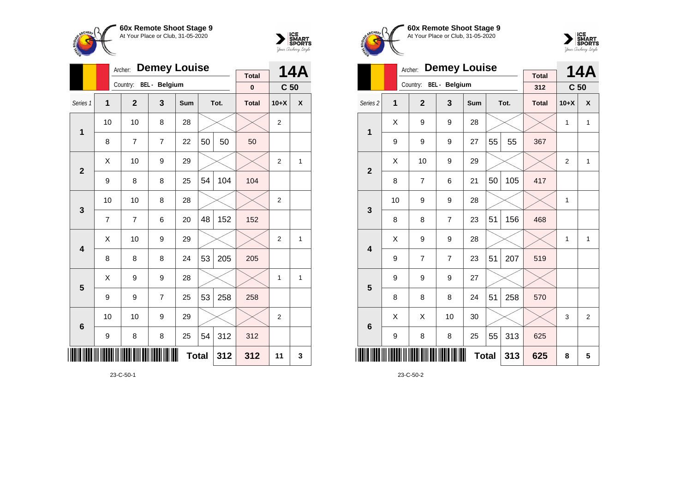



|                 |    | Archer:        | <b>Demey Louise</b>  |              |    |      | 14A          |                 |   |
|-----------------|----|----------------|----------------------|--------------|----|------|--------------|-----------------|---|
|                 |    | Country:       | <b>BEL</b> - Belgium |              |    |      | <b>Total</b> |                 |   |
|                 |    |                |                      |              |    |      | $\pmb{0}$    | C <sub>50</sub> |   |
| Series 1        | 1  | $\mathbf{2}$   | 3                    | Sum          |    | Tot. | <b>Total</b> | $10+X$          | X |
| $\mathbf{1}$    | 10 | 10             | 8                    | 28           |    |      |              | $\overline{2}$  |   |
|                 | 8  | $\overline{7}$ | 7                    | 22           | 50 | 50   | 50           |                 |   |
| $\overline{2}$  | X  | 10             | 9                    | 29           |    |      |              | $\overline{2}$  | 1 |
|                 | 9  | 8              | 8                    | 25           | 54 | 104  | 104          |                 |   |
| 3               | 10 | 10             | 8                    | 28           |    |      |              | $\overline{2}$  |   |
|                 | 7  | 7              | 6                    | 20           | 48 | 152  | 152          |                 |   |
| 4               | Χ  | 10             | 9                    | 29           |    |      |              | 2               | 1 |
|                 | 8  | 8              | 8                    | 24           | 53 | 205  | 205          |                 |   |
| 5               | X  | 9              | 9                    | 28           |    |      |              | 1               | 1 |
|                 | 9  | 9              | 7                    | 25           | 53 | 258  | 258          |                 |   |
| $6\phantom{1}6$ | 10 | 10             | 9                    | 29           |    |      |              | $\overline{2}$  |   |
|                 | 9  | 8              | 8                    | 25           | 54 | 312  | 312          |                 |   |
| ║║║             |    |                |                      | <b>Total</b> |    | 312  | 312          | 11              | 3 |







|                         |    | Archer:        | <b>Demey Louise</b> |              | <b>Total</b> |      | <b>14A</b>   |                 |                |
|-------------------------|----|----------------|---------------------|--------------|--------------|------|--------------|-----------------|----------------|
|                         |    | Country:       | BEL - Belgium       |              |              |      | 312          | C <sub>50</sub> |                |
| Series <sub>2</sub>     | 1  | $\overline{2}$ | 3                   | <b>Sum</b>   |              | Tot. | <b>Total</b> | $10+X$          | X              |
| $\mathbf{1}$            | X  | 9              | 9                   | 28           |              |      |              | 1               | $\mathbf{1}$   |
|                         | 9  | 9              | 9                   | 27           | 55           | 55   | 367          |                 |                |
| $\mathbf{2}$            | X  | 10             | 9                   | 29           |              |      |              | $\overline{2}$  | $\mathbf{1}$   |
|                         | 8  | 7              | 6                   | 21           | 50           | 105  | 417          |                 |                |
| 3                       | 10 | 9              | 9                   | 28           |              |      |              | 1               |                |
|                         | 8  | 8              | $\overline{7}$      | 23           | 51           | 156  | 468          |                 |                |
| $\overline{\mathbf{4}}$ | X  | 9              | 9                   | 28           |              |      |              | 1               | $\mathbf{1}$   |
|                         | 9  | $\overline{7}$ | $\overline{7}$      | 23           | 51           | 207  | 519          |                 |                |
| 5                       | 9  | 9              | 9                   | 27           |              |      |              |                 |                |
|                         | 8  | 8              | 8                   | 24           | 51           | 258  | 570          |                 |                |
| $6\phantom{1}6$         | X  | X              | 10                  | 30           |              |      |              | 3               | $\overline{2}$ |
|                         | 9  | 8              | 8                   | 25           | 55           | 313  | 625          |                 |                |
|                         |    |                |                     | <b>Total</b> |              | 313  | 625          | 8               | 5              |

23-C-50-2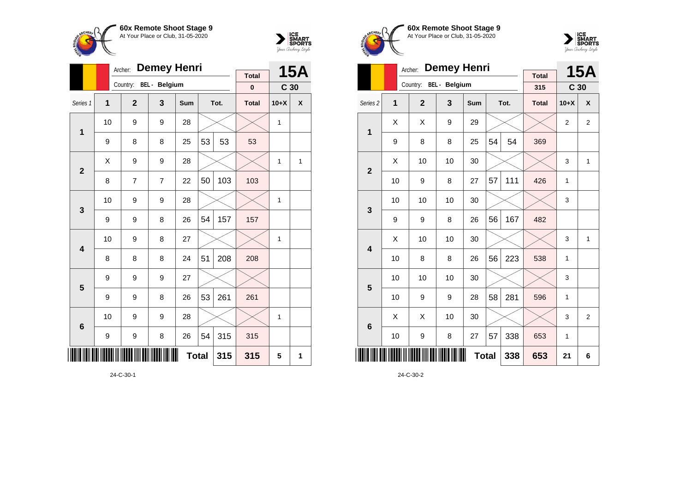



|                 |                | Archer:        | <b>Demey Henri</b>     |     |              |      | 15A          |                 |   |
|-----------------|----------------|----------------|------------------------|-----|--------------|------|--------------|-----------------|---|
|                 |                |                | Country: BEL - Belgium |     |              |      | <b>Total</b> |                 |   |
|                 |                |                |                        |     |              |      | $\bf{0}$     | C <sub>30</sub> |   |
| Series 1        | $\overline{1}$ | $\overline{2}$ | 3                      | Sum |              | Tot. | <b>Total</b> | $10+X$          | X |
| 1               | 10             | 9              | 9                      | 28  |              |      |              | 1               |   |
|                 | 9              | 8              | 8                      | 25  | 53           | 53   | 53           |                 |   |
| $\overline{2}$  | X              | 9              | 9                      | 28  |              |      |              | 1               | 1 |
|                 | 8              | 7              | 7                      | 22  | 50           | 103  | 103          |                 |   |
| 3               | 10             | 9              | 9                      | 28  |              |      |              | 1               |   |
|                 | 9              | 9              | 8                      | 26  | 54           | 157  | 157          |                 |   |
| 4               | 10             | 9              | 8                      | 27  |              |      |              | 1               |   |
|                 | 8              | 8              | 8                      | 24  | 51           | 208  | 208          |                 |   |
| 5               | 9              | 9              | 9                      | 27  |              |      |              |                 |   |
|                 | 9              | 9              | 8                      | 26  | 53           | 261  | 261          |                 |   |
| $6\phantom{1}6$ | 10             | 9              | 9                      | 28  |              |      |              | 1               |   |
|                 | 9              | 9              | 8                      | 26  | 54           | 315  | 315          |                 |   |
| IIII            |                |                |                        |     | <b>Total</b> | 315  | 315          | 5               | 1 |

24-C-30-1





|                         |    | Archer:        | <b>Demey Henri</b>   |            |    |      | <b>15A</b>          |                 |                |
|-------------------------|----|----------------|----------------------|------------|----|------|---------------------|-----------------|----------------|
|                         |    | Country:       | <b>BEL</b> - Belgium |            |    |      | <b>Total</b><br>315 | C <sub>30</sub> |                |
| Series <sub>2</sub>     | 1  | $\overline{2}$ | 3                    | <b>Sum</b> |    | Tot. | <b>Total</b>        | $10+X$          | X              |
| 1                       | X  | X              | 9                    | 29         |    |      |                     | $\overline{2}$  | $\overline{2}$ |
|                         | 9  | 8              | 8                    | 25         | 54 | 54   | 369                 |                 |                |
| $\overline{2}$          | X  | 10             | 10                   | 30         |    |      |                     | 3               | $\mathbf{1}$   |
|                         | 10 | 9              | 8                    | 27         | 57 | 111  | 426                 | 1               |                |
| 3                       | 10 | 10             | 10                   | 30         |    |      |                     | 3               |                |
|                         | 9  | 9              | 8                    | 26         | 56 | 167  | 482                 |                 |                |
| $\overline{\mathbf{4}}$ | X  | 10             | 10                   | 30         |    |      |                     | 3               | $\mathbf{1}$   |
|                         | 10 | 8              | 8                    | 26         | 56 | 223  | 538                 | 1               |                |
| 5                       | 10 | 10             | 10                   | 30         |    |      |                     | 3               |                |
|                         | 10 | 9              | 9                    | 28         | 58 | 281  | 596                 | 1               |                |
| $6\phantom{1}6$         | X  | X              | 10                   | 30         |    |      |                     | 3               | $\overline{2}$ |
|                         | 10 | 9              | 8                    | 27         | 57 | 338  | 653                 | 1               |                |
|                         |    |                | 653                  | 21         | 6  |      |                     |                 |                |

24-C-30-2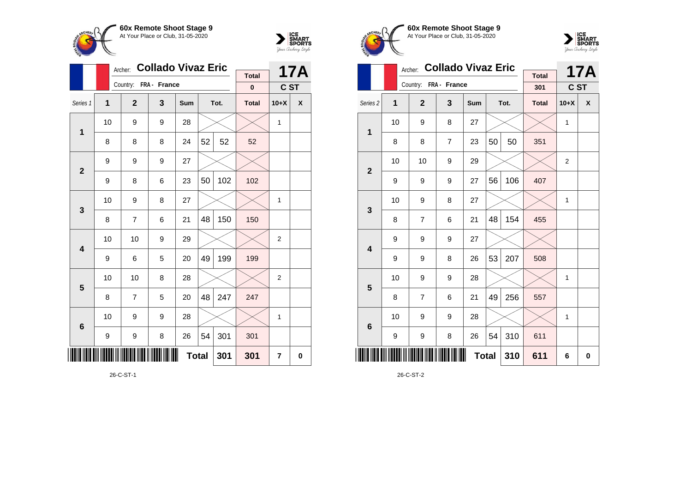



|                         |                | Archer:               | <b>Collado Vivaz Eric</b> |              |    |      | 17A          |                |                    |
|-------------------------|----------------|-----------------------|---------------------------|--------------|----|------|--------------|----------------|--------------------|
|                         |                | Country: FRA - France |                           |              |    |      | <b>Total</b> |                |                    |
|                         |                |                       |                           |              |    |      | $\bf{0}$     | C ST           |                    |
| Series 1                | $\overline{1}$ | $\mathbf{2}$          | 3                         | Sum          |    | Tot. | <b>Total</b> | $10+X$         | $\pmb{\mathsf{X}}$ |
| 1                       | 10             | 9                     | 9                         | 28           |    |      |              | $\mathbf{1}$   |                    |
|                         | 8              | 8                     | 8                         | 24           | 52 | 52   | 52           |                |                    |
| $\overline{2}$          | 9              | 9                     | 9                         | 27           |    |      |              |                |                    |
|                         | 9              | 8                     | 6                         | 23           | 50 | 102  | 102          |                |                    |
| 3                       | 10             | 9                     | 8                         | 27           |    |      |              | $\mathbf{1}$   |                    |
|                         | 8              | 7                     | 6                         | 21           | 48 | 150  | 150          |                |                    |
| $\overline{\mathbf{4}}$ | 10             | 10                    | 9                         | 29           |    |      |              | $\overline{2}$ |                    |
|                         | 9              | 6                     | 5                         | 20           | 49 | 199  | 199          |                |                    |
| 5                       | 10             | 10                    | 8                         | 28           |    |      |              | 2              |                    |
|                         | 8              | $\overline{7}$        | 5                         | 20           | 48 | 247  | 247          |                |                    |
| $6\phantom{1}6$         | 10             | 9                     | 9                         | 28           |    |      |              | $\mathbf{1}$   |                    |
|                         | 9              | 9                     | 8                         | 26           | 54 | 301  | 301          |                |                    |
| IIII                    |                |                       |                           | <b>Total</b> |    | 301  | 301          | 7              | 0                  |

26-C-ST-1





|                         |    | Archer:               | <b>Collado Vivaz Eric</b> |              |    |      | <b>17A</b>          |                |   |
|-------------------------|----|-----------------------|---------------------------|--------------|----|------|---------------------|----------------|---|
|                         |    | Country: FRA - France |                           |              |    |      | <b>Total</b><br>301 | C ST           |   |
| Series <sub>2</sub>     | 1  | $\overline{2}$        | 3                         | Sum          |    | Tot. | <b>Total</b>        | $10+X$         | X |
| 1                       | 10 | 9                     | 8                         | 27           |    |      |                     | 1              |   |
|                         | 8  | 8                     | $\overline{7}$            | 23           | 50 | 50   | 351                 |                |   |
| $\overline{2}$          | 10 | 10                    | 9                         | 29           |    |      |                     | $\overline{2}$ |   |
|                         | 9  | 9                     | 9                         | 27           | 56 | 106  | 407                 |                |   |
| 3                       | 10 | 9                     | 8                         | 27           |    |      |                     | 1              |   |
|                         | 8  | 7                     | 6                         | 21           | 48 | 154  | 455                 |                |   |
| $\overline{\mathbf{4}}$ | 9  | 9                     | 9                         | 27           |    |      |                     |                |   |
|                         | 9  | 9                     | 8                         | 26           | 53 | 207  | 508                 |                |   |
| 5                       | 10 | 9                     | 9                         | 28           |    |      |                     | 1              |   |
|                         | 8  | $\overline{7}$        | 6                         | 21           | 49 | 256  | 557                 |                |   |
| $6\phantom{1}6$         | 10 | 9                     | 9                         | 28           |    |      |                     | 1              |   |
|                         | 9  | $\boldsymbol{9}$      | 8                         | 26           | 54 | 310  | 611                 |                |   |
|                         |    |                       |                           | <b>Total</b> |    | 310  | 611                 | 6              | 0 |

26-C-ST-2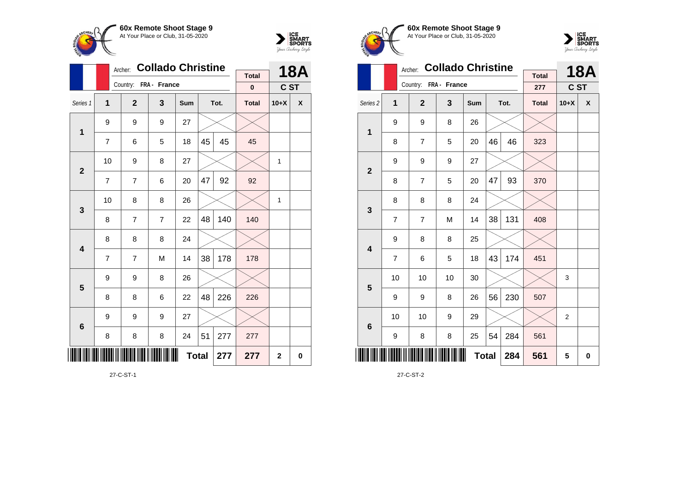

Country: **FRA - France**

9 9 9 27

8 8 8 24

9 8 26

9 9 9 27

**1**

**2**

**3**

**4**

**5**

**6**

\*27-C-ST-1\*

Archer: **Collado Christine**

Series 1 **1 2 3 Sum Tot. Total 10+X X**

7 | 6 | 5 | 18 | $45$  |  $45$  |  $45$ 

7 | 7 | 6 | 20 |47 | 92 | 92

8 7 7 22 48 140 140

7 | 7 | M | 14 |38 | 178 | 178

8 | 8 | 6 | 22 |48 | 226 | 226

8 | 8 | 8 | 24 | $51$  | 277 | 277

10 | 9 | 8 | 27 |  $\times$  |  $\times$  | 1

10 | 8 | 8 | 26 |  $\times$  |  $\times$  | 1



**18A C ST**

**Total 0**

**Total 277 277 2 0**





|                         |                | Archer:               | <b>Collado Christine</b> |              | <b>Total</b> |      | <b>18A</b>   |                |          |
|-------------------------|----------------|-----------------------|--------------------------|--------------|--------------|------|--------------|----------------|----------|
|                         |                | Country: FRA - France |                          |              |              |      | 277          | C ST           |          |
| Series <sub>2</sub>     | 1              | $\mathbf{2}$          | 3                        | Sum          |              | Tot. | <b>Total</b> | $10+X$         | X        |
| $\mathbf{1}$            | 9              | 9                     | 8                        | 26           |              |      |              |                |          |
|                         | 8              | $\overline{7}$        | 5                        | 20           | 46           | 46   | 323          |                |          |
| $\overline{\mathbf{2}}$ | 9              | 9                     | 9                        | 27           |              |      |              |                |          |
|                         | 8              | $\overline{7}$        | 5                        | 20           | 47           | 93   | 370          |                |          |
| 3                       | 8              | 8                     | 8                        | 24           |              |      |              |                |          |
|                         | $\overline{7}$ | $\overline{7}$        | M                        | 14           | 38           | 131  | 408          |                |          |
| $\overline{\mathbf{4}}$ | 9              | 8                     | 8                        | 25           |              |      |              |                |          |
|                         | $\overline{7}$ | 6                     | 5                        | 18           | 43           | 174  | 451          |                |          |
| 5                       | 10             | 10                    | 10                       | 30           |              |      |              | 3              |          |
|                         | 9              | 9                     | 8                        | 26           | 56           | 230  | 507          |                |          |
| 6                       | 10             | 10                    | 9                        | 29           |              |      |              | $\overline{2}$ |          |
|                         | 9              | 8                     | 8                        | 25           | 54           | 284  | 561          |                |          |
| IIII                    |                |                       |                          | <b>Total</b> |              | 284  | 561          | 5              | $\bf{0}$ |

27-C-ST-2

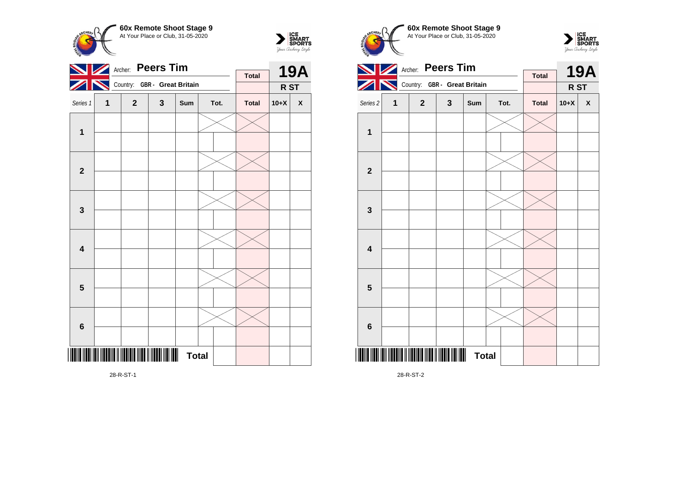



|                         |   | <b>Peers Tim</b><br>Archer:  |   |              | <b>19A</b> |              |        |                    |
|-------------------------|---|------------------------------|---|--------------|------------|--------------|--------|--------------------|
|                         |   | Country: GBR - Great Britain |   |              |            | <b>Total</b> |        |                    |
|                         |   |                              |   |              |            |              | R ST   |                    |
| Series 1                | 1 | $\mathbf{2}$                 | 3 | Sum          | Tot.       | <b>Total</b> | $10+X$ | $\pmb{\mathsf{X}}$ |
| $\mathbf 1$             |   |                              |   |              |            |              |        |                    |
|                         |   |                              |   |              |            |              |        |                    |
| $\mathbf{2}$            |   |                              |   |              |            |              |        |                    |
|                         |   |                              |   |              |            |              |        |                    |
| $\mathbf 3$             |   |                              |   |              |            |              |        |                    |
|                         |   |                              |   |              |            |              |        |                    |
| $\overline{\mathbf{4}}$ |   |                              |   |              |            |              |        |                    |
|                         |   |                              |   |              |            |              |        |                    |
| $5\phantom{1}$          |   |                              |   |              |            |              |        |                    |
|                         |   |                              |   |              |            |              |        |                    |
|                         |   |                              |   |              |            |              |        |                    |
| $\bf 6$                 |   |                              |   |              |            |              |        |                    |
|                         |   |                              |   |              |            |              |        |                    |
|                         |   |                              |   | <b>Total</b> |            |              |        |                    |

At Your Place or Club, 31-05-2020 **Archer: Peers Tim**  $\blacktriangleright$ **Total** Country: **GBR - Great Britain**  $\blacktriangleright$ Series 2 **1 2 3 Sum Tot. Total 10+X X 1**

**19A R ST**

 $\sum_{\text{MART}}\left|\underset{\text{SPORTS}}{\text{SINART}}\right|$ 

**60x Remote Shoot Stage 9**

**CHEPL** 



28-R-ST-2

28-R-ST-1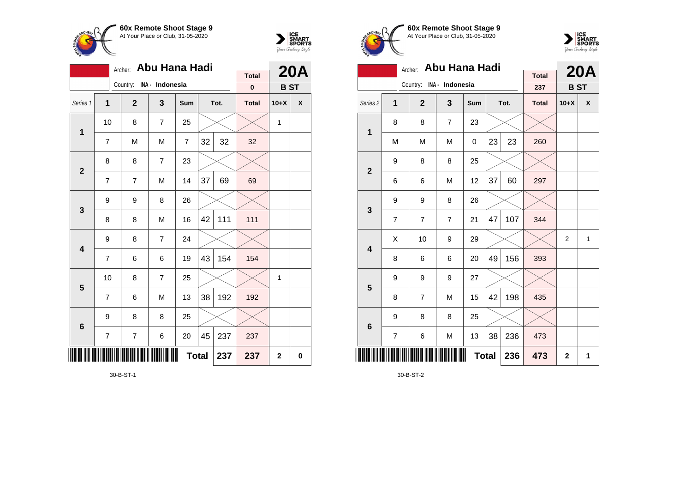

**1**

**2**

**3**

**4**

**5**

**6**

 $\overline{\phantom{a}}$ 

Archer: **Abu Hana Hadi**

Series 1 **1 2 3 Sum Tot. Total 10+X X**

7 | M | M | 7 |32 | 32 | 32

7 | 7 | M | 14 |37| 69 | 69

8 | 8 | M | 16 |42 | 111 <mark>|</mark> 111

7 | 6 | 6 | 19 |43 | 154 | 154

7 6 M 13 38 192 192

7 | 7 | 6 | 20 |45 | 237 | 237

10 | 8 | 7 | 25 |  $\times$  |  $\times$  | 1

10  $\mid$  8  $\mid$  7  $\mid$  25  $\mid$   $\times$   $\mid$   $\times$   $\mid$  1

Country: **INA - Indonesia**

8 8 7 23

9 8 26

9 8 7 24

9 8 8 25



**20A B ST**

**Total 0**

**Total 237 237 2 0**





|                     |                | Abu Hana Hadi<br>Archer: |                |     |              | <b>20A</b> |                     |                |              |
|---------------------|----------------|--------------------------|----------------|-----|--------------|------------|---------------------|----------------|--------------|
|                     |                | Country: INA - Indonesia |                |     |              |            | <b>Total</b><br>237 | <b>BST</b>     |              |
| Series <sub>2</sub> | 1              | $\mathbf{2}$             | 3              | Sum |              | Tot.       | <b>Total</b>        | $10+X$         | X            |
| 1                   | 8              | 8                        | $\overline{7}$ | 23  |              |            |                     |                |              |
|                     | M              | M                        | M              | 0   | 23           | 23         | 260                 |                |              |
| $\overline{2}$      | 9              | 8                        | 8              | 25  |              |            |                     |                |              |
|                     | 6              | 6                        | M              | 12  | 37           | 60         | 297                 |                |              |
| 3                   | 9              | 9                        | 8              | 26  |              |            |                     |                |              |
|                     | 7              | 7                        | $\overline{7}$ | 21  | 47           | 107        | 344                 |                |              |
| 4                   | X              | 10                       | 9              | 29  |              |            |                     | $\overline{2}$ | $\mathbf{1}$ |
|                     | 8              | 6                        | 6              | 20  | 49           | 156        | 393                 |                |              |
| 5                   | 9              | 9                        | 9              | 27  |              |            |                     |                |              |
|                     | 8              | $\overline{7}$           | M              | 15  | 42           | 198        | 435                 |                |              |
| $6\phantom{1}6$     | 9              | 8                        | 8              | 25  |              |            |                     |                |              |
|                     | $\overline{7}$ | 6                        | M              | 13  | 38           | 236        | 473                 |                |              |
| IIII                |                |                          | 236            | 473 | $\mathbf{2}$ | 1          |                     |                |              |

30-B-ST-2

30-B-ST-1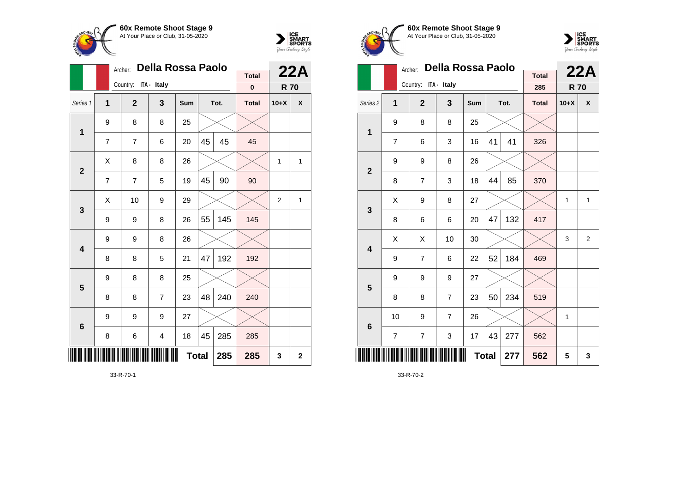



|                         |   | Archer:              | Della Rossa Paolo       |              |    |      | 22A                      |                |             |
|-------------------------|---|----------------------|-------------------------|--------------|----|------|--------------------------|----------------|-------------|
|                         |   | Country: ITA - Italy |                         |              |    |      | <b>Total</b><br>$\bf{0}$ | <b>R70</b>     |             |
|                         |   |                      |                         |              |    |      |                          |                |             |
| Series 1                | 1 | $\mathbf{2}$         | 3                       | Sum          |    | Tot. | <b>Total</b>             | $10+X$         | χ           |
| $\mathbf{1}$            | 9 | 8                    | 8                       | 25           |    |      |                          |                |             |
|                         | 7 | $\overline{7}$       | 6                       | 20           | 45 | 45   | 45                       |                |             |
| $\overline{2}$          | X | 8                    | 8                       | 26           |    |      |                          | 1              | 1           |
|                         | 7 | 7                    | 5                       | 19           | 45 | 90   | 90                       |                |             |
| 3                       | X | 10                   | 9                       | 29           |    |      |                          | $\overline{2}$ | 1           |
|                         | 9 | 9                    | 8                       | 26           | 55 | 145  | 145                      |                |             |
| $\overline{\mathbf{4}}$ | 9 | 9                    | 8                       | 26           |    |      |                          |                |             |
|                         | 8 | 8                    | 5                       | 21           | 47 | 192  | 192                      |                |             |
| 5                       | 9 | 8                    | 8                       | 25           |    |      |                          |                |             |
|                         | 8 | 8                    | $\overline{7}$          | 23           | 48 | 240  | 240                      |                |             |
| $6\phantom{1}6$         | 9 | 9                    | 9                       | 27           |    |      |                          |                |             |
|                         | 8 | 6                    | $\overline{\mathbf{4}}$ | 18           | 45 | 285  | 285                      |                |             |
| ║║║                     |   |                      |                         | <b>Total</b> |    | 285  | 285                      | 3              | $\mathbf 2$ |

33-R-70-1





|                         | Della Rossa Paolo<br>Archer: |                      |                     |              |      |     |              | 22A    |                |
|-------------------------|------------------------------|----------------------|---------------------|--------------|------|-----|--------------|--------|----------------|
|                         |                              | Country: ITA - Italy | <b>Total</b><br>285 | <b>R70</b>   |      |     |              |        |                |
| Series <sub>2</sub>     | 1                            | $\overline{2}$       | 3                   | Sum          | Tot. |     | <b>Total</b> | $10+X$ | X              |
| $\mathbf 1$             | 9                            | 8                    | 8                   | 25           |      |     |              |        |                |
|                         | $\overline{7}$               | 6                    | 3                   | 16           | 41   | 41  | 326          |        |                |
| $\mathbf{2}$            | 9                            | 9                    | 8                   | 26           |      |     |              |        |                |
|                         | 8                            | 7                    | 3                   | 18           | 44   | 85  | 370          |        |                |
| 3                       | X                            | 9                    | 8                   | 27           |      |     |              | 1      | $\mathbf{1}$   |
|                         | 8                            | 6                    | 6                   | 20           | 47   | 132 | 417          |        |                |
| $\overline{\mathbf{4}}$ | X                            | X                    | 10                  | 30           |      |     |              | 3      | $\overline{2}$ |
|                         | 9                            | 7                    | 6                   | 22           | 52   | 184 | 469          |        |                |
| 5                       | 9                            | 9                    | 9                   | 27           |      |     |              |        |                |
|                         | 8                            | 8                    | $\overline{7}$      | 23           | 50   | 234 | 519          |        |                |
| $6\phantom{1}6$         | 10                           | 9                    | $\overline{7}$      | 26           |      |     |              | 1      |                |
|                         | $\overline{7}$               | $\overline{7}$       | 3                   | 17           | 43   | 277 | 562          |        |                |
| II                      |                              |                      |                     | <b>Total</b> |      | 277 | 562          | 5      | 3              |

33-R-70-2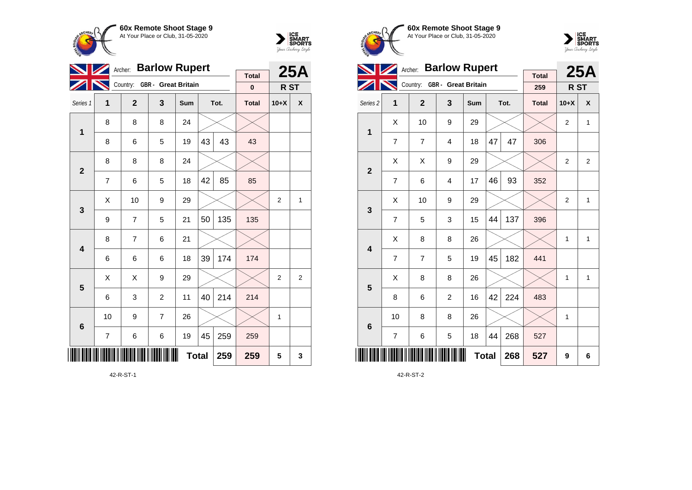



|                         |                          | <b>Barlow Rupert</b><br>Archer: |                |              |      |     |                          |                 |                |
|-------------------------|--------------------------|---------------------------------|----------------|--------------|------|-----|--------------------------|-----------------|----------------|
|                         |                          |                                 |                |              |      |     | <b>Total</b><br>$\bf{0}$ |                 | <b>25A</b>     |
|                         |                          | Country: GBR - Great Britain    |                |              |      |     |                          | R <sub>ST</sub> |                |
| Series 1                | 1                        | $\mathbf{2}$                    | 3              | Sum          | Tot. |     | <b>Total</b>             | $10+X$          | X              |
| 1                       | 8                        | 8                               | 8              | 24           |      |     |                          |                 |                |
|                         | 8                        | 6                               | 5              | 19           | 43   | 43  | 43                       |                 |                |
| $\mathbf{2}$            | 8                        | 8                               | 8              | 24           |      |     |                          |                 |                |
|                         | 7                        | 6                               | 5              | 18           | 42   | 85  | 85                       |                 |                |
| 3                       | X                        | 10                              | 9              | 29           |      |     |                          | $\overline{2}$  | $\mathbf{1}$   |
|                         | 9                        | 7                               | 5              | 21           | 50   | 135 | 135                      |                 |                |
| $\overline{\mathbf{4}}$ | 8                        | 7                               | 6              | 21           |      |     |                          |                 |                |
|                         | 6                        | 6                               | 6              | 18           | 39   | 174 | 174                      |                 |                |
| 5                       | X                        | X                               | 9              | 29           |      |     |                          | $\overline{2}$  | $\overline{2}$ |
|                         | 6                        | 3                               | $\overline{2}$ | 11           | 40   | 214 | 214                      |                 |                |
| $6\phantom{a}$          | 10                       | 9                               | $\overline{7}$ | 26           |      |     |                          | 1               |                |
|                         | $\overline{\mathcal{I}}$ | 6                               | 6              | 19           | 45   | 259 | 259                      |                 |                |
|                         |                          |                                 |                | <b>Total</b> |      | 259 | 259                      | 5               | 3              |

42-R-ST-1





| <b>Barlow Rupert</b><br>Archer: |                              |                |                |              |      |     |                     | <b>25A</b>     |                |
|---------------------------------|------------------------------|----------------|----------------|--------------|------|-----|---------------------|----------------|----------------|
|                                 | Country: GBR - Great Britain |                |                |              |      |     | <b>Total</b><br>259 | R ST           |                |
|                                 |                              |                |                |              |      |     |                     |                |                |
| Series <sub>2</sub>             | 1                            | $\overline{2}$ | 3              | <b>Sum</b>   | Tot. |     | <b>Total</b>        | $10+X$         | X              |
| $\mathbf{1}$                    | X                            | 10             | 9              | 29           |      |     |                     | $\overline{2}$ | $\mathbf{1}$   |
|                                 | $\overline{7}$               | $\overline{7}$ | $\overline{4}$ | 18           | 47   | 47  | 306                 |                |                |
| $\mathbf{2}$                    | X                            | X              | 9              | 29           |      |     |                     | $\overline{2}$ | $\overline{2}$ |
|                                 | $\overline{7}$               | 6              | $\overline{4}$ | 17           | 46   | 93  | 352                 |                |                |
| 3                               | X                            | 10             | 9              | 29           |      |     |                     | $\overline{2}$ | $\mathbf{1}$   |
|                                 | $\overline{7}$               | 5              | 3              | 15           | 44   | 137 | 396                 |                |                |
| $\overline{\mathbf{4}}$         | X                            | 8              | 8              | 26           |      |     |                     | 1              | $\mathbf{1}$   |
|                                 | $\overline{7}$               | 7              | 5              | 19           | 45   | 182 | 441                 |                |                |
| 5                               | Χ                            | 8              | 8              | 26           |      |     |                     | 1              | 1              |
|                                 | 8                            | 6              | $\overline{2}$ | 16           | 42   | 224 | 483                 |                |                |
| $6\phantom{1}6$                 | 10                           | 8              | 8              | 26           |      |     |                     | 1              |                |
|                                 | $\overline{7}$               | 6              | 5              | 18           | 44   | 268 | 527                 |                |                |
|                                 |                              |                |                | <b>Total</b> |      | 268 | 527                 | 9              | 6              |

42-R-ST-2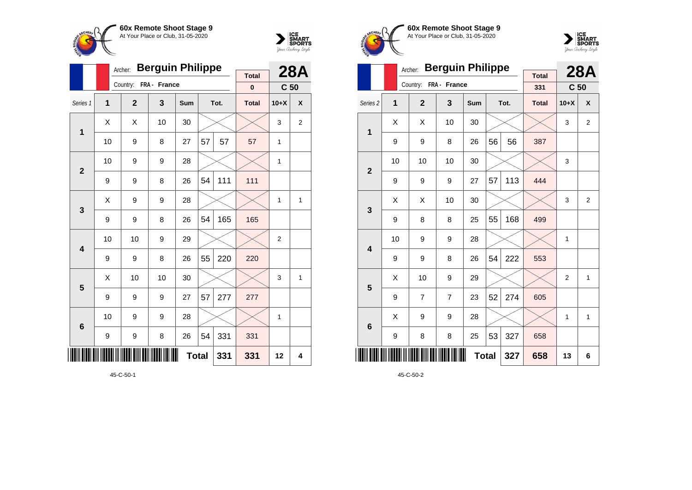



|                 |                         | Archer:      | <b>Berguin Philippe</b> |     |              |      | <b>28A</b>               |                 |                  |
|-----------------|-------------------------|--------------|-------------------------|-----|--------------|------|--------------------------|-----------------|------------------|
|                 |                         | Country:     | FRA - France            |     |              |      | <b>Total</b><br>$\bf{0}$ | C <sub>50</sub> |                  |
| Series 1        | $\overline{\mathbf{1}}$ | $\mathbf{2}$ | 3                       | Sum |              | Tot. | <b>Total</b>             | $10+X$          | $\boldsymbol{x}$ |
| $\mathbf 1$     | X                       | X            | 10                      | 30  |              |      |                          | 3               | 2                |
|                 | 10                      | 9            | 8                       | 27  | 57           | 57   | 57                       | 1               |                  |
| $\overline{2}$  | 10                      | 9            | 9                       | 28  |              |      |                          | 1               |                  |
|                 | 9                       | 9            | 8                       | 26  | 54           | 111  | 111                      |                 |                  |
| 3               | X                       | 9            | 9                       | 28  |              |      |                          | 1               | 1                |
|                 | 9                       | 9            | 8                       | 26  | 54           | 165  | 165                      |                 |                  |
| 4               | 10                      | 10           | 9                       | 29  |              |      |                          | $\overline{2}$  |                  |
|                 | 9                       | 9            | 8                       | 26  | 55           | 220  | 220                      |                 |                  |
| 5               | X                       | 10           | 10                      | 30  |              |      |                          | 3               | $\mathbf{1}$     |
|                 | 9                       | 9            | 9                       | 27  | 57           | 277  | 277                      |                 |                  |
| $6\phantom{1}6$ | 10                      | 9            | 9                       | 28  |              |      |                          | 1               |                  |
|                 | 9                       | 9            | 8                       | 26  | 54           | 331  | 331                      |                 |                  |
| ∭               |                         |              |                         |     | <b>Total</b> | 331  | 331                      | 12              | 4                |





|                     |    | Archer:        | <b>Berguin Philippe</b> |     |     |      | <b>28A</b>          |                 |                |
|---------------------|----|----------------|-------------------------|-----|-----|------|---------------------|-----------------|----------------|
|                     |    | Country:       | FRA - France            |     |     |      | <b>Total</b><br>331 | C <sub>50</sub> |                |
| Series <sub>2</sub> | 1  | $\overline{2}$ | 3                       | Sum |     | Tot. | <b>Total</b>        | $10+X$          | X              |
| $\mathbf{1}$        | X  | X              | 10                      | 30  |     |      |                     | 3               | $\overline{2}$ |
|                     | 9  | 9              | 8                       | 26  | 56  | 56   | 387                 |                 |                |
| $\overline{2}$      | 10 | 10             | 10                      | 30  |     |      |                     | 3               |                |
|                     | 9  | 9              | 9                       | 27  | 57  | 113  | 444                 |                 |                |
| 3                   | X  | X              | 10                      | 30  |     |      |                     | 3               | $\overline{2}$ |
|                     | 9  | 8              | 8                       | 25  | 55  | 168  | 499                 |                 |                |
| 4                   | 10 | 9              | 9                       | 28  |     |      |                     | 1               |                |
|                     | 9  | 9              | 8                       | 26  | 54  | 222  | 553                 |                 |                |
| 5                   | Χ  | 10             | 9                       | 29  |     |      |                     | $\overline{2}$  | 1              |
|                     | 9  | 7              | $\overline{7}$          | 23  | 52  | 274  | 605                 |                 |                |
| $6\phantom{1}6$     | X  | 9              | 9                       | 28  |     |      |                     | 1               | $\mathbf{1}$   |
|                     | 9  | 8              | 8                       | 25  | 53  | 327  | 658                 |                 |                |
|                     |    |                |                         | 327 | 658 | 13   | 6                   |                 |                |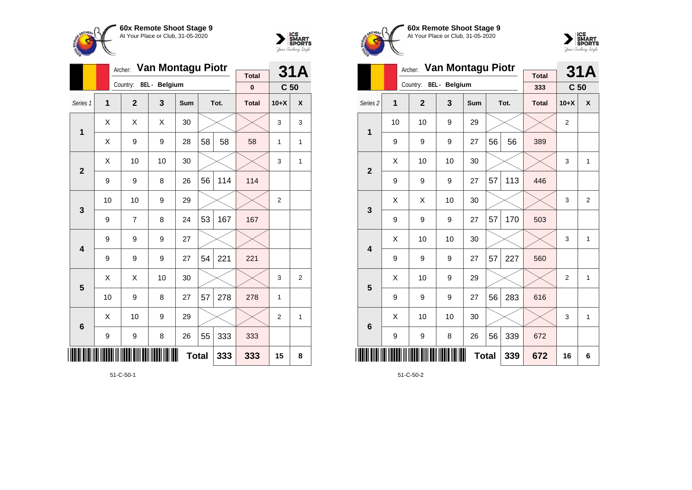



|                |                                | Archer:        | Van Montagu Piotr      |     |    | <b>31A</b> |                          |                 |                |
|----------------|--------------------------------|----------------|------------------------|-----|----|------------|--------------------------|-----------------|----------------|
|                |                                |                | Country: BEL - Belgium |     |    |            | <b>Total</b><br>$\bf{0}$ | C <sub>50</sub> |                |
|                |                                |                |                        |     |    |            |                          |                 |                |
| Series 1       | 1                              | $\overline{2}$ | 3                      | Sum |    | Tot.       | <b>Total</b>             | $10+X$          | X              |
| 1              | X                              | Χ              | X                      | 30  |    |            |                          | 3               | 3              |
|                | Χ                              | 9              | 9                      | 28  | 58 | 58         | 58                       | 1               | 1              |
| $\overline{2}$ | X                              | 10             | 10                     | 30  |    |            |                          | 3               | 1              |
|                | 9                              | 9              | 8                      | 26  | 56 | 114        | 114                      |                 |                |
| 3              | 10                             | 10             | 9                      | 29  |    |            |                          | $\overline{2}$  |                |
|                | 9                              | 7              | 8                      | 24  | 53 | 167        | 167                      |                 |                |
| 4              | 9                              | 9              | 9                      | 27  |    |            |                          |                 |                |
|                | 9                              | 9              | 9                      | 27  | 54 | 221        | 221                      |                 |                |
| 5              | X                              | Χ              | 10                     | 30  |    |            |                          | 3               | $\overline{2}$ |
|                | 10                             | 9              | 8                      | 27  | 57 | 278        | 278                      | 1               |                |
| 6              | X                              | 10             | 9                      | 29  |    |            |                          | 2               | 1              |
|                | 333<br>55<br>8<br>9<br>9<br>26 |                |                        |     |    |            |                          |                 |                |
| <br>           |                                |                | 333                    | 333 | 15 | 8          |                          |                 |                |





|                         |    | Archer:        | Van Montagu Piotr |            | <b>Total</b> |      | <b>31A</b>   |                 |                |
|-------------------------|----|----------------|-------------------|------------|--------------|------|--------------|-----------------|----------------|
|                         |    | Country:       | BEL - Belgium     |            |              |      | 333          | C <sub>50</sub> |                |
| Series <sub>2</sub>     | 1  | $\overline{2}$ | 3                 | <b>Sum</b> |              | Tot. | <b>Total</b> | $10+X$          | X              |
| 1                       | 10 | 10             | 9                 | 29         |              |      |              | $\overline{2}$  |                |
|                         | 9  | 9              | 9                 | 27         | 56           | 56   | 389          |                 |                |
| $\overline{2}$          | X  | 10             | 10                | 30         |              |      |              | 3               | $\mathbf{1}$   |
|                         | 9  | 9              | 9                 | 27         | 57           | 113  | 446          |                 |                |
| 3                       | X  | Χ              | 10                | 30         |              |      |              | 3               | $\overline{2}$ |
|                         | 9  | 9              | 9                 | 27         | 57           | 170  | 503          |                 |                |
| $\overline{\mathbf{4}}$ | X  | 10             | 10                | 30         |              |      |              | 3               | $\mathbf{1}$   |
|                         | 9  | 9              | 9                 | 27         | 57           | 227  | 560          |                 |                |
| 5                       | Χ  | 10             | 9                 | 29         |              |      |              | $\overline{2}$  | 1              |
|                         | 9  | 9              | 9                 | 27         | 56           | 283  | 616          |                 |                |
| $6\phantom{1}6$         | X  | 10             | 10                | 30         |              |      |              | 3               | $\mathbf{1}$   |
|                         | 9  | 9              | 8                 | 26         | 56           | 339  | 672          |                 |                |
| ║║║                     |    |                |                   |            | <b>Total</b> | 339  | 672          | 16              | 6              |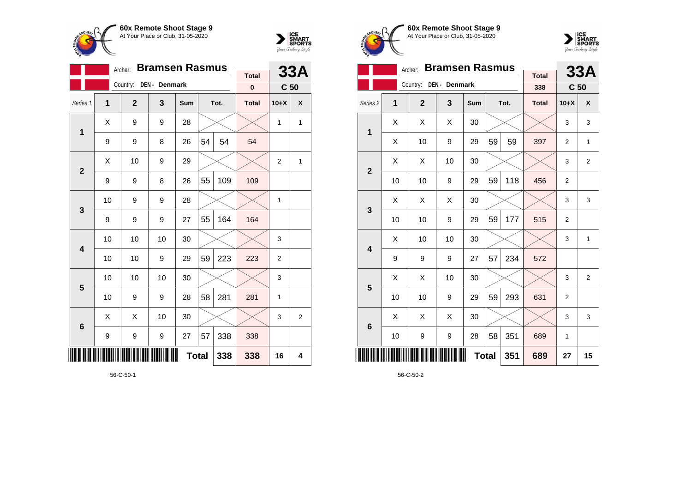

**1**

**2**

**3**

**4**

**5**

**6**

<u>\*</u>

Country: **DEN - Denmark**

Archer: **Bramsen Rasmus**

Series 1 **1 2 3 Sum Tot. Total 10+X X**

9 | 9 | 8 | 26 | $54$  |  $54$  |  $54$ 

9 | 9 | 8 | 26 |55 | 109 <mark>|</mark> 109

9 | 9 | 9 | 27 |55 | 164 <mark>|</mark> 164

10 | 9 | 9 | 28 |  $\times$  |  $\times$  | 1

10 | 10 | 10 | 30 |  $\times$  |  $\times$  | 3

10 | 10 | 9 | 29 | 59 | 223 | 223 | 2

10 | 10 | 10 | 30 |  $\times$  |  $\times$  | 3

10 | 9 | 9 | 28 | 58 | 281 | 281 | 1

 $9 \mid 9 \mid 9 \mid 27 \mid 57 \mid 338 \mid 338$ 

 $\textsf{X} \hspace{.2cm} \mid \hspace{.2cm} \textsf{X} \hspace{.2cm} \mid \hspace{.2cm} \textsf{10} \hspace{.2cm} \mid \hspace{.2cm} \textsf{30} \hspace{.2cm} \mid \hspace{.2cm} \textsf{3} \hspace{.2cm} \mid \hspace{.2cm} \textsf{3} \hspace{.2cm} \mid \hspace{.2cm} \textsf{2}$ 

**Total 338 338 16 4**

 $\textsf{X} \hspace{0.2cm} \vert \hspace{0.2cm} 9 \hspace{0.2cm} \vert \hspace{0.2cm} 9 \hspace{0.2cm} \vert \hspace{0.2cm} 28 \hspace{0.2cm} \vert \hspace{0.2cm} \times \hspace{0.2cm} \vert \hspace{0.2cm} \times \hspace{0.2cm} \vert \hspace{0.2cm} 1 \hspace{0.2cm} \vert \hspace{0.2cm} 1 \hspace{0.2cm} \vert \hspace{0.2cm} 1$ 

 $\textsf{X}$  | 10 | 9 | 29 |  $\times$  |  $\times$  | 2 | 1



**33A**

**C 50**

**Total 0**





|                     |    | Archer:        | <b>Bramsen Rasmus</b> |     |              | 33A  |                     |                 |                |
|---------------------|----|----------------|-----------------------|-----|--------------|------|---------------------|-----------------|----------------|
|                     |    | Country:       | DEN - Denmark         |     |              |      | <b>Total</b><br>338 | C <sub>50</sub> |                |
|                     |    |                |                       |     |              |      |                     |                 |                |
| Series <sub>2</sub> | 1  | $\overline{2}$ | 3                     | Sum |              | Tot. | <b>Total</b>        | $10+X$          | X              |
| 1                   | X  | X              | Χ                     | 30  |              |      |                     | 3               | 3              |
|                     | X  | 10             | 9                     | 29  | 59           | 59   | 397                 | $\overline{2}$  | 1              |
| $\overline{2}$      | X  | X              | 10                    | 30  |              |      |                     | 3               | $\overline{2}$ |
|                     | 10 | 10             | 9                     | 29  | 59           | 118  | 456                 | $\overline{2}$  |                |
| 3                   | X  | X              | X                     | 30  |              |      |                     | 3               | 3              |
|                     | 10 | 10             | 9                     | 29  | 59           | 177  | 515                 | $\overline{2}$  |                |
| 4                   | X  | 10             | 10                    | 30  |              |      |                     | 3               | 1              |
|                     | 9  | 9              | 9                     | 27  | 57           | 234  | 572                 |                 |                |
| 5                   | X  | Χ              | 10                    | 30  |              |      |                     | 3               | $\overline{2}$ |
|                     | 10 | 10             | 9                     | 29  | 59           | 293  | 631                 | $\overline{2}$  |                |
| 6                   | X  | X              | X                     | 30  |              |      |                     | 3               | 3              |
|                     | 10 | 9              | 9                     | 28  | 58           | 351  | 689                 | 1               |                |
|                     |    |                |                       |     | <b>Total</b> | 351  | 689                 | 27              | 15             |

56-C-50-2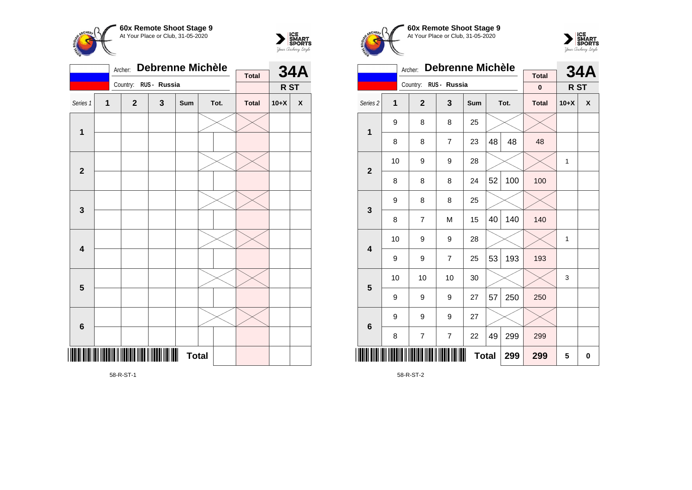



|                         |              | Archer:                                         | <b>Debrenne Michèle</b> |              |  | <b>34A</b> |              |        |                    |
|-------------------------|--------------|-------------------------------------------------|-------------------------|--------------|--|------------|--------------|--------|--------------------|
|                         |              | Country:                                        | RUS - Russia            |              |  |            | <b>Total</b> |        |                    |
|                         |              |                                                 |                         |              |  |            |              | R ST   |                    |
| Series 1                | $\mathbf{1}$ | $\mathbf{2}$                                    | 3                       | Sum          |  | Tot.       | <b>Total</b> | $10+X$ | $\pmb{\mathsf{X}}$ |
| $\mathbf 1$             |              |                                                 |                         |              |  |            |              |        |                    |
|                         |              |                                                 |                         |              |  |            |              |        |                    |
| $\mathbf{2}$            |              |                                                 |                         |              |  |            |              |        |                    |
|                         |              |                                                 |                         |              |  |            |              |        |                    |
| $\mathbf{3}$            |              |                                                 |                         |              |  |            |              |        |                    |
|                         |              |                                                 |                         |              |  |            |              |        |                    |
| $\overline{\mathbf{4}}$ |              |                                                 |                         |              |  |            |              |        |                    |
|                         |              |                                                 |                         |              |  |            |              |        |                    |
| $\overline{\mathbf{5}}$ |              |                                                 |                         |              |  |            |              |        |                    |
|                         |              |                                                 |                         |              |  |            |              |        |                    |
| $\bf 6$                 |              |                                                 |                         |              |  |            |              |        |                    |
|                         |              |                                                 |                         |              |  |            |              |        |                    |
|                         |              | <b>THE REAL PROPERTY OF A SET OF A SET OF A</b> |                         | <b>Total</b> |  |            |              |        |                    |

**60x Remote Shoot Stage 9** At Your Place or Club, 31-05-2020 Country: **RUS - Russia**



|                         |    | Archer:     | <b>Debrenne Michèle</b>  |     |    | <b>34A</b> |              |        |   |
|-------------------------|----|-------------|--------------------------|-----|----|------------|--------------|--------|---|
|                         |    | Country:    | RUS - Russia             |     |    |            | <b>Total</b> |        |   |
|                         |    |             |                          |     |    |            | $\bf{0}$     | R ST   |   |
| Series 2                | 1  | $\mathbf 2$ | 3                        | Sum |    | Tot.       | <b>Total</b> | $10+X$ | X |
| $\mathbf{1}$            | 9  | 8           | 8                        | 25  |    |            |              |        |   |
|                         | 8  | 8           | $\overline{7}$           | 23  | 48 | 48         | 48           |        |   |
| $\mathbf{2}$            | 10 | 9           |                          | 1   |    |            |              |        |   |
|                         | 8  | 8           | 8                        | 24  | 52 | 100        | 100          |        |   |
| 3                       | 9  | 8           | 8                        | 25  |    |            |              |        |   |
|                         | 8  | 7           | M                        | 15  | 40 | 140        | 140          |        |   |
| $\overline{\mathbf{4}}$ | 10 | 9           | 9                        | 28  |    |            |              | 1      |   |
|                         | 9  | 9           | $\overline{7}$           | 25  | 53 | 193        | 193          |        |   |
| 5                       | 10 | 10          | 10                       | 30  |    |            |              | 3      |   |
|                         | 9  | 9           | 9                        | 27  | 57 | 250        | 250          |        |   |
| $6\phantom{1}6$         | 9  | 9           | 9                        | 27  |    |            |              |        |   |
|                         | 8  | 7           | $\overline{\mathcal{I}}$ | 22  | 49 | 299        | 299          |        |   |
| ║║║                     |    |             | 299                      | 299 | 5  | 0          |              |        |   |

58-R-ST-2

58-R-ST-1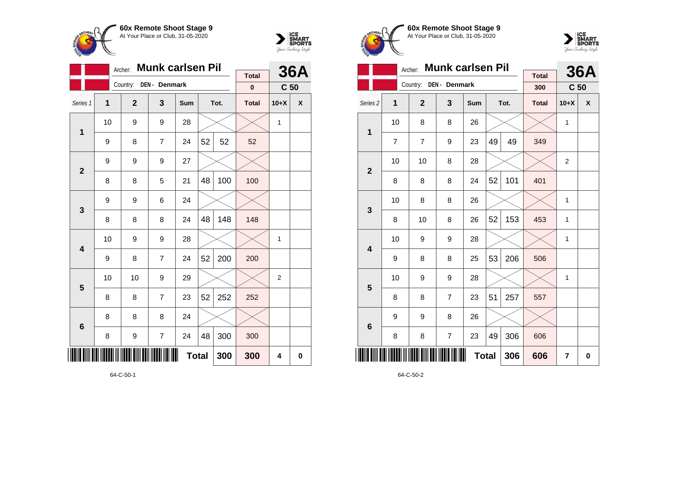



|                 |                                | <b>Munk carlsen Pil</b><br>Archer: |                |     |    | <b>36A</b> |                          |                 |   |
|-----------------|--------------------------------|------------------------------------|----------------|-----|----|------------|--------------------------|-----------------|---|
|                 |                                | Country:                           | DEN - Denmark  |     |    |            | <b>Total</b><br>$\bf{0}$ | C <sub>50</sub> |   |
| Series 1        | 1                              | $\overline{2}$                     | 3              | Sum |    | Tot.       | <b>Total</b>             | $10+X$          | X |
| 1               | 10                             | 9                                  | 9              | 28  |    |            |                          | 1               |   |
|                 | 9                              | 8                                  | $\overline{7}$ | 24  | 52 | 52         | 52                       |                 |   |
| $\overline{2}$  | 9                              | 9                                  | 9              | 27  |    |            |                          |                 |   |
|                 | 8                              | 8                                  | 5              | 21  | 48 | 100        | 100                      |                 |   |
| 3               | 9                              | 9                                  | 6              | 24  |    |            |                          |                 |   |
|                 | 8                              | 8                                  | 8              | 24  | 48 | 148        | 148                      |                 |   |
| 4               | 10                             | 9                                  | 9              | 28  |    |            |                          | 1               |   |
|                 | 9                              | 8                                  | $\overline{7}$ | 24  | 52 | 200        | 200                      |                 |   |
| 5               | 10                             | 10                                 | 9              | 29  |    |            |                          | $\overline{2}$  |   |
|                 | 8                              | 8                                  | 7              | 23  | 52 | 252        | 252                      |                 |   |
| $6\phantom{1}6$ | 8                              | 8                                  | 8              | 24  |    |            |                          |                 |   |
|                 | 300<br>48<br>7<br>8<br>9<br>24 |                                    |                |     |    |            |                          |                 |   |
| III             | <b>Total</b><br>300            |                                    |                |     |    |            |                          | 4               | 0 |





|                     |    | Archer:                | <b>Munk carlsen Pil</b> |     |    |      | <b>36A</b>          |                 |   |
|---------------------|----|------------------------|-------------------------|-----|----|------|---------------------|-----------------|---|
|                     |    | Country: DEN - Denmark |                         |     |    |      | <b>Total</b><br>300 | C <sub>50</sub> |   |
| Series <sub>2</sub> | 1  | $\overline{2}$         | 3                       | Sum |    | Tot. | <b>Total</b>        | $10+X$          | X |
| 1                   | 10 | 8                      | 8                       | 26  |    |      |                     | 1               |   |
|                     | 7  | $\overline{7}$         | 9                       | 23  | 49 | 49   | 349                 |                 |   |
| $\overline{2}$      | 10 | 10                     | 8                       | 28  |    |      |                     | 2               |   |
|                     | 8  | 8                      | 8                       | 24  | 52 | 101  | 401                 |                 |   |
| 3                   | 10 | 8                      | 8                       | 26  |    |      |                     | 1               |   |
|                     | 8  | 10                     | 8                       | 26  | 52 | 153  | 453                 | 1               |   |
| 4                   | 10 | 9                      | 9                       | 28  |    |      |                     | 1               |   |
|                     | 9  | 8                      | 8                       | 25  | 53 | 206  | 506                 |                 |   |
| 5                   | 10 | 9                      | 9                       | 28  |    |      |                     | 1               |   |
|                     | 8  | 8                      | $\overline{7}$          | 23  | 51 | 257  | 557                 |                 |   |
| $6\phantom{1}6$     | 9  | 9                      | 8                       | 26  |    |      |                     |                 |   |
|                     | 8  | 8                      | $\overline{7}$          | 23  | 49 | 306  | 606                 |                 |   |
| ║║║║                |    |                        | 306                     | 606 | 7  | 0    |                     |                 |   |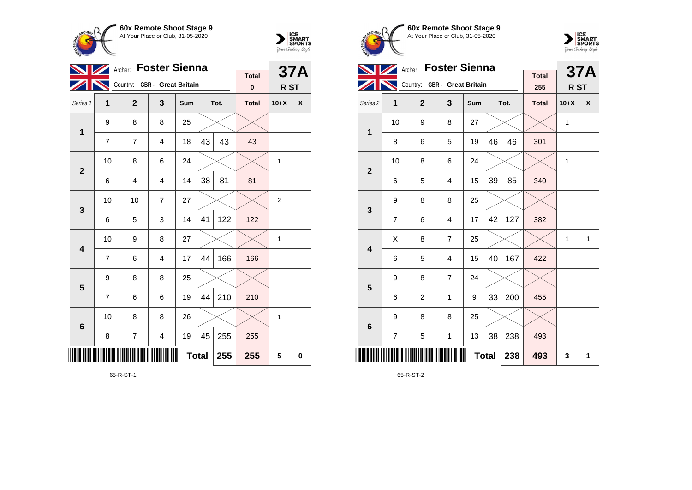



|                |                | Archer: Foster Sienna        |                |              |    |      | <b>37A</b>   |                 |   |
|----------------|----------------|------------------------------|----------------|--------------|----|------|--------------|-----------------|---|
|                |                | Country: GBR - Great Britain |                |              |    |      | <b>Total</b> |                 |   |
|                |                |                              |                |              |    |      | $\bf{0}$     | R <sub>ST</sub> |   |
| Series 1       | $\mathbf{1}$   | $\overline{2}$               | 3              | Sum          |    | Tot. | <b>Total</b> | $10+X$          | X |
| 1              | 9              | 8                            | 8              | 25           |    |      |              |                 |   |
|                | $\overline{7}$ | 7                            | 4              | 18           | 43 | 43   | 43           |                 |   |
| $\overline{2}$ | 10             | 8                            | 6              | 24           |    |      |              | $\mathbf{1}$    |   |
|                | 6              | 4                            | 4              | 14           | 38 | 81   | 81           |                 |   |
| 3              | 10             | 10                           | $\overline{7}$ | 27           |    |      |              | $\overline{2}$  |   |
|                | 6              | 5                            | 3              | 14           | 41 | 122  | 122          |                 |   |
| 4              | 10             | 9                            | 8              | 27           |    |      |              | 1               |   |
|                | $\overline{7}$ | 6                            | $\overline{4}$ | 17           | 44 | 166  | 166          |                 |   |
| 5              | 9              | 8                            | 8              | 25           |    |      |              |                 |   |
|                | $\overline{7}$ | 6                            | 6              | 19           | 44 | 210  | 210          |                 |   |
| 6              | 10             | 8                            | 8              | 26           |    |      |              | 1               |   |
|                | 8              | 7                            | 4              | 19           | 45 | 255  | 255          |                 |   |
|                |                |                              |                | <b>Total</b> |    | 255  | 255          | 5               | 0 |

65-R-ST-1





|                     |    | Archer:                      | <b>Foster Sienna</b> |              |    |      | <b>37A</b>          |        |              |
|---------------------|----|------------------------------|----------------------|--------------|----|------|---------------------|--------|--------------|
|                     |    | Country: GBR - Great Britain |                      |              |    |      | <b>Total</b><br>255 | R ST   |              |
| Series <sub>2</sub> | 1  | $\overline{2}$               | 3                    | Sum          |    | Tot. | <b>Total</b>        | $10+X$ | X            |
| 1                   | 10 | 9                            | 8                    | 27           |    |      |                     | 1      |              |
|                     | 8  | 6                            | 5                    | 19           | 46 | 46   | 301                 |        |              |
| $\overline{2}$      | 10 | 8                            | 6                    | 24           |    |      |                     | 1      |              |
|                     | 6  | 5                            | 4                    | 15           | 39 | 85   | 340                 |        |              |
| 3                   | 9  | 8                            | 8                    | 25           |    |      |                     |        |              |
|                     | 7  | 6                            | 4                    | 17           | 42 | 127  | 382                 |        |              |
| 4                   | Χ  | 8                            | $\overline{7}$       | 25           |    |      |                     | 1      | $\mathbf{1}$ |
|                     | 6  | 5                            | $\overline{4}$       | 15           | 40 | 167  | 422                 |        |              |
| 5                   | 9  | 8                            | $\overline{7}$       | 24           |    |      |                     |        |              |
|                     | 6  | 2                            | 1                    | 9            | 33 | 200  | 455                 |        |              |
| $6\phantom{1}6$     | 9  | 8                            | 8                    | 25           |    |      |                     |        |              |
|                     | 7  | 5                            | 1                    | 13           | 38 | 238  | 493                 |        |              |
|                     |    |                              |                      | <b>Total</b> |    | 238  | 493                 | 3      | 1            |

65-R-ST-2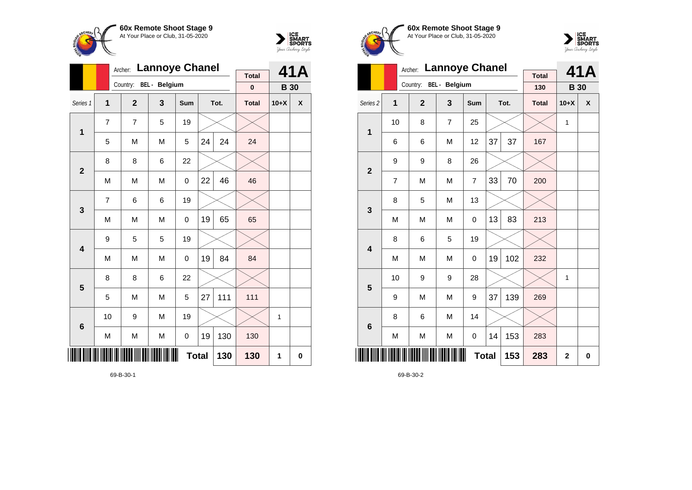



|                         |                | <b>Lannoye Chanel</b><br>Archer: |     | <b>Total</b> |    | 41A  |              |             |   |
|-------------------------|----------------|----------------------------------|-----|--------------|----|------|--------------|-------------|---|
|                         |                | Country: BEL - Belgium           |     |              |    |      | $\bf{0}$     | <b>B</b> 30 |   |
| Series 1                | $\mathbf{1}$   | $\mathbf{2}$                     | 3   | Sum          |    | Tot. | <b>Total</b> | $10+X$      | X |
| 1                       | $\overline{7}$ | $\overline{7}$                   | 5   | 19           |    |      |              |             |   |
|                         | 5              | M                                | M   | 5            | 24 | 24   | 24           |             |   |
| $\mathbf{2}$            | 8              | 8                                | 6   | 22           |    |      |              |             |   |
|                         | M              | M                                | M   | 0            | 22 | 46   | 46           |             |   |
| 3                       | $\overline{7}$ | 6                                | 6   | 19           |    |      |              |             |   |
|                         | M              | M                                | M   | 0            | 19 | 65   | 65           |             |   |
| $\overline{\mathbf{4}}$ | 9              | 5                                | 5   | 19           |    |      |              |             |   |
|                         | M              | M                                | M   | 0            | 19 | 84   | 84           |             |   |
| 5                       | 8              | 8                                | 6   | 22           |    |      |              |             |   |
|                         | 5              | M                                | M   | 5            | 27 | 111  | 111          |             |   |
| 6                       | 10             | 9                                | M   | 19           |    |      |              | 1           |   |
|                         | M              | M                                | М   | 0            | 19 | 130  | 130          |             |   |
| IIII                    |                |                                  | 130 | 130          | 1  | 0    |              |             |   |





|                         |                | Archer:        | <b>Lannoye Chanel</b> |                |     |                | 41A                 |             |   |
|-------------------------|----------------|----------------|-----------------------|----------------|-----|----------------|---------------------|-------------|---|
|                         |                | Country:       | BEL - Belgium         |                |     |                | <b>Total</b><br>130 | <b>B</b> 30 |   |
| Series <sub>2</sub>     | 1              | $\overline{2}$ | 3                     | Sum            |     | Tot.           | <b>Total</b>        | $10+X$      | X |
| 1                       | 10             | 8              | $\overline{7}$        | 25             |     |                |                     | 1           |   |
|                         | 6              | 6              | M                     | 12             | 37  | 37             | 167                 |             |   |
| $\mathbf{2}$            | 9              | 9              | 8                     | 26             |     |                |                     |             |   |
|                         | $\overline{7}$ | M              | M                     | $\overline{7}$ | 33  | 70             | 200                 |             |   |
| 3                       | 8              | 5              | M                     | 13             |     |                |                     |             |   |
|                         | M              | M              | M                     | 0              | 13  | 83             | 213                 |             |   |
| $\overline{\mathbf{4}}$ | 8              | 6              | 5                     | 19             |     |                |                     |             |   |
|                         | M              | M              | M                     | 0              | 19  | 102            | 232                 |             |   |
| 5                       | 10             | 9              | 9                     | 28             |     |                |                     | 1           |   |
|                         | 9              | M              | M                     | 9              | 37  | 139            | 269                 |             |   |
| $6\phantom{1}6$         | 8              | 6              | M                     | 14             |     |                |                     |             |   |
|                         | M              | M              | M                     | 0              | 14  | 153            | 283                 |             |   |
| ║║║                     |                |                |                       | 153            | 283 | $\overline{2}$ | $\mathbf 0$         |             |   |

69-B-30-2

69-B-30-1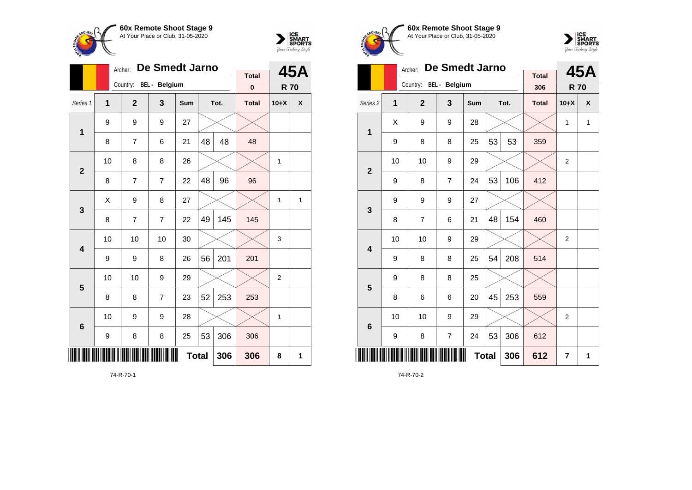



|                 |              | Archer:                | De Smedt Jarno          |              |    |      | 45A                      |                |   |
|-----------------|--------------|------------------------|-------------------------|--------------|----|------|--------------------------|----------------|---|
|                 |              | Country: BEL - Belgium |                         |              |    |      | <b>Total</b><br>$\bf{0}$ | <b>R70</b>     |   |
| Series 1        | $\mathbf{1}$ | $\overline{2}$         | $\overline{\mathbf{3}}$ | Sum          |    | Tot. | <b>Total</b>             | $10+X$         | X |
| 1               | 9            | 9                      | 9                       | 27           |    |      |                          |                |   |
|                 | 8            | 7                      | 6                       | 21           | 48 | 48   | 48                       |                |   |
| $\overline{2}$  | 10           | 8                      | 8                       | 26           |    |      |                          | 1              |   |
|                 | 8            | $\overline{7}$         | $\overline{7}$          | 22           | 48 | 96   | 96                       |                |   |
| 3               | X            | 9                      | 8                       | 27           |    |      |                          | $\mathbf{1}$   | 1 |
|                 | 8            | 7                      | $\overline{7}$          | 22           | 49 | 145  | 145                      |                |   |
| 4               | 10           | 10                     | 10                      | 30           |    |      |                          | 3              |   |
|                 | 9            | 9                      | 8                       | 26           | 56 | 201  | 201                      |                |   |
| 5               | 10           | 10                     | 9                       | 29           |    |      |                          | $\overline{2}$ |   |
|                 | 8            | 8                      | 7                       | 23           | 52 | 253  | 253                      |                |   |
| $6\phantom{1}6$ | 10           | 9                      | 9                       | 28           |    |      |                          | 1              |   |
|                 | 9            | 8                      | 8                       | 25           | 53 | 306  | 306                      |                |   |
| ║║║             |              |                        |                         | <b>Total</b> |    | 306  | 306                      | 8              | 1 |

74-R-70-1





|                         |    | De Smedt Jarno<br>Archer: |                         | <b>Total</b> |                | 45A  |              |                |              |
|-------------------------|----|---------------------------|-------------------------|--------------|----------------|------|--------------|----------------|--------------|
|                         |    | Country: BEL - Belgium    |                         |              |                |      | 306          | <b>R70</b>     |              |
| Series <sub>2</sub>     | 1  | $\overline{2}$            | $\overline{\mathbf{3}}$ | <b>Sum</b>   |                | Tot. | <b>Total</b> | $10+X$         | X            |
| 1                       | X  | 9                         | 9                       | 28           |                |      |              | $\mathbf{1}$   | $\mathbf{1}$ |
|                         | 9  | 8                         | 8                       | 25           | 53             | 53   | 359          |                |              |
| $\mathbf{2}$            | 10 | 10                        | 9                       | 29           |                |      |              | 2              |              |
|                         | 9  | 8                         | 7                       | 24           | 53             | 106  | 412          |                |              |
| 3                       | 9  | 9                         | 9                       | 27           |                |      |              |                |              |
|                         | 8  | $\overline{7}$            | 6                       | 21           | 48             | 154  | 460          |                |              |
| $\overline{\mathbf{4}}$ | 10 | 10                        | 9                       | 29           |                |      |              | $\overline{2}$ |              |
|                         | 9  | 8                         | 8                       | 25           | 54             | 208  | 514          |                |              |
| 5                       | 9  | 8                         | 8                       | 25           |                |      |              |                |              |
|                         | 8  | 6                         | 6                       | 20           | 45             | 253  | 559          |                |              |
| $6\phantom{1}6$         | 10 | 10                        | 9                       | 29           |                |      |              | $\overline{2}$ |              |
|                         | 9  | 8                         | $\overline{7}$          | 24           | 53             | 306  | 612          |                |              |
| II                      |    |                           | 306                     | 612          | $\overline{7}$ | 1    |              |                |              |

74-R-70-2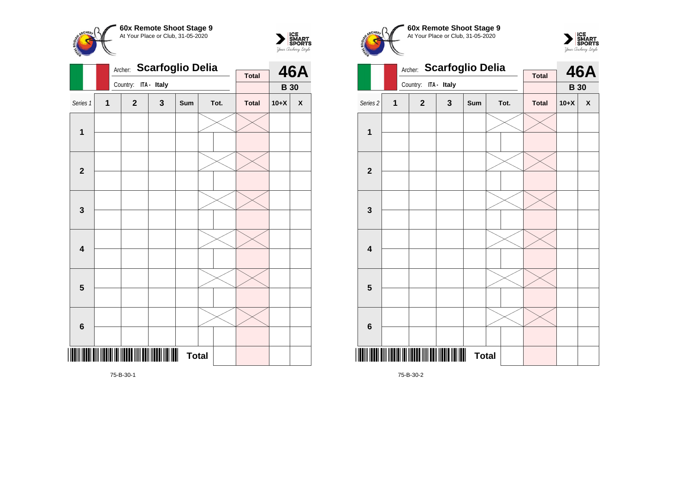



|                         |                | Archer: |              | <b>Scarfoglio Delia</b> |              |  |      | <b>46A</b>   |             |                    |
|-------------------------|----------------|---------|--------------|-------------------------|--------------|--|------|--------------|-------------|--------------------|
|                         |                |         | Country:     | ITA - Italy             |              |  |      | <b>Total</b> | <b>B</b> 30 |                    |
|                         |                |         |              |                         |              |  |      |              |             |                    |
| Series 1                | $\overline{1}$ |         | $\mathbf{2}$ | 3                       | Sum          |  | Tot. | <b>Total</b> | $10+X$      | $\pmb{\mathsf{X}}$ |
|                         |                |         |              |                         |              |  |      |              |             |                    |
| $\mathbf{1}$            |                |         |              |                         |              |  |      |              |             |                    |
|                         |                |         |              |                         |              |  |      |              |             |                    |
|                         |                |         |              |                         |              |  |      |              |             |                    |
| $\overline{2}$          |                |         |              |                         |              |  |      |              |             |                    |
|                         |                |         |              |                         |              |  |      |              |             |                    |
|                         |                |         |              |                         |              |  |      |              |             |                    |
| 3                       |                |         |              |                         |              |  |      |              |             |                    |
|                         |                |         |              |                         |              |  |      |              |             |                    |
|                         |                |         |              |                         |              |  |      |              |             |                    |
| $\overline{\mathbf{4}}$ |                |         |              |                         |              |  |      |              |             |                    |
|                         |                |         |              |                         |              |  |      |              |             |                    |
|                         |                |         |              |                         |              |  |      |              |             |                    |
| ${\bf 5}$               |                |         |              |                         |              |  |      |              |             |                    |
|                         |                |         |              |                         |              |  |      |              |             |                    |
|                         |                |         |              |                         |              |  |      |              |             |                    |
| $\bf 6$                 |                |         |              |                         |              |  |      |              |             |                    |
|                         |                |         |              |                         |              |  |      |              |             |                    |
|                         |                |         |              |                         | <b>Total</b> |  |      |              |             |                    |
|                         |                |         |              |                         |              |  |      |              |             |                    |

Archer: **Scarfoglio Delia** Country: **ITA - Italy 46A B 30 Total** Series 2 **1 2 3 Sum Tot. Total 10+X X 1 2 3 4 5**

**Total** 

**60x Remote Shoot Stage 9** At Your Place or Club, 31-05-2020

 $\sum_{\text{MART}}\left|\underset{\text{SPORTS}}{\text{SINART}}\right|$ 

75-B-30-1

75-B-30-2

\*75-B-30-2\*

**6**

**CHEPL**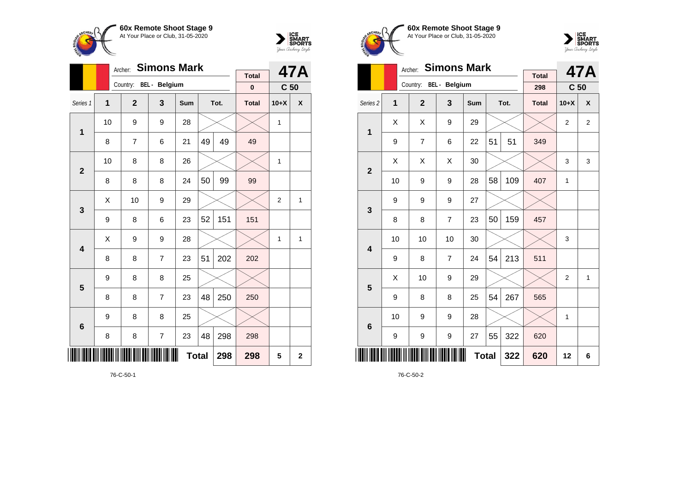



|                 |                | <b>Simons Mark</b><br>Archer: |                         |              |    | 47A  |                          |                 |             |
|-----------------|----------------|-------------------------------|-------------------------|--------------|----|------|--------------------------|-----------------|-------------|
|                 |                | Country: BEL - Belgium        |                         |              |    |      | <b>Total</b><br>$\bf{0}$ | C <sub>50</sub> |             |
|                 |                |                               |                         |              |    |      |                          |                 |             |
| Series 1        | $\overline{1}$ | $\mathbf{2}$                  | 3                       | Sum          |    | Tot. | <b>Total</b>             | $10+X$          | X           |
| 1               | 10             | 9                             | 9                       | 28           |    |      |                          | 1               |             |
|                 | 8              | 7                             | 6                       | 21           | 49 | 49   | 49                       |                 |             |
| $\overline{2}$  | 10             | 8                             | 8                       | 26           |    |      |                          | 1               |             |
|                 | 8              | 8                             | 8                       | 24           | 50 | 99   | 99                       |                 |             |
| 3               | Χ              | 10                            | 9                       | 29           |    |      |                          | $\overline{2}$  | 1           |
|                 | 9              | 8                             | 6                       | 23           | 52 | 151  | 151                      |                 |             |
| 4               | Χ              | 9                             | 9                       | 28           |    |      |                          | 1               | 1           |
|                 | 8              | 8                             | $\overline{7}$          | 23           | 51 | 202  | 202                      |                 |             |
| 5               | 9              | 8                             | 8                       | 25           |    |      |                          |                 |             |
|                 | 8              | 8                             | $\overline{7}$          | 23           | 48 | 250  | 250                      |                 |             |
| $6\phantom{1}6$ | 9              | 8                             | 8                       | 25           |    |      |                          |                 |             |
|                 | 8              | 8                             | $\overline{\mathbf{7}}$ | 23           | 48 | 298  | 298                      |                 |             |
| ║║              |                |                               |                         | <b>Total</b> |    | 298  | 298                      | 5               | $\mathbf 2$ |





|                         |    | <b>Simons Mark</b><br>Archer: |                |            |              | 47A  |              |                 |                |
|-------------------------|----|-------------------------------|----------------|------------|--------------|------|--------------|-----------------|----------------|
|                         |    | Country: BEL - Belgium        |                |            |              |      | <b>Total</b> |                 |                |
|                         |    |                               |                |            |              |      | 298          | C <sub>50</sub> |                |
| Series <sub>2</sub>     | 1  | $\overline{2}$                | 3              | <b>Sum</b> |              | Tot. | <b>Total</b> | $10+X$          | X              |
| 1                       | Χ  | X                             | 9              | 29         |              |      |              | $\overline{2}$  | $\overline{2}$ |
|                         | 9  | $\overline{7}$                | 6              | 22         | 51           | 51   | 349          |                 |                |
| $\overline{2}$          | Χ  | X                             | X              | 30         |              |      |              | 3               | 3              |
|                         | 10 | 9                             | 9              | 28         | 58           | 109  | 407          | 1               |                |
| 3                       | 9  | 9                             | 9              | 27         |              |      |              |                 |                |
|                         | 8  | 8                             | $\overline{7}$ | 23         | 50           | 159  | 457          |                 |                |
| $\overline{\mathbf{4}}$ | 10 | 10                            | 10             | 30         |              |      |              | 3               |                |
|                         | 9  | 8                             | $\overline{7}$ | 24         | 54           | 213  | 511          |                 |                |
| 5                       | Χ  | 10                            | 9              | 29         |              |      |              | $\overline{2}$  | $\mathbf{1}$   |
|                         | 9  | 8                             | 8              | 25         | 54           | 267  | 565          |                 |                |
| $6\phantom{1}6$         | 10 | 9                             | 9              | 28         |              |      |              | 1               |                |
|                         | 9  | 9                             | 9              | 27         | 55           | 322  | 620          |                 |                |
|                         |    |                               |                |            | <b>Total</b> | 322  | 620          | 12              | 6              |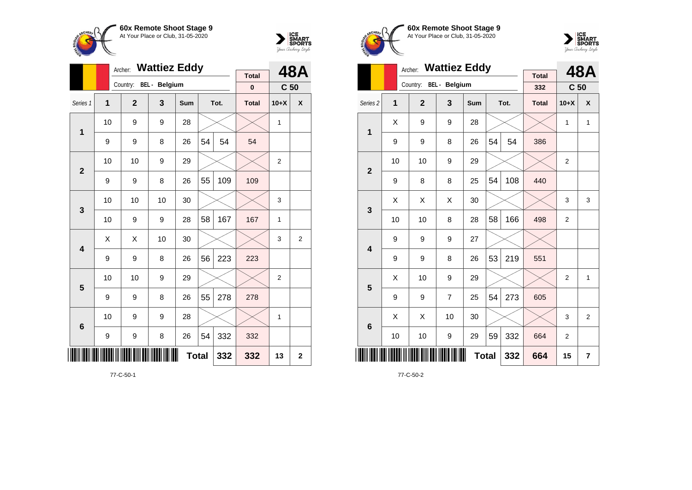



|                |                                | Archer:        | <b>Wattiez Eddy</b>  |            |    |              | <b>48A</b>   |                 |                |
|----------------|--------------------------------|----------------|----------------------|------------|----|--------------|--------------|-----------------|----------------|
|                |                                | Country:       | <b>BEL</b> - Belgium |            |    |              | <b>Total</b> |                 |                |
|                |                                |                |                      |            |    |              | 0            | C <sub>50</sub> |                |
| Series 1       | $\overline{1}$                 | $\overline{2}$ | 3                    | <b>Sum</b> |    | Tot.         | <b>Total</b> | $10+X$          | X              |
| $\mathbf 1$    | 10                             | 9              | 9                    | 28         |    |              |              | $\mathbf{1}$    |                |
|                | 9                              | 9              | 8                    | 26         | 54 | 54           | 54           |                 |                |
| $\overline{2}$ | 10                             | 10             | 9                    | 29         |    |              |              | $\overline{2}$  |                |
|                | 9                              | 9              | 8                    | 26         | 55 | 109          | 109          |                 |                |
| 3              | 10                             | 10             | 10                   | 30         |    |              |              | 3               |                |
|                | 10                             | 9              | 9                    | 28         | 58 | 167          | 167          | $\mathbf{1}$    |                |
| 4              | X                              | X              | 10                   | 30         |    |              |              | 3               | $\overline{2}$ |
|                | 9                              | 9              | 8                    | 26         | 56 | 223          | 223          |                 |                |
| 5              | 10                             | 10             | 9                    | 29         |    |              |              | $\overline{2}$  |                |
|                | 9                              | 9              | 8                    | 26         | 55 | 278          | 278          |                 |                |
| 6              | 10                             | 9              | 9                    | 28         |    |              |              | 1               |                |
|                | 332<br>8<br>54<br>9<br>9<br>26 |                |                      |            |    |              | 332          |                 |                |
| III            |                                |                | 332                  | 332        | 13 | $\mathbf{2}$ |              |                 |                |





|                         |    | <b>Wattiez Eddy</b><br>Archer: |                      |              |    | 48A  |                     |                 |                |
|-------------------------|----|--------------------------------|----------------------|--------------|----|------|---------------------|-----------------|----------------|
|                         |    | Country:                       | <b>BEL</b> - Belgium |              |    |      | <b>Total</b><br>332 | C <sub>50</sub> |                |
| Series <sub>2</sub>     | 1  | $\overline{2}$                 | 3                    | <b>Sum</b>   |    | Tot. | <b>Total</b>        | $10+X$          | X              |
| 1                       | X  | 9                              | 9                    | 28           |    |      |                     | 1               | $\mathbf{1}$   |
|                         | 9  | 9                              | 8                    | 26           | 54 | 54   | 386                 |                 |                |
| $\mathbf{2}$            | 10 | 10                             | 9                    | 29           |    |      |                     | $\overline{2}$  |                |
|                         | 9  | 8                              | 8                    | 25           | 54 | 108  | 440                 |                 |                |
| 3                       | X  | X                              | X                    | 30           |    |      |                     | 3               | 3              |
|                         | 10 | 10                             | 8                    | 28           | 58 | 166  | 498                 | $\overline{2}$  |                |
| $\overline{\mathbf{4}}$ | 9  | 9                              | 9                    | 27           |    |      |                     |                 |                |
|                         | 9  | 9                              | 8                    | 26           | 53 | 219  | 551                 |                 |                |
| 5                       | X  | 10                             | 9                    | 29           |    |      |                     | $\overline{2}$  | 1              |
|                         | 9  | 9                              | $\overline{7}$       | 25           | 54 | 273  | 605                 |                 |                |
| $6\phantom{1}6$         | X  | X                              | 10                   | 30           |    |      |                     | 3               | $\overline{2}$ |
|                         | 10 | 10                             | 9                    | 29           | 59 | 332  | 664                 | $\overline{2}$  |                |
|                         |    |                                |                      | <b>Total</b> |    | 332  | 664                 | 15              | 7              |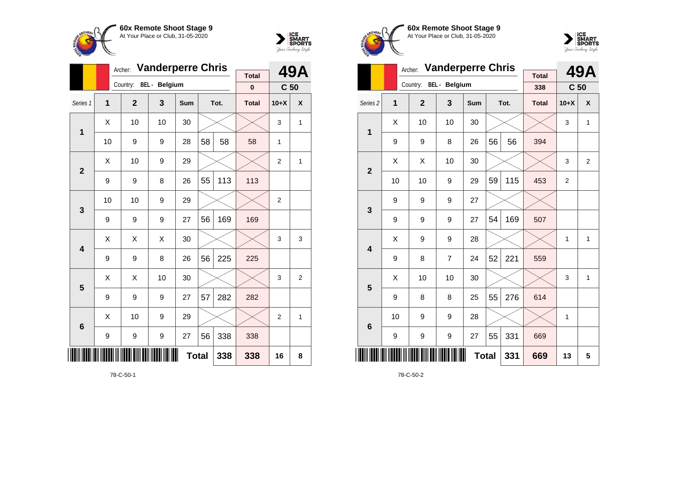



|                 |    | Archer:                | <b>Vanderperre Chris</b> | <b>Total</b> |    | 49A  |              |                 |                |
|-----------------|----|------------------------|--------------------------|--------------|----|------|--------------|-----------------|----------------|
|                 |    | Country: BEL - Belgium |                          |              |    |      | $\bf{0}$     | C <sub>50</sub> |                |
| Series 1        | 1  | $\mathbf{2}$           | 3                        | Sum          |    | Tot. | <b>Total</b> | $10+X$          | X              |
| 1               | X  | 10                     | 10                       | 30           |    |      |              | 3               | 1              |
|                 | 10 | 9                      | 9                        | 28           | 58 | 58   | 58           | 1               |                |
| $\overline{2}$  | X  | 10                     | 9                        | 29           |    |      |              | $\overline{2}$  | 1              |
|                 | 9  | 9                      | 8                        | 26           | 55 | 113  | 113          |                 |                |
| 3               | 10 | 10                     | 9                        | 29           |    |      |              | $\overline{2}$  |                |
|                 | 9  | 9                      | 9                        | 27           | 56 | 169  | 169          |                 |                |
| 4               | X  | X                      | X                        | 30           |    |      |              | 3               | 3              |
|                 | 9  | 9                      | 8                        | 26           | 56 | 225  | 225          |                 |                |
| 5               | X  | X                      | 10                       | 30           |    |      |              | 3               | $\overline{2}$ |
|                 | 9  | 9                      | 9                        | 27           | 57 | 282  | 282          |                 |                |
| $6\phantom{1}6$ | X  | 10                     | 9                        | 29           |    |      |              | $\overline{2}$  | 1              |
|                 | 9  | 9                      | 9                        | 27           | 56 | 338  | 338          |                 |                |
| ║║              |    |                        | 338                      | 338          | 16 | 8    |              |                 |                |





|                     |    | Archer:        | <b>Vanderperre Chris</b> |            |     |      | <b>49A</b>          |                 |                |
|---------------------|----|----------------|--------------------------|------------|-----|------|---------------------|-----------------|----------------|
|                     |    | Country:       | <b>BEL</b> - Belgium     |            |     |      | <b>Total</b><br>338 | C <sub>50</sub> |                |
| Series <sub>2</sub> | 1  | $\overline{2}$ | 3                        | <b>Sum</b> |     | Tot. | <b>Total</b>        | $10+X$          | X              |
| $\mathbf{1}$        | X  | 10             | 10                       | 30         |     |      |                     | 3               | 1              |
|                     | 9  | 9              | 8                        | 26         | 56  | 56   | 394                 |                 |                |
| $\overline{2}$      | X  | X              | 10                       | 30         |     |      |                     | 3               | $\overline{2}$ |
|                     | 10 | 10             | 9                        | 29         | 59  | 115  | 453                 | $\overline{2}$  |                |
| 3                   | 9  | 9              | 9                        | 27         |     |      |                     |                 |                |
|                     | 9  | 9              | 9                        | 27         | 54  | 169  | 507                 |                 |                |
| 4                   | X  | 9              | 9                        | 28         |     |      |                     | $\mathbf{1}$    | $\mathbf{1}$   |
|                     | 9  | 8              | $\overline{7}$           | 24         | 52  | 221  | 559                 |                 |                |
| 5                   | X  | 10             | 10                       | 30         |     |      |                     | 3               | $\mathbf{1}$   |
|                     | 9  | 8              | 8                        | 25         | 55  | 276  | 614                 |                 |                |
| 6                   | 10 | 9              | 9                        | 28         |     |      |                     | 1               |                |
|                     | 9  | 9              | 9                        | 27         | 55  | 331  | 669                 |                 |                |
| ∭                   |    |                |                          | 331        | 669 | 13   | 5                   |                 |                |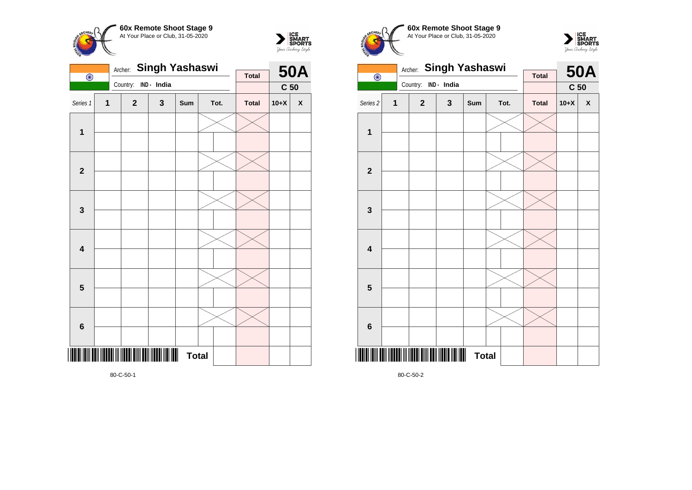



|                         |              | Archer:      | <b>Singh Yashaswi</b> |              |  |      | <b>50A</b>   |                 |                    |
|-------------------------|--------------|--------------|-----------------------|--------------|--|------|--------------|-----------------|--------------------|
| $\overline{\odot}$      |              | Country:     | IND - India           |              |  |      | <b>Total</b> |                 |                    |
|                         |              |              |                       |              |  |      |              | C <sub>50</sub> |                    |
| Series 1                | $\mathbf{1}$ | $\mathbf{2}$ | 3                     | Sum          |  | Tot. | <b>Total</b> | $10+X$          | $\pmb{\mathsf{X}}$ |
| 1                       |              |              |                       |              |  |      |              |                 |                    |
|                         |              |              |                       |              |  |      |              |                 |                    |
| $\mathbf{2}$            |              |              |                       |              |  |      |              |                 |                    |
|                         |              |              |                       |              |  |      |              |                 |                    |
| $\mathbf{3}$            |              |              |                       |              |  |      |              |                 |                    |
|                         |              |              |                       |              |  |      |              |                 |                    |
| $\overline{\mathbf{4}}$ |              |              |                       |              |  |      |              |                 |                    |
|                         |              |              |                       |              |  |      |              |                 |                    |
| 5                       |              |              |                       |              |  |      |              |                 |                    |
|                         |              |              |                       |              |  |      |              |                 |                    |
| $\boldsymbol{6}$        |              |              |                       |              |  |      |              |                 |                    |
|                         |              |              |                       |              |  |      |              |                 |                    |
| IIII                    |              |              |                       | <b>Total</b> |  |      |              |                 |                    |
|                         |              |              |                       |              |  |      |              |                 |                    |

**60x Remote Shoot Stage 9** CHEOL At Your Place or Club, 31-05-2020 Archer: **Singh Yashaswi** Country: **IND - India**





80-C-50-2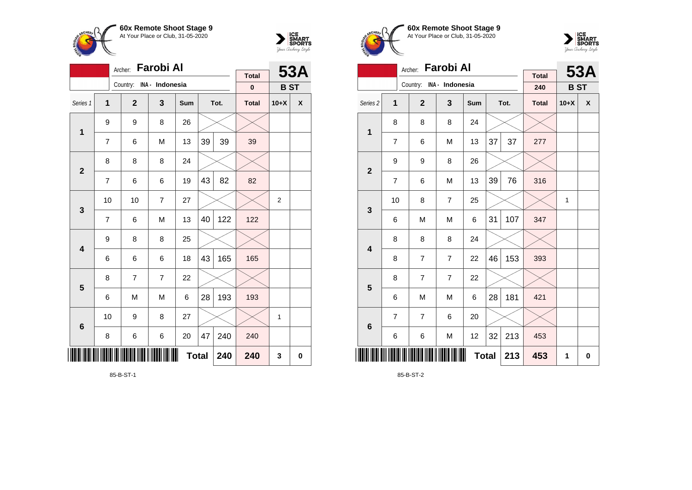



|                 |                     | Farobi Al<br>Archer: |                         |     |    | 53A  |              |                  |                    |
|-----------------|---------------------|----------------------|-------------------------|-----|----|------|--------------|------------------|--------------------|
|                 |                     | Country:             | INA - Indonesia         |     |    |      | <b>Total</b> |                  |                    |
|                 |                     |                      |                         |     |    |      | $\bf{0}$     | <b>BST</b>       |                    |
| Series 1        | $\overline{1}$      | $\overline{2}$       | $\overline{\mathbf{3}}$ | Sum |    | Tot. | <b>Total</b> | $10+X$           | $\pmb{\mathsf{X}}$ |
| $\mathbf 1$     | 9                   | 9                    | 8                       | 26  |    |      |              |                  |                    |
|                 | $\overline{7}$      | 6                    | M                       | 13  | 39 | 39   | 39           |                  |                    |
| $\overline{2}$  | 8                   | 8                    |                         |     |    |      |              |                  |                    |
|                 | 7                   | 6                    | 82                      | 82  |    |      |              |                  |                    |
| $\mathbf 3$     | 10                  | 10                   | $\overline{7}$          | 27  |    |      |              | $\boldsymbol{2}$ |                    |
|                 | $\overline{7}$      | 6                    | M                       | 13  | 40 | 122  | 122          |                  |                    |
| 4               | 9                   | 8                    | 8                       | 25  |    |      |              |                  |                    |
|                 | 6                   | 6                    | 6                       | 18  | 43 | 165  | 165          |                  |                    |
| 5               | 8                   | 7                    | $\overline{7}$          | 22  |    |      |              |                  |                    |
|                 | 6                   | M                    | M                       | 6   | 28 | 193  | 193          |                  |                    |
| $6\phantom{1}6$ | 27<br>10<br>9<br>8  |                      |                         |     |    |      |              | 1                |                    |
|                 | 8                   | 6                    | 6                       | 20  | 47 | 240  | 240          |                  |                    |
| IIII            | <b>Total</b><br>240 |                      |                         |     |    |      |              | 3                | 0                  |

85-B-ST-1





|                         |                | <b>Farobi Al</b><br>Archer: |                |     |     | <b>53A</b> |                     |            |   |
|-------------------------|----------------|-----------------------------|----------------|-----|-----|------------|---------------------|------------|---|
|                         |                | Country: INA - Indonesia    |                |     |     |            | <b>Total</b><br>240 | <b>BST</b> |   |
| Series 2                | 1              | $\overline{2}$              | 3              | Sum |     | Tot.       | <b>Total</b>        | $10+X$     | X |
| $\mathbf 1$             | 8              | 8                           | 8              | 24  |     |            |                     |            |   |
|                         | $\overline{7}$ | 6                           | M              | 13  | 37  | 37         | 277                 |            |   |
| $\mathbf{2}$            | 9              | 9                           | 8              | 26  |     |            |                     |            |   |
|                         | $\overline{7}$ | 6                           | M              | 13  | 39  | 76         | 316                 |            |   |
| 3                       | 10             | 8                           | $\overline{7}$ | 25  |     |            |                     | 1          |   |
|                         | 6              | M                           | M              | 6   | 31  | 107        | 347                 |            |   |
| $\overline{\mathbf{4}}$ | 8              | 8                           | 8              | 24  |     |            |                     |            |   |
|                         | 8              | $\overline{7}$              | $\overline{7}$ | 22  | 46  | 153        | 393                 |            |   |
| 5                       | 8              | $\overline{7}$              | $\overline{7}$ | 22  |     |            |                     |            |   |
|                         | 6              | M                           | M              | 6   | 28  | 181        | 421                 |            |   |
| $6\phantom{1}6$         | 7              | 7                           | 6              | 20  |     |            |                     |            |   |
|                         | 6              | 6                           | M              | 12  | 32  | 213        | 453                 |            |   |
| ║║║                     |                |                             |                | 213 | 453 | 1          | $\mathbf 0$         |            |   |

85-B-ST-2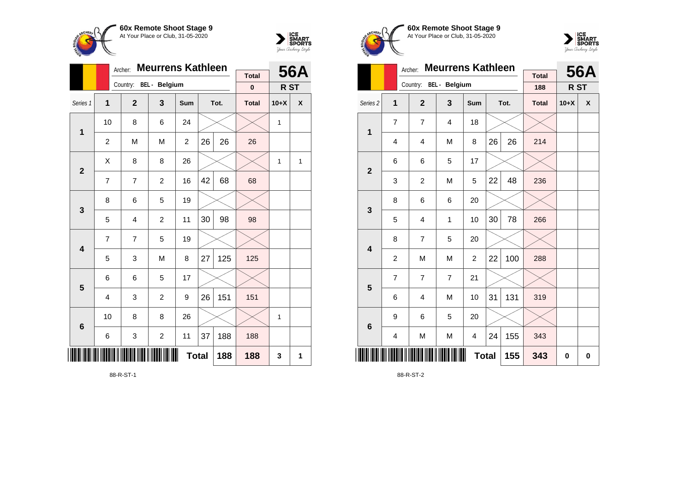



|                         |                | Archer:                | <b>Meurrens Kathleen</b> |                |    |      | <b>56A</b>   |        |   |
|-------------------------|----------------|------------------------|--------------------------|----------------|----|------|--------------|--------|---|
|                         |                | Country: BEL - Belgium |                          |                |    |      | <b>Total</b> |        |   |
|                         |                |                        |                          |                |    |      | $\bf{0}$     | R ST   |   |
| Series 1                | $\overline{1}$ | $\mathbf{2}$           | 3                        | Sum            |    | Tot. | <b>Total</b> | $10+X$ | X |
| $\mathbf{1}$            | 10             | 8                      | 6                        | 24             |    |      |              | 1      |   |
|                         | $\overline{c}$ | M                      | M                        | $\overline{c}$ | 26 | 26   | 26           |        |   |
| $\overline{2}$          | X              | 8                      | 8                        | 26             |    |      |              | 1      | 1 |
|                         | 7              | $\overline{7}$         | $\overline{2}$           | 16             | 42 | 68   | 68           |        |   |
| 3                       | 8              | 6                      | 5                        | 19             |    |      |              |        |   |
|                         | 5              | 4                      | $\overline{c}$           | 11             | 30 | 98   | 98           |        |   |
| $\overline{\mathbf{4}}$ | $\overline{7}$ | $\overline{7}$         | 5                        | 19             |    |      |              |        |   |
|                         | 5              | 3                      | M                        | 8              | 27 | 125  | 125          |        |   |
| 5                       | 6              | 6                      | 5                        | 17             |    |      |              |        |   |
|                         | $\overline{4}$ | 3                      | $\overline{c}$           | 9              | 26 | 151  | 151          |        |   |
| $6\phantom{1}6$         | 10             | 8                      | 8                        | 26             |    |      |              | 1      |   |
|                         | 6              | 3                      | $\overline{\mathbf{c}}$  | 11             | 37 | 188  | 188          |        |   |
| IIII                    |                |                        |                          | <b>Total</b>   |    | 188  | 188          | 3      | 1 |

88-R-ST-1





|                         |                | Archer:                | <b>Meurrens Kathleen</b> |                |              |      | <b>56A</b>          |        |   |
|-------------------------|----------------|------------------------|--------------------------|----------------|--------------|------|---------------------|--------|---|
|                         |                | Country: BEL - Belgium |                          |                |              |      | <b>Total</b><br>188 | R ST   |   |
| Series <sub>2</sub>     | 1              | $\overline{2}$         | 3                        | Sum            |              | Tot. | <b>Total</b>        | $10+X$ | X |
| $\mathbf 1$             | $\overline{7}$ | $\overline{7}$         | 4                        | 18             |              |      |                     |        |   |
|                         | 4              | $\overline{4}$         | M                        | 8              | 26           | 26   | 214                 |        |   |
| $\overline{2}$          | 6              | 6                      | 5                        | 17             |              |      |                     |        |   |
|                         | 3              | $\overline{c}$         | M                        | 5              | 22           | 48   | 236                 |        |   |
| 3                       | 8              | 6                      | 6                        | 20             |              |      |                     |        |   |
|                         | 5              | $\overline{4}$         | 1                        | 10             | 30           | 78   | 266                 |        |   |
| $\overline{\mathbf{4}}$ | 8              | 7                      | 5                        | 20             |              |      |                     |        |   |
|                         | $\overline{c}$ | M                      | M                        | $\overline{c}$ | 22           | 100  | 288                 |        |   |
| 5                       | 7              | $\overline{7}$         | $\overline{7}$           | 21             |              |      |                     |        |   |
|                         | 6              | $\overline{4}$         | M                        | 10             | 31           | 131  | 319                 |        |   |
| $6\phantom{1}6$         | 9              | 6                      | 5                        | 20             |              |      |                     |        |   |
|                         | 4              | M                      | M                        | 4              | 24           | 155  | 343                 |        |   |
| ║║║                     |                |                        |                          |                | <b>Total</b> | 155  | 343                 | 0      | 0 |

88-R-ST-2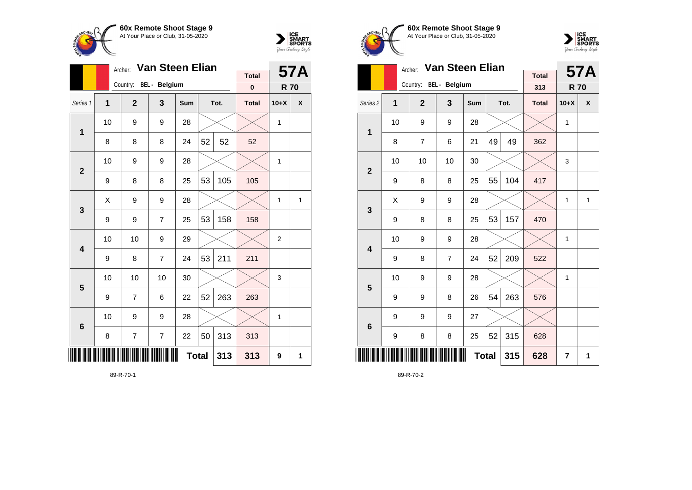

Country: **BEL - Belgium**

**1**

**2**

**3**

**4**

**5**

**6**

Archer: **Van Steen Elian**

Series 1 **1 2 3 Sum Tot. Total 10+X X**

8 | 8 | 8 | 24 | $52$  |  $52$  |  $52$ 

 $9 \mid 8 \mid 8 \mid 25 \mid 53 \mid 105 \mid 105$ 

 $9 \mid 9 \mid 7 \mid 25 \mid 53 \mid 158 \mid 158$ 

9 | 8 | 7 | 24 | $53$  | 211 | 211

9 | 7 | 6 | 22 | $52$  | 263 | 263

 $8$  |  $7$  |  $7$  |  $22$  |  $50$  |  $313$  |  $313$ 

10 | 10 | 9 | 29 |  $\times$  |  $\times$  | 2

10 | 10 | 10 | 30 |  $\times$  |  $\times$  | 3

10 | 9 | 9 | 28 |  $\times$  |  $\times$  | 1

**Total 313 313 9 1**

10  $\mid$  9  $\mid$  9  $\mid$  28  $\mid$   $\times$   $\mid$   $\times$   $\mid$  1

10 | 9 | 9 | 28 |  $\times$  |  $\times$  | 1

 $\textsf{X} \hspace{0.2cm} \vert \hspace{0.2cm} 9 \hspace{0.2cm} \vert \hspace{0.2cm} 9 \hspace{0.2cm} \vert \hspace{0.2cm} 28 \hspace{0.2cm} \vert \hspace{0.2cm} \times \hspace{0.2cm} \vert \hspace{0.2cm} \times \hspace{0.2cm} \vert \hspace{0.2cm} 1 \hspace{0.2cm} \vert \hspace{0.2cm} 1 \hspace{0.2cm} \vert \hspace{0.2cm} 1$ 



**57A**

**R 70**

**Total 0**





|                     |    | Archer:                | <b>Van Steen Elian</b> |            | <b>Total</b> |      | <b>57A</b>   |                |              |
|---------------------|----|------------------------|------------------------|------------|--------------|------|--------------|----------------|--------------|
|                     |    | Country: BEL - Belgium |                        |            |              |      | 313          | <b>R70</b>     |              |
| Series <sub>2</sub> | 1  | $\overline{2}$         | 3                      | <b>Sum</b> |              | Tot. | <b>Total</b> | $10+X$         | X            |
| 1                   | 10 | 9                      | 9                      | 28         |              |      |              | 1              |              |
|                     | 8  | $\overline{7}$         | 6                      | 21         | 49           | 49   | 362          |                |              |
| $\overline{2}$      | 10 | 10                     | 10                     | 30         |              |      |              | 3              |              |
|                     | 9  | 8                      | 8                      | 25         | 55           | 104  | 417          |                |              |
| 3                   | X  | 9                      | 9                      | 28         |              |      |              | 1              | $\mathbf{1}$ |
|                     | 9  | 8                      | 8                      | 25         | 53           | 157  | 470          |                |              |
| 4                   | 10 | 9                      | 9                      | 28         |              |      |              | 1              |              |
|                     | 9  | 8                      | $\overline{7}$         | 24         | 52           | 209  | 522          |                |              |
| 5                   | 10 | 9                      | 9                      | 28         |              |      |              | 1              |              |
|                     | 9  | 9                      | 8                      | 26         | 54           | 263  | 576          |                |              |
| $6\phantom{1}6$     | 9  | 9                      | 9                      | 27         |              |      |              |                |              |
|                     | 9  | 8                      | 8                      | 25         | 52           | 315  | 628          |                |              |
| II                  |    |                        |                        |            | <b>Total</b> | 315  | 628          | $\overline{7}$ | 1            |

89-R-70-2

89-R-70-1

\*89-R-70-1\*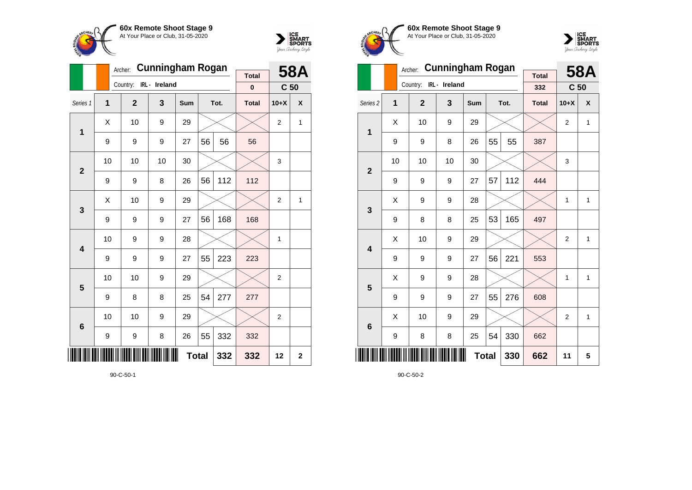

Country: **IRL - Ireland**

**1**

**2**

**3**

**4**

**5**

**6**

Archer: **Cunningham Rogan**

Series 1 **1 2 3 Sum Tot. Total 10+X X**

9 | 9 | 9 | 27 | 56 | 56 | 56

 $9 \mid 9 \mid 8 \mid 26 \mid 56 \mid 112 \mid 112$ 

 $9 \mid 9 \mid 9 \mid 27 \mid 56 \mid 168 \mid 168$ 

9 | 9 | 9 | 27 | $55$  | 223 | 223

9 | 8 | 8 | 25 | $54$  | 277 | 277

 $9$  9 8 26 55 332 332

10 | 9 | 9 | 28 |  $\times$  |  $\times$  | 1

10 | 10 | 9 | 29 |  $\times$  |  $\times$  | 2

10 | 10 | 9 | 29 |  $\times$  |  $\times$  | 2

**Total 332 332 12 2**

10 | 10 | 10 | 30 |  $\times$  |  $\times$  | 3

 $\textsf{X}$  | 10 | 9 | 29 |  $\times$  |  $\times$  | 2 | 1

 $\textsf{X}$  | 10 | 9 | 29 |  $\times$  |  $\times$  | 2 | 1



**58A C 50**

**Total 0**





|                     |    | Archer:        | <b>Cunningham Rogan</b> |     | <b>Total</b> |      | <b>58A</b>   |                 |              |
|---------------------|----|----------------|-------------------------|-----|--------------|------|--------------|-----------------|--------------|
|                     |    | Country:       | IRL - Ireland           |     |              |      | 332          | C <sub>50</sub> |              |
| Series <sub>2</sub> | 1  | $\overline{2}$ | 3                       | Sum |              | Tot. | <b>Total</b> | $10+X$          | X            |
| 1                   | X  | 10             | 9                       | 29  |              |      |              | $\overline{2}$  | 1            |
|                     | 9  | 9              | 8                       | 26  | 55           | 55   | 387          |                 |              |
| $\overline{2}$      | 10 | 10             | 10                      | 30  |              |      |              | 3               |              |
|                     | 9  | 9              | 9                       | 27  | 57           | 112  | 444          |                 |              |
| 3                   | X  | 9              | 9                       | 28  |              |      |              | 1               | 1            |
|                     | 9  | 8              | 8                       | 25  | 53           | 165  | 497          |                 |              |
| 4                   | Χ  | 10             | 9                       | 29  |              |      |              | $\overline{2}$  | 1            |
|                     | 9  | 9              | 9                       | 27  | 56           | 221  | 553          |                 |              |
| 5                   | Χ  | 9              | 9                       | 28  |              |      |              | 1               | $\mathbf{1}$ |
|                     | 9  | 9              | 9                       | 27  | 55           | 276  | 608          |                 |              |
| 6                   | X  | 10             | 9                       | 29  |              |      |              | $\overline{2}$  | 1            |
|                     | 9  | 8              | 8                       | 25  | 54           | 330  | 662          |                 |              |
|                     |    |                |                         |     | <b>Total</b> | 330  | 662          | 11              | 5            |

90-C-50-2

90-C-50-1

<u>\*10010-1011-10111 | 100010 | 1111 | 1011 | 1011 | 1011 | 1011 | 1011 | 1011 | 1011 | 1011 | 1011 | 1011 | 101</u>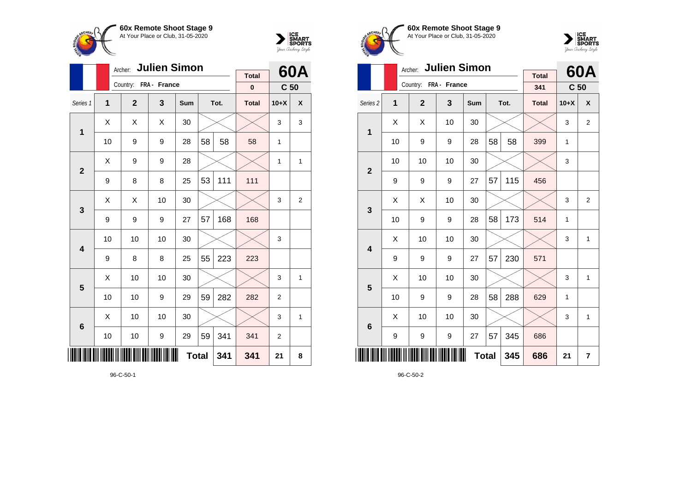



|                 |    | Archer: Julien Simon  |    |              |    |      | 60A          |                 |                |
|-----------------|----|-----------------------|----|--------------|----|------|--------------|-----------------|----------------|
|                 |    | Country: FRA - France |    |              |    |      | <b>Total</b> |                 |                |
|                 |    |                       |    |              |    |      | $\pmb{0}$    | C <sub>50</sub> |                |
| Series 1        | 1  | $\mathbf{2}$          | 3  | Sum          |    | Tot. | <b>Total</b> | $10+X$          | X              |
| 1               | Χ  | Χ                     | X  | 30           |    |      |              | 3               | 3              |
|                 | 10 | 9                     | 9  | 28           | 58 | 58   | 58           | 1               |                |
| $\overline{2}$  | X  | 9                     | 9  | 28           |    |      |              | 1               | 1              |
|                 | 9  | 8                     | 8  | 25           | 53 | 111  | 111          |                 |                |
| 3               | Χ  | X                     | 10 | 30           |    |      |              | 3               | $\overline{2}$ |
|                 | 9  | 9                     | 9  | 27           | 57 | 168  | 168          |                 |                |
| 4               | 10 | 10                    | 10 | 30           |    |      |              | 3               |                |
|                 | 9  | 8                     | 8  | 25           | 55 | 223  | 223          |                 |                |
| 5               | Χ  | 10                    | 10 | 30           |    |      |              | 3               | 1              |
|                 | 10 | 10                    | 9  | 29           | 59 | 282  | 282          | $\overline{2}$  |                |
| $6\phantom{1}6$ | X  | 10                    | 10 | 30           |    |      |              | 3               | 1              |
|                 | 10 | 10                    | 9  | 29           | 59 | 341  | 341          | 2               |                |
| ║║║             |    |                       |    | <b>Total</b> |    | 341  | 341          | 21              | 8              |





|                         |    | Archer:               | <b>Julien Simon</b> |     | <b>Total</b> |      | 60A          |                 |                |
|-------------------------|----|-----------------------|---------------------|-----|--------------|------|--------------|-----------------|----------------|
|                         |    | Country: FRA - France |                     |     |              |      | 341          | C <sub>50</sub> |                |
| Series <sub>2</sub>     | 1  | $\mathbf{2}$          | 3                   | Sum |              | Tot. | <b>Total</b> | $10+X$          | X              |
|                         | Χ  | Χ                     | 10                  | 30  |              |      |              | 3               | $\overline{2}$ |
| 1                       | 10 | 9                     | 9                   | 28  | 58           | 58   | 399          | 1               |                |
| $\overline{2}$          | 10 | 10                    | 10                  | 30  |              |      |              | 3               |                |
|                         | 9  | 9                     | 9                   | 27  | 57           | 115  | 456          |                 |                |
| 3                       | X  | Χ                     | 10                  | 30  |              |      |              | 3               | $\overline{2}$ |
|                         | 10 | 9                     | 9                   | 28  | 58           | 173  | 514          | 1               |                |
| $\overline{\mathbf{4}}$ | Χ  | 10                    | 10                  | 30  |              |      |              | 3               | 1              |
|                         | 9  | 9                     | 9                   | 27  | 57           | 230  | 571          |                 |                |
| 5                       | X  | 10                    | 10                  | 30  |              |      |              | 3               | 1              |
|                         | 10 | 9                     | 9                   | 28  | 58           | 288  | 629          | 1               |                |
| $6\phantom{1}6$         | X  | 10                    | 10                  | 30  |              |      |              | 3               | $\mathbf{1}$   |
|                         | 9  | 9                     | $\boldsymbol{9}$    | 27  | 57           | 345  | 686          |                 |                |
|                         |    |                       |                     |     | <b>Total</b> | 345  | 686          | 21              | 7              |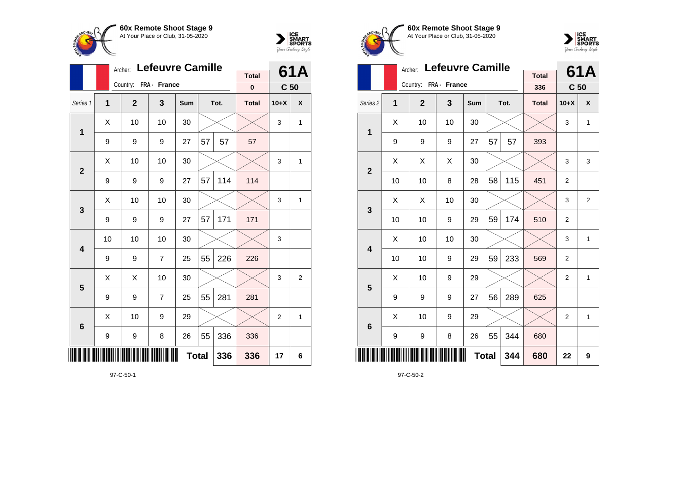



|                 |    | Archer:               | <b>Lefeuvre Camille</b> |              |    |      | 61A          |                 |   |
|-----------------|----|-----------------------|-------------------------|--------------|----|------|--------------|-----------------|---|
|                 |    | Country: FRA - France |                         |              |    |      | <b>Total</b> |                 |   |
|                 |    |                       |                         |              |    |      | $\bf{0}$     | C <sub>50</sub> |   |
| Series 1        | 1  | $\overline{2}$        | 3                       | Sum          |    | Tot. | <b>Total</b> | $10+X$          | X |
| 1               | Χ  | 10                    | 10                      | 30           |    |      |              | 3               | 1 |
|                 | 9  | 9                     | 9                       | 27           | 57 | 57   | 57           |                 |   |
| $\overline{2}$  | X  | 10                    | 10                      | 30           |    |      |              | 3               | 1 |
|                 | 9  | 9                     | 9                       | 27           | 57 | 114  | 114          |                 |   |
| 3               | Χ  | 10                    | 10                      | 30           |    |      |              | 3               | 1 |
|                 | 9  | 9                     | 9                       | 27           | 57 | 171  | 171          |                 |   |
| 4               | 10 | 10                    | 10                      | 30           |    |      |              | 3               |   |
|                 | 9  | 9                     | $\overline{7}$          | 25           | 55 | 226  | 226          |                 |   |
| 5               | Χ  | X                     | 10                      | 30           |    |      |              | 3               | 2 |
|                 | 9  | 9                     | $\overline{7}$          | 25           | 55 | 281  | 281          |                 |   |
| $6\phantom{1}6$ | X  | 10                    | 9                       | 29           |    |      |              | $\overline{2}$  | 1 |
|                 | 9  | 9                     | 8                       | 26           | 55 | 336  | 336          |                 |   |
| ║║║             |    |                       |                         | <b>Total</b> |    | 336  | 336          | 17              | 6 |





|                         |    | Archer:               | <b>Lefeuvre Camille</b> |     |              |      | 61A                 |                 |                |
|-------------------------|----|-----------------------|-------------------------|-----|--------------|------|---------------------|-----------------|----------------|
|                         |    | Country: FRA - France |                         |     |              |      | <b>Total</b><br>336 | C <sub>50</sub> |                |
| Series <sub>2</sub>     | 1  | $\mathbf{2}$          | 3                       | Sum |              | Tot. | <b>Total</b>        | $10+X$          | X              |
| 1                       | х  | 10                    | 10                      | 30  |              |      |                     | 3               | $\mathbf{1}$   |
|                         | 9  | 9                     | 9                       | 27  | 57           | 57   | 393                 |                 |                |
| $\overline{\mathbf{2}}$ | X  | X                     | X                       | 30  |              |      |                     | 3               | 3              |
|                         | 10 | 10                    | 8                       | 28  | 58           | 115  | 451                 | $\overline{2}$  |                |
| 3                       | X  | X                     | 10                      | 30  |              |      |                     | 3               | $\overline{2}$ |
|                         | 10 | 10                    | 9                       | 29  | 59           | 174  | 510                 | $\overline{2}$  |                |
| $\overline{\mathbf{4}}$ | X  | 10                    | 10                      | 30  |              |      |                     | 3               | $\mathbf{1}$   |
|                         | 10 | 10                    | 9                       | 29  | 59           | 233  | 569                 | $\overline{2}$  |                |
| 5                       | X  | 10                    | 9                       | 29  |              |      |                     | $\overline{2}$  | $\mathbf{1}$   |
|                         | 9  | 9                     | 9                       | 27  | 56           | 289  | 625                 |                 |                |
| 6                       | X  | 10                    | 9                       | 29  |              |      |                     | $\overline{2}$  | $\mathbf{1}$   |
|                         | 9  | 9                     | 8                       | 26  | 55           | 344  | 680                 |                 |                |
|                         |    |                       |                         |     | <b>Total</b> | 344  | 680                 | 22              | 9              |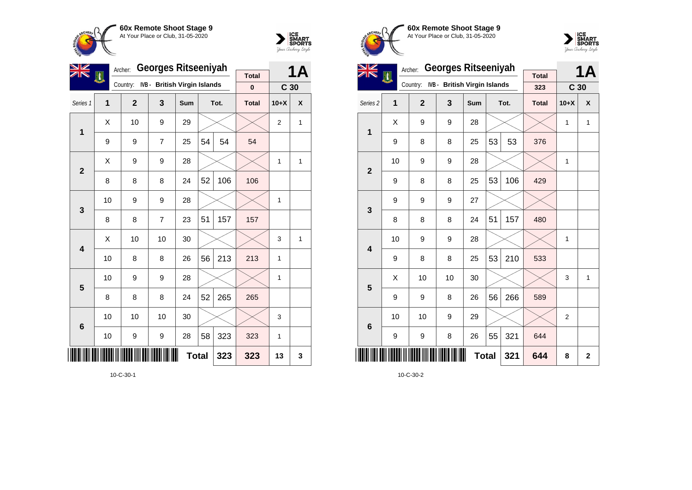



|                |     | Archer:        | <b>Georges Ritseeniyah</b>   |     |              |      | 1Α           |                 |              |
|----------------|-----|----------------|------------------------------|-----|--------------|------|--------------|-----------------|--------------|
|                | EN, | Country:       | IVB - British Virgin Islands |     |              |      | <b>Total</b> |                 |              |
|                |     |                |                              |     |              |      | $\bf{0}$     | C <sub>30</sub> |              |
| Series 1       | 1   | $\overline{2}$ | 3                            | Sum |              | Tot. | <b>Total</b> | $10+X$          | X            |
| $\mathbf 1$    | X   | 10             | 9                            | 29  |              |      |              | $\overline{2}$  | $\mathbf{1}$ |
|                | 9   | 9              | 7                            | 25  | 54           | 54   | 54           |                 |              |
| $\overline{2}$ | X   | 9              | 9                            | 28  |              |      |              | 1               | 1            |
|                | 8   | 8              | 8                            | 24  | 52           | 106  | 106          |                 |              |
| 3              | 10  | 9              | 9                            | 28  |              |      |              | 1               |              |
|                | 8   | 8              | $\overline{7}$               | 23  | 51           | 157  | 157          |                 |              |
| 4              | X   | 10             | 10                           | 30  |              |      |              | 3               | 1            |
|                | 10  | 8              | 8                            | 26  | 56           | 213  | 213          | 1               |              |
| 5              | 10  | 9              | 9                            | 28  |              |      |              | 1               |              |
|                | 8   | 8              | 8                            | 24  | 52           | 265  | 265          |                 |              |
| 6              | 10  | 10             | 10                           | 30  |              |      |              | 3               |              |
|                | 10  | 9              | 9                            | 28  | 58           | 323  | 323          | $\mathbf{1}$    |              |
|                |     |                |                              |     | <b>Total</b> | 323  | 323          | 13              | 3            |

10-C-30-1





| VZ                      |                | Archer:        | <b>Georges Ritseeniyah</b>   |            |              |      | <b>1A</b>    |                 |             |
|-------------------------|----------------|----------------|------------------------------|------------|--------------|------|--------------|-----------------|-------------|
| ZIN                     | 興              | Country:       | IVB - British Virgin Islands |            |              |      | <b>Total</b> |                 |             |
|                         |                |                |                              |            |              |      | 323          | C <sub>30</sub> |             |
| Series 2                | $\overline{1}$ | $\overline{2}$ | 3                            | <b>Sum</b> |              | Tot. | <b>Total</b> | $10+X$          | X           |
| 1                       | X              | 9              | 9                            | 28         |              |      |              | $\mathbf{1}$    | 1           |
|                         | 9              | 8              | 8                            | 25         | 53           | 53   | 376          |                 |             |
| $\overline{2}$          | 10             | 9              | 9                            | 28         |              |      |              | 1               |             |
|                         | 9              | 8              | 8                            | 25         | 53           | 106  | 429          |                 |             |
| 3                       | 9              | 9              | 9                            | 27         |              |      |              |                 |             |
|                         | 8              | 8              | 8                            | 24         | 51           | 157  | 480          |                 |             |
| $\overline{\mathbf{4}}$ | 10             | 9              | 9                            | 28         |              |      |              | 1               |             |
|                         | 9              | 8              | 8                            | 25         | 53           | 210  | 533          |                 |             |
| 5                       | Χ              | 10             | 10                           | 30         |              |      |              | 3               | 1           |
|                         | 9              | 9              | 8                            | 26         | 56           | 266  | 589          |                 |             |
| $6\phantom{1}6$         | 10             | 10             | 9                            | 29         |              |      |              | $\overline{2}$  |             |
|                         | 9              | 9              | 8                            | 26         | 55           | 321  | 644          |                 |             |
|                         |                |                |                              |            | <b>Total</b> | 321  | 644          | 8               | $\mathbf 2$ |

10-C-30-2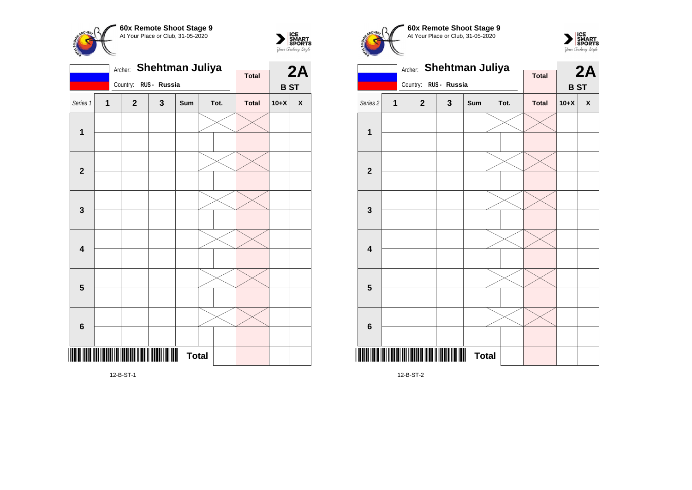



|                         | Shehtman Juliya<br>Archer: |          |                                              |              |              |  |      |              |            | 2A                 |
|-------------------------|----------------------------|----------|----------------------------------------------|--------------|--------------|--|------|--------------|------------|--------------------|
|                         |                            |          |                                              |              |              |  |      | <b>Total</b> |            |                    |
|                         |                            | Country: |                                              | RUS - Russia |              |  |      |              | <b>BST</b> |                    |
| Series 1                | 1                          |          | $\mathbf{2}$                                 | 3            | Sum          |  | Tot. | <b>Total</b> | $10+X$     | $\pmb{\mathsf{X}}$ |
| $\mathbf{1}$            |                            |          |                                              |              |              |  |      |              |            |                    |
| $\mathbf{2}$            |                            |          |                                              |              |              |  |      |              |            |                    |
| $\mathbf 3$             |                            |          |                                              |              |              |  |      |              |            |                    |
| $\overline{\mathbf{4}}$ |                            |          |                                              |              |              |  |      |              |            |                    |
| $\overline{\mathbf{5}}$ |                            |          |                                              |              |              |  |      |              |            |                    |
| $\bf 6$                 |                            |          |                                              |              |              |  |      |              |            |                    |
|                         |                            |          | III IIII IIITIII III IIITII IIITI IIITII III |              | <b>Total</b> |  |      |              |            |                    |

Archer: **Shehtman Juliya** Country: **RUS - Russia 2A B ST Total** Series 2 **1 2 3 Sum Tot. Total 10+X X 1 2 3 4 5**

**60x Remote Shoot Stage 9** At Your Place or Club, 31-05-2020

 $\sum_{\text{Jour }\text{Cuchy}\text{/}str} \begin{matrix} \text{ICE} \\ \text{SDORTS} \\ \text{SPORTS} \end{matrix}$ 

12-B-ST-2

<u>12. B-S</u>

**Total** 

**6**

**CHEPL** 

12-B-ST-1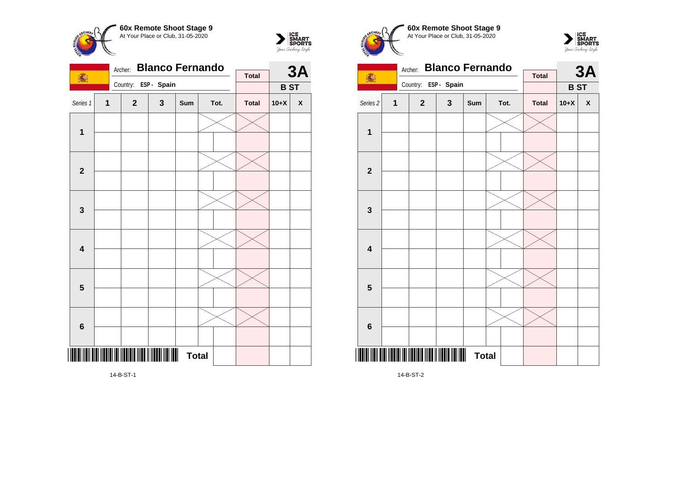



| <b>Total</b><br>1.<br>ESP - Spain<br>Country:<br><b>BST</b><br>Series 1<br>$\mathbf{1}$<br>3<br>$\mathbf{2}$<br>Tot.<br><b>Total</b><br>$10+X$<br>Sum<br>$\pmb{\mathsf{X}}$<br>$\mathbf{1}$<br>$\mathbf{2}$<br>$\mathbf{3}$<br>$\overline{\mathbf{4}}$<br>$\overline{\mathbf{5}}$<br>$\bf 6$ |  | Archer: | <b>Blanco Fernando</b> |  |  | <b>3A</b> |  |  |  |
|----------------------------------------------------------------------------------------------------------------------------------------------------------------------------------------------------------------------------------------------------------------------------------------------|--|---------|------------------------|--|--|-----------|--|--|--|
|                                                                                                                                                                                                                                                                                              |  |         |                        |  |  |           |  |  |  |
|                                                                                                                                                                                                                                                                                              |  |         |                        |  |  |           |  |  |  |
|                                                                                                                                                                                                                                                                                              |  |         |                        |  |  |           |  |  |  |
|                                                                                                                                                                                                                                                                                              |  |         |                        |  |  |           |  |  |  |
|                                                                                                                                                                                                                                                                                              |  |         |                        |  |  |           |  |  |  |
|                                                                                                                                                                                                                                                                                              |  |         |                        |  |  |           |  |  |  |
|                                                                                                                                                                                                                                                                                              |  |         |                        |  |  |           |  |  |  |
|                                                                                                                                                                                                                                                                                              |  |         |                        |  |  |           |  |  |  |
|                                                                                                                                                                                                                                                                                              |  |         |                        |  |  |           |  |  |  |
|                                                                                                                                                                                                                                                                                              |  |         |                        |  |  |           |  |  |  |
|                                                                                                                                                                                                                                                                                              |  |         |                        |  |  |           |  |  |  |
|                                                                                                                                                                                                                                                                                              |  |         |                        |  |  |           |  |  |  |
|                                                                                                                                                                                                                                                                                              |  |         |                        |  |  |           |  |  |  |
|                                                                                                                                                                                                                                                                                              |  |         |                        |  |  |           |  |  |  |
|                                                                                                                                                                                                                                                                                              |  |         |                        |  |  |           |  |  |  |
| <b>THE REAL PROPERTY</b><br><b>Total</b>                                                                                                                                                                                                                                                     |  |         |                        |  |  |           |  |  |  |

**60x Remote Shoot Stage 9** CHEOL At Your Place or Club, 31-05-2020 Archer: **Blanco Fernando** 1. **Total** Country: **ESP - Spain** Series 2 **1 2 3 Sum Tot. Total 10+X X**

**3A**

**SMART**<br>SPORTS<br>*Your Cretery Style* 

**B ST**



14-B-ST-2

**1**

14-B-ST-1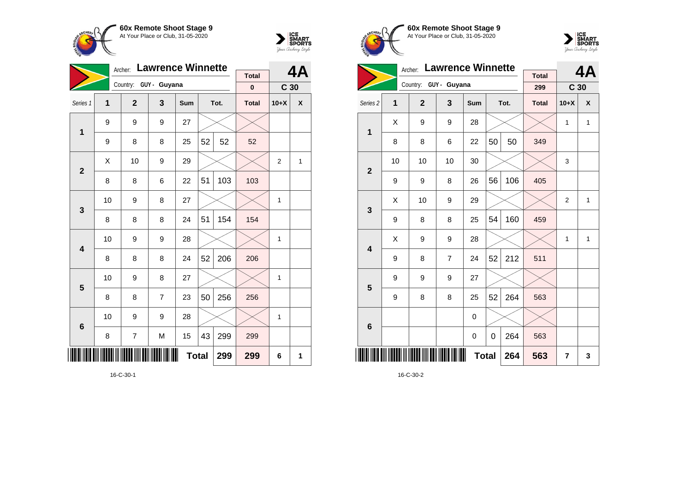



|                 |                     | Archer:        | <b>Lawrence Winnette</b> |     |    | 4Α   |                           |                 |   |
|-----------------|---------------------|----------------|--------------------------|-----|----|------|---------------------------|-----------------|---|
|                 |                     |                | Country: GUY - Guyana    |     |    |      | <b>Total</b><br>$\pmb{0}$ | C <sub>30</sub> |   |
| Series 1        | 1                   | $\overline{2}$ | 3                        | Sum |    | Tot. | <b>Total</b>              | $10+X$          | X |
| 1               | 9                   | 9              | 9                        | 27  |    |      |                           |                 |   |
|                 | 9                   | 8              | 8                        | 25  | 52 | 52   | 52                        |                 |   |
| $\overline{2}$  | X                   | 10             | 9                        | 29  |    |      |                           | $\overline{2}$  | 1 |
|                 | 8                   | 8              | 6                        | 22  | 51 | 103  | 103                       |                 |   |
| 3               | 10                  | 9              | 8                        | 27  |    |      |                           | 1               |   |
|                 | 8                   | 8              | 8                        | 24  | 51 | 154  | 154                       |                 |   |
| 4               | 10                  | 9              | 9                        | 28  |    |      |                           | 1               |   |
|                 | 8                   | 8              | 8                        | 24  | 52 | 206  | 206                       |                 |   |
| 5               | 10                  | 9              | 8                        | 27  |    |      |                           | 1               |   |
|                 | 8                   | 8              | 7                        | 23  | 50 | 256  | 256                       |                 |   |
| $6\phantom{1}6$ | 10                  | 9              | 9                        | 28  |    |      |                           | 1               |   |
|                 | 8                   | 7              | M                        | 15  | 43 | 299  | 299                       |                 |   |
| ║║              | <b>Total</b><br>299 |                |                          |     |    |      |                           | 6               | 1 |

16-C-30-1





|                     |    | Archer:               | <b>Lawrence Winnette</b> |             |    | 4A   |                     |                 |              |
|---------------------|----|-----------------------|--------------------------|-------------|----|------|---------------------|-----------------|--------------|
|                     |    | Country: GUY - Guyana |                          |             |    |      | <b>Total</b><br>299 | C <sub>30</sub> |              |
|                     |    |                       |                          |             |    |      |                     |                 |              |
| Series <sub>2</sub> | 1  | $\mathbf{2}$          | 3                        | Sum         |    | Tot. | <b>Total</b>        | $10+X$          | X            |
| 1                   | X  | 9                     | 9                        | 28          |    |      |                     | 1               | $\mathbf{1}$ |
|                     | 8  | 8                     | 6                        | 22          | 50 | 50   | 349                 |                 |              |
| $\overline{2}$      | 10 | 10                    | 10                       | 30          |    |      |                     | 3               |              |
|                     | 9  | 9                     | 8                        | 26          | 56 | 106  | 405                 |                 |              |
| 3                   | X  | 10                    | 9                        | 29          |    |      |                     | $\overline{2}$  | $\mathbf{1}$ |
|                     | 9  | 8                     | 8                        | 25          | 54 | 160  | 459                 |                 |              |
| 4                   | X  | 9                     | 9                        | 28          |    |      |                     | 1               | $\mathbf{1}$ |
|                     | 9  | 8                     | $\overline{7}$           | 24          | 52 | 212  | 511                 |                 |              |
| 5                   | 9  | 9                     | 9                        | 27          |    |      |                     |                 |              |
|                     | 9  | 8                     | 8                        | 25          | 52 | 264  | 563                 |                 |              |
| $6\phantom{1}6$     |    |                       |                          | 0           |    |      |                     |                 |              |
|                     |    |                       |                          | $\mathbf 0$ | 0  | 264  | 563                 |                 |              |
| IIII                |    |                       | 264                      | 563         | 7  | 3    |                     |                 |              |

16-C-30-2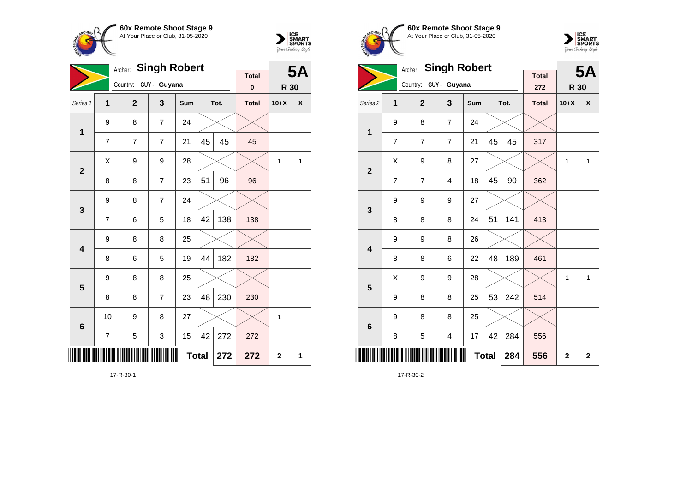



|                         |                         | <b>Singh Robert</b><br>Archer: |                       |     |    | <b>5A</b> |              |                |   |
|-------------------------|-------------------------|--------------------------------|-----------------------|-----|----|-----------|--------------|----------------|---|
|                         |                         |                                | Country: GUY - Guyana |     |    |           | <b>Total</b> |                |   |
|                         |                         |                                |                       |     |    |           | $\pmb{0}$    | R 30           |   |
| Series 1                | 1                       | $\overline{2}$                 | 3                     | Sum |    | Tot.      | <b>Total</b> | $10+X$         | X |
| $\mathbf 1$             | 9                       | 8                              | $\overline{7}$        | 24  |    |           |              |                |   |
|                         | $\overline{7}$          | $\overline{7}$                 | 7                     | 21  | 45 | 45        | 45           |                |   |
| $\overline{2}$          | X                       | 9                              | 9                     | 28  |    |           |              | 1              | 1 |
|                         | 8                       | 8                              | $\overline{7}$        | 23  | 51 | 96        | 96           |                |   |
| $\mathbf{3}$            | 9                       | 8                              | $\overline{7}$        | 24  |    |           |              |                |   |
|                         | $\overline{7}$          | 6                              | 5                     | 18  | 42 | 138       | 138          |                |   |
| $\overline{\mathbf{4}}$ | 9                       | 8                              | 8                     | 25  |    |           |              |                |   |
|                         | 8                       | 6                              | 5                     | 19  | 44 | 182       | 182          |                |   |
| 5                       | 9                       | 8                              | 8                     | 25  |    |           |              |                |   |
|                         | 8                       | 8                              | $\overline{7}$        | 23  | 48 | 230       | 230          |                |   |
| $6\phantom{1}$          | 10                      | 9                              | 8                     | 27  |    |           |              | 1              |   |
|                         | 5<br>3<br>15<br>42<br>7 |                                |                       |     |    | 272       | 272          |                |   |
|                         | <b>Total</b><br>272     |                                |                       |     |    |           | 272          | $\overline{2}$ | 1 |

17-R-30-1





|                         |                | <b>Singh Robert</b><br>Archer: |                         |     |                | <b>5A</b>   |                     |              |              |
|-------------------------|----------------|--------------------------------|-------------------------|-----|----------------|-------------|---------------------|--------------|--------------|
|                         |                | Country: GUY - Guyana          |                         |     |                |             | <b>Total</b><br>272 | R 30         |              |
| Series <sub>2</sub>     | 1              | $\overline{2}$                 | 3                       | Sum |                | Tot.        | <b>Total</b>        | $10+X$       | χ            |
| 1                       | 9              | 8                              | $\overline{7}$          | 24  |                |             |                     |              |              |
|                         | $\overline{7}$ | $\overline{7}$                 | $\overline{7}$          | 21  | 45             | 45          | 317                 |              |              |
| $\overline{2}$          | Χ              | 9                              | 8                       | 27  |                |             |                     | $\mathbf{1}$ | $\mathbf{1}$ |
|                         | 7              | 7                              | $\overline{4}$          | 18  | 45             | 90          | 362                 |              |              |
| 3                       | 9              | 9                              | 9                       | 27  |                |             |                     |              |              |
|                         | 8              | 8                              | 8                       | 24  | 51             | 141         | 413                 |              |              |
| $\overline{\mathbf{4}}$ | 9              | 9                              | 8                       | 26  |                |             |                     |              |              |
|                         | 8              | 8                              | 6                       | 22  | 48             | 189         | 461                 |              |              |
| 5                       | Χ              | 9                              | 9                       | 28  |                |             |                     | 1            | 1            |
|                         | 9              | 8                              | 8                       | 25  | 53             | 242         | 514                 |              |              |
| $6\phantom{1}6$         | 9              | 8                              | 8                       | 25  |                |             |                     |              |              |
|                         | 8              | 5                              | $\overline{\mathbf{4}}$ | 17  | 42             | 284         | 556                 |              |              |
|                         |                |                                | 284                     | 556 | $\overline{2}$ | $\mathbf 2$ |                     |              |              |

17-R-30-2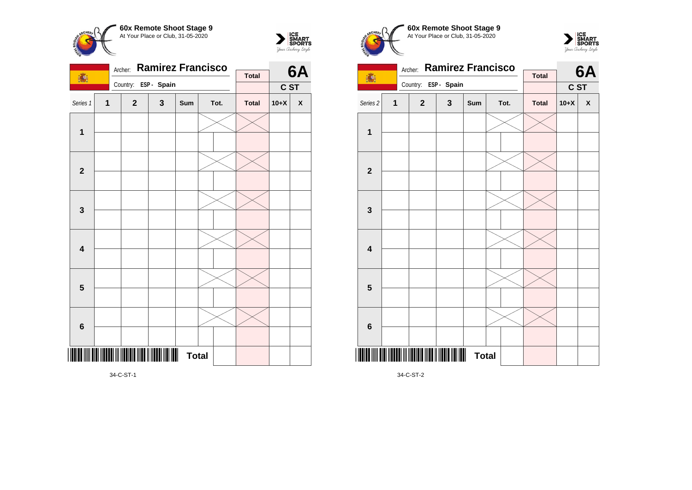



|                         |                         | Archer: |                                          | <b>Ramirez Francisco</b> |              |  | 6A   |              |        |              |
|-------------------------|-------------------------|---------|------------------------------------------|--------------------------|--------------|--|------|--------------|--------|--------------|
| 高!                      |                         |         |                                          |                          |              |  |      | <b>Total</b> |        |              |
|                         |                         |         | Country:                                 | ESP - Spain              |              |  |      |              | C ST   |              |
| Series 1                | $\overline{\mathbf{1}}$ |         | $\overline{2}$                           | 3                        | Sum          |  | Tot. | <b>Total</b> | $10+X$ | $\pmb{\chi}$ |
| $\mathbf 1$             |                         |         |                                          |                          |              |  |      |              |        |              |
|                         |                         |         |                                          |                          |              |  |      |              |        |              |
| $\mathbf{2}$            |                         |         |                                          |                          |              |  |      |              |        |              |
|                         |                         |         |                                          |                          |              |  |      |              |        |              |
| $\mathbf{3}$            |                         |         |                                          |                          |              |  |      |              |        |              |
|                         |                         |         |                                          |                          |              |  |      |              |        |              |
| $\overline{\mathbf{4}}$ |                         |         |                                          |                          |              |  |      |              |        |              |
|                         |                         |         |                                          |                          |              |  |      |              |        |              |
|                         |                         |         |                                          |                          |              |  |      |              |        |              |
| $\overline{\mathbf{5}}$ |                         |         |                                          |                          |              |  |      |              |        |              |
|                         |                         |         |                                          |                          |              |  |      |              |        |              |
| $\bf 6$                 |                         |         |                                          |                          |              |  |      |              |        |              |
|                         |                         |         | <u>                                 </u> |                          | <b>Total</b> |  |      |              |        |              |
|                         |                         |         |                                          |                          |              |  |      |              |        |              |

 $\sum_{\text{Jour }\text{Cuchy}\text{/}str} \begin{matrix} \text{ICE} \\ \text{SDORTS} \\ \text{SPORTS} \end{matrix}$ Archer: **Ramirez Francisco 6A** 1. **Total** Country: **ESP - Spain C ST** Series 2 **1 2 3 Sum Tot. Total 10+X X 1 2 3 4**

**Total** 

**60x Remote Shoot Stage 9** At Your Place or Club, 31-05-2020

34-C-ST-2

\*34-C-ST-2\*

**5**

CHEOL

**6**

34-C-ST-1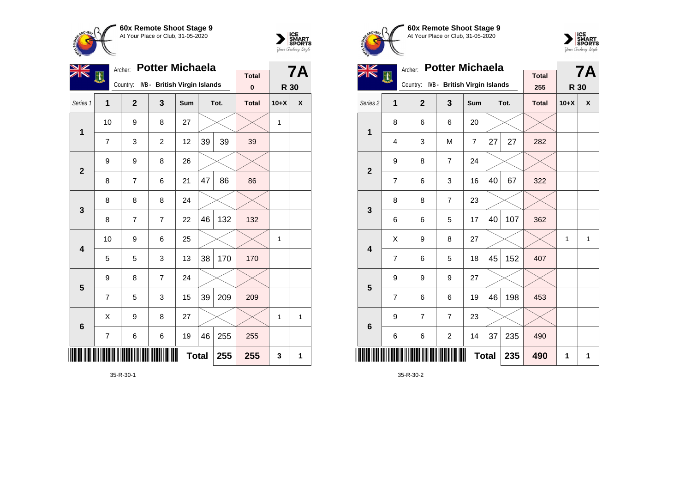



| VZ             |    | <b>Potter Michaela</b><br>Archer: |                              |              | 7Α |      |              |        |              |
|----------------|----|-----------------------------------|------------------------------|--------------|----|------|--------------|--------|--------------|
|                | 潤  | Country:                          | IVB - British Virgin Islands |              |    |      | <b>Total</b> |        |              |
|                |    |                                   |                              |              |    |      | $\bf{0}$     | R 30   |              |
| Series 1       | 1  | $\mathbf{2}$                      | 3                            | Sum          |    | Tot. | <b>Total</b> | $10+X$ | X            |
| $\mathbf 1$    | 10 | 9                                 | 8                            | 27           |    |      |              | 1      |              |
|                | 7  | 3                                 | $\overline{2}$               | 12           | 39 | 39   | 39           |        |              |
| $\overline{2}$ | 9  | 9                                 | 8                            | 26           |    |      |              |        |              |
|                | 8  | $\overline{7}$                    | 6                            | 21           | 47 | 86   | 86           |        |              |
| 3              | 8  | 8                                 | 8                            | 24           |    |      |              |        |              |
|                | 8  | $\overline{7}$                    | $\overline{7}$               | 22           | 46 | 132  | 132          |        |              |
| 4              | 10 | 9                                 | 6                            | 25           |    |      |              | 1      |              |
|                | 5  | 5                                 | 3                            | 13           | 38 | 170  | 170          |        |              |
| 5              | 9  | 8                                 | $\overline{7}$               | 24           |    |      |              |        |              |
|                | 7  | 5                                 | 3                            | 15           | 39 | 209  | 209          |        |              |
| 6              | X  | 9                                 | 8                            | 27           |    |      |              | 1      | $\mathbf{1}$ |
|                | 7  | 6                                 | 6                            | 19           | 46 | 255  | 255          |        |              |
|                |    |                                   |                              | <b>Total</b> |    | 255  | 255          | 3      | 1            |

35-R-30-1





| <b>Potter Michaela</b><br>Archer: |                         |                |                              |                |              |      |                     |             | <b>7A</b>    |
|-----------------------------------|-------------------------|----------------|------------------------------|----------------|--------------|------|---------------------|-------------|--------------|
|                                   | H                       | Country:       | IVB - British Virgin Islands |                |              |      | <b>Total</b><br>255 | <b>R 30</b> |              |
| Series <sub>2</sub>               | 1                       | $\overline{2}$ | 3                            | <b>Sum</b>     |              | Tot. | <b>Total</b>        | $10+X$      | X            |
| 1                                 | 8                       | 6              | 6                            | 20             |              |      |                     |             |              |
|                                   | $\overline{\mathbf{4}}$ | 3              | M                            | $\overline{7}$ | 27           | 27   | 282                 |             |              |
| $\mathbf{2}$                      | 9                       | 8              | $\overline{7}$               | 24             |              |      |                     |             |              |
|                                   | 7                       | 6              | 3                            | 16             | 40           | 67   | 322                 |             |              |
| 3                                 | 8                       | 8              | $\overline{7}$               | 23             |              |      |                     |             |              |
|                                   | 6                       | 6              | 5                            | 17             | 40           | 107  | 362                 |             |              |
| 4                                 | Χ                       | 9              | 8                            | 27             |              |      |                     | 1           | $\mathbf{1}$ |
|                                   | $\overline{7}$          | 6              | 5                            | 18             | 45           | 152  | 407                 |             |              |
| 5                                 | 9                       | 9              | 9                            | 27             |              |      |                     |             |              |
|                                   | 7                       | 6              | 6                            | 19             | 46           | 198  | 453                 |             |              |
| $6\phantom{1}6$                   | 9                       | $\overline{7}$ | $\overline{7}$               | 23             |              |      |                     |             |              |
|                                   | 6                       | 6              | $\overline{c}$               | 14             | 37           | 235  | 490                 |             |              |
|                                   |                         |                |                              |                | <b>Total</b> | 235  | 490                 | 1           | 1            |

35-R-30-2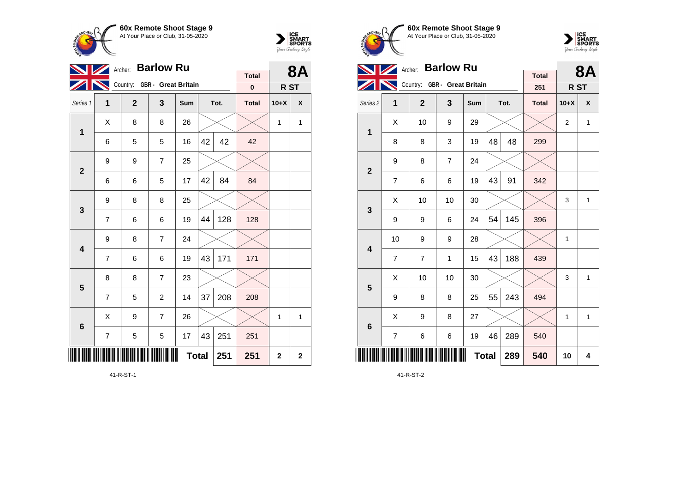



|                         |                     |              | Archer: Barlow Ru            |     |    |      | <b>8A</b>    |                |             |
|-------------------------|---------------------|--------------|------------------------------|-----|----|------|--------------|----------------|-------------|
|                         |                     |              | Country: GBR - Great Britain |     |    |      | <b>Total</b> |                |             |
|                         |                     |              |                              |     |    |      | $\pmb{0}$    | R ST           |             |
| Series 1                | 1                   | $\mathbf{2}$ | 3                            | Sum |    | Tot. | <b>Total</b> | $10+X$         | X           |
| $\mathbf 1$             | Χ                   | 8            | 8                            | 26  |    |      |              | 1              | 1           |
|                         | 6                   | 5            | 5                            | 16  | 42 | 42   | 42           |                |             |
| $\overline{2}$          | 9                   | 9            | $\overline{7}$               | 25  |    |      |              |                |             |
|                         | 6                   | 84           | 84                           |     |    |      |              |                |             |
| $\mathbf{3}$            | 9                   | 8            | 8                            | 25  |    |      |              |                |             |
|                         | 7                   | 6            | 6                            | 19  | 44 | 128  | 128          |                |             |
| 4                       | 9                   | 8            | $\overline{7}$               | 24  |    |      |              |                |             |
|                         | 7                   | 6            | 6                            | 19  | 43 | 171  | 171          |                |             |
| $\overline{\mathbf{5}}$ | 8                   | 8            | $\overline{7}$               | 23  |    |      |              |                |             |
|                         | 7                   | 5            | $\overline{c}$               | 14  | 37 | 208  | 208          |                |             |
| 6                       | X                   | 9            | $\overline{7}$               | 26  |    |      |              | 1              | 1           |
|                         | 7                   | 5            | 5                            | 17  | 43 | 251  | 251          |                |             |
|                         | <b>Total</b><br>251 |              |                              |     |    |      |              | $\overline{2}$ | $\mathbf 2$ |

41-R-ST-1





|                     |                | Archer: Barlow Ru            |                |              |    |      | <b>8A</b>           |                |              |
|---------------------|----------------|------------------------------|----------------|--------------|----|------|---------------------|----------------|--------------|
|                     |                | Country: GBR - Great Britain |                |              |    |      | <b>Total</b><br>251 | R ST           |              |
| Series <sub>2</sub> | 1              | $\mathbf{2}$                 | 3              | Sum          |    | Tot. | <b>Total</b>        | $10+X$         | X            |
| 1                   | X              | 10                           | 9              | 29           |    |      |                     | $\overline{2}$ | $\mathbf{1}$ |
|                     | 8              | 8                            | 3              | 19           | 48 | 48   | 299                 |                |              |
| $\overline{2}$      | 9              | 8                            | $\overline{7}$ | 24           |    |      |                     |                |              |
|                     | 7              | 6                            | 6              | 19           | 43 | 91   | 342                 |                |              |
| 3                   | X              | 10                           | 10             | 30           |    |      |                     | 3              | $\mathbf{1}$ |
|                     | 9              | 9                            | 6              | 24           | 54 | 145  | 396                 |                |              |
| 4                   | 10             | 9                            | 9              | 28           |    |      |                     | 1              |              |
|                     | 7              | 7                            | 1              | 15           | 43 | 188  | 439                 |                |              |
| 5                   | Χ              | 10                           | 10             | 30           |    |      |                     | 3              | $\mathbf{1}$ |
|                     | 9              | 8                            | 8              | 25           | 55 | 243  | 494                 |                |              |
| $6\phantom{1}6$     | Χ              | 9                            | 8              | 27           |    |      |                     | 1              | $\mathbf{1}$ |
|                     | $\overline{7}$ | 6                            | 6              | 19           | 46 | 289  | 540                 |                |              |
|                     |                |                              |                | <b>Total</b> |    | 289  | 540                 | 10             | 4            |

41-R-ST-2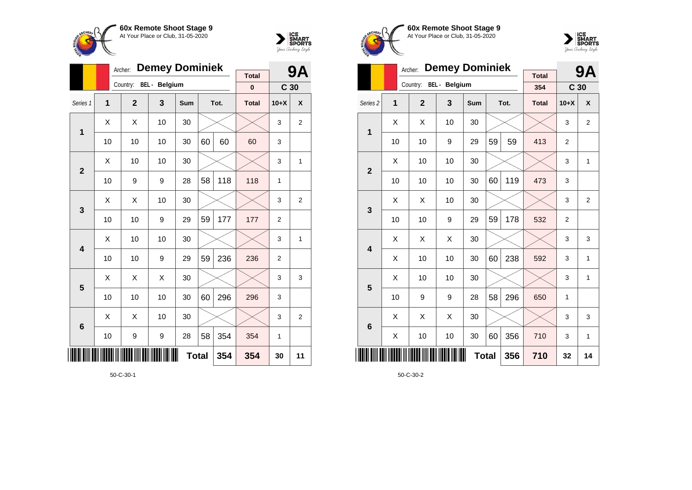



|                         |                                 | Archer:        | <b>Demey Dominiek</b> |     |    |      | 9Α                       |                 |                |
|-------------------------|---------------------------------|----------------|-----------------------|-----|----|------|--------------------------|-----------------|----------------|
|                         |                                 | Country:       | <b>BEL</b> - Belgium  |     |    |      | <b>Total</b><br>$\bf{0}$ | C <sub>30</sub> |                |
| Series 1                | $\overline{\mathbf{1}}$         | $\overline{2}$ | 3                     | Sum |    | Tot. | <b>Total</b>             | $10+X$          | X              |
| 1                       | X                               | X              | 10                    | 30  |    |      |                          | 3               | 2              |
|                         | 10                              | 10             | 10                    | 30  | 60 | 60   | 60                       | 3               |                |
| $\overline{2}$          | X                               | 10             | 10                    | 30  |    |      |                          | 3               | 1              |
|                         | 10                              | 9              | 118                   | 1   |    |      |                          |                 |                |
| 3                       | Χ                               | X              | 10                    | 30  |    |      |                          | 3               | $\overline{2}$ |
|                         | 10                              | 10             | 9                     | 29  | 59 | 177  | 177                      | $\overline{2}$  |                |
| $\overline{\mathbf{4}}$ | X                               | 10             | 10                    | 30  |    |      |                          | 3               | 1              |
|                         | 10                              | 10             | 9                     | 29  | 59 | 236  | 236                      | $\overline{2}$  |                |
| 5                       | X                               | X              | X                     | 30  |    |      |                          | 3               | 3              |
|                         | 10                              | 10             | 10                    | 30  | 60 | 296  | 296                      | 3               |                |
| $6\phantom{1}6$         | X                               | X              | 10                    | 30  |    |      |                          | 3               | $\overline{2}$ |
|                         | 58<br>354<br>10<br>9<br>9<br>28 |                |                       |     |    |      | 354                      | 1               |                |
| ║║║                     | <b>Total</b><br>354             |                |                       |     |    |      |                          | 30              | 11             |

50-C-30-1





|                     |    | <b>Demey Dominiek</b><br>Archer: |                      |              |    | 9Α   |                     |                 |                |
|---------------------|----|----------------------------------|----------------------|--------------|----|------|---------------------|-----------------|----------------|
|                     |    | Country:                         | <b>BEL</b> - Belgium |              |    |      | <b>Total</b><br>354 | C <sub>30</sub> |                |
| Series <sub>2</sub> | 1  | $\overline{2}$                   | 3                    | Sum          |    | Tot. | <b>Total</b>        | $10+X$          | X              |
| 1                   | X  | X                                | 10                   | 30           |    |      |                     | 3               | $\overline{2}$ |
|                     | 10 | 10                               | 9                    | 29           | 59 | 59   | 413                 | 2               |                |
| $\overline{2}$      | Х  | 10                               | 10                   | 30           |    |      |                     | 3               | 1              |
|                     | 10 | 10                               | 473                  | 3            |    |      |                     |                 |                |
| 3                   | X  | X                                | 10                   | 30           |    |      |                     | 3               | $\overline{2}$ |
|                     | 10 | 10                               | 9                    | 29           | 59 | 178  | 532                 | $\overline{2}$  |                |
| 4                   | X  | X                                | X                    | 30           |    |      |                     | 3               | 3              |
|                     | X  | 10                               | 10                   | 30           | 60 | 238  | 592                 | 3               | 1              |
| 5                   | X  | 10                               | 10                   | 30           |    |      |                     | 3               | 1              |
|                     | 10 | 9                                | 9                    | 28           | 58 | 296  | 650                 | 1               |                |
| 6                   | X  | X                                | X                    | 30           |    |      |                     | 3               | 3              |
|                     | X  | 10                               | 10                   | 30           | 60 | 356  | 710                 | 3               | 1              |
|                     |    |                                  |                      | <b>Total</b> |    | 356  | 710                 | 32              | 14             |

50-C-30-2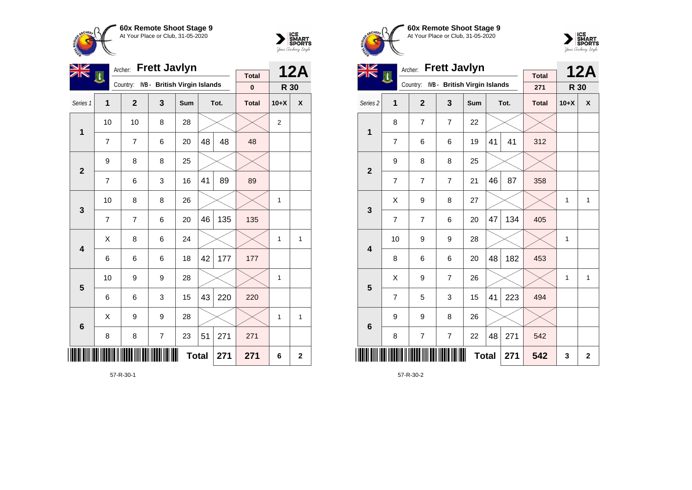



| VZ             |                | Archer:        | <b>Frett Javlyn</b>          |     |              |      | <b>12A</b>   |                |             |
|----------------|----------------|----------------|------------------------------|-----|--------------|------|--------------|----------------|-------------|
|                | H              | Country:       | IVB - British Virgin Islands |     |              |      | <b>Total</b> |                |             |
|                |                |                |                              |     |              |      | $\pmb{0}$    | R 30           |             |
| Series 1       | 1              | $\overline{2}$ | 3                            | Sum |              | Tot. | <b>Total</b> | $10+X$         | X           |
| 1              | 10             | 10             | 8                            | 28  |              |      |              | $\overline{2}$ |             |
|                | 7              | 7              | 6                            | 20  | 48           | 48   | 48           |                |             |
| $\overline{2}$ | 9              | 8              | 8                            | 25  |              |      |              |                |             |
|                | $\overline{7}$ | 6              | 3                            | 16  | 41           | 89   | 89           |                |             |
| $\mathbf{3}$   | 10             | 8              | 8                            | 26  |              |      |              | 1              |             |
|                | $\overline{7}$ | $\overline{7}$ | 6                            | 20  | 46           | 135  | 135          |                |             |
| 4              | Χ              | 8              | 6                            | 24  |              |      |              | 1              | 1           |
|                | 6              | 6              | 6                            | 18  | 42           | 177  | 177          |                |             |
| 5              | 10             | 9              | 9                            | 28  |              |      |              | 1              |             |
|                | 6              | 6              | 3                            | 15  | 43           | 220  | 220          |                |             |
| $6\phantom{1}$ | X              | 9              | 9                            | 28  |              |      |              | 1              | 1           |
|                | 8              | 8              | 7                            | 23  | 51           | 271  | 271          |                |             |
|                |                |                |                              |     | <b>Total</b> | 271  | 271          | 6              | $\mathbf 2$ |

57-R-30-1





| VZ                  |                | Archer:        | <b>Frett Javlyn</b>          |              |    |      | <b>12A</b>          |        |              |
|---------------------|----------------|----------------|------------------------------|--------------|----|------|---------------------|--------|--------------|
|                     | EN,            | Country:       | IVB - British Virgin Islands |              |    |      | <b>Total</b><br>271 | R 30   |              |
| Series <sub>2</sub> | 1              | $\overline{2}$ | 3                            | Sum          |    | Tot. | <b>Total</b>        | $10+X$ | X            |
| 1                   | 8              | $\overline{7}$ | $\overline{7}$               | 22           |    |      |                     |        |              |
|                     | $\overline{7}$ | 6              | 6                            | 19           | 41 | 41   | 312                 |        |              |
| $\overline{2}$      | 9              | 8              | 8                            | 25           |    |      |                     |        |              |
|                     | 7              | 7              | $\overline{7}$               | 21           | 46 | 87   | 358                 |        |              |
| 3                   | X              | 9              | 8                            | 27           |    |      |                     | 1      | $\mathbf{1}$ |
|                     | $\overline{7}$ | $\overline{7}$ | 6                            | 20           | 47 | 134  | 405                 |        |              |
| 4                   | 10             | 9              | 9                            | 28           |    |      |                     | 1      |              |
|                     | 8              | 6              | 6                            | 20           | 48 | 182  | 453                 |        |              |
| 5                   | Χ              | 9              | $\overline{7}$               | 26           |    |      |                     | 1      | $\mathbf{1}$ |
|                     | 7              | 5              | 3                            | 15           | 41 | 223  | 494                 |        |              |
| 6                   | 9              | 9              | 8                            | 26           |    |      |                     |        |              |
|                     | 8              | 7              | $\overline{\mathcal{I}}$     | 22           | 48 | 271  | 542                 |        |              |
|                     |                |                |                              | <b>Total</b> |    | 271  | 542                 | 3      | $\mathbf 2$  |

57-R-30-2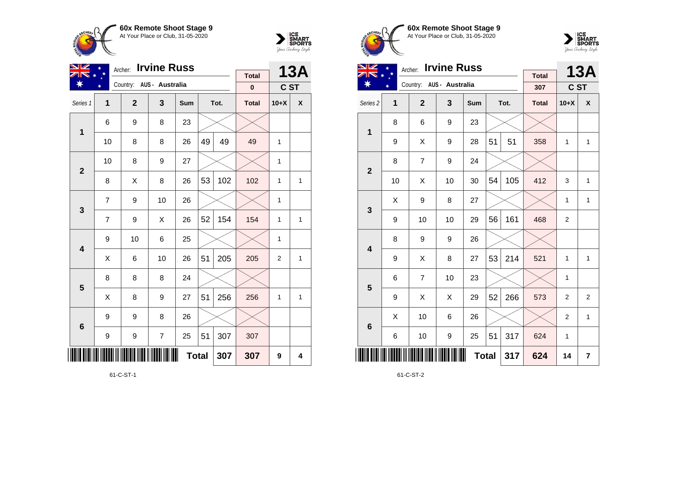



| VZ             | Archer:        |              | <b>Total</b>             |              | <b>13A</b> |      |              |                |              |
|----------------|----------------|--------------|--------------------------|--------------|------------|------|--------------|----------------|--------------|
|                |                |              | Country: AUS - Australia |              |            |      | $\pmb{0}$    | C ST           |              |
| Series 1       | 1              | $\mathbf{2}$ | 3                        | Sum          |            | Tot. | <b>Total</b> | $10+X$         | X            |
| 1              | 6              | 9            | 8                        | 23           |            |      |              |                |              |
|                | 10             | 8            | 8                        | 26           | 49         | 49   | 49           | 1              |              |
| $\overline{2}$ | 10             | 8            | 9                        | 27           |            |      |              | $\mathbf{1}$   |              |
|                | 8              | Χ            | 8                        | 26           | 53         | 102  | 102          | 1              | 1            |
| $\mathbf{3}$   | $\overline{7}$ | 9            | 10                       | 26           |            |      |              | 1              |              |
|                | $\overline{7}$ | 9            | X                        | 26           | 52         | 154  | 154          | $\mathbf{1}$   | $\mathbf{1}$ |
| 4              | 9              | 10           | 6                        | 25           |            |      |              | 1              |              |
|                | Χ              | 6            | 10                       | 26           | 51         | 205  | 205          | $\overline{2}$ | 1            |
| 5              | 8              | 8            | 8                        | 24           |            |      |              |                |              |
|                | Χ              | 8            | 9                        | 27           | 51         | 256  | 256          | $\mathbf{1}$   | $\mathbf{1}$ |
| $6\phantom{1}$ | 9              | 9            | 8                        | 26           |            |      |              |                |              |
|                | 9              | 9            | $\overline{\mathcal{I}}$ | 25           | 51         | 307  | 307          |                |              |
|                |                |              |                          | <b>Total</b> |            | 307  | 307          | 9              | 4            |

61-C-ST-1





| VZ                      |    | Archer:                  | <b>Irvine Russ</b> |              |    |      | <b>13A</b>   |                |                |
|-------------------------|----|--------------------------|--------------------|--------------|----|------|--------------|----------------|----------------|
|                         | ∗  | Country: AUS - Australia |                    |              |    |      | <b>Total</b> |                |                |
|                         |    |                          |                    |              |    |      | 307          | C ST           |                |
| Series <sub>2</sub>     | 1  | $\overline{2}$           | 3                  | Sum          |    | Tot. | <b>Total</b> | $10+X$         | X              |
| $\mathbf 1$             | 8  | 6                        | 9                  | 23           |    |      |              |                |                |
|                         | 9  | Χ                        | 9                  | 28           | 51 | 51   | 358          | 1              | $\mathbf{1}$   |
| $\mathbf{2}$            | 8  | 7                        | 9                  | 24           |    |      |              |                |                |
|                         | 10 | Χ                        | 10                 | 30           | 54 | 105  | 412          | 3              | 1              |
| 3                       | X  | 9                        | 8                  | 27           |    |      |              | 1              | $\mathbf{1}$   |
|                         | 9  | 10                       | 10                 | 29           | 56 | 161  | 468          | $\overline{2}$ |                |
| $\overline{\mathbf{4}}$ | 8  | 9                        | 9                  | 26           |    |      |              |                |                |
|                         | 9  | X                        | 8                  | 27           | 53 | 214  | 521          | 1              | $\mathbf{1}$   |
| 5                       | 6  | 7                        | 10                 | 23           |    |      |              | 1              |                |
|                         | 9  | Χ                        | Χ                  | 29           | 52 | 266  | 573          | $\overline{2}$ | $\overline{2}$ |
| $6\phantom{1}6$         | X  | 10                       | 6                  | 26           |    |      |              | $\overline{2}$ | $\mathbf{1}$   |
|                         | 6  | 10                       | $\boldsymbol{9}$   | 25           | 51 | 317  | 624          | 1              |                |
|                         |    |                          |                    | <b>Total</b> |    | 317  | 624          | 14             | $\overline{7}$ |

61-C-ST-2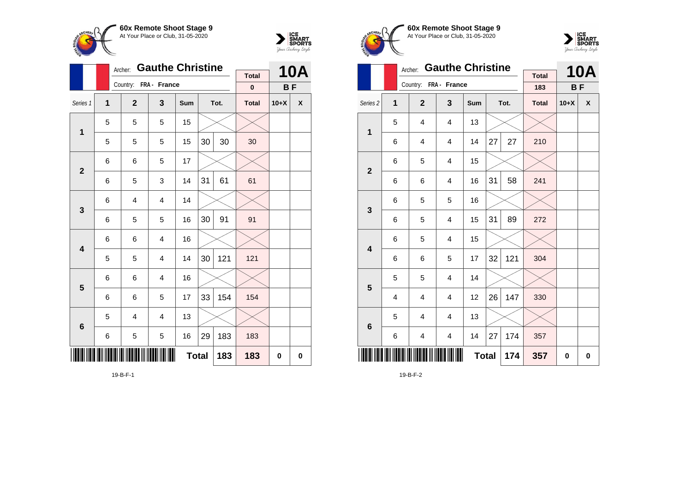



|                         |                         | Archer:                 | <b>Gauthe Christine</b> |              |    |      |              | <b>10A</b> |   |
|-------------------------|-------------------------|-------------------------|-------------------------|--------------|----|------|--------------|------------|---|
|                         |                         | Country:                | FRA - France            |              |    |      | <b>Total</b> |            |   |
|                         |                         |                         |                         |              |    |      | $\bf{0}$     | BF         |   |
| Series 1                | $\overline{\mathbf{1}}$ | $\mathbf{2}$            | 3                       | Sum          |    | Tot. | <b>Total</b> | $10+X$     | χ |
| $\mathbf{1}$            | 5                       | 5                       | 5                       | 15           |    |      |              |            |   |
|                         | 5                       | 5                       | 5                       | 15           | 30 | 30   | 30           |            |   |
| $\mathbf{2}$            | 6                       | 6                       | 5                       | 17           |    |      |              |            |   |
|                         | 6                       | 5                       | 3                       | 14           | 31 | 61   | 61           |            |   |
| 3                       | 6                       | $\overline{\mathbf{4}}$ | 4                       | 14           |    |      |              |            |   |
|                         | 6                       | 5                       | 5                       | 16           | 30 | 91   | 91           |            |   |
| $\overline{\mathbf{4}}$ | 6                       | 6                       | 4                       | 16           |    |      |              |            |   |
|                         | 5                       | 5                       | 4                       | 14           | 30 | 121  | 121          |            |   |
| 5                       | 6                       | 6                       | 4                       | 16           |    |      |              |            |   |
|                         | 6                       | 6                       | 5                       | 17           | 33 | 154  | 154          |            |   |
| 6                       | 5                       | 4                       | 4                       | 13           |    |      |              |            |   |
|                         | 6                       | 5                       | 5                       | 16           | 29 | 183  | 183          |            |   |
|                         |                         |                         |                         | <b>Total</b> |    | 183  | 183          | 0          | 0 |

19-B-F-1





|                     |                | <b>Gauthe Christine</b><br>Archer: |                         |                       |              |    |      | <b>Total</b> |          | <b>10A</b>   |
|---------------------|----------------|------------------------------------|-------------------------|-----------------------|--------------|----|------|--------------|----------|--------------|
|                     |                |                                    |                         | Country: FRA - France |              |    |      | 183          | BF       |              |
| Series <sub>2</sub> | 1              |                                    | $\overline{2}$          | 3                     | Sum          |    | Tot. | <b>Total</b> | $10+X$   | $\mathbf{x}$ |
| $\mathbf{1}$        | 5              |                                    | 4                       | 4                     | 13           |    |      |              |          |              |
|                     | 6              |                                    | $\overline{4}$          | 4                     | 14           | 27 | 27   | 210          |          |              |
| $\mathbf{2}$        | 6              |                                    | 5                       | 4                     | 15           |    |      |              |          |              |
|                     | 6              |                                    | 6                       | 4                     | 16           | 31 | 58   | 241          |          |              |
| 3                   | 6              |                                    | 5                       | 5                     | 16           |    |      |              |          |              |
|                     | 6              |                                    | 5                       | 4                     | 15           | 31 | 89   | 272          |          |              |
| 4                   | 6              |                                    | 5                       | 4                     | 15           |    |      |              |          |              |
|                     | 6              |                                    | 6                       | 5                     | 17           | 32 | 121  | 304          |          |              |
| 5                   | 5              |                                    | 5                       | 4                     | 14           |    |      |              |          |              |
|                     | $\overline{4}$ |                                    | $\overline{\mathbf{4}}$ | 4                     | 12           | 26 | 147  | 330          |          |              |
| $6\phantom{1}6$     | 5              |                                    | 4                       | 4                     | 13           |    |      |              |          |              |
|                     | 6              |                                    | 4                       | 4                     | 14           | 27 | 174  | 357          |          |              |
|                     |                |                                    |                         |                       | <b>Total</b> |    | 174  | 357          | $\bf{0}$ | 0            |

19-B-F-2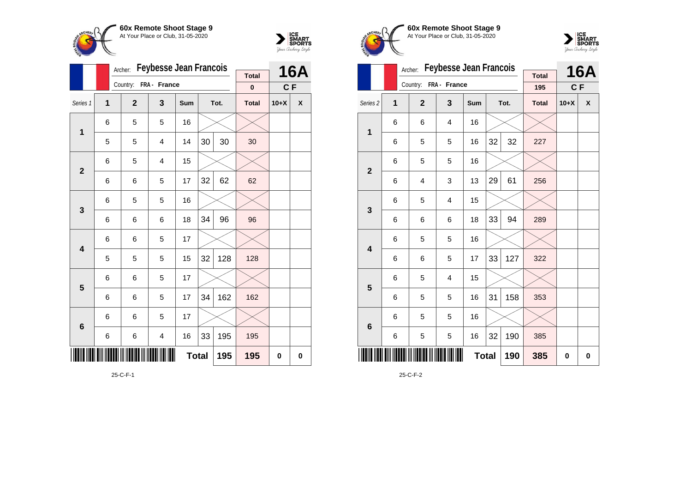



|                         |                         | Archer:      | <b>Feybesse Jean Francois</b> |     |     |      |              | <b>16A</b> |   |
|-------------------------|-------------------------|--------------|-------------------------------|-----|-----|------|--------------|------------|---|
|                         |                         | Country:     | FRA - France                  |     |     |      | <b>Total</b> |            |   |
|                         |                         |              |                               |     |     |      | $\bf{0}$     | C F        |   |
| Series 1                | $\overline{\mathbf{1}}$ | $\mathbf{2}$ | 3                             | Sum |     | Tot. | <b>Total</b> | $10+X$     | X |
| $\mathbf 1$             | 6                       | 5            | 5                             | 16  |     |      |              |            |   |
|                         | 5                       | 5            | 4                             | 14  | 30  | 30   | 30           |            |   |
| $\overline{2}$          | 6                       | 5            | 4                             | 15  |     |      |              |            |   |
|                         | 6                       | 6            | 5                             | 17  | 32  | 62   | 62           |            |   |
| 3                       | 6                       | 5            | 5                             | 16  |     |      |              |            |   |
|                         | 6                       | 6            | 6                             | 18  | 34  | 96   | 96           |            |   |
| $\overline{\mathbf{4}}$ | 6                       | 6            | 5                             | 17  |     |      |              |            |   |
|                         | 5                       | 5            | 5                             | 15  | 32  | 128  | 128          |            |   |
| 5                       | 6                       | 6            | 5                             | 17  |     |      |              |            |   |
|                         | 6                       | 6            | 5                             | 17  | 34  | 162  | 162          |            |   |
| 6                       | 6                       | 6            | 5                             | 17  |     |      |              |            |   |
|                         | 6                       | 6            | 4                             | 16  | 33  | 195  | 195          |            |   |
|                         |                         |              |                               | 195 | 195 | 0    | 0            |            |   |

25-C-F-1





|                         |   | Archer:                 | <b>Feybesse Jean Francois</b> |     | <b>Total</b> |      | <b>16A</b>   |        |   |
|-------------------------|---|-------------------------|-------------------------------|-----|--------------|------|--------------|--------|---|
|                         |   | Country: FRA - France   |                               |     |              |      | 195          | C F    |   |
| Series <sub>2</sub>     | 1 | $\overline{2}$          | 3                             | Sum |              | Tot. | <b>Total</b> | $10+X$ | X |
| $\mathbf{1}$            | 6 | 6                       | 4                             | 16  |              |      |              |        |   |
|                         | 6 | 5                       | 5                             | 16  | 32           | 32   | 227          |        |   |
| $\overline{\mathbf{2}}$ | 6 | 5                       | 5                             | 16  |              |      |              |        |   |
|                         | 6 | $\overline{\mathbf{4}}$ | 3                             | 13  | 29           | 61   | 256          |        |   |
| 3                       | 6 | 5                       | 4                             | 15  |              |      |              |        |   |
|                         | 6 | 6                       | 6                             | 18  | 33           | 94   | 289          |        |   |
| $\overline{\mathbf{4}}$ | 6 | 5                       | 5                             | 16  |              |      |              |        |   |
|                         | 6 | 6                       | 5                             | 17  | 33           | 127  | 322          |        |   |
| 5                       | 6 | 5                       | 4                             | 15  |              |      |              |        |   |
|                         | 6 | 5                       | 5                             | 16  | 31           | 158  | 353          |        |   |
| $\bf 6$                 | 6 | 5                       | 5                             | 16  |              |      |              |        |   |
|                         | 6 | 5                       | 5                             | 16  | 32           | 190  | 385          |        |   |
|                         |   | <b>Total</b><br>190     |                               |     |              |      |              | 0      | 0 |

25-C-F-2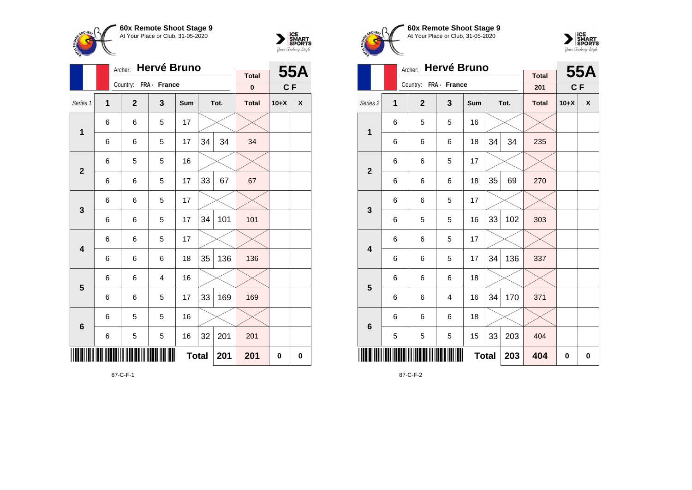



|                         |   | Archer:        | <b>Hervé Bruno</b> |              | <b>Total</b> |      | <b>55A</b>   |        |   |
|-------------------------|---|----------------|--------------------|--------------|--------------|------|--------------|--------|---|
|                         |   | Country:       | FRA - France       |              |              |      | $\bf{0}$     | CF     |   |
| Series 1                | 1 | $\overline{2}$ | 3                  | <b>Sum</b>   |              | Tot. | <b>Total</b> | $10+X$ | X |
|                         | 6 | 6              | 5                  | 17           |              |      |              |        |   |
| 1                       | 6 | 6              | 5                  | 17           | 34           | 34   | 34           |        |   |
| $\mathbf{2}$            | 6 | 5              | 5                  | 16           |              |      |              |        |   |
|                         | 6 | 6              | 5                  | 17           | 33           | 67   | 67           |        |   |
| 3                       | 6 | 6              | 5                  | 17           |              |      |              |        |   |
|                         | 6 | 6              | 5                  | 17           | 34           | 101  | 101          |        |   |
| $\overline{\mathbf{4}}$ | 6 | 6              | 5                  | 17           |              |      |              |        |   |
|                         | 6 | 6              | 6                  | 18           | 35           | 136  | 136          |        |   |
| 5                       | 6 | 6              | $\overline{4}$     | 16           |              |      |              |        |   |
|                         | 6 | 6              | 5                  | 17           | 33           | 169  | 169          |        |   |
| $\bf 6$                 | 6 | 5              | 5                  | 16           |              |      |              |        |   |
|                         | 6 | 5              | 5                  | 16           | 32           | 201  | 201          |        |   |
|                         |   |                |                    | <b>Total</b> |              | 201  | 201          | 0      | 0 |

87-C-F-1





|                         |   | Archer:               | Hervé Bruno    |     |          |      | 55A                 |        |              |
|-------------------------|---|-----------------------|----------------|-----|----------|------|---------------------|--------|--------------|
|                         |   | Country: FRA - France |                |     |          |      | <b>Total</b><br>201 | C F    |              |
| Series <sub>2</sub>     | 1 | $\overline{2}$        | 3              | Sum |          | Tot. | <b>Total</b>        | $10+X$ | $\mathsf{x}$ |
| $\mathbf{1}$            | 6 | 5                     | 5              | 16  |          |      |                     |        |              |
|                         | 6 | 6                     | 6              | 18  | 34       | 34   | 235                 |        |              |
| $\mathbf{2}$            | 6 | 6                     | 5              | 17  |          |      |                     |        |              |
|                         | 6 | 6                     | 6              | 18  | 35       | 69   | 270                 |        |              |
| $\mathbf{3}$            | 6 | 6                     | 5              | 17  |          |      |                     |        |              |
|                         | 6 | 5                     | 5              | 16  | 33       | 102  | 303                 |        |              |
| $\overline{\mathbf{4}}$ | 6 | 6                     | 5              | 17  |          |      |                     |        |              |
|                         | 6 | 6                     | 5              | 17  | 34       | 136  | 337                 |        |              |
| 5                       | 6 | 6                     | 6              | 18  |          |      |                     |        |              |
|                         | 6 | 6                     | $\overline{4}$ | 16  | 34       | 170  | 371                 |        |              |
| $\bf 6$                 | 6 | 6                     | 6              | 18  |          |      |                     |        |              |
|                         | 5 | 5                     | 5              | 15  | 33       | 203  | 404                 |        |              |
|                         |   | 203                   | 404            | 0   | $\bf{0}$ |      |                     |        |              |

87-C-F-2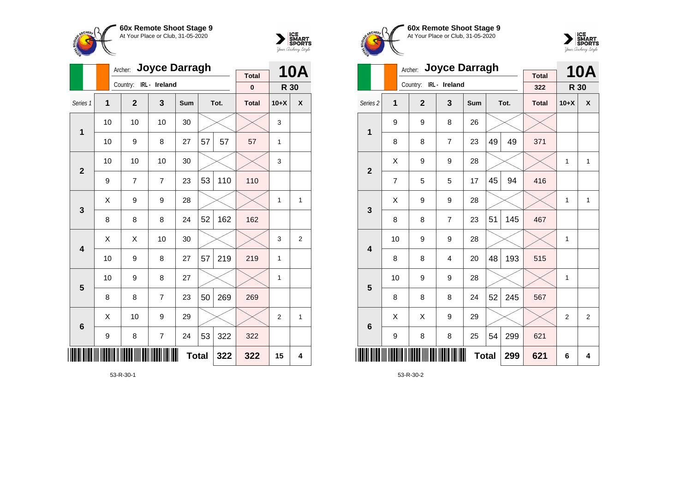



|                 |              | Archer: Joyce Darragh  |                |              |    |      | <b>10A</b>   |                |                |
|-----------------|--------------|------------------------|----------------|--------------|----|------|--------------|----------------|----------------|
|                 |              | Country: IRL - Ireland |                |              |    |      | <b>Total</b> |                |                |
|                 |              |                        |                |              |    |      | $\pmb{0}$    | R 30           |                |
| Series 1        | $\mathbf{1}$ | $\mathbf{2}$           | 3              | Sum          |    | Tot. | <b>Total</b> | $10+X$         | X              |
| $\mathbf 1$     | 10           | 10                     | 10             | 30           |    |      |              | 3              |                |
|                 | 10           | 9                      | 8              | 27           | 57 | 57   | 57           | 1              |                |
| $\overline{2}$  | 10           | 10                     | 10             | 30           |    |      |              | 3              |                |
|                 | 9            | 7                      | $\overline{7}$ | 23           | 53 | 110  | 110          |                |                |
| 3               | X            | 9                      | 9              | 28           |    |      |              | $\mathbf{1}$   | 1              |
|                 | 8            | 8                      | 8              | 24           | 52 | 162  | 162          |                |                |
| 4               | X            | Χ                      | 10             | 30           |    |      |              | 3              | $\overline{2}$ |
|                 | 10           | 9                      | 8              | 27           | 57 | 219  | 219          | 1              |                |
| 5               | 10           | 9                      | 8              | 27           |    |      |              | 1              |                |
|                 | 8            | 8                      | 7              | 23           | 50 | 269  | 269          |                |                |
| $6\phantom{1}6$ | X            | 10                     | 9              | 29           |    |      |              | $\overline{2}$ | 1              |
|                 | 9            | 8                      | $\overline{7}$ | 24           | 53 | 322  | 322          |                |                |
| ║║║             |              |                        |                | <b>Total</b> |    | 322  | 322          | 15             | 4              |

53-R-30-1





|                         |    | Archer:                | <b>Joyce Darragh</b> |              | <b>Total</b> |      | <b>10A</b>   |                |                |
|-------------------------|----|------------------------|----------------------|--------------|--------------|------|--------------|----------------|----------------|
|                         |    | Country: IRL - Ireland |                      |              |              |      | 322          | R 30           |                |
| Series <sub>2</sub>     | 1  | $\overline{2}$         | 3                    | Sum          |              | Tot. | <b>Total</b> | $10+X$         | X              |
| 1                       | 9  | 9                      | 8                    | 26           |              |      |              |                |                |
|                         | 8  | 8                      | $\overline{7}$       | 23           | 49           | 49   | 371          |                |                |
| $\overline{\mathbf{2}}$ | X  | 9                      | 9                    | 28           |              |      |              | 1              | $\mathbf{1}$   |
|                         | 7  | 5                      | 5                    | 17           | 45           | 94   | 416          |                |                |
| 3                       | X  | 9                      | 9                    | 28           |              |      |              | 1              | $\mathbf{1}$   |
|                         | 8  | 8                      | $\overline{7}$       | 23           | 51           | 145  | 467          |                |                |
| $\overline{\mathbf{4}}$ | 10 | 9                      | 9                    | 28           |              |      |              | 1              |                |
|                         | 8  | 8                      | $\overline{4}$       | 20           | 48           | 193  | 515          |                |                |
| 5                       | 10 | 9                      | 9                    | 28           |              |      |              | 1              |                |
|                         | 8  | 8                      | 8                    | 24           | 52           | 245  | 567          |                |                |
| $6\phantom{1}6$         | X  | Χ                      | 9                    | 29           |              |      |              | $\overline{2}$ | $\overline{2}$ |
|                         | 9  | 8                      | 8                    | 25           | 54           | 299  | 621          |                |                |
|                         |    |                        |                      | <b>Total</b> |              | 299  | 621          | 6              | 4              |

53-R-30-2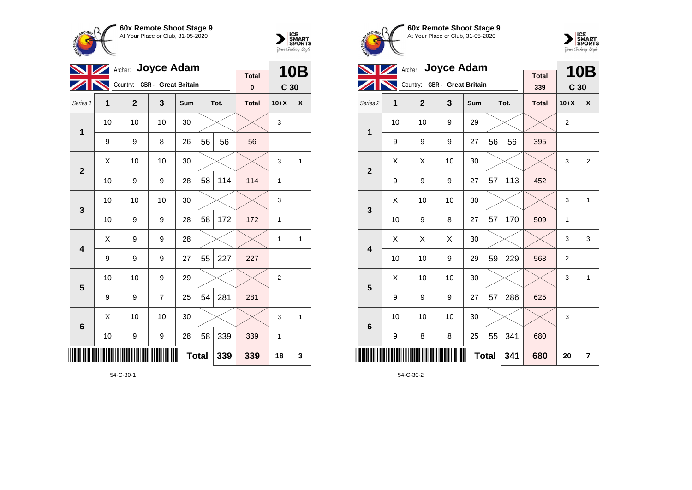



| Archer: Joyce Adam<br>$\boldsymbol{Z}$ |                              |              |    |     |      |     |                          | <b>10B</b>      |              |  |
|----------------------------------------|------------------------------|--------------|----|-----|------|-----|--------------------------|-----------------|--------------|--|
|                                        | Country: GBR - Great Britain |              |    |     |      |     | <b>Total</b><br>$\bf{0}$ | C <sub>30</sub> |              |  |
| Series 1                               | 1                            | $\mathbf{2}$ | 3  | Sum | Tot. |     | <b>Total</b>             | $10+X$          | X            |  |
| 1                                      | 10                           | 10           | 10 | 30  |      |     |                          | 3               |              |  |
|                                        | 9                            | 9            | 8  | 26  | 56   | 56  | 56                       |                 |              |  |
| $\overline{2}$                         | X                            | 10           | 10 | 30  |      |     |                          | 3               | 1            |  |
|                                        | 10                           | 9            | 9  | 28  | 58   | 114 | 114                      | 1               |              |  |
| 3                                      | 10                           | 10           | 10 | 30  |      |     |                          | 3               |              |  |
|                                        | 10                           | 9            | 9  | 28  | 58   | 172 | 172                      | 1               |              |  |
|                                        | X                            | 9            | 9  | 28  |      |     |                          | $\mathbf{1}$    | $\mathbf{1}$ |  |
| 4                                      | 9                            | 9            | 9  | 27  | 55   | 227 | 227                      |                 |              |  |
| 5                                      | 10                           | 10           | 9  | 29  |      |     |                          | $\overline{2}$  |              |  |
|                                        | 9                            | 9            | 7  | 25  | 54   | 281 | 281                      |                 |              |  |
| $6\phantom{1}6$                        | X                            | 10           | 10 | 30  |      |     |                          | 3               | 1            |  |
|                                        | 10                           | 9            | 9  | 28  | 58   | 339 | 339                      | 1               |              |  |
| <b>Total</b><br>339                    |                              |              |    |     |      |     | 339                      | 18              | 3            |  |







|                         | Archer: Joyce Adam |                              |                     | <b>10B</b>      |      |     |              |                |                         |
|-------------------------|--------------------|------------------------------|---------------------|-----------------|------|-----|--------------|----------------|-------------------------|
|                         |                    | Country: GBR - Great Britain | <b>Total</b><br>339 | C <sub>30</sub> |      |     |              |                |                         |
| Series <sub>2</sub>     | 1                  | $\mathbf{2}$                 | 3                   | Sum             | Tot. |     | <b>Total</b> | $10+X$         | X                       |
| 1                       | 10                 | 10                           | 9                   | 29              |      |     |              | $\overline{2}$ |                         |
|                         | 9                  | 9                            | 9                   | 27              | 56   | 56  | 395          |                |                         |
| $\overline{2}$          | X                  | X                            | 10                  | 30              |      |     |              | 3              | $\overline{2}$          |
|                         | 9                  | 9                            | 9                   | 27              | 57   | 113 | 452          |                |                         |
| 3                       | X                  | 10                           | 10                  | 30              |      |     |              | 3              | $\mathbf{1}$            |
|                         | 10                 | 9                            | 8                   | 27              | 57   | 170 | 509          | 1              |                         |
| $\overline{\mathbf{4}}$ | Χ                  | Χ                            | Χ                   | 30              |      |     |              | 3              | 3                       |
|                         | 10                 | 10                           | 9                   | 29              | 59   | 229 | 568          | $\overline{2}$ |                         |
| 5                       | Χ                  | 10                           | 10                  | 30              |      |     |              | 3              | 1                       |
|                         | 9                  | 9                            | 9                   | 27              | 57   | 286 | 625          |                |                         |
| $6\phantom{1}6$         | 10                 | 10                           | 10                  | 30              |      |     |              | 3              |                         |
|                         | 9                  | 8                            | 8                   | 25              | 55   | 341 | 680          |                |                         |
| ║║║                     |                    |                              |                     | <b>Total</b>    |      | 341 | 680          | 20             | $\overline{\mathbf{r}}$ |

54-C-30-2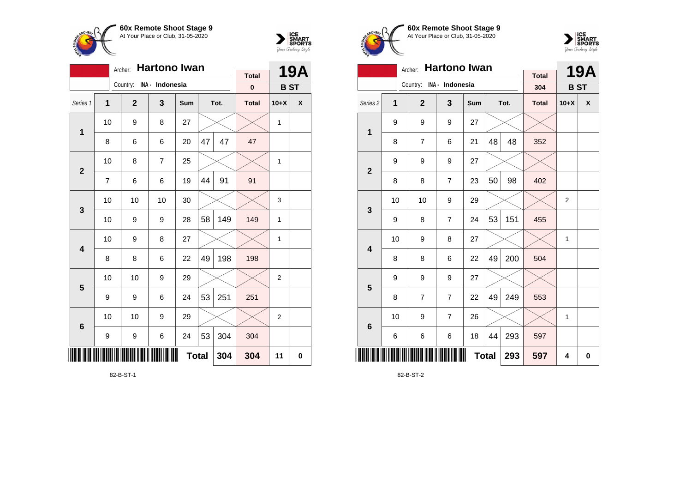

**1**

**2**

**3**

**4**

**5**

**6**

<u>\*82-B-ST-150-B-ST-150-B-ST-150-B-ST-150-B-ST-150-B-ST-150-B-ST-150-B-ST-150-B-ST-150-B-ST-150-B-ST-150-B-ST-1</u>

Archer: **Hartono Iwan**

Series 1 **1 2 3 Sum Tot. Total 10+X X**

8 | 6 | 6 | 20 |47 | 47 | 47

7 | 6 | 6 | 19 |44 | 91 | 91

10  $\mid$  9  $\mid$  8  $\mid$  27  $\mid$   $\times$   $\mid$   $\times$   $\mid$  1

10 | 8 | 7 | 25 |  $\times$  |  $\times$  | 1

10 | 10 | 10 | 30 |  $\times$  |  $\times$  | 3

10 | 9 | 9 | 28 | 58 | 149 | 149 | 1

10 | 9 | 8 | 27 |  $\times$  |  $\times$  | 1

10 | 10 | 9 | 29 |  $\times$  |  $\times$  | 2

10 | 10 | 9 | 29 |  $\times$  |  $\times$  | 2

**Total 304 304 11 0**

8 8 6 22 49 198 198

9 | 9 | 6 | 24 | $53$ | $251$ | 251

9 | 9 | 6 | 24 | $53$  | $304$  |  $304$ 

Country: **INA - Indonesia**



**19A**

**B ST**

**Total 0**





| <b>Hartono Iwan</b><br>Archer: |     |                |                |     |              |     | <b>Total</b> |                | <b>19A</b> |
|--------------------------------|-----|----------------|----------------|-----|--------------|-----|--------------|----------------|------------|
|                                | 304 | <b>BST</b>     |                |     |              |     |              |                |            |
| Series <sub>2</sub>            | 1   | $\mathbf{2}$   | 3              | Sum | Tot.         |     | <b>Total</b> | $10+X$         | X          |
| $\mathbf 1$                    | 9   | 9              | 9              | 27  |              |     |              |                |            |
|                                | 8   | $\overline{7}$ | 6              | 21  | 48           | 48  | 352          |                |            |
| $\overline{2}$                 | 9   | 9              | 9              | 27  |              |     |              |                |            |
|                                | 8   | 8              | $\overline{7}$ | 23  | 50           | 98  | 402          |                |            |
| 3                              | 10  | 10             | 9              | 29  |              |     |              | $\overline{2}$ |            |
|                                | 9   | 8              | $\overline{7}$ | 24  | 53           | 151 | 455          |                |            |
| $\overline{\mathbf{4}}$        | 10  | 9              | 8              | 27  |              |     |              | $\mathbf{1}$   |            |
|                                | 8   | 8              | 6              | 22  | 49           | 200 | 504          |                |            |
| 5                              | 9   | 9              | 9              | 27  |              |     |              |                |            |
|                                | 8   | 7              | $\overline{7}$ | 22  | 49           | 249 | 553          |                |            |
| $6\phantom{1}6$                | 10  | 9              | $\overline{7}$ | 26  |              |     |              | $\mathbf{1}$   |            |
|                                | 6   | 6              | 6              | 18  | 44           | 293 | 597          |                |            |
| ║║║                            |     |                |                |     | <b>Total</b> | 293 | 597          | 4              | $\bf{0}$   |

82-B-ST-2

82-B-ST-1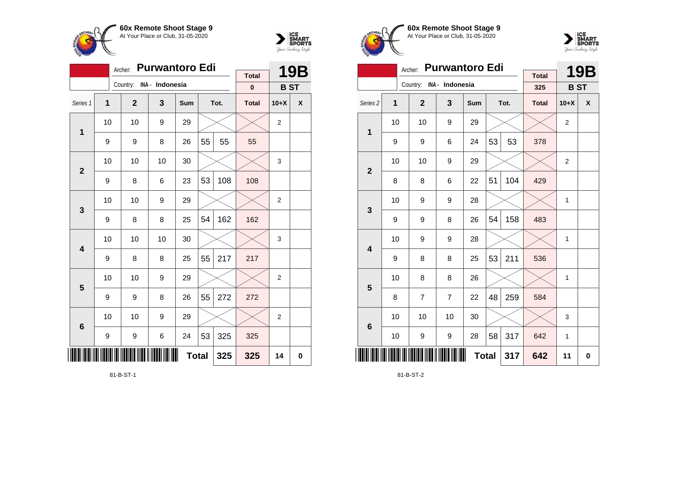



| <b>Purwantoro Edi</b><br>Archer:<br><b>19B</b><br><b>Total</b> |                                |                          |    |              |    |      |              |                |   |  |  |  |
|----------------------------------------------------------------|--------------------------------|--------------------------|----|--------------|----|------|--------------|----------------|---|--|--|--|
|                                                                |                                | Country: INA - Indonesia |    |              |    |      | $\mathbf{0}$ | <b>BST</b>     |   |  |  |  |
| Series 1                                                       | 1                              | $\overline{2}$           | 3  | <b>Sum</b>   |    | Tot. | <b>Total</b> | $10+X$         | X |  |  |  |
|                                                                | 10                             | 10                       | 9  | 29           |    |      |              | $\overline{2}$ |   |  |  |  |
| 1                                                              | 9                              | 9                        | 8  | 26           | 55 | 55   | 55           |                |   |  |  |  |
| $\overline{2}$                                                 | 10                             | 10                       | 10 | 30           |    |      |              | 3              |   |  |  |  |
|                                                                | 53<br>108<br>23<br>9<br>8<br>6 |                          |    |              |    |      |              |                |   |  |  |  |
| 3                                                              | 10                             | 10                       | 9  | 29           |    |      |              | $\overline{2}$ |   |  |  |  |
|                                                                | 9                              | 8                        | 8  | 25           | 54 | 162  | 162          |                |   |  |  |  |
| $\overline{\mathbf{4}}$                                        | 10                             | 10                       | 10 | 30           |    |      |              | 3              |   |  |  |  |
|                                                                | 9                              | 8                        | 8  | 25           | 55 | 217  | 217          |                |   |  |  |  |
| 5                                                              | 10                             | 10                       | 9  | 29           |    |      |              | 2              |   |  |  |  |
|                                                                | 9                              | 9                        | 8  | 26           | 55 | 272  | 272          |                |   |  |  |  |
| $6\phantom{1}6$                                                | 10                             | 10                       | 9  | 29           |    |      |              | 2              |   |  |  |  |
|                                                                | 53<br>9<br>24<br>9<br>6        |                          |    |              |    | 325  | 325          |                |   |  |  |  |
|                                                                |                                |                          |    | <b>Total</b> |    | 325  | 325          | 14             | 0 |  |  |  |

81-B-ST-1





|                         |    | <b>Purwantoro Edi</b><br>Archer: |                |              |    | <b>19B</b> |                     |                |             |
|-------------------------|----|----------------------------------|----------------|--------------|----|------------|---------------------|----------------|-------------|
|                         |    | Country: INA - Indonesia         |                |              |    |            | <b>Total</b><br>325 | <b>BST</b>     |             |
| Series <sub>2</sub>     | 1  | $\overline{2}$                   | 3              | Sum          |    | Tot.       | <b>Total</b>        | $10+X$         | X           |
| 1                       | 10 | 10                               | 9              | 29           |    |            |                     | $\overline{2}$ |             |
|                         | 9  | 9                                | 6              | 24           | 53 | 53         | 378                 |                |             |
| $\overline{2}$          | 10 | 10                               | 9              | 29           |    |            |                     | $\overline{2}$ |             |
|                         | 8  | 8                                | 6              | 22           | 51 | 104        | 429                 |                |             |
| 3                       | 10 | 9                                | 9              | 28           |    |            |                     | 1              |             |
|                         | 9  | 9                                | 8              | 26           | 54 | 158        | 483                 |                |             |
| $\overline{\mathbf{4}}$ | 10 | 9                                | 9              | 28           |    |            |                     | 1              |             |
|                         | 9  | 8                                | 8              | 25           | 53 | 211        | 536                 |                |             |
| 5                       | 10 | 8                                | 8              | 26           |    |            |                     | 1              |             |
|                         | 8  | 7                                | $\overline{7}$ | 22           | 48 | 259        | 584                 |                |             |
| $6\phantom{1}6$         | 10 | 10                               | 10             | 30           |    |            |                     | 3              |             |
|                         | 10 | 9                                | 9              | 28           | 58 | 317        | 642                 | 1              |             |
| ║║║                     |    |                                  |                | <b>Total</b> |    | 317        | 642                 | 11             | $\mathbf 0$ |

81-B-ST-2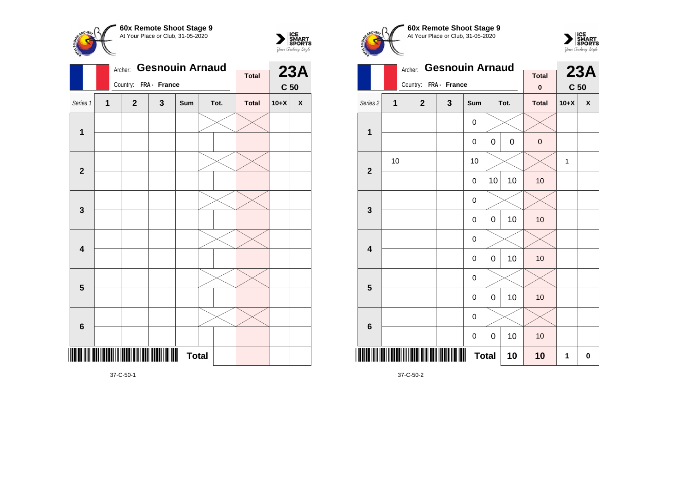



| <b>Total</b><br>Country:<br>FRA - France<br>C <sub>50</sub><br>Series 1<br>$\overline{1}$<br>3<br>$\mathbf{2}$<br>Tot.<br><b>Total</b><br>$10+X$<br>$\pmb{\mathsf{X}}$<br>Sum<br>1<br>$\mathbf{2}$<br>3<br>$\overline{\mathbf{4}}$<br>$\overline{\mathbf{5}}$<br>$\bf 6$<br><b>Total</b> |  | Archer: | <b>Gesnouin Arnaud</b> |  | <b>23A</b> |  |  |
|------------------------------------------------------------------------------------------------------------------------------------------------------------------------------------------------------------------------------------------------------------------------------------------|--|---------|------------------------|--|------------|--|--|
|                                                                                                                                                                                                                                                                                          |  |         |                        |  |            |  |  |
|                                                                                                                                                                                                                                                                                          |  |         |                        |  |            |  |  |
|                                                                                                                                                                                                                                                                                          |  |         |                        |  |            |  |  |
|                                                                                                                                                                                                                                                                                          |  |         |                        |  |            |  |  |
|                                                                                                                                                                                                                                                                                          |  |         |                        |  |            |  |  |
|                                                                                                                                                                                                                                                                                          |  |         |                        |  |            |  |  |
|                                                                                                                                                                                                                                                                                          |  |         |                        |  |            |  |  |
|                                                                                                                                                                                                                                                                                          |  |         |                        |  |            |  |  |
|                                                                                                                                                                                                                                                                                          |  |         |                        |  |            |  |  |
|                                                                                                                                                                                                                                                                                          |  |         |                        |  |            |  |  |
|                                                                                                                                                                                                                                                                                          |  |         |                        |  |            |  |  |
|                                                                                                                                                                                                                                                                                          |  |         |                        |  |            |  |  |
|                                                                                                                                                                                                                                                                                          |  |         |                        |  |            |  |  |
|                                                                                                                                                                                                                                                                                          |  |         |                        |  |            |  |  |
|                                                                                                                                                                                                                                                                                          |  |         |                        |  |            |  |  |
|                                                                                                                                                                                                                                                                                          |  |         |                        |  |            |  |  |
|                                                                                                                                                                                                                                                                                          |  |         |                        |  |            |  |  |
|                                                                                                                                                                                                                                                                                          |  |         |                        |  |            |  |  |
|                                                                                                                                                                                                                                                                                          |  |         |                        |  |            |  |  |
|                                                                                                                                                                                                                                                                                          |  |         |                        |  |            |  |  |
|                                                                                                                                                                                                                                                                                          |  |         |                        |  |            |  |  |
|                                                                                                                                                                                                                                                                                          |  |         |                        |  |            |  |  |
|                                                                                                                                                                                                                                                                                          |  |         |                        |  |            |  |  |

**60x Remote Shoot Stage 9** At Your Place or Club, 31-05-2020



|                         |                | Archer:               | <b>Gesnouin Arnaud</b> |              | <b>Total</b> |             | 23A          |                 |   |
|-------------------------|----------------|-----------------------|------------------------|--------------|--------------|-------------|--------------|-----------------|---|
|                         |                | Country: FRA - France |                        |              |              |             | 0            | C <sub>50</sub> |   |
| Series 2                | $\overline{1}$ | $\overline{2}$        | 3                      | Sum          |              | Tot.        | <b>Total</b> | $10+X$          | X |
| $\mathbf 1$             |                |                       |                        | 0            |              |             |              |                 |   |
|                         |                |                       |                        | $\mathbf 0$  | 0            | $\mathbf 0$ | $\mathbf 0$  |                 |   |
| $\mathbf{2}$            | 10             |                       |                        | 10           |              |             |              | $\mathbf{1}$    |   |
|                         |                |                       |                        | 0            | 10           | 10          | 10           |                 |   |
| $\mathbf{3}$            |                |                       |                        | 0            |              |             |              |                 |   |
|                         |                |                       |                        | 0            | 0            | 10          | 10           |                 |   |
| $\overline{\mathbf{4}}$ |                |                       |                        | $\mathbf 0$  |              |             |              |                 |   |
|                         |                |                       |                        | 0            | 0            | 10          | 10           |                 |   |
| $\overline{\mathbf{5}}$ |                |                       |                        | 0            |              |             |              |                 |   |
|                         |                |                       |                        | 0            | 0            | 10          | 10           |                 |   |
| $\bf 6$                 |                |                       |                        | 0            |              |             |              |                 |   |
|                         |                |                       |                        | 0            | 0            | 10          | 10           |                 |   |
| IIII                    |                |                       |                        | <b>Total</b> |              | 10          | 10           | 1               | 0 |

37-C-50-2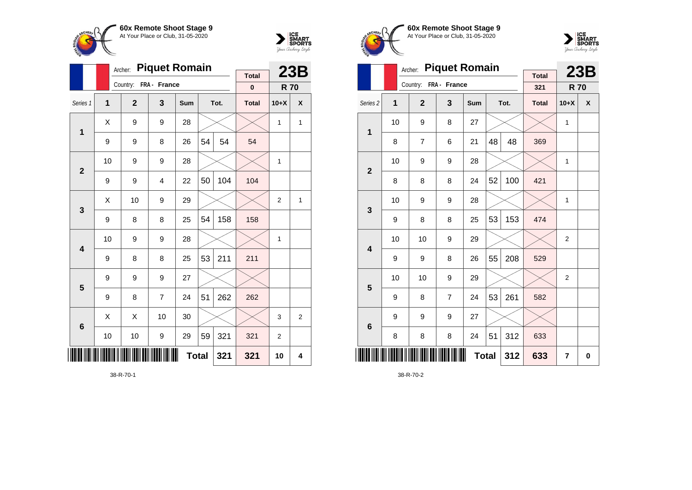

Country: **FRA - France**

**1**

**2**

**3**

**4**

**5**

**6**

 $\overline{3}$ 

Archer: **Piquet Romain**

Series 1 **1 2 3 Sum Tot. Total 10+X X**

9 | 9 | 8 | 26 | $54$  |  $54$  |  $54$ 

9 | 9 | 4 | 22 | $50$ | 104 <mark>|</mark> 104

 $9 \mid 8 \mid 8 \mid 25 \mid 54 \mid 158 \mid 158$ 

9 | 8 | 8 | 25 | $53$  | 211 | 211

 $9 \mid 8 \mid 7 \mid 24 \mid 51 \mid 262 \mid 262$ 

9 9 9 27

10 | 9 | 9 | 28 |  $\times$  |  $\times$  | 1

10 | 9 | 9 | 28 |  $\times$  |  $\times$  | 1

 $\textsf{X} \hspace{0.2cm} \vert \hspace{0.2cm} 9 \hspace{0.2cm} \vert \hspace{0.2cm} 9 \hspace{0.2cm} \vert \hspace{0.2cm} 28 \hspace{0.2cm} \vert \hspace{0.2cm} \times \hspace{0.2cm} \vert \hspace{0.2cm} \times \hspace{0.2cm} \vert \hspace{0.2cm} 1 \hspace{0.2cm} \vert \hspace{0.2cm} 1 \hspace{0.2cm} \vert \hspace{0.2cm} 1$ 

 $\textsf{X}$  | 10 | 9 | 29 |  $\times$  |  $\times$  | 2 | 1

 $\textsf{X} \hspace{.2cm} \mid \hspace{.2cm} \textsf{X} \hspace{.2cm} \mid \hspace{.2cm} \textsf{10} \hspace{.2cm} \mid \hspace{.2cm} \textsf{30} \hspace{.2cm} \mid \hspace{.2cm} \textsf{3} \hspace{.2cm} \mid \hspace{.2cm} \textsf{3} \hspace{.2cm} \mid \hspace{.2cm} \textsf{2}$ 

**Total 321 321 10 4**

10 | 10 | 9 | 29 | 59 | 321 | 321 | 2



**23B R 70**

**Total 0**





|                     |    | Archer:        | <b>Piquet Romain</b> |              |    |      |                     | 23B            |          |
|---------------------|----|----------------|----------------------|--------------|----|------|---------------------|----------------|----------|
|                     |    | Country:       | FRA - France         |              |    |      | <b>Total</b><br>321 | <b>R70</b>     |          |
| Series <sub>2</sub> | 1  | $\overline{2}$ | 3                    | Sum          |    | Tot. | <b>Total</b>        | $10+X$         | X        |
| 1                   | 10 | 9              | 8                    | 27           |    |      |                     | 1              |          |
|                     | 8  | 7              | 6                    | 21           | 48 | 48   | 369                 |                |          |
| $\overline{2}$      | 10 | 9              | 9                    | 28           |    |      |                     | 1              |          |
|                     | 8  | 8              | 8                    | 24           | 52 | 100  | 421                 |                |          |
| 3                   | 10 | 9              | 9                    | 28           |    |      |                     | 1              |          |
|                     | 9  | 8              | 8                    | 25           | 53 | 153  | 474                 |                |          |
| 4                   | 10 | 10             | 9                    | 29           |    |      |                     | $\overline{2}$ |          |
|                     | 9  | 9              | 8                    | 26           | 55 | 208  | 529                 |                |          |
| 5                   | 10 | 10             | 9                    | 29           |    |      |                     | 2              |          |
|                     | 9  | 8              | $\overline{7}$       | 24           | 53 | 261  | 582                 |                |          |
| 6                   | 9  | 9              | 9                    | 27           |    |      |                     |                |          |
|                     | 8  | 8              | 8                    | 24           | 51 | 312  | 633                 |                |          |
| IIII                |    |                |                      | <b>Total</b> |    | 312  | 633                 | $\overline{7}$ | $\bf{0}$ |

38-R-70-2

38-R-70-1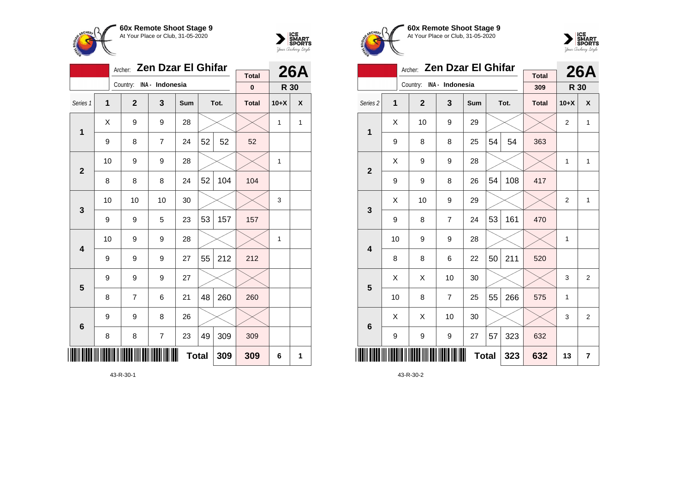

**1**

**2**

**3**

**4**

**5**

**6**

Country: **INA - Indonesia**

Archer: **Zen Dzar El Ghifar**

Series 1 **1 2 3 Sum Tot. Total 10+X X**

9 | 8 | 7 | 24 | $52$  |  $52$  |  $52$ 

8 | 8 | 8 | 24 |52 | 104 <mark>|</mark> 104

9 | 9 | 5 | 23 |53|157 <mark>|</mark> 157

 $9 \mid 9 \mid 9 \mid 27 \mid 55 \mid 212 \mid 212$ 

8 | 7 | 6 | 21 |48 | 260 | 260

8 | 8 | 7 | 23 |49 | 309 | 309

9 9 9 27

 $9 \mid 9 \mid 8 \mid 26$ 

10 | 9 | 9 | 28 |  $\times$  |  $\times$  | 1

10 | 10 | 10 | 30 |  $\times$  |  $\times$  | 3

10 | 9 | 9 | 28 |  $\times$  |  $\times$  | 1

 $\textsf{X} \hspace{0.2cm} \vert \hspace{0.2cm} 9 \hspace{0.2cm} \vert \hspace{0.2cm} 9 \hspace{0.2cm} \vert \hspace{0.2cm} 28 \hspace{0.2cm} \vert \hspace{0.2cm} \times \hspace{0.2cm} \vert \hspace{0.2cm} \times \hspace{0.2cm} \vert \hspace{0.2cm} 1 \hspace{0.2cm} \vert \hspace{0.2cm} 1 \hspace{0.2cm} \vert \hspace{0.2cm} 1$ 



**26A**

**R 30**

**Total 0**

**Total 309 309 6 1**

|  | 60x Remote Shoot Stage 9<br>At Your Place or Club, 31-05-2020 |
|--|---------------------------------------------------------------|
|  | Archer: Zen Dzar El Ghi                                       |



|                     |    | Archer:                  | <b>Zen Dzar El Ghifar</b> |     |              | <b>26A</b> |                     |                |                |
|---------------------|----|--------------------------|---------------------------|-----|--------------|------------|---------------------|----------------|----------------|
|                     |    | Country: INA - Indonesia |                           |     |              |            | <b>Total</b><br>309 | R 30           |                |
|                     |    |                          |                           |     |              |            |                     |                |                |
| Series <sub>2</sub> | 1  | $\mathbf{2}$             | 3                         | Sum |              | Tot.       | <b>Total</b>        | $10+X$         | X              |
| 1                   | Χ  | 10                       | 9                         | 29  |              |            |                     | $\overline{2}$ | $\mathbf{1}$   |
|                     | 9  | 8                        | 8                         | 25  | 54           | 54         | 363                 |                |                |
| $\overline{2}$      | X  | 9                        | 9                         | 28  |              |            |                     | 1              | $\mathbf{1}$   |
|                     | 9  | 9                        | 8                         | 26  | 54           | 108        | 417                 |                |                |
| 3                   | X  | 10                       | 9                         | 29  |              |            |                     | $\overline{2}$ | $\mathbf{1}$   |
|                     | 9  | 8                        | $\overline{7}$            | 24  | 53           | 161        | 470                 |                |                |
| 4                   | 10 | 9                        | 9                         | 28  |              |            |                     | $\mathbf{1}$   |                |
|                     | 8  | 8                        | 6                         | 22  | 50           | 211        | 520                 |                |                |
| 5                   | X  | Χ                        | 10                        | 30  |              |            |                     | 3              | $\overline{2}$ |
|                     | 10 | 8                        | $\overline{7}$            | 25  | 55           | 266        | 575                 | $\mathbf{1}$   |                |
| $6\phantom{1}6$     | X  | X                        | 10                        | 30  |              |            |                     | 3              | $\overline{2}$ |
|                     | 9  | 9                        | 9                         | 27  | 57           | 323        | 632                 |                |                |
|                     |    |                          |                           |     | <b>Total</b> | 323        | 632                 | 13             | 7              |

43-R-30-2

43-R-30-1

\*43-R-30-1\*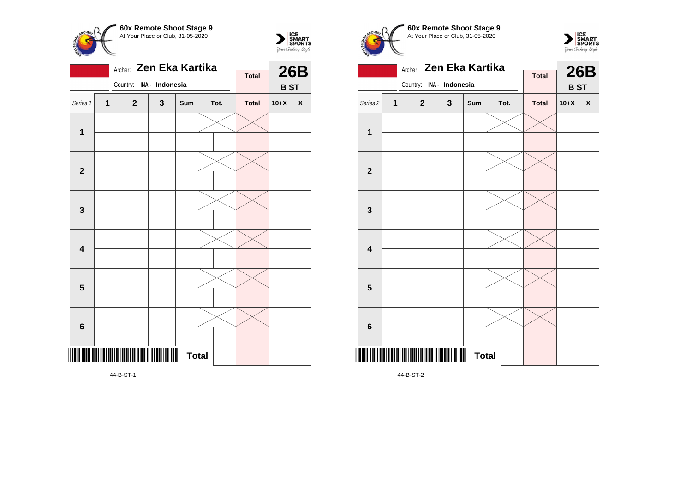



| <b>Total</b><br>Country:<br>INA - Indonesia<br><b>BST</b><br>Series 1<br>$\overline{\mathbf{1}}$<br>$\mathbf{3}$<br><b>Total</b><br>$\mathbf{2}$<br>Tot.<br>$10+X$<br>$\pmb{\mathsf{X}}$<br>Sum<br>$\mathbf 1$<br>$\overline{2}$<br>3<br>$\overline{\mathbf{4}}$<br>$\overline{\mathbf{5}}$<br>6 |  | Archer: Zen Eka Kartika |  | <b>26B</b> |  |  |
|--------------------------------------------------------------------------------------------------------------------------------------------------------------------------------------------------------------------------------------------------------------------------------------------------|--|-------------------------|--|------------|--|--|
|                                                                                                                                                                                                                                                                                                  |  |                         |  |            |  |  |
|                                                                                                                                                                                                                                                                                                  |  |                         |  |            |  |  |
|                                                                                                                                                                                                                                                                                                  |  |                         |  |            |  |  |
|                                                                                                                                                                                                                                                                                                  |  |                         |  |            |  |  |
|                                                                                                                                                                                                                                                                                                  |  |                         |  |            |  |  |
|                                                                                                                                                                                                                                                                                                  |  |                         |  |            |  |  |
|                                                                                                                                                                                                                                                                                                  |  |                         |  |            |  |  |
|                                                                                                                                                                                                                                                                                                  |  |                         |  |            |  |  |
|                                                                                                                                                                                                                                                                                                  |  |                         |  |            |  |  |
|                                                                                                                                                                                                                                                                                                  |  |                         |  |            |  |  |
|                                                                                                                                                                                                                                                                                                  |  |                         |  |            |  |  |
|                                                                                                                                                                                                                                                                                                  |  |                         |  |            |  |  |
|                                                                                                                                                                                                                                                                                                  |  |                         |  |            |  |  |
|                                                                                                                                                                                                                                                                                                  |  |                         |  |            |  |  |
|                                                                                                                                                                                                                                                                                                  |  |                         |  |            |  |  |
| <b>THE TELEVISION</b><br><b>Total</b>                                                                                                                                                                                                                                                            |  |                         |  |            |  |  |

Archer: **Zen Eka Kartika** Country: **INA - Indonesia 26B B ST Total** Series 2 **1 2 3 Sum Tot. Total 10+X X 1 2 3 4 5 6**

**Total** 

**60x Remote Shoot Stage 9** At Your Place or Club, 31-05-2020

 $\sum_{\text{Jour }\text{Cuchy}\text{ \&PORTS}}\begin{matrix} \text{ICE} \\ \text{SDORTS} \\ \text{Jour } \text{Cuchy} \text{ \&Pylc} \end{matrix}$ 

**CHEPL** 

44-B-ST-2

\***14** - Barton Barton, 1981<br>1941 - Santa Barton, politik amerikan<br>1941 - Santa Barton, politik amerikan

44-B-ST-1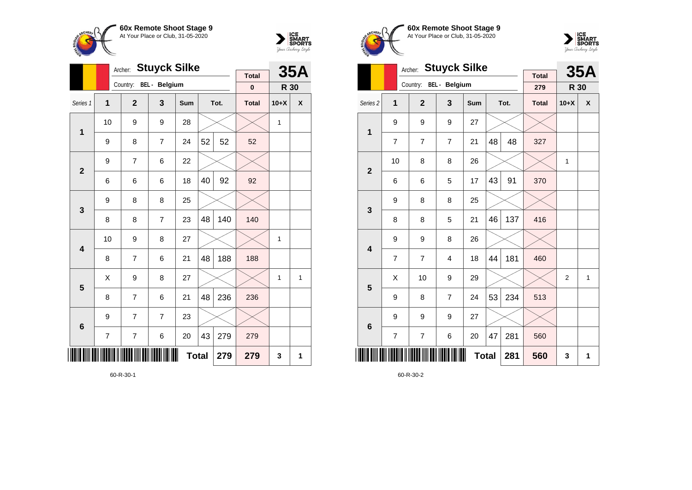

**1**

**2**

**3**

**4**

**5**

**6**

\*60-R-30-1\*

Archer: **Stuyck Silke**

Series 1 **1 2 3 Sum Tot. Total 10+X X**

9 | 8 | 7 | 24 | $52$  |  $52$  |  $52$ 

6 | 6 | 6 | 18 | $40$ |  $92$  |  $92$ 

 $8 \mid 8 \mid 7 \mid 23 \mid 48 \mid 140 \mid 140$ 

8 7 6 21 48 188 188

8 7 6 21 48 236 236

7 | 7 | 6 | 20 |43 | 279 | 279

10 | 9 | 8 | 27 |  $\times$  |  $\times$  | 1

 $\textsf{X} \hspace{0.2cm} \vert \hspace{0.2cm} 9 \hspace{0.2cm} \vert \hspace{0.2cm} 8 \hspace{0.2cm} \vert \hspace{0.2cm} 27 \hspace{0.2cm} \vert \hspace{0.2cm} \times \hspace{0.2cm} \vert \hspace{0.2cm} \times \hspace{0.2cm} \vert \hspace{0.2cm} 1 \hspace{0.2cm} \vert \hspace{0.2cm} 1 \hspace{0.2cm} \vert \hspace{0.2cm} 1$ 

**Total 279 279 3 1**

10  $\mid$  9  $\mid$  9  $\mid$  28  $\mid$   $\times$   $\mid$   $\times$   $\mid$  1

Country: **BEL - Belgium**

9 7 6 22

9 8 8 25

 $9$  7 7 23



**35A**

**R 30**

**Total 0**





|                     |                | Archer:        | <b>Stuyck Silke</b>  |              |    |      | <b>35A</b>          |                |   |
|---------------------|----------------|----------------|----------------------|--------------|----|------|---------------------|----------------|---|
|                     |                | Country:       | <b>BEL</b> - Belgium |              |    |      | <b>Total</b><br>279 | <b>R 30</b>    |   |
| Series <sub>2</sub> | 1              | $\overline{2}$ | 3                    | Sum          |    | Tot. | <b>Total</b>        | $10+X$         | X |
| 1                   | 9              | 9              | 9                    | 27           |    |      |                     |                |   |
|                     | $\overline{7}$ | 7              | $\overline{7}$       | 21           | 48 | 48   | 327                 |                |   |
| $\overline{2}$      | 10             | 8              | 8                    | 26           |    |      |                     | 1              |   |
|                     | 6              | 6              | 5                    | 17           | 43 | 91   | 370                 |                |   |
| 3                   | 9              | 8              | 8                    | 25           |    |      |                     |                |   |
|                     | 8              | 8              | 5                    | 21           | 46 | 137  | 416                 |                |   |
| 4                   | 9              | 9              | 8                    | 26           |    |      |                     |                |   |
|                     | 7              | 7              | 4                    | 18           | 44 | 181  | 460                 |                |   |
| 5                   | X              | 10             | 9                    | 29           |    |      |                     | $\overline{2}$ | 1 |
|                     | 9              | 8              | $\overline{7}$       | 24           | 53 | 234  | 513                 |                |   |
| $6\phantom{1}6$     | 9              | 9              | 9                    | 27           |    |      |                     |                |   |
|                     | 7              | $\overline{7}$ | 6                    | 20           | 47 | 281  | 560                 |                |   |
| ║║║                 |                |                |                      | <b>Total</b> |    | 281  | 560                 | 3              | 1 |

60-R-30-2

60-R-30-1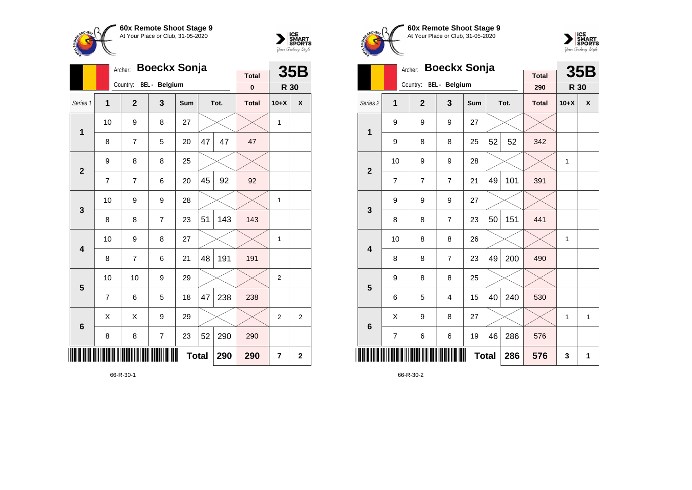



|                         |                | Archer:        | <b>Boeckx Sonja</b> |              |    |      | 35B                       |                |                |
|-------------------------|----------------|----------------|---------------------|--------------|----|------|---------------------------|----------------|----------------|
|                         |                | Country:       | BEL - Belgium       |              |    |      | <b>Total</b><br>$\pmb{0}$ | R 30           |                |
| Series 1                | $\overline{1}$ | $\overline{2}$ | 3                   | Sum          |    | Tot. | <b>Total</b>              | $10+X$         | X              |
| $\mathbf{1}$            | 10             | 9              | 8                   | 27           |    |      |                           | 1              |                |
|                         | 8              | 7              | 5                   | 20           | 47 | 47   | 47                        |                |                |
| $\overline{2}$          | 9              | 8              | 8                   | 25           |    |      |                           |                |                |
|                         | $\overline{7}$ | $\overline{7}$ | 6                   | 20           | 45 | 92   | 92                        |                |                |
| 3                       | 10             | 9              | 9                   | 28           |    |      |                           | 1              |                |
|                         | 8              | 8              | $\overline{7}$      | 23           | 51 | 143  | 143                       |                |                |
| $\overline{\mathbf{4}}$ | 10             | 9              | 8                   | 27           |    |      |                           | 1              |                |
|                         | 8              | $\overline{7}$ | 6                   | 21           | 48 | 191  | 191                       |                |                |
| 5                       | 10             | 10             | 9                   | 29           |    |      |                           | $\overline{2}$ |                |
|                         | 7              | 6              | 5                   | 18           | 47 | 238  | 238                       |                |                |
| $6\phantom{1}6$         | Χ              | X              | 9                   | 29           |    |      |                           | $\overline{2}$ | $\overline{2}$ |
|                         | 8              | 8              | 7                   | 23           | 52 | 290  | 290                       |                |                |
|                         |                |                |                     | <b>Total</b> |    | 290  | 290                       | 7              | $\mathbf 2$    |

66-R-30-1





|                         |                | Archer:        | <b>Boeckx Sonja</b> |            |              |      | <b>35B</b>          |              |              |
|-------------------------|----------------|----------------|---------------------|------------|--------------|------|---------------------|--------------|--------------|
|                         |                | Country:       | BEL - Belgium       |            |              |      | <b>Total</b><br>290 | R 30         |              |
| Series <sub>2</sub>     | 1              | $\overline{2}$ | 3                   | <b>Sum</b> |              | Tot. | <b>Total</b>        | $10+X$       | X            |
| 1                       | 9              | 9              | 9                   | 27         |              |      |                     |              |              |
|                         | 9              | 8              | 8                   | 25         | 52           | 52   | 342                 |              |              |
| $\overline{2}$          | 10             | 9              | 9                   | 28         |              |      |                     | 1            |              |
|                         | 7              | 7              | $\overline{7}$      | 21         | 49           | 101  | 391                 |              |              |
| 3                       | 9              | 9              | 9                   | 27         |              |      |                     |              |              |
|                         | 8              | 8              | $\overline{7}$      | 23         | 50           | 151  | 441                 |              |              |
| $\overline{\mathbf{4}}$ | 10             | 8              | 8                   | 26         |              |      |                     | 1            |              |
|                         | 8              | 8              | $\overline{7}$      | 23         | 49           | 200  | 490                 |              |              |
| 5                       | 9              | 8              | 8                   | 25         |              |      |                     |              |              |
|                         | 6              | 5              | $\overline{4}$      | 15         | 40           | 240  | 530                 |              |              |
| $6\phantom{1}6$         | Χ              | 9              | 8                   | 27         |              |      |                     | $\mathbf{1}$ | $\mathbf{1}$ |
|                         | $\overline{7}$ | 6              | 6                   | 19         | 46           | 286  | 576                 |              |              |
|                         |                |                |                     |            | <b>Total</b> | 286  | 576                 | 3            | 1            |

66-R-30-2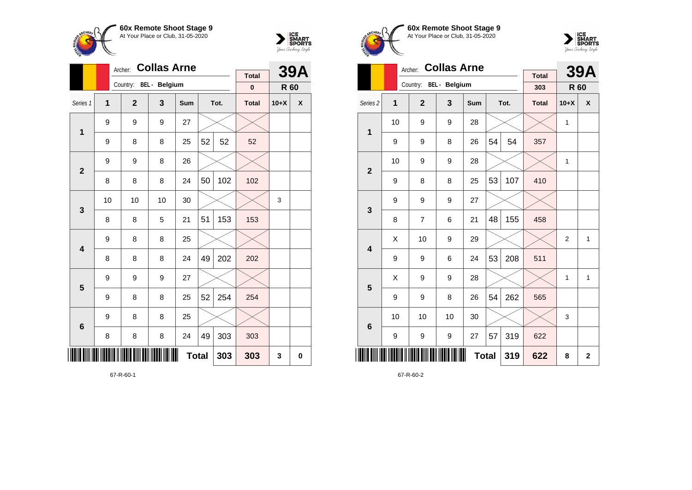



|                 |                | <b>Collas Arne</b><br>Archer: |    |              |    | <b>39A</b> |                          |        |   |
|-----------------|----------------|-------------------------------|----|--------------|----|------------|--------------------------|--------|---|
|                 |                | Country: BEL - Belgium        |    |              |    |            | <b>Total</b><br>$\bf{0}$ | R 60   |   |
| Series 1        | $\overline{1}$ | $\mathbf{2}$                  | 3  | Sum          |    | Tot.       | <b>Total</b>             | $10+X$ | X |
|                 | 9              | 9                             | 9  | 27           |    |            |                          |        |   |
| 1               | 9              | 8                             | 8  | 25           | 52 | 52         | 52                       |        |   |
| $\overline{2}$  | 9              | 9                             | 8  | 26           |    |            |                          |        |   |
|                 | 8              | 8                             | 8  | 24           | 50 | 102        | 102                      |        |   |
| 3               | 10             | 10                            | 10 | 30           |    |            |                          | 3      |   |
|                 | 8              | 8                             | 5  | 21           | 51 | 153        | 153                      |        |   |
| 4               | 9              | 8                             | 8  | 25           |    |            |                          |        |   |
|                 | 8              | 8                             | 8  | 24           | 49 | 202        | 202                      |        |   |
| 5               | 9              | 9                             | 9  | 27           |    |            |                          |        |   |
|                 | 9              | 8                             | 8  | 25           | 52 | 254        | 254                      |        |   |
| $6\phantom{1}6$ | 9              | 8                             | 8  | 25           |    |            |                          |        |   |
|                 | 8              | 8                             | 8  | 24           | 49 | 303        | 303                      |        |   |
| IIII            |                |                               |    | <b>Total</b> |    | 303        | 303                      | 3      | 0 |

67-R-60-1





|                     |    | Archer:                | <b>Collas Arne</b> |              |    |      | <b>39A</b>          |                |              |
|---------------------|----|------------------------|--------------------|--------------|----|------|---------------------|----------------|--------------|
|                     |    | Country: BEL - Belgium |                    |              |    |      | <b>Total</b><br>303 | R 60           |              |
| Series <sub>2</sub> | 1  | $\overline{2}$         | 3                  | Sum          |    | Tot. | <b>Total</b>        | $10+X$         | X            |
| 1                   | 10 | 9                      | 9                  | 28           |    |      |                     | 1              |              |
|                     | 9  | 9                      | 8                  | 26           | 54 | 54   | 357                 |                |              |
| $\overline{2}$      | 10 | 9                      | 9                  | 28           |    |      |                     | 1              |              |
|                     | 9  | 8                      | 8                  | 25           | 53 | 107  | 410                 |                |              |
| 3                   | 9  | 9                      | 9                  | 27           |    |      |                     |                |              |
|                     | 8  | $\overline{7}$         | 6                  | 21           | 48 | 155  | 458                 |                |              |
| 4                   | X  | 10                     | 9                  | 29           |    |      |                     | $\overline{2}$ | $\mathbf{1}$ |
|                     | 9  | 9                      | 6                  | 24           | 53 | 208  | 511                 |                |              |
| 5                   | Χ  | 9                      | 9                  | 28           |    |      |                     | 1              | 1            |
|                     | 9  | 9                      | 8                  | 26           | 54 | 262  | 565                 |                |              |
| $6\phantom{1}6$     | 10 | 10                     | 10                 | 30           |    |      |                     | 3              |              |
|                     | 9  | 9                      | 9                  | 27           | 57 | 319  | 622                 |                |              |
| ║║║║                |    |                        |                    | <b>Total</b> |    | 319  | 622                 | 8              | $\mathbf 2$  |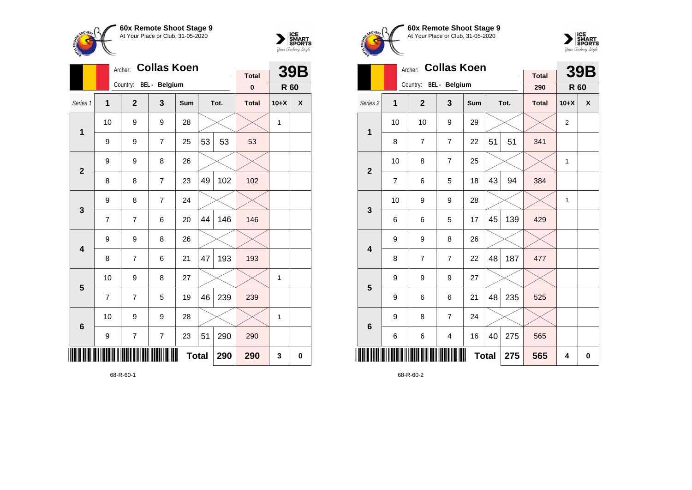



| 60x Remote Shoot Stage 9<br>At Your Place or Club, 31-05-2020 |  |
|---------------------------------------------------------------|--|
|                                                               |  |



|                     |    | Archer:                | <b>Collas Koen</b> |            |              |      | <b>39B</b>          |              |          |
|---------------------|----|------------------------|--------------------|------------|--------------|------|---------------------|--------------|----------|
|                     |    | Country: BEL - Belgium |                    |            |              |      | <b>Total</b><br>290 | R 60         |          |
| Series <sub>2</sub> | 1  | $\overline{2}$         | 3                  | <b>Sum</b> |              | Tot. | <b>Total</b>        | $10+X$       | X        |
| $\mathbf{1}$        | 10 | 10                     | 9                  | 29         |              |      |                     | 2            |          |
|                     | 8  | $\overline{7}$         | $\overline{7}$     | 22         | 51           | 51   | 341                 |              |          |
| $\overline{2}$      | 10 | 8                      | $\overline{7}$     | 25         |              |      |                     | 1            |          |
|                     | 7  | 6                      | 5                  | 18         | 43           | 94   | 384                 |              |          |
| 3                   | 10 | 9                      | 9                  | 28         |              |      |                     | $\mathbf{1}$ |          |
|                     | 6  | 6                      | 5                  | 17         | 45           | 139  | 429                 |              |          |
| 4                   | 9  | 9                      | 8                  | 26         |              |      |                     |              |          |
|                     | 8  | 7                      | $\overline{7}$     | 22         | 48           | 187  | 477                 |              |          |
| 5                   | 9  | 9                      | 9                  | 27         |              |      |                     |              |          |
|                     | 9  | 6                      | 6                  | 21         | 48           | 235  | 525                 |              |          |
| $6\phantom{1}6$     | 9  | 8                      | 7                  | 24         |              |      |                     |              |          |
|                     | 6  | 6                      | 4                  | 16         | 40           | 275  | 565                 |              |          |
| Ш                   |    |                        |                    |            | <b>Total</b> | 275  | 565                 | 4            | $\bf{0}$ |

68-R-60-2

|                         |                | <b>Collas Koen</b><br>Archer: |                      |              |    | <b>39B</b> |              |        |   |
|-------------------------|----------------|-------------------------------|----------------------|--------------|----|------------|--------------|--------|---|
|                         |                |                               |                      |              |    |            | <b>Total</b> |        |   |
|                         |                | Country:                      | <b>BEL</b> - Belgium |              |    |            | $\bf{0}$     | R 60   |   |
| Series 1                | 1              | $\overline{2}$                | 3                    | Sum          |    | Tot.       | <b>Total</b> | $10+X$ | X |
| $\overline{1}$          | 10             | 9                             | 9                    | 28           |    |            |              | 1      |   |
|                         | 9              | 9                             | $\overline{7}$       | 25           | 53 | 53         | 53           |        |   |
| $\overline{2}$          | 9              | 9                             | 8                    | 26           |    |            |              |        |   |
|                         | 8              | 8                             | $\overline{7}$       | 23           | 49 | 102        | 102          |        |   |
| 3                       | 9              | 8                             | $\overline{7}$       | 24           |    |            |              |        |   |
|                         | $\overline{7}$ | $\overline{7}$                | 6                    | 20           | 44 | 146        | 146          |        |   |
| $\overline{\mathbf{4}}$ | 9              | 9                             | 8                    | 26           |    |            |              |        |   |
|                         | 8              | $\overline{7}$                | 6                    | 21           | 47 | 193        | 193          |        |   |
| 5                       | 10             | 9                             | 8                    | 27           |    |            |              | 1      |   |
|                         | $\overline{7}$ | $\overline{7}$                | 5                    | 19           | 46 | 239        | 239          |        |   |
| $6\phantom{a}$          | 10             | 9                             | 9                    | 28           |    |            |              | 1      |   |
|                         | 9              | $\overline{7}$                | $\overline{7}$       | 23           | 51 | 290        | 290          |        |   |
|                         |                |                               |                      | <b>Total</b> |    | 290        | 290          | 3      | 0 |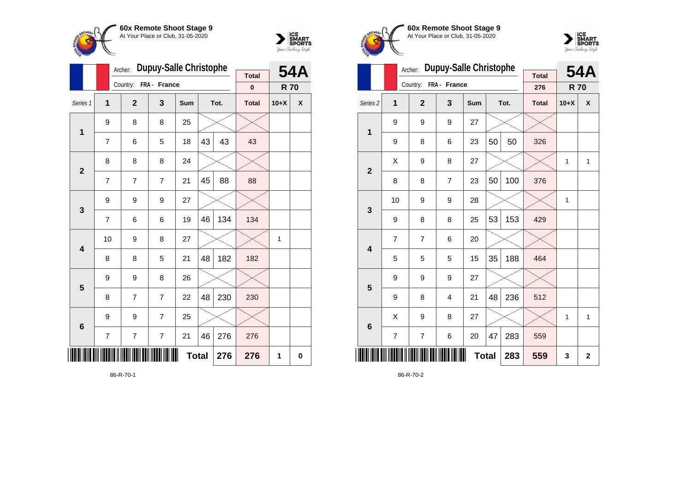



|                         |                | Archer:        | <b>Dupuy-Salle Christophe</b> |              |    |      | <b>54A</b>               |            |   |
|-------------------------|----------------|----------------|-------------------------------|--------------|----|------|--------------------------|------------|---|
|                         |                | Country:       | FRA - France                  |              |    |      | <b>Total</b><br>$\bf{0}$ | <b>R70</b> |   |
|                         |                |                |                               |              |    |      |                          |            |   |
| Series 1                | 1              | $\mathbf{2}$   | 3                             | Sum          |    | Tot. | <b>Total</b>             | $10+X$     | X |
| $\mathbf{1}$            | 9              | 8              | 8                             | 25           |    |      |                          |            |   |
|                         | $\overline{7}$ | 6              | 5                             | 18           | 43 | 43   | 43                       |            |   |
| $\overline{2}$          | 8              | 8              | 8                             | 24           |    |      |                          |            |   |
|                         | 7              | $\overline{7}$ | $\overline{7}$                | 21           | 45 | 88   | 88                       |            |   |
| 3                       | 9              | 9              | 9                             | 27           |    |      |                          |            |   |
|                         | 7              | 6              | 6                             | 19           | 46 | 134  | 134                      |            |   |
| $\overline{\mathbf{4}}$ | 10             | 9              | 8                             | 27           |    |      |                          | 1          |   |
|                         | 8              | 8              | 5                             | 21           | 48 | 182  | 182                      |            |   |
| 5                       | 9              | 9              | 8                             | 26           |    |      |                          |            |   |
|                         | 8              | 7              | 7                             | 22           | 48 | 230  | 230                      |            |   |
| $6\phantom{1}6$         | 9              | 9              | $\overline{7}$                | 25           |    |      |                          |            |   |
|                         | 7              | 7              | $\overline{7}$                | 21           | 46 | 276  | 276                      |            |   |
| ║║║                     |                |                |                               | <b>Total</b> |    | 276  | 276                      | 1          | 0 |

86-R-70-1





|                         |                | Archer:        | <b>Dupuy-Salle Christophe</b> |            |     |      | <b>54A</b>          |              |              |
|-------------------------|----------------|----------------|-------------------------------|------------|-----|------|---------------------|--------------|--------------|
|                         |                | Country:       | FRA - France                  |            |     |      | <b>Total</b><br>276 | <b>R70</b>   |              |
| Series <sub>2</sub>     | 1              | $\overline{2}$ | 3                             | <b>Sum</b> |     | Tot. | <b>Total</b>        | $10+X$       | X            |
| 1                       | 9              | 9              | 9                             | 27         |     |      |                     |              |              |
|                         | 9              | 8              | 6                             | 23         | 50  | 50   | 326                 |              |              |
| $\overline{2}$          | Χ              | 9              | 8                             | 27         |     |      |                     | $\mathbf{1}$ | $\mathbf{1}$ |
|                         | 8              | 8              | $\overline{7}$                | 23         | 50  | 100  | 376                 |              |              |
| 3                       | 10             | 9              | 9                             | 28         |     |      |                     | 1            |              |
|                         | 9              | 8              | 8                             | 25         | 53  | 153  | 429                 |              |              |
| $\overline{\mathbf{4}}$ | $\overline{7}$ | 7              | 6                             | 20         |     |      |                     |              |              |
|                         | 5              | 5              | 5                             | 15         | 35  | 188  | 464                 |              |              |
| 5                       | 9              | 9              | 9                             | 27         |     |      |                     |              |              |
|                         | 9              | 8              | $\overline{4}$                | 21         | 48  | 236  | 512                 |              |              |
| $6\phantom{1}6$         | X              | 9              | 8                             | 27         |     |      |                     | $\mathbf{1}$ | $\mathbf{1}$ |
|                         | $\overline{7}$ | 7              | 6                             | 20         | 47  | 283  | 559                 |              |              |
|                         |                |                |                               | 283        | 559 | 3    | $\mathbf 2$         |              |              |

86-R-70-2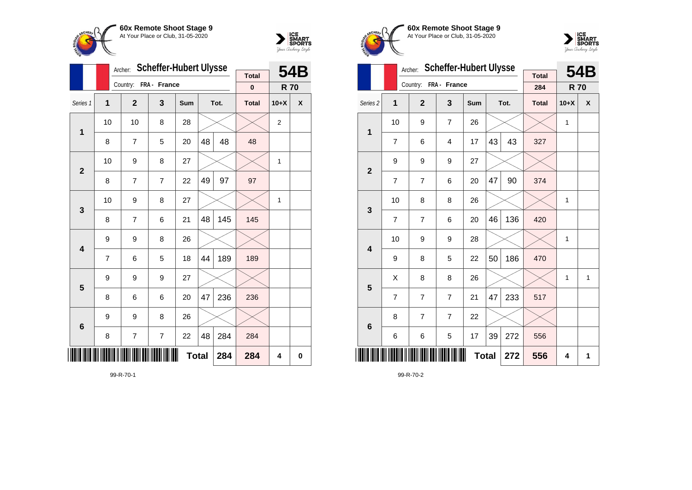



|                         |    | Archer:        | <b>Scheffer-Hubert Ulysse</b> |              |    |      | 54B          |                |   |
|-------------------------|----|----------------|-------------------------------|--------------|----|------|--------------|----------------|---|
|                         |    | Country:       | FRA - France                  |              |    |      | <b>Total</b> |                |   |
|                         |    |                |                               |              |    |      | $\bf{0}$     | <b>R70</b>     |   |
| Series 1                | 1  | $\mathbf 2$    | 3                             | Sum          |    | Tot. | <b>Total</b> | $10+X$         | X |
| 1                       | 10 | 10             | 8                             | 28           |    |      |              | $\overline{2}$ |   |
|                         | 8  | 7              | 5                             | 20           | 48 | 48   | 48           |                |   |
| $\overline{\mathbf{2}}$ | 10 | 9              | 8                             | 27           |    |      |              | 1              |   |
|                         | 8  | $\overline{7}$ | $\overline{7}$                | 22           | 49 | 97   | 97           |                |   |
| $\mathbf{3}$            | 10 | 9              | 8                             | 27           |    |      |              | 1              |   |
|                         | 8  | $\overline{7}$ | 6                             | 21           | 48 | 145  | 145          |                |   |
| $\overline{\mathbf{4}}$ | 9  | 9              | 8                             | 26           |    |      |              |                |   |
|                         | 7  | 6              | 5                             | 18           | 44 | 189  | 189          |                |   |
| 5                       | 9  | 9              | 9                             | 27           |    |      |              |                |   |
|                         | 8  | 6              | 6                             | 20           | 47 | 236  | 236          |                |   |
| $6\phantom{1}6$         | 9  | 9              | 8                             | 26           |    |      |              |                |   |
|                         | 8  | 7              | 7                             | 22           | 48 | 284  | 284          |                |   |
| ║║║                     |    |                |                               | <b>Total</b> |    | 284  | 284          | 4              | 0 |

99-R-70-1





|                     |                | Archer:               | <b>Scheffer-Hubert Ulysse</b> |              |    |      | 54B                 |            |              |
|---------------------|----------------|-----------------------|-------------------------------|--------------|----|------|---------------------|------------|--------------|
|                     |                | Country: FRA - France |                               |              |    |      | <b>Total</b><br>284 | <b>R70</b> |              |
| Series <sub>2</sub> | 1              | $\overline{2}$        | 3                             | Sum          |    | Tot. | <b>Total</b>        | $10+X$     | X            |
| 1                   | 10             | 9                     | $\overline{7}$                | 26           |    |      |                     | 1          |              |
|                     | $\overline{7}$ | 6                     | $\overline{4}$                | 17           | 43 | 43   | 327                 |            |              |
| $\mathbf{2}$        | 9              | 9                     | 9                             | 27           |    |      |                     |            |              |
|                     | $\overline{7}$ | $\overline{7}$        | 6                             | 20           | 47 | 90   | 374                 |            |              |
| 3                   | 10             | 8                     | 8                             | 26           |    |      |                     | 1          |              |
|                     | 7              | 7                     | 6                             | 20           | 46 | 136  | 420                 |            |              |
| 4                   | 10             | 9                     | 9                             | 28           |    |      |                     | 1          |              |
|                     | 9              | 8                     | 5                             | 22           | 50 | 186  | 470                 |            |              |
| 5                   | X              | 8                     | 8                             | 26           |    |      |                     | 1          | $\mathbf{1}$ |
|                     | $\overline{7}$ | $\overline{7}$        | $\overline{7}$                | 21           | 47 | 233  | 517                 |            |              |
| $6\phantom{1}6$     | 8              | 7                     | 7                             | 22           |    |      |                     |            |              |
|                     | 6              | 6                     | 5                             | 17           | 39 | 272  | 556                 |            |              |
| ∭                   |                |                       |                               | <b>Total</b> |    | 272  | 556                 | 4          | 1            |

99-R-70-2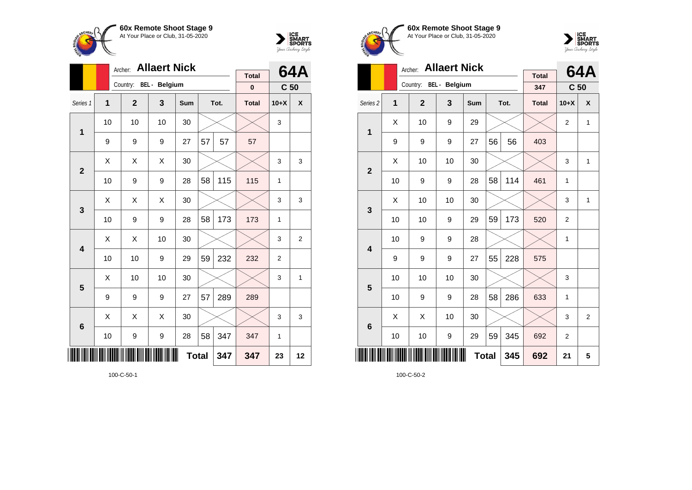



|                         |                | Archer:        | <b>Allaert Nick</b>  |            |    |      | 64A          |                 |                |
|-------------------------|----------------|----------------|----------------------|------------|----|------|--------------|-----------------|----------------|
|                         |                | Country:       | <b>BEL</b> - Belgium |            |    |      | <b>Total</b> |                 |                |
|                         |                |                |                      |            |    |      | $\bf{0}$     | C <sub>50</sub> |                |
| Series 1                | $\overline{1}$ | $\overline{2}$ | 3                    | <b>Sum</b> |    | Tot. | <b>Total</b> | $10+X$          | X              |
| 1                       | 10             | 10             | 10                   | 30         |    |      |              | 3               |                |
|                         | 9              | 9              | 9                    | 27         | 57 | 57   | 57           |                 |                |
| $\overline{2}$          | X              | X              | X                    | 30         |    |      |              | 3               | 3              |
|                         | 10             | 9              | 9                    | 28         | 58 | 115  | 115          | 1               |                |
| $\mathbf{3}$            | Χ              | X              | X                    | 30         |    |      |              | 3               | 3              |
|                         | 10             | 9              | 9                    | 28         | 58 | 173  | 173          | $\mathbf{1}$    |                |
| $\overline{\mathbf{4}}$ | Χ              | X              | 10                   | 30         |    |      |              | 3               | $\overline{2}$ |
|                         | 10             | 10             | 9                    | 29         | 59 | 232  | 232          | $\overline{c}$  |                |
| 5                       | Χ              | 10             | 10                   | 30         |    |      |              | 3               | 1              |
|                         | 9              | 9              | 9                    | 27         | 57 | 289  | 289          |                 |                |
| $6\phantom{1}6$         | X              | X              | X                    | 30         |    |      |              | 3               | 3              |
|                         | 10             | 9              | 9                    | 28         | 58 | 347  | 347          | 1               |                |
| ║║                      |                |                |                      | 347        | 23 | 12   |              |                 |                |

100-C-50-1





|                     |    | <b>Allaert Nick</b><br>Archer: |    |              |    | <b>64A</b> |                     |                 |              |
|---------------------|----|--------------------------------|----|--------------|----|------------|---------------------|-----------------|--------------|
|                     |    | Country: BEL - Belgium         |    |              |    |            | <b>Total</b><br>347 | C <sub>50</sub> |              |
| Series <sub>2</sub> | 1  | $\overline{2}$                 | 3  | Sum          |    | Tot.       | <b>Total</b>        | $10+X$          | X            |
| 1                   | X  | 10                             | 9  | 29           |    |            |                     | $\overline{2}$  | $\mathbf{1}$ |
|                     | 9  | 9                              | 9  | 27           | 56 | 56         | 403                 |                 |              |
| $\overline{2}$      | X  | 10                             | 10 | 30           |    |            |                     | 3               | $\mathbf{1}$ |
|                     | 10 | 9                              | 9  | 28           | 58 | 114        | 461                 | 1               |              |
| 3                   | X  | 10                             | 10 | 30           |    |            |                     | 3               | $\mathbf{1}$ |
|                     | 10 | 10                             | 9  | 29           | 59 | 173        | 520                 | $\overline{2}$  |              |
| 4                   | 10 | 9                              | 9  | 28           |    |            |                     | 1               |              |
|                     | 9  | 9                              | 9  | 27           | 55 | 228        | 575                 |                 |              |
| 5                   | 10 | 10                             | 10 | 30           |    |            |                     | 3               |              |
|                     | 10 | 9                              | 9  | 28           | 58 | 286        | 633                 | 1               |              |
| $6\phantom{1}6$     | X  | Χ                              | 10 | 30           |    |            |                     | 3               | 2            |
|                     | 10 | 10                             | 9  | 29           | 59 | 345        | 692                 | $\overline{2}$  |              |
| Ⅲ                   |    |                                |    | <b>Total</b> |    | 345        | 692                 | 21              | 5            |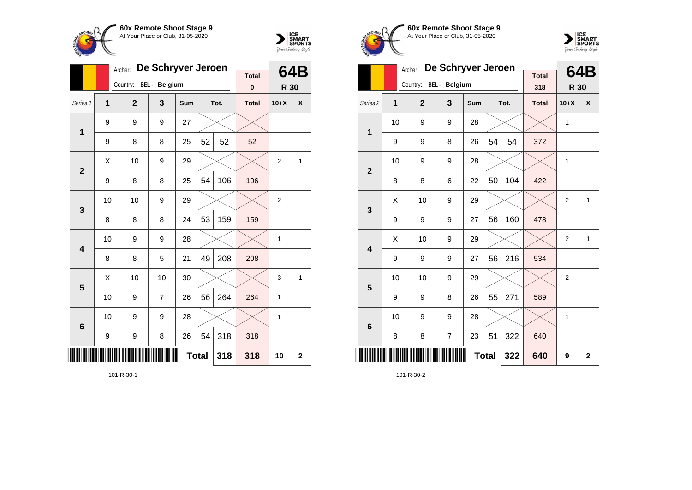



|                |              | Archer:        | De Schryver Jeroen   |              |    |      | 64B                      |                |             |
|----------------|--------------|----------------|----------------------|--------------|----|------|--------------------------|----------------|-------------|
|                |              | Country:       | <b>BEL</b> - Belgium |              |    |      | <b>Total</b><br>$\bf{0}$ | R 30           |             |
|                |              |                |                      |              |    |      |                          |                |             |
| Series 1       | $\mathbf{1}$ | $\overline{2}$ | 3                    | Sum          |    | Tot. | <b>Total</b>             | $10+X$         | X           |
| 1              | 9            | 9              | 9                    | 27           |    |      |                          |                |             |
|                | 9            | 8              | 8                    | 25           | 52 | 52   | 52                       |                |             |
| $\overline{2}$ | X            | 10             | 9                    | 29           |    |      |                          | $\overline{2}$ | 1           |
|                | 9            | 8              | 8                    | 25           | 54 | 106  | 106                      |                |             |
| 3              | 10           | 10             | 9                    | 29           |    |      |                          | $\overline{2}$ |             |
|                | 8            | 8              | 8                    | 24           | 53 | 159  | 159                      |                |             |
| 4              | 10           | 9              | 9                    | 28           |    |      |                          | 1              |             |
|                | 8            | 8              | 5                    | 21           | 49 | 208  | 208                      |                |             |
| 5              | X            | 10             | 10                   | 30           |    |      |                          | 3              | 1           |
|                | 10           | 9              | 7                    | 26           | 56 | 264  | 264                      | 1              |             |
| 6              | 10           | 9              | 9                    | 28           |    |      |                          | 1              |             |
|                | 9            | 9              | 8                    | 26           | 54 | 318  | 318                      |                |             |
|                |              |                |                      | <b>Total</b> |    | 318  | 318                      | 10             | $\mathbf 2$ |

101-R-30-1





|                         |    | Archer:        | De Schryver Jeroen |            |              |      | 64B                 |                |              |
|-------------------------|----|----------------|--------------------|------------|--------------|------|---------------------|----------------|--------------|
|                         |    | Country:       | BEL - Belgium      |            |              |      | <b>Total</b><br>318 | R 30           |              |
| Series <sub>2</sub>     | 1  | $\overline{2}$ | 3                  | <b>Sum</b> |              | Tot. | <b>Total</b>        | $10+X$         | X            |
| 1                       | 10 | 9              | 9                  | 28         |              |      |                     | 1              |              |
|                         | 9  | 9              | 8                  | 26         | 54           | 54   | 372                 |                |              |
| $\overline{2}$          | 10 | 9              | 9                  | 28         |              |      |                     | 1              |              |
|                         | 8  | 8              | 6                  | 22         | 50           | 104  | 422                 |                |              |
| 3                       | X  | 10             | 9                  | 29         |              |      |                     | $\overline{2}$ | $\mathbf{1}$ |
|                         | 9  | 9              | 9                  | 27         | 56           | 160  | 478                 |                |              |
| $\overline{\mathbf{A}}$ | Χ  | 10             | 9                  | 29         |              |      |                     | $\overline{2}$ | $\mathbf{1}$ |
|                         | 9  | 9              | 9                  | 27         | 56           | 216  | 534                 |                |              |
| 5                       | 10 | 10             | 9                  | 29         |              |      |                     | $\overline{2}$ |              |
|                         | 9  | 9              | 8                  | 26         | 55           | 271  | 589                 |                |              |
| $6\phantom{1}6$         | 10 | 9              | 9                  | 28         |              |      |                     | 1              |              |
|                         | 8  | 8              | $\overline{7}$     | 23         | 51           | 322  | 640                 |                |              |
|                         |    |                |                    |            | <b>Total</b> | 322  | 640                 | 9              | $\mathbf 2$  |

101-R-30-2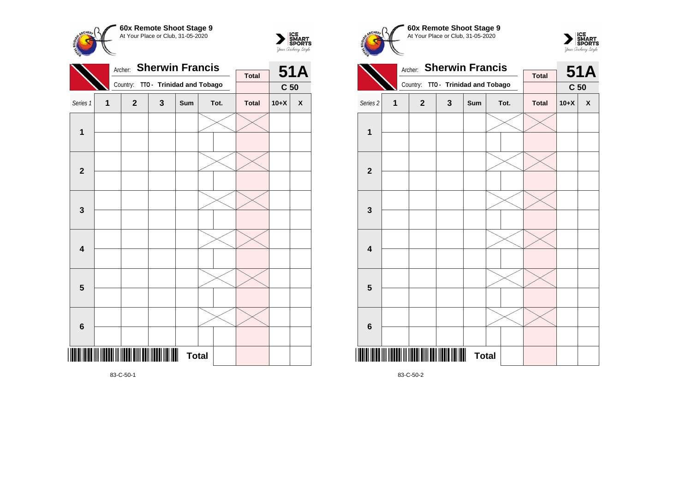



|                         |   | Archer:        | <b>Sherwin Francis</b>    |              |  |      | <b>51A</b>   |                 |                    |
|-------------------------|---|----------------|---------------------------|--------------|--|------|--------------|-----------------|--------------------|
|                         |   |                |                           |              |  |      | <b>Total</b> |                 |                    |
|                         |   | Country:       | TTO - Trinidad and Tobago |              |  |      |              | C <sub>50</sub> |                    |
| Series 1                | 1 | $\overline{2}$ | $\mathbf{3}$              | Sum          |  | Tot. | <b>Total</b> | $10+X$          | $\pmb{\mathsf{X}}$ |
| $\mathbf{1}$            |   |                |                           |              |  |      |              |                 |                    |
|                         |   |                |                           |              |  |      |              |                 |                    |
|                         |   |                |                           |              |  |      |              |                 |                    |
| $\mathbf 2$             |   |                |                           |              |  |      |              |                 |                    |
|                         |   |                |                           |              |  |      |              |                 |                    |
| $\mathbf{3}$            |   |                |                           |              |  |      |              |                 |                    |
|                         |   |                |                           |              |  |      |              |                 |                    |
| $\overline{\mathbf{4}}$ |   |                |                           |              |  |      |              |                 |                    |
|                         |   |                |                           |              |  |      |              |                 |                    |
| $\overline{\mathbf{5}}$ |   |                |                           |              |  |      |              |                 |                    |
|                         |   |                |                           |              |  |      |              |                 |                    |
| $\boldsymbol{6}$        |   |                |                           |              |  |      |              |                 |                    |
|                         |   |                |                           | <b>Total</b> |  |      |              |                 |                    |
|                         |   |                |                           |              |  |      |              |                 |                    |

Archer: **Sherwin Francis** Country: **TTO - Trinidad and Tobago 51A C 50 Total** Series 2 **1 2 3 Sum Tot. Total 10+X X 1 2 3 4 5 6**

**Total** 

**60x Remote Shoot Stage 9** At Your Place or Club, 31-05-2020

 $\sum_{\text{Jour }\text{Cuchy}\text{/}str} \begin{matrix} \text{ICE} \\ \text{SDORTS} \\ \text{SPORTS} \end{matrix}$ 

**CHEPL** 

83-C-50-2

\*83-C-50-2\*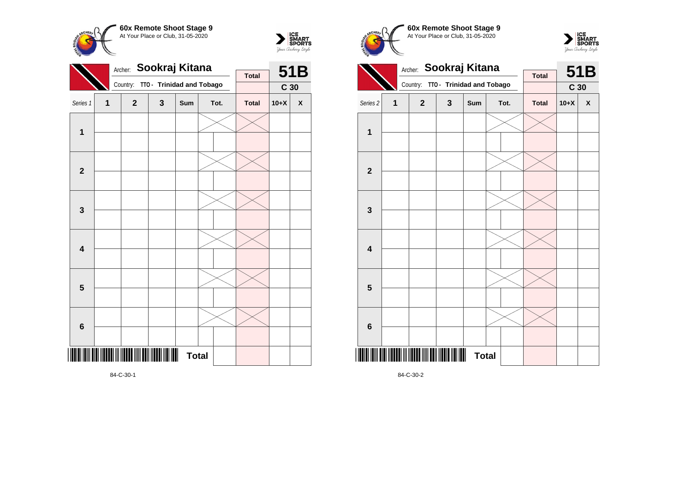



|                         |              | Sookraj Kitana<br>Archer:              |                           |              |  | 51B  |              |                 |   |
|-------------------------|--------------|----------------------------------------|---------------------------|--------------|--|------|--------------|-----------------|---|
|                         |              |                                        |                           |              |  |      | <b>Total</b> |                 |   |
|                         |              | Country:                               | TTO - Trinidad and Tobago |              |  |      |              | C <sub>30</sub> |   |
| Series 1                | $\mathbf{1}$ | $\mathbf 2$                            | 3                         | Sum          |  | Tot. | <b>Total</b> | $10+X$          | X |
| $\mathbf 1$             |              |                                        |                           |              |  |      |              |                 |   |
| $\mathbf{2}$            |              |                                        |                           |              |  |      |              |                 |   |
| 3                       |              |                                        |                           |              |  |      |              |                 |   |
| $\overline{\mathbf{4}}$ |              |                                        |                           |              |  |      |              |                 |   |
| $5\phantom{1}$          |              |                                        |                           |              |  |      |              |                 |   |
| 6                       |              |                                        |                           |              |  |      |              |                 |   |
| III                     |              | IIII IIIIIII III IIIIIII IIIII DOILIID |                           | <b>Total</b> |  |      |              |                 |   |

**60x Remote Shoot Stage 9** CHFo. At Your Place or Club, 31-05-2020 Archer: **Sookraj Kitana** Country: **TTO - Trinidad and Tobago**





84-C-30-1

84-C-30-2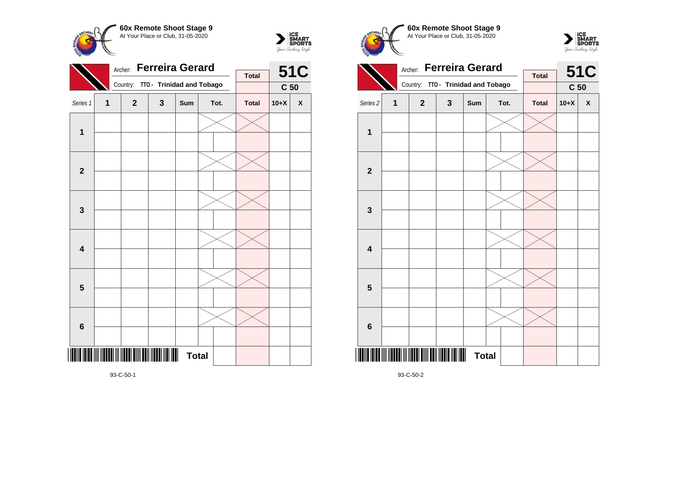



|                         |              | Archer:      | <b>Ferreira Gerard</b>    |              |  |      | <b>51C</b>   |                 |   |
|-------------------------|--------------|--------------|---------------------------|--------------|--|------|--------------|-----------------|---|
|                         |              |              |                           |              |  |      | <b>Total</b> |                 |   |
|                         |              | Country:     | TTO - Trinidad and Tobago |              |  |      |              | C <sub>50</sub> |   |
| Series 1                | $\mathbf{1}$ | $\mathbf{2}$ | 3                         | Sum          |  | Tot. | <b>Total</b> | $10+X$          | X |
| 1                       |              |              |                           |              |  |      |              |                 |   |
| $\overline{2}$          |              |              |                           |              |  |      |              |                 |   |
| $\mathbf 3$             |              |              |                           |              |  |      |              |                 |   |
| $\overline{\mathbf{4}}$ |              |              |                           |              |  |      |              |                 |   |
| $5\phantom{1}$          |              |              |                           |              |  |      |              |                 |   |
| 6                       |              |              |                           |              |  |      |              |                 |   |
|                         |              |              |                           | <b>Total</b> |  |      |              |                 |   |

Archer: **Ferreira Gerard** Country: **TTO - Trinidad and Tobago 51C C 50 Total** Series 2 **1 2 3 Sum Tot. Total 10+X X 1 2 3 4 5 6**

**Total** 

**60x Remote Shoot Stage 9** At Your Place or Club, 31-05-2020

 $\sum_{\text{MART}}\left|\underset{\text{SPORTS}}{\text{SINART}}\right|$ 

**CHEPL** 

93-C-50-2

\*93-C-50-2\*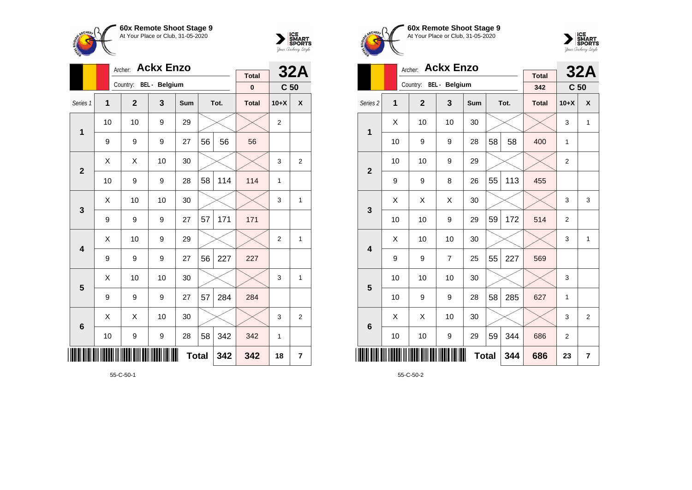



|                         |    | Archer:      | <b>Ackx Enzo</b>       |     |     |      | <b>32A</b>   |                 |                |
|-------------------------|----|--------------|------------------------|-----|-----|------|--------------|-----------------|----------------|
|                         |    |              | Country: BEL - Belgium |     |     |      | <b>Total</b> |                 |                |
|                         |    |              |                        |     |     |      | $\pmb{0}$    | C <sub>50</sub> |                |
| Series 1                | 1  | $\mathbf{2}$ | 3                      | Sum |     | Tot. | <b>Total</b> | $10+X$          | X              |
| 1                       | 10 | 10           | 9                      | 29  |     |      |              | $\overline{2}$  |                |
|                         | 9  | 9            | 9                      | 27  | 56  | 56   | 56           |                 |                |
| $\overline{2}$          | X  | Χ            | 10                     | 30  |     |      |              | 3               | $\overline{2}$ |
|                         | 10 | 9            | 9                      | 28  | 58  | 114  | 114          | 1               |                |
| 3                       | Χ  | 10           | 10                     | 30  |     |      |              | 3               | 1              |
|                         | 9  | 9            | 9                      | 27  | 57  | 171  | 171          |                 |                |
| $\overline{\mathbf{4}}$ | X  | 10           | 9                      | 29  |     |      |              | $\overline{2}$  | 1              |
|                         | 9  | 9            | 9                      | 27  | 56  | 227  | 227          |                 |                |
| 5                       | X  | 10           | 10                     | 30  |     |      |              | 3               | 1              |
|                         | 9  | 9            | 9                      | 27  | 57  | 284  | 284          |                 |                |
| $6\phantom{1}6$         | X  | X            | 10                     | 30  |     |      |              | 3               | $\overline{2}$ |
|                         | 10 | 9            | 9                      | 342 | 342 | 1    |              |                 |                |
| ║║║                     |    |              |                        | 342 | 342 | 18   | 7            |                 |                |

55-C-50-1





|                         |    | <b>Ackx Enzo</b><br>Archer: |                |            |    | <b>32A</b> |                     |                 |                |
|-------------------------|----|-----------------------------|----------------|------------|----|------------|---------------------|-----------------|----------------|
|                         |    | Country: BEL - Belgium      |                |            |    |            | <b>Total</b><br>342 | C <sub>50</sub> |                |
| Series <sub>2</sub>     | 1  | $\overline{2}$              | 3              | <b>Sum</b> |    | Tot.       | <b>Total</b>        | $10+X$          | X              |
| 1                       | X  | 10                          | 10             | 30         |    |            |                     | 3               | $\mathbf{1}$   |
|                         | 10 | 9                           | 9              | 28         | 58 | 58         | 400                 | 1               |                |
| $\overline{2}$          | 10 | 10                          | 9              | 29         |    |            |                     | $\overline{2}$  |                |
|                         | 9  | 9                           | 8              | 26         | 55 | 113        | 455                 |                 |                |
| 3                       | X  | X                           | X              | 30         |    |            |                     | 3               | 3              |
|                         | 10 | 10                          | 9              | 29         | 59 | 172        | 514                 | $\overline{2}$  |                |
| $\overline{\mathbf{A}}$ | X  | 10                          | 10             | 30         |    |            |                     | 3               | $\mathbf{1}$   |
|                         | 9  | 9                           | $\overline{7}$ | 25         | 55 | 227        | 569                 |                 |                |
| 5                       | 10 | 10                          | 10             | 30         |    |            |                     | 3               |                |
|                         | 10 | 9                           | 9              | 28         | 58 | 285        | 627                 | 1               |                |
| $6\phantom{1}6$         | X  | X                           | 10             | 30         |    |            |                     | 3               | $\overline{2}$ |
|                         | 10 | 10                          | 9              | 29         | 59 | 344        | 686                 | 2               |                |
|                         |    |                             | 686            | 23         | 7  |            |                     |                 |                |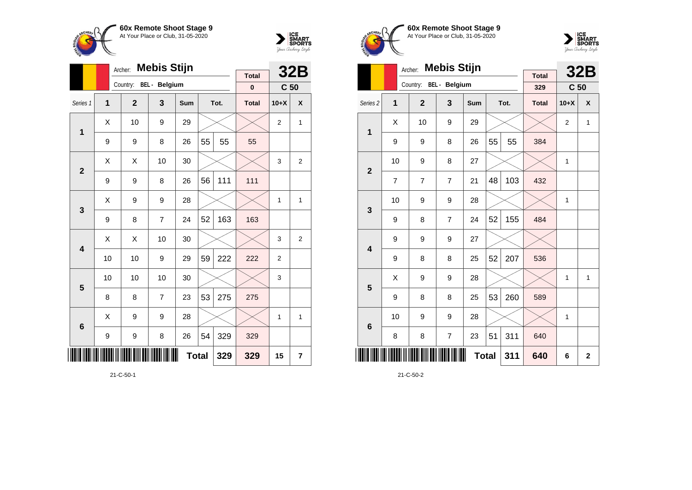



|                 |    | Archer:                | <b>Mebis Stijn</b> |     | <b>Total</b> |      | <b>32B</b>   |                 |                         |
|-----------------|----|------------------------|--------------------|-----|--------------|------|--------------|-----------------|-------------------------|
|                 |    | Country: BEL - Belgium |                    |     |              |      | $\bf{0}$     | C <sub>50</sub> |                         |
| Series 1        | 1  | $\mathbf{2}$           | 3                  | Sum |              | Tot. | <b>Total</b> | $10+X$          | X                       |
| 1               | X  | 10                     | 9                  | 29  |              |      |              | $\overline{2}$  | 1                       |
|                 | 9  | 9                      | 8                  | 26  | 55           | 55   | 55           |                 |                         |
| $\overline{2}$  | Χ  | Χ                      | 10                 | 30  |              |      |              | 3               | $\overline{\mathbf{c}}$ |
|                 | 9  | 9                      | 8                  | 26  | 56           | 111  | 111          |                 |                         |
| 3               | X  | 9                      | 9                  | 28  |              |      |              | 1               | 1                       |
|                 | 9  | 8                      | 7                  | 24  | 52           | 163  | 163          |                 |                         |
| 4               | X  | Χ                      | 10                 | 30  |              |      |              | 3               | 2                       |
|                 | 10 | 10                     | 9                  | 29  | 59           | 222  | 222          | $\overline{2}$  |                         |
| 5               | 10 | 10                     | 10                 | 30  |              |      |              | 3               |                         |
|                 | 8  | 8                      | $\overline{7}$     | 23  | 53           | 275  | 275          |                 |                         |
| $6\phantom{1}6$ | X  | 9                      | 9                  | 28  |              |      |              | 1               | 1                       |
|                 | 9  | 9                      | 8                  | 329 | 329          |      |              |                 |                         |
| IIII            |    |                        |                    | 329 | 329          | 15   | 7            |                 |                         |

21-C-50-1





|                     |    | <b>Mebis Stijn</b><br>Archer: |                |     |              | <b>32B</b> |                     |                 |                         |
|---------------------|----|-------------------------------|----------------|-----|--------------|------------|---------------------|-----------------|-------------------------|
|                     |    | Country: BEL - Belgium        |                |     |              |            | <b>Total</b><br>329 | C <sub>50</sub> |                         |
| Series <sub>2</sub> | 1  | $\mathbf{2}$                  | 3              | Sum |              | Tot.       | <b>Total</b>        | $10+X$          | X                       |
| 1                   | Χ  | 10                            | 9              | 29  |              |            |                     | $\overline{2}$  | 1                       |
|                     | 9  | 9                             | 8              | 26  | 55           | 55         | 384                 |                 |                         |
| $\overline{2}$      | 10 | 9                             | 8              | 27  |              |            |                     | 1               |                         |
|                     | 7  | 7                             | $\overline{7}$ | 21  | 48           | 103        | 432                 |                 |                         |
| 3                   | 10 | 9                             | 9              | 28  |              |            |                     | $\mathbf{1}$    |                         |
|                     | 9  | 8                             | $\overline{7}$ | 24  | 52           | 155        | 484                 |                 |                         |
| 4                   | 9  | 9                             | 9              | 27  |              |            |                     |                 |                         |
|                     | 9  | 8                             | 8              | 25  | 52           | 207        | 536                 |                 |                         |
| 5                   | X  | 9                             | 9              | 28  |              |            |                     | 1               | 1                       |
|                     | 9  | 8                             | 8              | 25  | 53           | 260        | 589                 |                 |                         |
| $6\phantom{1}6$     | 10 | 9                             | 9              | 28  |              |            |                     | 1               |                         |
|                     | 8  | 8                             | 7              | 23  | 51           | 311        | 640                 |                 |                         |
|                     |    |                               |                |     | <b>Total</b> | 311        | 640                 | 6               | $\overline{\mathbf{2}}$ |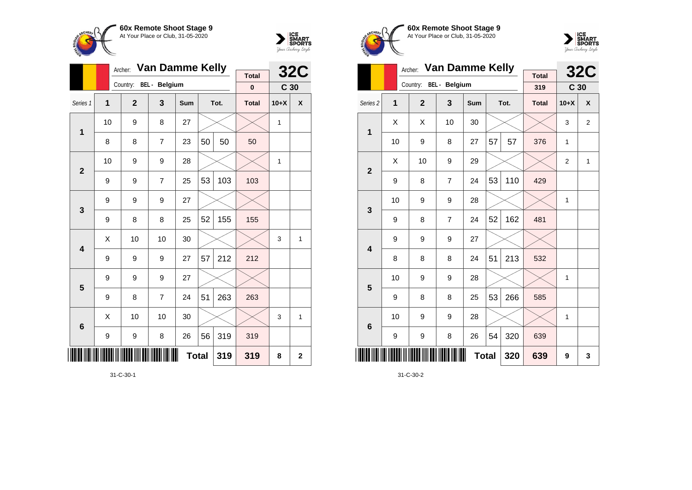



|                         |    | Archer:                | <b>Van Damme Kelly</b> |            |             |      | <b>32C</b>   |                 |   |
|-------------------------|----|------------------------|------------------------|------------|-------------|------|--------------|-----------------|---|
|                         |    | Country: BEL - Belgium |                        |            |             |      | <b>Total</b> |                 |   |
|                         |    |                        |                        |            |             |      | $\bf{0}$     | C <sub>30</sub> |   |
| Series 1                | 1  | $\mathbf{2}$           | 3                      | <b>Sum</b> |             | Tot. | <b>Total</b> | $10+X$          | X |
| 1                       | 10 | 9                      | 8                      | 27         |             |      |              | 1               |   |
|                         | 8  | 8                      | $\overline{7}$         | 23         | 50          | 50   | 50           |                 |   |
| $\overline{2}$          | 10 | 9                      | 9                      | 28         |             |      |              | 1               |   |
|                         | 9  | 9                      | $\overline{7}$         | 25         | 53          | 103  | 103          |                 |   |
| 3                       | 9  | 9                      | 9                      | 27         |             |      |              |                 |   |
|                         | 9  | 8                      | 8                      | 25         | 52          | 155  | 155          |                 |   |
| $\overline{\mathbf{4}}$ | Χ  | 10                     | 10                     | 30         |             |      |              | 3               | 1 |
|                         | 9  | 9                      | 9                      | 27         | 57          | 212  | 212          |                 |   |
| 5                       | 9  | 9                      | 9                      | 27         |             |      |              |                 |   |
|                         | 9  | 8                      | $\overline{7}$         | 24         | 51          | 263  | 263          |                 |   |
| $6\phantom{1}6$         | X  | 10                     | 10                     | 30         |             |      |              | 3               | 1 |
|                         | 9  | 9                      | 8                      | 26         | 56          | 319  | 319          |                 |   |
| ║║║                     |    |                        | 319                    | 8          | $\mathbf 2$ |      |              |                 |   |

31-C-30-1





|                         |    | Archer:                | <b>Van Damme Kelly</b> |     |    |      | <b>32C</b>          |                 |                |
|-------------------------|----|------------------------|------------------------|-----|----|------|---------------------|-----------------|----------------|
|                         |    | Country: BEL - Belgium |                        |     |    |      | <b>Total</b><br>319 | C <sub>30</sub> |                |
|                         |    |                        |                        |     |    |      |                     |                 |                |
| Series <sub>2</sub>     | 1  | $\overline{2}$         | 3                      | Sum |    | Tot. | <b>Total</b>        | $10+X$          | X              |
| 1                       | X  | X                      | 10                     | 30  |    |      |                     | 3               | $\overline{2}$ |
|                         | 10 | 9                      | 8                      | 27  | 57 | 57   | 376                 | 1               |                |
| $\overline{2}$          | X  | 10                     | 9                      | 29  |    |      |                     | $\overline{2}$  | $\mathbf{1}$   |
|                         | 9  | 8                      | $\overline{7}$         | 24  | 53 | 110  | 429                 |                 |                |
| 3                       | 10 | 9                      | 9                      | 28  |    |      |                     | 1               |                |
|                         | 9  | 8                      | $\overline{7}$         | 24  | 52 | 162  | 481                 |                 |                |
| $\overline{\mathbf{4}}$ | 9  | 9                      | 9                      | 27  |    |      |                     |                 |                |
|                         | 8  | 8                      | 8                      | 24  | 51 | 213  | 532                 |                 |                |
| 5                       | 10 | 9                      | 9                      | 28  |    |      |                     | 1               |                |
|                         | 9  | 8                      | 8                      | 25  | 53 | 266  | 585                 |                 |                |
| $6\phantom{1}6$         | 10 | 9                      | 9                      | 28  |    |      |                     | 1               |                |
|                         | 9  | 9                      | 8                      | 26  | 54 | 320  | 639                 |                 |                |
|                         |    |                        | 639                    | 9   | 3  |      |                     |                 |                |

31-C-30-2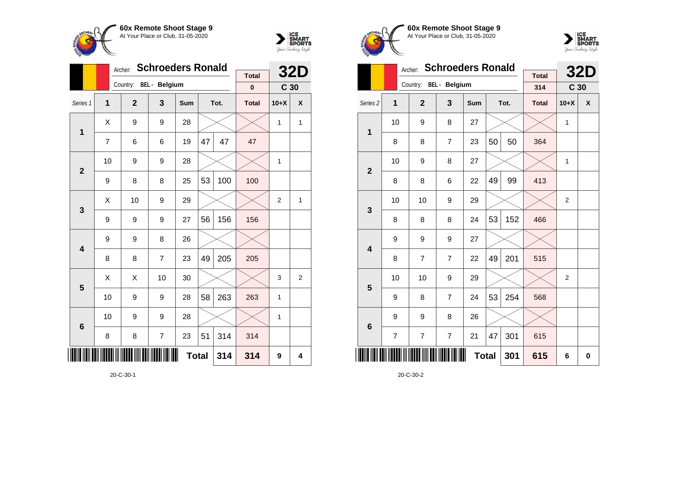



|                 |                | Archer:                | <b>Schroeders Ronald</b> | <b>Total</b> |    | <b>32D</b> |              |                 |                |
|-----------------|----------------|------------------------|--------------------------|--------------|----|------------|--------------|-----------------|----------------|
|                 |                | Country: BEL - Belgium |                          |              |    |            | $\pmb{0}$    | C <sub>30</sub> |                |
| Series 1        | 1              | $\overline{2}$         | 3                        | Sum          |    | Tot.       | <b>Total</b> | $10+X$          | X              |
| 1               | Χ              | 9                      | 9                        | 28           |    |            |              | $\mathbf{1}$    | 1              |
|                 | $\overline{7}$ | 6                      | 6                        | 19           | 47 | 47         | 47           |                 |                |
| $\overline{2}$  | 10             | 9                      | 9                        | 28           |    |            |              | $\mathbf{1}$    |                |
|                 | 9              | 8                      | 8                        | 25           | 53 | 100        | 100          |                 |                |
| 3               | X              | 10                     | 9                        | 29           |    |            |              | $\overline{2}$  | 1              |
|                 | 9              | 9                      | 9                        | 27           | 56 | 156        | 156          |                 |                |
| 4               | 9              | 9                      | 8                        | 26           |    |            |              |                 |                |
|                 | 8              | 8                      | $\overline{7}$           | 23           | 49 | 205        | 205          |                 |                |
| 5               | Χ              | Χ                      | 10                       | 30           |    |            |              | 3               | $\overline{2}$ |
|                 | 10             | 9                      | 9                        | 28           | 58 | 263        | 263          | 1               |                |
| $6\phantom{1}6$ | 10             | 9                      | 9                        | 28           |    |            |              | 1               |                |
|                 | 8              | 8                      | 7                        | 23           | 51 | 314        | 314          |                 |                |
| ║║              |                |                        |                          | <b>Total</b> |    | 314        | 314          | 9               | 4              |

20-C-30-1





|                         |                | Archer:                | <b>Schroeders Ronald</b> |            |     |      | <b>32D</b>          |                 |   |
|-------------------------|----------------|------------------------|--------------------------|------------|-----|------|---------------------|-----------------|---|
|                         |                | Country: BEL - Belgium |                          |            |     |      | <b>Total</b><br>314 | C <sub>30</sub> |   |
| Series <sub>2</sub>     | 1              | $\overline{2}$         | 3                        | <b>Sum</b> |     | Tot. | <b>Total</b>        | $10+X$          | X |
| 1                       | 10             | 9                      | 8                        | 27         |     |      |                     | 1               |   |
|                         | 8              | 8                      | $\overline{7}$           | 23         | 50  | 50   | 364                 |                 |   |
| $\overline{2}$          | 10             | 9                      | 8                        | 27         |     |      |                     | 1               |   |
|                         | 8              | 8                      | 6                        | 22         | 49  | 99   | 413                 |                 |   |
| 3                       | 10             | 10                     | 9                        | 29         |     |      |                     | $\overline{2}$  |   |
|                         | 8              | 8                      | 8                        | 24         | 53  | 152  | 466                 |                 |   |
| $\overline{\mathbf{4}}$ | 9              | 9                      | 9                        | 27         |     |      |                     |                 |   |
|                         | 8              | $\overline{7}$         | $\overline{7}$           | 22         | 49  | 201  | 515                 |                 |   |
| 5                       | 10             | 10                     | 9                        | 29         |     |      |                     | $\overline{2}$  |   |
|                         | 9              | 8                      | $\overline{7}$           | 24         | 53  | 254  | 568                 |                 |   |
| $6\phantom{1}6$         | 9              | 9                      | 8                        | 26         |     |      |                     |                 |   |
|                         | $\overline{7}$ | $\overline{7}$         | $\overline{7}$           | 21         | 47  | 301  | 615                 |                 |   |
|                         |                |                        |                          | 301        | 615 | 6    | $\bf{0}$            |                 |   |

20-C-30-2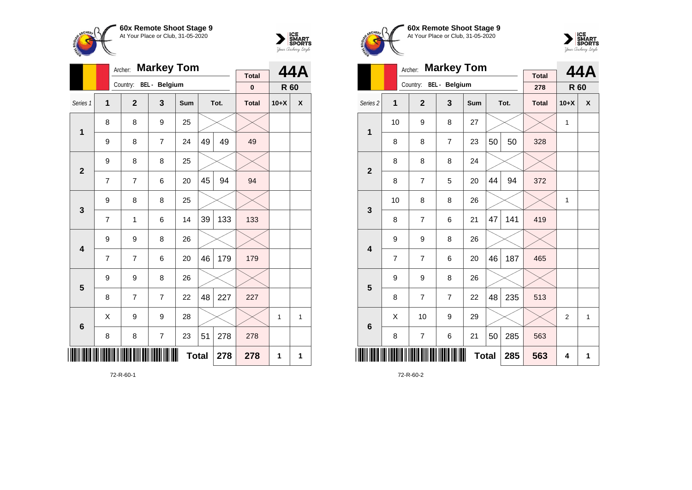



|                 |   | <b>Markey Tom</b><br>Archer: |   |              |    | 44A  |              |        |   |
|-----------------|---|------------------------------|---|--------------|----|------|--------------|--------|---|
|                 |   | Country: BEL - Belgium       |   |              |    |      | <b>Total</b> |        |   |
|                 |   |                              |   |              |    |      | $\pmb{0}$    | R 60   |   |
| Series 1        | 1 | $\overline{2}$               | 3 | Sum          |    | Tot. | <b>Total</b> | $10+X$ | χ |
| $\mathbf{1}$    | 8 | 8                            | 9 | 25           |    |      |              |        |   |
|                 | 9 | 8                            | 7 | 24           | 49 | 49   | 49           |        |   |
| $\overline{2}$  | 9 | 8                            | 8 | 25           |    |      |              |        |   |
|                 | 7 | 7                            | 6 | 20           | 45 | 94   | 94           |        |   |
| 3               | 9 | 8                            | 8 | 25           |    |      |              |        |   |
|                 | 7 | 1                            | 6 | 14           | 39 | 133  | 133          |        |   |
| 4               | 9 | 9                            | 8 | 26           |    |      |              |        |   |
|                 | 7 | 7                            | 6 | 20           | 46 | 179  | 179          |        |   |
| 5               | 9 | 9                            | 8 | 26           |    |      |              |        |   |
|                 | 8 | 7                            | 7 | 22           | 48 | 227  | 227          |        |   |
| $6\phantom{1}6$ | X | 9                            | 9 | 28           |    |      |              | 1      | 1 |
|                 | 8 | 8                            | 7 | 23           | 51 | 278  | 278          |        |   |
| ║║              |   |                              |   | <b>Total</b> |    | 278  | 278          | 1      | 1 |

72-R-60-1





|                     |                | Archer:                | <b>Markey Tom</b> |              |    |      | 44A                 |                |              |
|---------------------|----------------|------------------------|-------------------|--------------|----|------|---------------------|----------------|--------------|
|                     |                | Country: BEL - Belgium |                   |              |    |      | <b>Total</b><br>278 | R 60           |              |
| Series <sub>2</sub> | 1              | $\overline{2}$         | 3                 | <b>Sum</b>   |    | Tot. | <b>Total</b>        | $10+X$         | X            |
| 1                   | 10             | 9                      | 8                 | 27           |    |      |                     | 1              |              |
|                     | 8              | 8                      | $\overline{7}$    | 23           | 50 | 50   | 328                 |                |              |
| $\overline{2}$      | 8              | 8                      | 8                 | 24           |    |      |                     |                |              |
|                     | 8              | 7                      | 5                 | 20           | 44 | 94   | 372                 |                |              |
| 3                   | 10             | 8                      | 8                 | 26           |    |      |                     | 1              |              |
|                     | 8              | $\overline{7}$         | 6                 | 21           | 47 | 141  | 419                 |                |              |
| 4                   | 9              | 9                      | 8                 | 26           |    |      |                     |                |              |
|                     | $\overline{7}$ | 7                      | 6                 | 20           | 46 | 187  | 465                 |                |              |
| 5                   | 9              | 9                      | 8                 | 26           |    |      |                     |                |              |
|                     | 8              | 7                      | $\overline{7}$    | 22           | 48 | 235  | 513                 |                |              |
| $6\phantom{1}6$     | X              | 10                     | 9                 | 29           |    |      |                     | $\overline{2}$ | $\mathbf{1}$ |
|                     | 8              | 7                      | 6                 | 21           | 50 | 285  | 563                 |                |              |
|                     |                |                        |                   | <b>Total</b> |    | 285  | 563                 | 4              | 1            |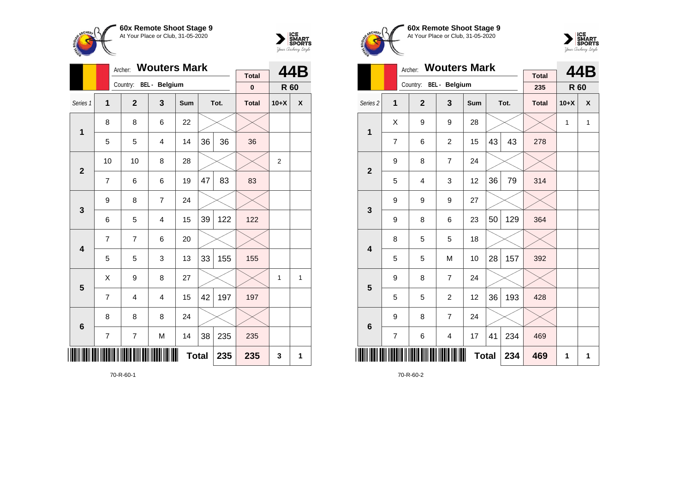



|                         |                | Archer:                 | <b>Wouters Mark</b>     |              |    |      | 44B                       |                |              |
|-------------------------|----------------|-------------------------|-------------------------|--------------|----|------|---------------------------|----------------|--------------|
|                         |                | Country: BEL - Belgium  |                         |              |    |      | <b>Total</b><br>$\pmb{0}$ | R 60           |              |
|                         |                |                         |                         |              |    |      |                           |                |              |
| Series 1                | $\overline{1}$ | $\mathbf{2}$            | $\overline{\mathbf{3}}$ | Sum          |    | Tot. | <b>Total</b>              | $10+X$         | X            |
| $\mathbf{1}$            | 8              | 8                       | 6                       | 22           |    |      |                           |                |              |
|                         | 5              | 5                       | 4                       | 14           | 36 | 36   | 36                        |                |              |
| $\overline{2}$          | 10             | 10                      | 8                       | 28           |    |      |                           | $\overline{c}$ |              |
|                         | $\overline{7}$ | 6                       | 6                       | 19           | 47 | 83   | 83                        |                |              |
| 3                       | 9              | 8                       | $\overline{7}$          | 24           |    |      |                           |                |              |
|                         | 6              | 5                       | 4                       | 15           | 39 | 122  | 122                       |                |              |
| $\overline{\mathbf{4}}$ | $\overline{7}$ | 7                       | 6                       | 20           |    |      |                           |                |              |
|                         | 5              | 5                       | 3                       | 13           | 33 | 155  | 155                       |                |              |
| 5                       | Χ              | 9                       | 8                       | 27           |    |      |                           | 1              | $\mathbf{1}$ |
|                         | 7              | $\overline{4}$          | $\overline{\mathbf{4}}$ | 15           | 42 | 197  | 197                       |                |              |
| $6\phantom{1}6$         | 8              | 8                       | 8                       | 24           |    |      |                           |                |              |
|                         | 7              | $\overline{\mathbf{7}}$ | M                       | 14           | 38 | 235  | 235                       |                |              |
| ║║                      |                |                         |                         | <b>Total</b> |    | 235  | 235                       | 3              | 1            |

70-R-60-1





|                     |                | Archer:                | <b>Wouters Mark</b>     |     | <b>Total</b> |      | 44B          |        |              |
|---------------------|----------------|------------------------|-------------------------|-----|--------------|------|--------------|--------|--------------|
|                     |                | Country: BEL - Belgium |                         |     |              |      | 235          | R 60   |              |
| Series <sub>2</sub> | 1              | $\overline{2}$         | $\overline{\mathbf{3}}$ | Sum |              | Tot. | <b>Total</b> | $10+X$ | X            |
| $\mathbf 1$         | Χ              | 9                      | 9                       | 28  |              |      |              | 1      | $\mathbf{1}$ |
|                     | $\overline{7}$ | 6                      | $\overline{c}$          | 15  | 43           | 43   | 278          |        |              |
| $\overline{2}$      | 9              | 8                      | $\overline{7}$          | 24  |              |      |              |        |              |
|                     | 5              | $\overline{4}$         | 3                       | 12  | 36           | 79   | 314          |        |              |
| 3                   | 9              | 9                      | 9                       | 27  |              |      |              |        |              |
|                     | 9              | 8                      | 6                       | 23  | 50           | 129  | 364          |        |              |
| 4                   | 8              | 5                      | 5                       | 18  |              |      |              |        |              |
|                     | 5              | 5                      | M                       | 10  | 28           | 157  | 392          |        |              |
| 5                   | 9              | 8                      | $\overline{7}$          | 24  |              |      |              |        |              |
|                     | 5              | 5                      | $\overline{2}$          | 12  | 36           | 193  | 428          |        |              |
| $6\phantom{1}6$     | 9              | 8                      | 7                       | 24  |              |      |              |        |              |
|                     | $\overline{7}$ | 6                      | 4                       | 17  | 41           | 234  | 469          |        |              |
| ║║║                 |                |                        |                         |     | <b>Total</b> | 234  | 469          | 1      | 1            |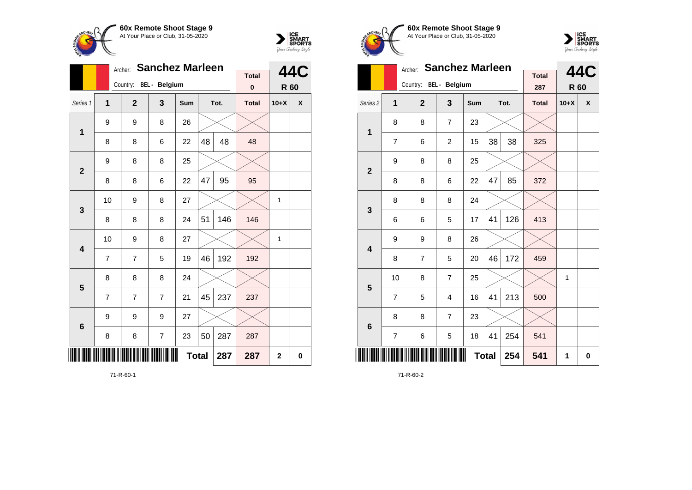

Country: **BEL - Belgium**

9 8 26

9 8 8 25

8 8 8 24

9 9 9 27

**1**

**2**

**3**

**4**

**5**

**6**

 $\overline{7}$ 

Archer: **Sanchez Marleen**

Series 1 **1 2 3 Sum Tot. Total 10+X X**

8 | 8 | 6 | 22 |48 | 48 | 48

8 | 8 | 6 | 22 |47 | 95 | 95

8 8 8 8 24 51 146 146

 $7 \mid 7 \mid 5 \mid 19 \mid 46 \mid 192 \mid 192$ 

7 | 7 | 7 | 21 |45 | 237 | 237

8 | 8 | 7 | 23 | $50$ | $287$  |  $287$ 

10 | 9 | 8 | 27 |  $\times$  |  $\times$  | 1

10 | 9 | 8 | 27 |  $\times$  |  $\times$  | 1



**44C**

**R 60**

**Total 0**

**Total 287 287 2 0**





|                         |                | Archer:                | <b>Sanchez Marleen</b> |              | <b>Total</b> |      | <b>44C</b>   |             |   |
|-------------------------|----------------|------------------------|------------------------|--------------|--------------|------|--------------|-------------|---|
|                         |                | Country: BEL - Belgium |                        |              |              |      | 287          | <b>R</b> 60 |   |
| Series <sub>2</sub>     | 1              | $\overline{2}$         | 3                      | Sum          |              | Tot. | <b>Total</b> | $10+X$      | X |
| 1                       | 8              | 8                      | 7                      | 23           |              |      |              |             |   |
|                         | 7              | 6                      | 2                      | 15           | 38           | 38   | 325          |             |   |
| $\overline{2}$          | 9              | 8                      | 8                      | 25           |              |      |              |             |   |
|                         | 8              | 8                      | 6                      | 22           | 47           | 85   | 372          |             |   |
| 3                       | 8              | 8                      | 8                      | 24           |              |      |              |             |   |
|                         | 6              | 6                      | 5                      | 17           | 41           | 126  | 413          |             |   |
| $\overline{\mathbf{4}}$ | 9              | 9                      | 8                      | 26           |              |      |              |             |   |
|                         | 8              | 7                      | 5                      | 20           | 46           | 172  | 459          |             |   |
| 5                       | 10             | 8                      | $\overline{7}$         | 25           |              |      |              | 1           |   |
|                         | $\overline{7}$ | 5                      | $\overline{4}$         | 16           | 41           | 213  | 500          |             |   |
| $6\phantom{1}6$         | 8              | 8                      | $\overline{7}$         | 23           |              |      |              |             |   |
|                         | $\overline{7}$ | 6                      | 5                      | 18           | 41           | 254  | 541          |             |   |
|                         |                |                        |                        | <b>Total</b> |              | 254  | 541          | 1           | 0 |

71-R-60-2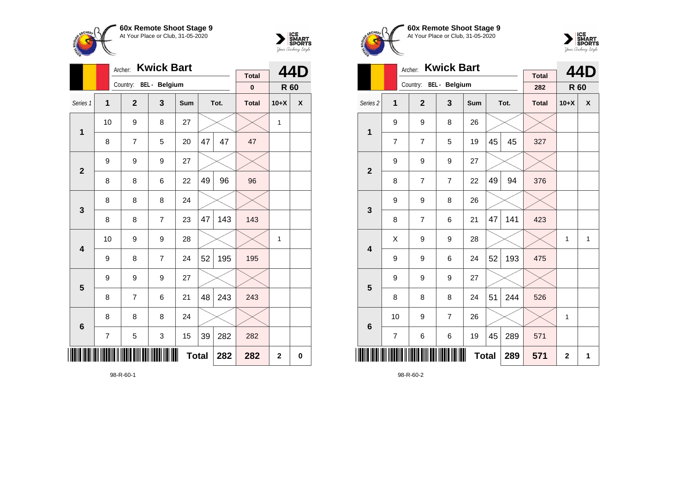



|                         |                         | Archer:                | <b>Kwick Bart</b> |              |    |      | 44D                      |                |   |
|-------------------------|-------------------------|------------------------|-------------------|--------------|----|------|--------------------------|----------------|---|
|                         |                         | Country: BEL - Belgium |                   |              |    |      | <b>Total</b><br>$\bf{0}$ |                |   |
|                         |                         |                        |                   |              |    |      |                          | R 60           |   |
| Series 1                | $\mathbf{1}$            | $\overline{2}$         | 3                 | <b>Sum</b>   |    | Tot. | <b>Total</b>             | $10+X$         | X |
| $\mathbf{1}$            | 10                      | 9                      | 8                 | 27           |    |      |                          | 1              |   |
|                         | 8                       | 7                      | 5                 | 20           | 47 | 47   | 47                       |                |   |
| $\mathbf{2}$            | 9                       | 9                      | 9                 | 27           |    |      |                          |                |   |
|                         | 8                       | 8                      | 6                 | 22           | 49 | 96   | 96                       |                |   |
| 3                       | 8                       | 8                      | 8                 | 24           |    |      |                          |                |   |
|                         | 8                       | 8                      | $\overline{7}$    | 23           | 47 | 143  | 143                      |                |   |
| 4                       | 10                      | 9                      | 9                 | 28           |    |      |                          | 1              |   |
|                         | 9                       | 8                      | $\overline{7}$    | 24           | 52 | 195  | 195                      |                |   |
| $\overline{\mathbf{5}}$ | 9                       | 9                      | 9                 | 27           |    |      |                          |                |   |
|                         | 8                       | 7                      | 6                 | 21           | 48 | 243  | 243                      |                |   |
| $6\phantom{1}6$         | 8                       | 8                      | 8                 | 24           |    |      |                          |                |   |
|                         | $\overline{\mathbf{7}}$ | 5                      | 3                 | 15           | 39 | 282  | 282                      |                |   |
| III                     |                         |                        |                   | <b>Total</b> |    | 282  | 282                      | $\overline{2}$ | 0 |

98-R-60-1





|                         |                | Archer:                | <b>Kwick Bart</b> |              |    |      | 44D                 |                |              |
|-------------------------|----------------|------------------------|-------------------|--------------|----|------|---------------------|----------------|--------------|
|                         |                | Country: BEL - Belgium |                   |              |    |      | <b>Total</b><br>282 | <b>R</b> 60    |              |
| Series <sub>2</sub>     | 1              | $\overline{2}$         | 3                 | Sum          |    | Tot. | <b>Total</b>        | $10+X$         | X            |
| $\mathbf{1}$            | 9              | 9                      | 8                 | 26           |    |      |                     |                |              |
|                         | $\overline{7}$ | $\overline{7}$         | 5                 | 19           | 45 | 45   | 327                 |                |              |
| $\overline{2}$          | 9              | 9                      | 9                 | 27           |    |      |                     |                |              |
|                         | 8              | 7                      | 7                 | 22           | 49 | 94   | 376                 |                |              |
| 3                       | 9              | 9                      | 8                 | 26           |    |      |                     |                |              |
|                         | 8              | 7                      | 6                 | 21           | 47 | 141  | 423                 |                |              |
| $\overline{\mathbf{4}}$ | X              | 9                      | 9                 | 28           |    |      |                     | 1              | $\mathbf{1}$ |
|                         | 9              | 9                      | 6                 | 24           | 52 | 193  | 475                 |                |              |
| 5                       | 9              | 9                      | 9                 | 27           |    |      |                     |                |              |
|                         | 8              | 8                      | 8                 | 24           | 51 | 244  | 526                 |                |              |
| $6\phantom{1}6$         | 10             | 9                      | $\overline{7}$    | 26           |    |      |                     | 1              |              |
|                         | $\overline{7}$ | 6                      | 6                 | 19           | 45 | 289  | 571                 |                |              |
| ║║║                     |                |                        |                   | <b>Total</b> |    | 289  | 571                 | $\overline{2}$ | 1            |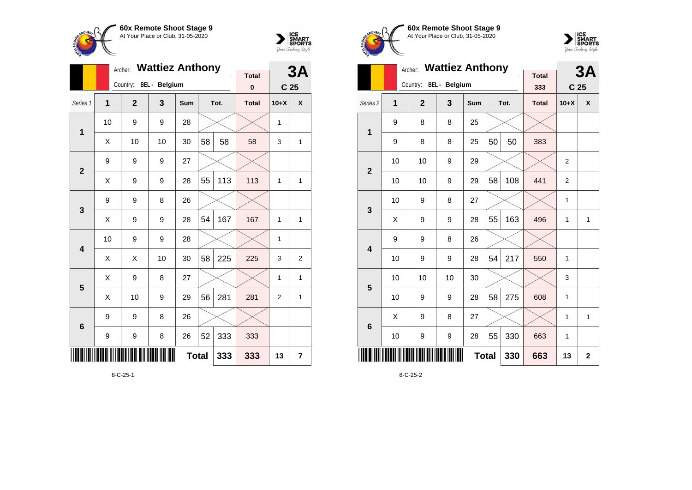



|                |                     | Archer:      | <b>Wattiez Anthony</b> |            |    |      | 3A           |                 |                |
|----------------|---------------------|--------------|------------------------|------------|----|------|--------------|-----------------|----------------|
|                |                     | Country:     | <b>BEL</b> - Belgium   |            |    |      | Total        |                 |                |
|                |                     |              |                        |            |    |      | $\bf{0}$     | C <sub>25</sub> |                |
| Series 1       | 1                   | $\mathbf{2}$ | 3                      | <b>Sum</b> |    | Tot. | <b>Total</b> | $10+X$          | X              |
| 1              | 10                  | 9            | 9                      | 28         |    |      |              | 1               |                |
|                | X                   | 10           | 10                     | 30         | 58 | 58   | 58           | 3               | 1              |
| $\overline{2}$ | 9                   | 9            | 9                      | 27         |    |      |              |                 |                |
|                | Χ                   | 9            | 9                      | 28         | 55 | 113  | 113          | $\mathbf{1}$    | $\mathbf{1}$   |
| 3              | 9                   | 9            | 8                      | 26         |    |      |              |                 |                |
|                | Χ                   | 9            | 9                      | 28         | 54 | 167  | 167          | 1               | 1              |
| 4              | 10                  | 9            | 9                      | 28         |    |      |              | 1               |                |
|                | X                   | X            | 10                     | 30         | 58 | 225  | 225          | 3               | $\overline{2}$ |
| 5              | X                   | 9            | 8                      | 27         |    |      |              | $\mathbf{1}$    | 1              |
|                | Χ                   | 10           | 9                      | 29         | 56 | 281  | 281          | $\overline{2}$  | $\mathbf{1}$   |
| 6              | 9                   | 9            | 8                      | 26         |    |      |              |                 |                |
|                | 9                   | 9            | 8                      | 26         | 52 | 333  | 333          |                 |                |
|                | <b>Total</b><br>333 |              |                        |            |    |      |              | 13              | $\overline{7}$ |

**60x Remote Shoot Stage 9** At Your Place or Club, 31-05-2020



|                         |    | Archer:        | <b>Wattiez Anthony</b> |            |              |      | 3A                  |                 |              |
|-------------------------|----|----------------|------------------------|------------|--------------|------|---------------------|-----------------|--------------|
|                         |    | Country:       | <b>BEL</b> - Belgium   |            |              |      | <b>Total</b><br>333 | C <sub>25</sub> |              |
| Series <sub>2</sub>     | 1  | $\overline{2}$ | 3                      | <b>Sum</b> |              | Tot. | <b>Total</b>        | $10+X$          | X            |
| 1                       | 9  | 8              | 8                      | 25         |              |      |                     |                 |              |
|                         | 9  | 8              | 8                      | 25         | 50           | 50   | 383                 |                 |              |
| $\overline{2}$          | 10 | 10             | 9                      | 29         |              |      |                     | 2               |              |
|                         | 10 | 10             | 9                      | 29         | 58           | 108  | 441                 | $\overline{2}$  |              |
| 3                       | 10 | 9              | 8                      | 27         |              |      |                     | 1               |              |
|                         | X  | 9              | 9                      | 28         | 55           | 163  | 496                 | 1               | 1            |
| $\overline{\mathbf{4}}$ | 9  | 9              | 8                      | 26         |              |      |                     |                 |              |
|                         | 10 | 9              | 9                      | 28         | 54           | 217  | 550                 | 1               |              |
| 5                       | 10 | 10             | 10                     | 30         |              |      |                     | 3               |              |
|                         | 10 | 9              | 9                      | 28         | 58           | 275  | 608                 | 1               |              |
| $6\phantom{1}6$         | X  | 9              | 8                      | 27         |              |      |                     | 1               | $\mathbf{1}$ |
|                         | 10 | 9              | 9                      | 28         | 55           | 330  | 663                 | 1               |              |
| ║║║                     |    |                |                        |            | <b>Total</b> | 330  | 663                 | 13              | $\mathbf 2$  |

8-C-25-2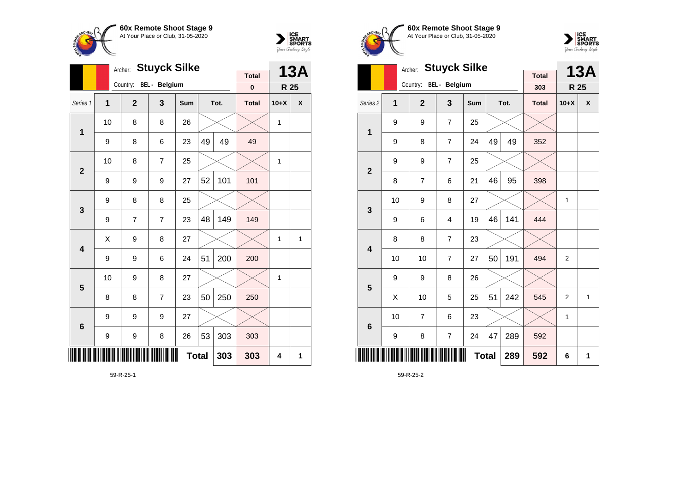

**1**

**2**

**3**

**4**

**5**

**6**

Archer: **Stuyck Silke**

Series 1 **1 2 3 Sum Tot. Total 10+X X**

9 | 8 | 6 | 23 |49 | 49 | 49

9 | 9 | 9 | 27 |52 | 101 <mark>|</mark> 101

 $9 \mid 7 \mid 7 \mid 23 \mid 48 \mid 149 \mid 149$ 

9 | 9 | 6 | 24 | $51$ | 200 | 200

8 | 8 | 7 | 23 | $50$  |  $250$  |  $250$ 

9 | 9 | 8 | 26 |53 | 303 | 303

10 | 9 | 8 | 27 |  $\times$  |  $\times$  | 1

 $\textsf{X} \hspace{0.2cm} \vert \hspace{0.2cm} 9 \hspace{0.2cm} \vert \hspace{0.2cm} 8 \hspace{0.2cm} \vert \hspace{0.2cm} 27 \hspace{0.2cm} \vert \hspace{0.2cm} \times \hspace{0.2cm} \vert \hspace{0.2cm} \times \hspace{0.2cm} \vert \hspace{0.2cm} 1 \hspace{0.2cm} \vert \hspace{0.2cm} 1 \hspace{0.2cm} \vert \hspace{0.2cm} 1$ 

10  $\mid$  8  $\mid$  8  $\mid$  26  $\mid$   $\times$   $\mid$   $\times$   $\mid$  1

10 | 8 | 7 | 25 |  $\times$  |  $\times$  | 1

Country: **BEL - Belgium**

9 8 8 25

9 9 9 27



**13A**

**R 25**

**Total 0**

**Total 303 303 4 1**





|                         |    | Archer:                | <b>Stuyck Silke</b> |              |    |      | <b>13A</b>          |                |              |
|-------------------------|----|------------------------|---------------------|--------------|----|------|---------------------|----------------|--------------|
|                         |    | Country: BEL - Belgium |                     |              |    |      | <b>Total</b><br>303 | R 25           |              |
| Series <sub>2</sub>     | 1  | $\overline{2}$         | 3                   | <b>Sum</b>   |    | Tot. | <b>Total</b>        | $10+X$         | X            |
| $\mathbf 1$             | 9  | 9                      | $\overline{7}$      | 25           |    |      |                     |                |              |
|                         | 9  | 8                      | $\overline{7}$      | 24           | 49 | 49   | 352                 |                |              |
| $\overline{2}$          | 9  | 9                      | 7                   | 25           |    |      |                     |                |              |
|                         | 8  | 7                      | 6                   | 21           | 46 | 95   | 398                 |                |              |
| 3                       | 10 | 9                      | 8                   | 27           |    |      |                     | 1              |              |
|                         | 9  | 6                      | 4                   | 19           | 46 | 141  | 444                 |                |              |
| $\overline{\mathbf{4}}$ | 8  | 8                      | $\overline{7}$      | 23           |    |      |                     |                |              |
|                         | 10 | 10                     | 7                   | 27           | 50 | 191  | 494                 | $\overline{2}$ |              |
| 5                       | 9  | 9                      | 8                   | 26           |    |      |                     |                |              |
|                         | X  | 10                     | 5                   | 25           | 51 | 242  | 545                 | 2              | $\mathbf{1}$ |
| $6\phantom{1}6$         | 10 | 7                      | 6                   | 23           |    |      |                     | 1              |              |
|                         | 9  | 8                      | $\overline{7}$      | 24           | 47 | 289  | 592                 |                |              |
| ║║║                     |    |                        |                     | <b>Total</b> |    | 289  | 592                 | 6              | 1            |

59-R-25-2

59-R-25-1

<u>\* 1999 - Roman Albert III (1999 - 1999 - 1999 - 1999 - 1999 - 1999 - 1999 - 1999 - 1999 - 1999 - 1999 - 1999 -</u>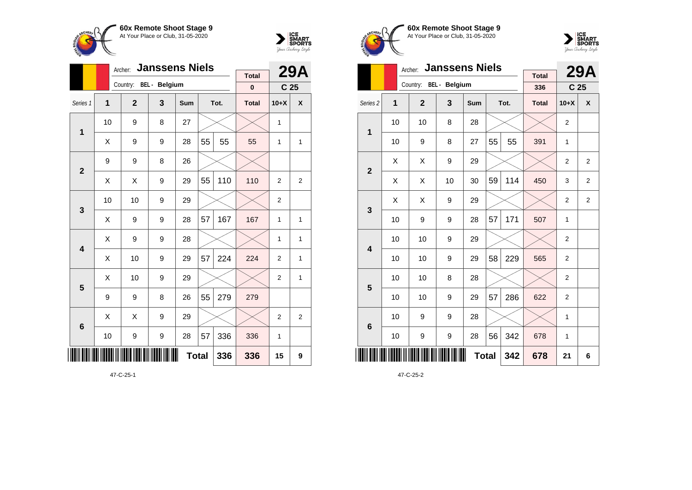



|                 |              | Archer:                | <b>Janssens Niels</b> |     |              |      |              | <b>29A</b>      |                |
|-----------------|--------------|------------------------|-----------------------|-----|--------------|------|--------------|-----------------|----------------|
|                 |              | Country: BEL - Belgium |                       |     |              |      | <b>Total</b> |                 |                |
|                 |              |                        |                       |     |              |      | $\bf{0}$     | C <sub>25</sub> |                |
| Series 1        | $\mathbf{1}$ | $\overline{2}$         | 3                     | Sum |              | Tot. | <b>Total</b> | $10+X$          | X              |
| $\mathbf{1}$    | 10           | 9                      | 8                     | 27  |              |      |              | 1               |                |
|                 | X            | 9                      | 9                     | 28  | 55           | 55   | 55           | 1               | 1              |
| $\overline{2}$  | 9            | 9                      | 8                     | 26  |              |      |              |                 |                |
|                 | Χ            | Χ                      | 9                     | 29  | 55           | 110  | 110          | $\overline{2}$  | 2              |
| 3               | 10           | 10                     | 9                     | 29  |              |      |              | $\overline{2}$  |                |
|                 | X            | 9                      | 9                     | 28  | 57           | 167  | 167          | 1               | $\mathbf{1}$   |
| 4               | X            | 9                      | 9                     | 28  |              |      |              | 1               | 1              |
|                 | X            | 10                     | 9                     | 29  | 57           | 224  | 224          | $\overline{2}$  | 1              |
| 5               | Χ            | 10                     | 9                     | 29  |              |      |              | $\overline{2}$  | 1              |
|                 | 9            | 9                      | 8                     | 26  | 55           | 279  | 279          |                 |                |
| $6\phantom{1}6$ | X            | X                      | 9                     | 29  |              |      |              | $\overline{2}$  | $\overline{2}$ |
|                 | 10           | 9                      | 9                     | 28  | 57           | 336  | 336          | 1               |                |
| ∭               |              |                        |                       |     | <b>Total</b> | 336  | 336          | 15              | 9              |





|                         |    | Archer:                | <b>Janssens Niels</b> |            |              |      | <b>29A</b>          |                |                 |
|-------------------------|----|------------------------|-----------------------|------------|--------------|------|---------------------|----------------|-----------------|
|                         |    | Country: BEL - Belgium |                       |            |              |      | <b>Total</b><br>336 |                | C <sub>25</sub> |
| Series <sub>2</sub>     | 1  | $\overline{2}$         | 3                     | <b>Sum</b> |              | Tot. | <b>Total</b>        | $10+X$         | X               |
| 1                       | 10 | 10                     | 8                     | 28         |              |      |                     | $\overline{2}$ |                 |
|                         | 10 | 9                      | 8                     | 27         | 55           | 55   | 391                 | 1              |                 |
| $\overline{2}$          | X  | X                      | 9                     | 29         |              |      |                     | $\overline{2}$ | $\overline{2}$  |
|                         | Χ  | Χ                      | 10                    | 30         | 59           | 114  | 450                 | 3              | $\overline{2}$  |
| 3                       | X  | X                      | 9                     | 29         |              |      |                     | $\overline{2}$ | $\overline{2}$  |
|                         | 10 | 9                      | 9                     | 28         | 57           | 171  | 507                 | 1              |                 |
| $\overline{\mathbf{4}}$ | 10 | 10                     | 9                     | 29         |              |      |                     | $\overline{2}$ |                 |
|                         | 10 | 10                     | 9                     | 29         | 58           | 229  | 565                 | $\overline{2}$ |                 |
| 5                       | 10 | 10                     | 8                     | 28         |              |      |                     | $\overline{2}$ |                 |
|                         | 10 | 10                     | 9                     | 29         | 57           | 286  | 622                 | 2              |                 |
| $6\phantom{1}6$         | 10 | 9                      | 9                     | 28         |              |      |                     | 1              |                 |
|                         | 10 | 9                      | 9                     | 28         | 56           | 342  | 678                 | 1              |                 |
|                         |    |                        |                       |            | <b>Total</b> | 342  | 678                 | 21             | 6               |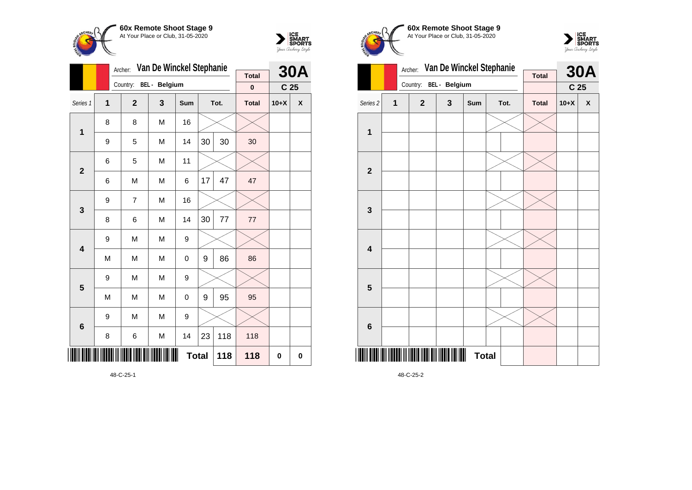



|                         |                         | Archer:        | Van De Winckel Stephanie |              |    |      | <b>30A</b>               |                 |          |
|-------------------------|-------------------------|----------------|--------------------------|--------------|----|------|--------------------------|-----------------|----------|
|                         |                         | Country:       | BEL - Belgium            |              |    |      | <b>Total</b><br>$\bf{0}$ | C <sub>25</sub> |          |
| Series 1                | $\overline{\mathbf{1}}$ | $\overline{2}$ | 3                        | Sum          |    | Tot. | <b>Total</b>             | $10+X$          | X        |
| $\mathbf 1$             | 8                       | 8              | M                        | 16           |    |      |                          |                 |          |
|                         | 9                       | 5              | M                        | 14           | 30 | 30   | 30                       |                 |          |
| $\overline{2}$          | 6                       | 5              | M                        | 11           |    |      |                          |                 |          |
|                         | 6                       | M              | M                        | 6            | 17 | 47   | 47                       |                 |          |
| 3                       | 9                       | $\overline{7}$ | M                        | 16           |    |      |                          |                 |          |
|                         | 8                       | 6              | M                        | 14           | 30 | 77   | 77                       |                 |          |
| $\overline{\mathbf{4}}$ | 9                       | M              | M                        | 9            |    |      |                          |                 |          |
|                         | M                       | M              | M                        | 0            | 9  | 86   | 86                       |                 |          |
| 5                       | 9                       | M              | M                        | 9            |    |      |                          |                 |          |
|                         | M                       | M              | M                        | 0            | 9  | 95   | 95                       |                 |          |
| $6\phantom{1}6$         | 9                       | M              | M                        | 9            |    |      |                          |                 |          |
|                         | 8                       | 6              | M                        | 14           | 23 | 118  | 118                      |                 |          |
| ║║║                     |                         |                |                          | <b>Total</b> |    | 118  | 118                      | $\bf{0}$        | $\bf{0}$ |





|                         |              | Archer:        | Van De Winckel Stephanie |              |              |                 |              |        | <b>30A</b>         |
|-------------------------|--------------|----------------|--------------------------|--------------|--------------|-----------------|--------------|--------|--------------------|
|                         |              | Country:       | BEL - Belgium            | <b>Total</b> |              | C <sub>25</sub> |              |        |                    |
| Series 2                | $\mathbf{1}$ | $\overline{2}$ | $\mathbf{3}$             | Sum          |              | Tot.            | <b>Total</b> | $10+X$ | $\pmb{\mathsf{X}}$ |
| 1                       |              |                |                          |              |              |                 |              |        |                    |
|                         |              |                |                          |              |              |                 |              |        |                    |
| $\mathbf{2}$            |              |                |                          |              |              |                 |              |        |                    |
|                         |              |                |                          |              |              |                 |              |        |                    |
| $\mathbf{3}$            |              |                |                          |              |              |                 |              |        |                    |
|                         |              |                |                          |              |              |                 |              |        |                    |
| $\overline{\mathbf{4}}$ |              |                |                          |              |              |                 |              |        |                    |
|                         |              |                |                          |              |              |                 |              |        |                    |
| 5                       |              |                |                          |              |              |                 |              |        |                    |
|                         |              |                |                          |              |              |                 |              |        |                    |
| $6\phantom{1}6$         |              |                |                          |              |              |                 |              |        |                    |
|                         |              |                |                          |              |              |                 |              |        |                    |
|                         |              |                | III                      |              | <b>Total</b> |                 |              |        |                    |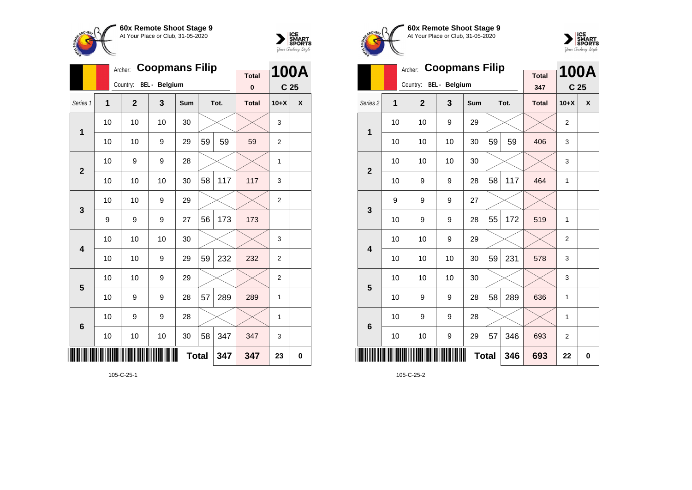



|                 |                | Archer:        | <b>Coopmans Filip</b> |                   |                 |      |              |                | <b>100A</b> |
|-----------------|----------------|----------------|-----------------------|-------------------|-----------------|------|--------------|----------------|-------------|
|                 |                | Country:       | <b>BEL</b> - Belgium  | <b>Total</b><br>0 | C <sub>25</sub> |      |              |                |             |
| Series 1        | $\overline{1}$ | $\overline{2}$ | 3                     | <b>Sum</b>        |                 | Tot. | <b>Total</b> | $10+X$         | X           |
| 1               | 10             | 10             | 10                    | 30                |                 |      |              | 3              |             |
|                 | 10             | 10             | 9                     | 29                | 59              | 59   | 59           | $\overline{2}$ |             |
| $\overline{2}$  | 10             | 9              | 9                     | 28                |                 |      |              | $\mathbf{1}$   |             |
|                 | 10             | 10             | 10                    | 30                | 58              | 117  | 117          | 3              |             |
| 3               | 10             | 10             | 9                     | 29                |                 |      |              | $\overline{2}$ |             |
|                 | 9              | 9              | 9                     | 27                | 56              | 173  | 173          |                |             |
| 4               | 10             | 10             | 10                    | 30                |                 |      |              | 3              |             |
|                 | 10             | 10             | 9                     | 29                | 59              | 232  | 232          | $\overline{2}$ |             |
| 5               | 10             | 10             | 9                     | 29                |                 |      |              | $\overline{2}$ |             |
|                 | 10             | 9              | 9                     | 28                | 57              | 289  | 289          | 1              |             |
| $6\phantom{1}6$ | 10             | 9              | 9                     | 28                |                 |      |              | $\mathbf{1}$   |             |
|                 | 10             | 10             | 10                    | 30                | 58              | 347  | 347          | 3              |             |
| III             |                |                |                       | <b>Total</b>      |                 | 347  | 347          | 23             | $\bf{0}$    |





|                         |    | Archer:        | <b>Coopmans Filip</b> |            |              |      | <b>Total</b> |                 | <b>100A</b> |
|-------------------------|----|----------------|-----------------------|------------|--------------|------|--------------|-----------------|-------------|
|                         |    | Country:       | BEL - Belgium         |            |              |      | 347          | C <sub>25</sub> |             |
| Series <sub>2</sub>     | 1  | $\overline{2}$ | 3                     | <b>Sum</b> |              | Tot. | <b>Total</b> | $10+X$          | X           |
| 1                       | 10 | 10             | 9                     | 29         |              |      |              | $\overline{2}$  |             |
|                         | 10 | 10             | 10                    | 30         | 59           | 59   | 406          | 3               |             |
| $\overline{2}$          | 10 | 10             | 10                    | 30         |              |      |              | 3               |             |
|                         | 10 | 9              | 9                     | 28         | 58           | 117  | 464          | 1               |             |
| 3                       | 9  | 9              | 9                     | 27         |              |      |              |                 |             |
|                         | 10 | 9              | 9                     | 28         | 55           | 172  | 519          | 1               |             |
| $\overline{\mathbf{A}}$ | 10 | 10             | 9                     | 29         |              |      |              | $\overline{2}$  |             |
|                         | 10 | 10             | 10                    | 30         | 59           | 231  | 578          | 3               |             |
| 5                       | 10 | 10             | 10                    | 30         |              |      |              | 3               |             |
|                         | 10 | 9              | 9                     | 28         | 58           | 289  | 636          | 1               |             |
| $6\phantom{1}6$         | 10 | 9              | 9                     | 28         |              |      |              | 1               |             |
|                         | 10 | 10             | 9                     | 29         | 57           | 346  | 693          | $\overline{2}$  |             |
|                         |    |                |                       |            | <b>Total</b> | 346  | 693          | 22              | 0           |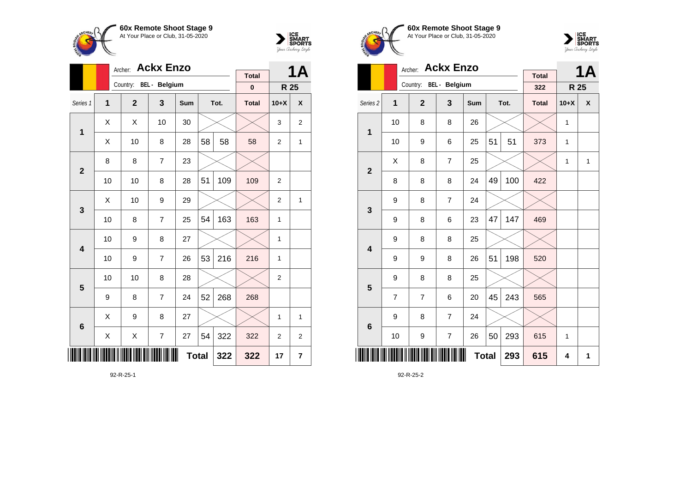



|                 |                | Archer:                | <b>Ackx Enzo</b>         |     |              |      | <b>Total</b> |                | 1Α             |
|-----------------|----------------|------------------------|--------------------------|-----|--------------|------|--------------|----------------|----------------|
|                 |                | Country: BEL - Belgium |                          |     |              |      |              |                |                |
|                 |                |                        |                          |     |              |      | $\bf{0}$     |                | R 25           |
| Series 1        | $\overline{1}$ | $\mathbf{2}$           | 3                        | Sum |              | Tot. | <b>Total</b> | $10+X$         | X              |
| 1               | X              | X                      | 10                       | 30  |              |      |              | 3              | $\overline{2}$ |
|                 | Χ              | 10                     | 8                        | 28  | 58           | 58   | 58           | $\overline{2}$ | 1              |
| $\overline{2}$  | 8              | 8                      | $\overline{7}$           | 23  |              |      |              |                |                |
|                 | 10             | 10                     | 8                        | 28  | 51           | 109  | 109          | $\overline{2}$ |                |
| 3               | X              | 10                     | 9                        | 29  |              |      |              | $\overline{2}$ | 1              |
|                 | 10             | 8                      | $\overline{7}$           | 25  | 54           | 163  | 163          | 1              |                |
| 4               | 10             | 9                      | 8                        | 27  |              |      |              | 1              |                |
|                 | 10             | 9                      | $\overline{7}$           | 26  | 53           | 216  | 216          | 1              |                |
| 5               | 10             | 10                     | 8                        | 28  |              |      |              | $\overline{2}$ |                |
|                 | 9              | 8                      | $\overline{7}$           | 24  | 52           | 268  | 268          |                |                |
| $6\phantom{1}6$ | X              | 9                      | 8                        | 27  |              |      |              | 1              | 1              |
|                 | Χ              | Χ                      | $\overline{\mathcal{I}}$ | 27  | 54           | 322  | 322          | 2              | $\overline{c}$ |
| ║║║             |                |                        |                          |     | <b>Total</b> | 322  | 322          | 17             | $\overline{7}$ |

92-R-25-1





|                     |                | Archer:                | <b>Ackx Enzo</b> |            |              |      |                     |        | <b>1A</b>    |
|---------------------|----------------|------------------------|------------------|------------|--------------|------|---------------------|--------|--------------|
|                     |                | Country: BEL - Belgium |                  |            |              |      | <b>Total</b><br>322 | R 25   |              |
| Series <sub>2</sub> | 1              | $\mathbf{2}$           | 3                | <b>Sum</b> |              | Tot. | <b>Total</b>        | $10+X$ | X            |
| 1                   | 10             | 8                      | 8                | 26         |              |      |                     | 1      |              |
|                     | 10             | 9                      | 6                | 25         | 51           | 51   | 373                 | 1      |              |
| $\overline{2}$      | Χ              | 8                      | $\overline{7}$   | 25         |              |      |                     | 1      | $\mathbf{1}$ |
|                     | 8              | 8                      | 8                | 24         | 49           | 100  | 422                 |        |              |
| 3                   | 9              | 8                      | $\overline{7}$   | 24         |              |      |                     |        |              |
|                     | 9              | 8                      | 6                | 23         | 47           | 147  | 469                 |        |              |
| 4                   | 9              | 8                      | 8                | 25         |              |      |                     |        |              |
|                     | 9              | 9                      | 8                | 26         | 51           | 198  | 520                 |        |              |
| 5                   | 9              | 8                      | 8                | 25         |              |      |                     |        |              |
|                     | $\overline{7}$ | 7                      | 6                | 20         | 45           | 243  | 565                 |        |              |
| $6\phantom{1}6$     | 9              | 8                      | $\overline{7}$   | 24         |              |      |                     |        |              |
|                     | 10             | 9                      | $\overline{7}$   | 26         | 50           | 293  | 615                 | 1      |              |
|                     |                |                        |                  |            | <b>Total</b> | 293  | 615                 | 4      | 1            |

92-R-25-2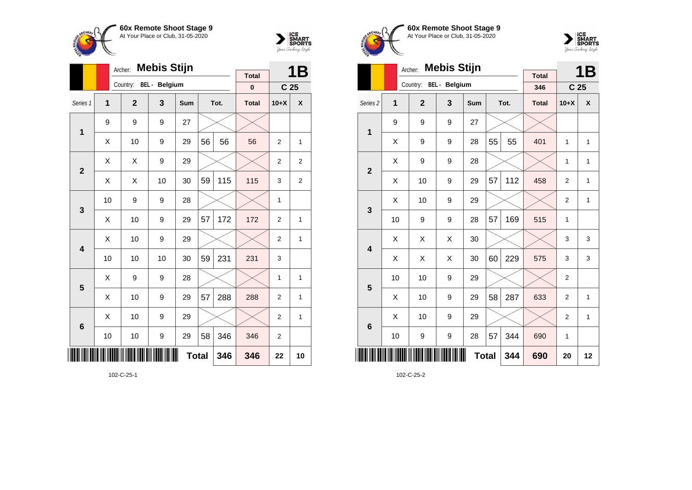



|                 |                | Archer:                          | <b>Mebis Stijn</b> |              |    |      | <b>Total</b> |                 | 1B             |
|-----------------|----------------|----------------------------------|--------------------|--------------|----|------|--------------|-----------------|----------------|
|                 |                | Country:<br><b>BEL</b> - Belgium |                    |              |    |      |              |                 |                |
|                 |                |                                  |                    |              |    |      | $\mathbf 0$  | C <sub>25</sub> |                |
| Series 1        | $\overline{1}$ | $\mathbf{2}$                     | 3                  | Sum          |    | Tot. | <b>Total</b> | $10+X$          | X              |
| $\mathbf 1$     | 9              | 9                                | 9                  | 27           |    |      |              |                 |                |
|                 | Χ              | 10                               | 9                  | 29           | 56 | 56   | 56           | $\overline{2}$  | 1              |
| $\overline{2}$  | X              | X                                | 9                  | 29           |    |      |              | $\overline{2}$  | $\overline{c}$ |
|                 | X              | X                                | 10                 | 30           | 59 | 115  | 115          | 3               | $\overline{2}$ |
| 3               | 10             | 9                                | 9                  | 28           |    |      |              | 1               |                |
|                 | X              | 10                               | 9                  | 29           | 57 | 172  | 172          | $\overline{2}$  | 1              |
| 4               | Χ              | 10                               | 9                  | 29           |    |      |              | 2               | 1              |
|                 | 10             | 10                               | 10                 | 30           | 59 | 231  | 231          | 3               |                |
| 5               | X              | 9                                | 9                  | 28           |    |      |              | 1               | 1              |
|                 | Χ              | 10                               | 9                  | 29           | 57 | 288  | 288          | $\overline{2}$  | 1              |
| $6\phantom{1}6$ | X              | 10                               | 9                  | 29           |    |      |              | $\overline{2}$  | 1              |
|                 | 10             | 10                               | 9                  | 29           | 58 | 346  | 346          | 2               |                |
| ║║              |                |                                  |                    | <b>Total</b> |    | 346  | 346          | 22              | 10             |





|                     |    | Archer:        | <b>Mebis Stijn</b>   |            |                 |      |              |                | <b>1B</b>    |
|---------------------|----|----------------|----------------------|------------|-----------------|------|--------------|----------------|--------------|
|                     |    | Country:       | <b>Total</b>         |            |                 |      |              |                |              |
|                     |    |                | <b>BEL</b> - Belgium | 346        | C <sub>25</sub> |      |              |                |              |
| Series <sub>2</sub> | 1  | $\overline{2}$ | 3                    | <b>Sum</b> |                 | Tot. | <b>Total</b> | $10+X$         | X            |
| 1                   | 9  | 9              | 9                    | 27         |                 |      |              |                |              |
|                     | X  | 9              | 9                    | 28         | 55              | 55   | 401          | 1              | 1            |
| $\overline{2}$      | X  | 9              | 9                    | 28         |                 |      |              | $\mathbf{1}$   | $\mathbf{1}$ |
|                     | X  | 10             | 9                    | 29         | 57              | 112  | 458          | $\overline{2}$ | 1            |
| 3                   | X  | 10             | 9                    | 29         |                 |      |              | $\overline{2}$ | $\mathbf{1}$ |
|                     | 10 | 9              | 9                    | 28         | 57              | 169  | 515          | 1              |              |
| 4                   | X  | Χ              | X                    | 30         |                 |      |              | 3              | 3            |
|                     | X  | X              | X                    | 30         | 60              | 229  | 575          | 3              | 3            |
| 5                   | 10 | 10             | 9                    | 29         |                 |      |              | $\overline{2}$ |              |
|                     | X  | 10             | 9                    | 29         | 58              | 287  | 633          | $\overline{2}$ | $\mathbf{1}$ |
| 6                   | X  | 10             | 9                    | 29         |                 |      |              | $\overline{2}$ | 1            |
|                     | 10 | 9              | 9                    | 28         | 57              | 344  | 690          | 1              |              |
| ║║║                 |    |                |                      |            | <b>Total</b>    | 344  | 690          | 20             | 12           |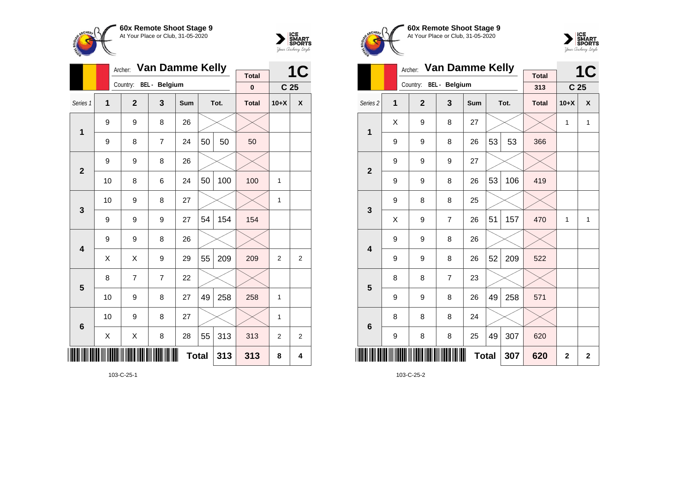



|                 |    | Archer:                | <b>Van Damme Kelly</b> |              |    |      |              |                 | <b>1C</b>      |
|-----------------|----|------------------------|------------------------|--------------|----|------|--------------|-----------------|----------------|
|                 |    | Country: BEL - Belgium | <b>Total</b>           |              |    |      |              |                 |                |
|                 |    |                        |                        |              |    |      | $\bf{0}$     | C <sub>25</sub> |                |
| Series 1        | 1  | $\mathbf{2}$           | 3                      | Sum          |    | Tot. | <b>Total</b> | $10+X$          | X              |
| 1               | 9  | 9                      | 8                      | 26           |    |      |              |                 |                |
|                 | 9  | 8                      | 7                      | 24           | 50 | 50   | 50           |                 |                |
| $\overline{2}$  | 9  | 9                      | 8                      | 26           |    |      |              |                 |                |
|                 | 10 | 8                      | 6                      | 24           | 50 | 100  | 100          | 1               |                |
| 3               | 10 | 9                      | 8                      | 27           |    |      |              | 1               |                |
|                 | 9  | 9                      | 9                      | 27           | 54 | 154  | 154          |                 |                |
| 4               | 9  | 9                      | 8                      | 26           |    |      |              |                 |                |
|                 | X  | Χ                      | 9                      | 29           | 55 | 209  | 209          | $\overline{2}$  | $\overline{2}$ |
| 5               | 8  | $\overline{7}$         | 7                      | 22           |    |      |              |                 |                |
|                 | 10 | 9                      | 8                      | 27           | 49 | 258  | 258          | 1               |                |
| $6\phantom{1}6$ | 10 | 9                      | 8                      | 27           |    |      |              | 1               |                |
|                 | X  | Χ                      | 8                      | 28           | 55 | 313  | 313          | $\overline{2}$  | $\overline{2}$ |
| ║║              |    |                        |                        | <b>Total</b> |    | 313  | 313          | 8               | 4              |





|                         |   | Archer:                | <b>Van Damme Kelly</b> |                 |    |      |              |              | <b>1C</b>        |
|-------------------------|---|------------------------|------------------------|-----------------|----|------|--------------|--------------|------------------|
|                         |   | Country: BEL - Belgium | <b>Total</b><br>313    | C <sub>25</sub> |    |      |              |              |                  |
|                         |   |                        |                        |                 |    |      |              |              |                  |
| Series <sub>2</sub>     | 1 | $\overline{2}$         | 3                      | <b>Sum</b>      |    | Tot. | <b>Total</b> | $10+X$       | $\boldsymbol{x}$ |
| $\mathbf 1$             | X | 9                      | 8                      | 27              |    |      |              | 1            | 1                |
|                         | 9 | 9                      | 8                      | 26              | 53 | 53   | 366          |              |                  |
| $\overline{2}$          | 9 | 9                      | 9                      | 27              |    |      |              |              |                  |
|                         | 9 | 9                      | 8                      | 26              | 53 | 106  | 419          |              |                  |
| 3                       | 9 | 8                      | 8                      | 25              |    |      |              |              |                  |
|                         | X | 9                      | $\overline{7}$         | 26              | 51 | 157  | 470          | 1            | 1                |
| $\overline{\mathbf{4}}$ | 9 | 9                      | 8                      | 26              |    |      |              |              |                  |
|                         | 9 | 9                      | 8                      | 26              | 52 | 209  | 522          |              |                  |
| 5                       | 8 | 8                      | $\overline{7}$         | 23              |    |      |              |              |                  |
|                         | 9 | 9                      | 8                      | 26              | 49 | 258  | 571          |              |                  |
| $6\phantom{1}6$         | 8 | 8                      | 8                      | 24              |    |      |              |              |                  |
|                         | 9 | 8                      | 8                      | 25              | 49 | 307  | 620          |              |                  |
| ║║                      |   |                        |                        | <b>Total</b>    |    | 307  | 620          | $\mathbf{2}$ | $\mathbf{2}$     |